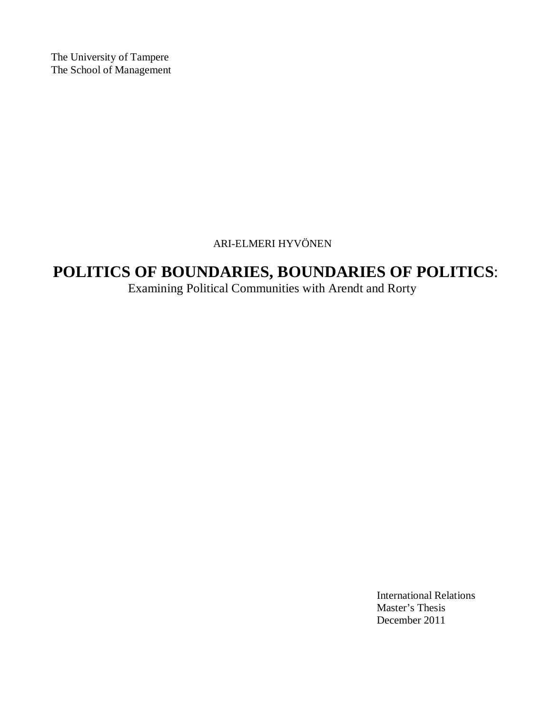The University of Tampere The School of Management

#### ARI-ELMERI HYVÖNEN

# **POLITICS OF BOUNDARIES, BOUNDARIES OF POLITICS**:

Examining Political Communities with Arendt and Rorty

International Relations Master's Thesis December 2011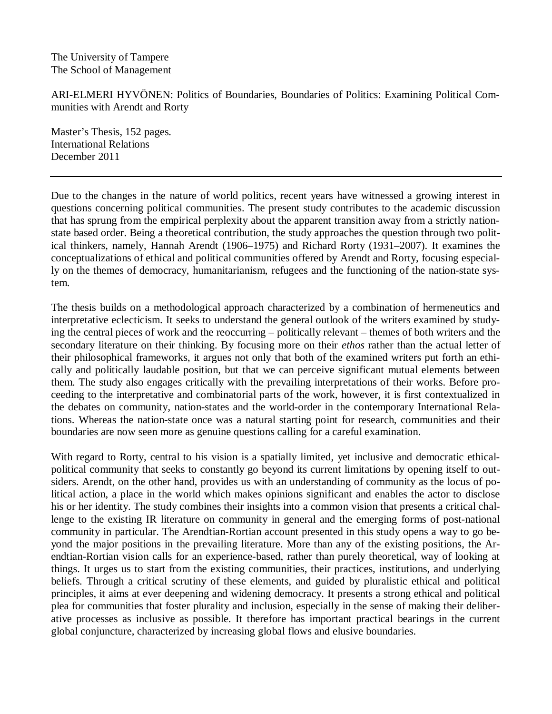The University of Tampere The School of Management

ARI-ELMERI HYVÖNEN: Politics of Boundaries, Boundaries of Politics: Examining Political Communities with Arendt and Rorty

Master's Thesis, 152 pages. International Relations December 2011

Due to the changes in the nature of world politics, recent years have witnessed a growing interest in questions concerning political communities. The present study contributes to the academic discussion that has sprung from the empirical perplexity about the apparent transition away from a strictly nationstate based order. Being a theoretical contribution, the study approaches the question through two political thinkers, namely, Hannah Arendt (1906–1975) and Richard Rorty (1931–2007). It examines the conceptualizations of ethical and political communities offered by Arendt and Rorty, focusing especially on the themes of democracy, humanitarianism, refugees and the functioning of the nation-state system.

The thesis builds on a methodological approach characterized by a combination of hermeneutics and interpretative eclecticism. It seeks to understand the general outlook of the writers examined by studying the central pieces of work and the reoccurring – politically relevant – themes of both writers and the secondary literature on their thinking. By focusing more on their *ethos* rather than the actual letter of their philosophical frameworks, it argues not only that both of the examined writers put forth an ethically and politically laudable position, but that we can perceive significant mutual elements between them. The study also engages critically with the prevailing interpretations of their works. Before proceeding to the interpretative and combinatorial parts of the work, however, it is first contextualized in the debates on community, nation-states and the world-order in the contemporary International Relations. Whereas the nation-state once was a natural starting point for research, communities and their boundaries are now seen more as genuine questions calling for a careful examination.

With regard to Rorty, central to his vision is a spatially limited, yet inclusive and democratic ethicalpolitical community that seeks to constantly go beyond its current limitations by opening itself to outsiders. Arendt, on the other hand, provides us with an understanding of community as the locus of political action, a place in the world which makes opinions significant and enables the actor to disclose his or her identity. The study combines their insights into a common vision that presents a critical challenge to the existing IR literature on community in general and the emerging forms of post-national community in particular. The Arendtian-Rortian account presented in this study opens a way to go beyond the major positions in the prevailing literature. More than any of the existing positions, the Arendtian-Rortian vision calls for an experience-based, rather than purely theoretical, way of looking at things. It urges us to start from the existing communities, their practices, institutions, and underlying beliefs. Through a critical scrutiny of these elements, and guided by pluralistic ethical and political principles, it aims at ever deepening and widening democracy. It presents a strong ethical and political plea for communities that foster plurality and inclusion, especially in the sense of making their deliberative processes as inclusive as possible. It therefore has important practical bearings in the current global conjuncture, characterized by increasing global flows and elusive boundaries.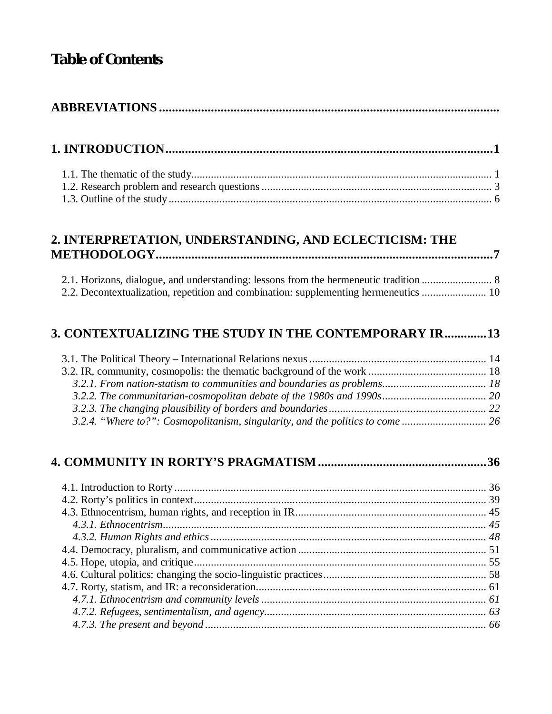# **Table of Contents**

# **1. INTRODUCTION ..................................................................................................... 1**

#### **2. INTERPRETATION, UNDERSTANDING, AND ECLECTICISM: THE METHODOLOGY ........................................................................................................ 7**

|  |  |  |  | 2.2. Decontextualization, repetition and combination: supplementing hermeneutics  10 |
|--|--|--|--|--------------------------------------------------------------------------------------|

### **3. CONTEXTUALIZING THE STUDY IN THE CONTEMPORARY IR ............. 13**

| 3.2.4. "Where to?": Cosmopolitanism, singularity, and the politics to come |  |
|----------------------------------------------------------------------------|--|

## **4. COMMUNITY IN RORTY'S PRAGMATISM .................................................... 36**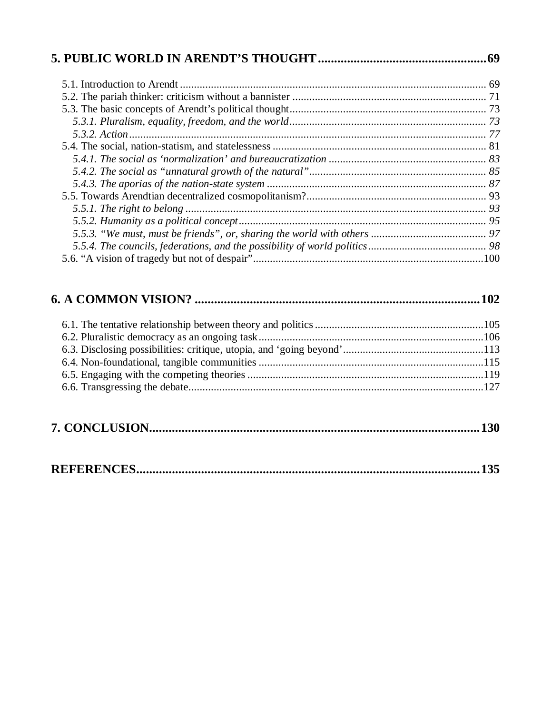|--|--|--|--|--|

|--|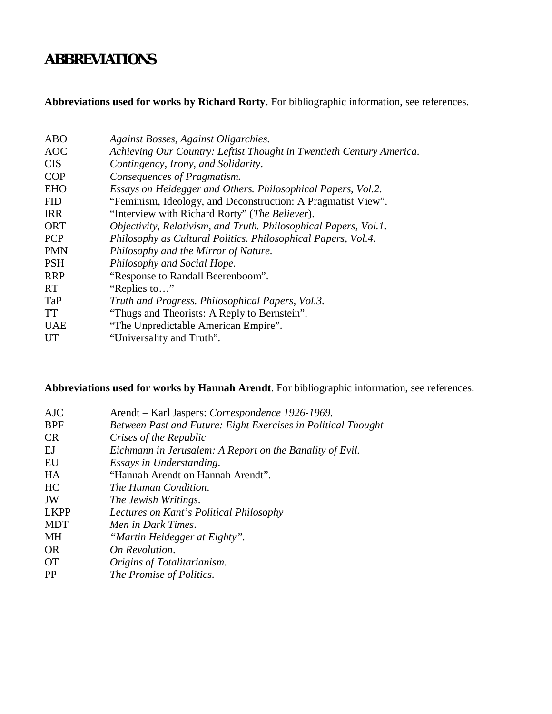# **ABBREVIATIONS**

## **Abbreviations used for works by Richard Rorty**. For bibliographic information, see references.

| <b>ABO</b> | Against Bosses, Against Oligarchies.                                 |
|------------|----------------------------------------------------------------------|
| <b>AOC</b> | Achieving Our Country: Leftist Thought in Twentieth Century America. |
| <b>CIS</b> | Contingency, Irony, and Solidarity.                                  |
| <b>COP</b> | Consequences of Pragmatism.                                          |
| <b>EHO</b> | Essays on Heidegger and Others. Philosophical Papers, Vol.2.         |
| <b>FID</b> | "Feminism, Ideology, and Deconstruction: A Pragmatist View".         |
| <b>IRR</b> | "Interview with Richard Rorty" ( <i>The Believer</i> ).              |
| <b>ORT</b> | Objectivity, Relativism, and Truth. Philosophical Papers, Vol.1.     |
| <b>PCP</b> | Philosophy as Cultural Politics. Philosophical Papers, Vol.4.        |
| <b>PMN</b> | Philosophy and the Mirror of Nature.                                 |
| <b>PSH</b> | Philosophy and Social Hope.                                          |
| <b>RRP</b> | "Response to Randall Beerenboom".                                    |
| RT.        | "Replies to"                                                         |
| TaP        | Truth and Progress. Philosophical Papers, Vol.3.                     |
| <b>TT</b>  | "Thugs and Theorists: A Reply to Bernstein".                         |
| <b>UAE</b> | "The Unpredictable American Empire".                                 |
| <b>UT</b>  | "Universality and Truth".                                            |

**Abbreviations used for works by Hannah Arendt**. For bibliographic information, see references.

| <b>AJC</b>  | Arendt – Karl Jaspers: Correspondence 1926-1969.              |
|-------------|---------------------------------------------------------------|
| <b>BPF</b>  | Between Past and Future: Eight Exercises in Political Thought |
| CR          | Crises of the Republic                                        |
| EJ          | Eichmann in Jerusalem: A Report on the Banality of Evil.      |
| EU          | Essays in Understanding.                                      |
| HA          | "Hannah Arendt on Hannah Arendt".                             |
| HC          | The Human Condition.                                          |
| JW          | The Jewish Writings.                                          |
| <b>LKPP</b> | Lectures on Kant's Political Philosophy                       |
| <b>MDT</b>  | Men in Dark Times.                                            |
| МH          | "Martin Heidegger at Eighty".                                 |
| <b>OR</b>   | On Revolution.                                                |
| <b>OT</b>   | Origins of Totalitarianism.                                   |
| <b>PP</b>   | The Promise of Politics.                                      |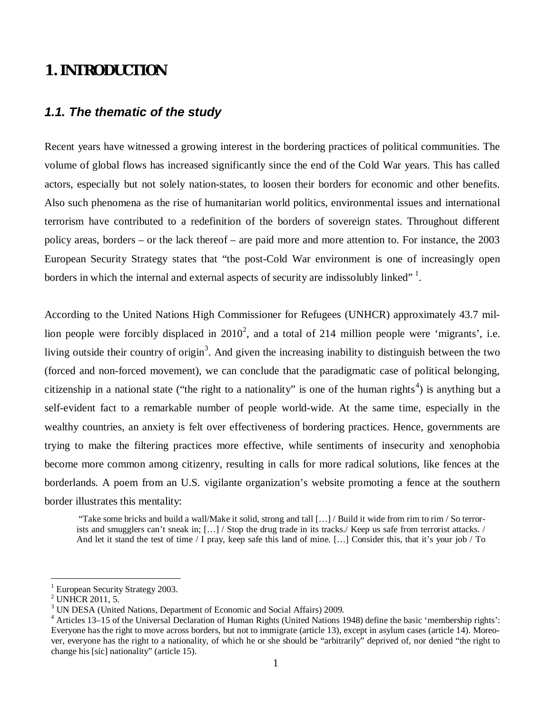## **1. INTRODUCTION**

#### *1.1. The thematic of the study*

Recent years have witnessed a growing interest in the bordering practices of political communities. The volume of global flows has increased significantly since the end of the Cold War years. This has called actors, especially but not solely nation-states, to loosen their borders for economic and other benefits. Also such phenomena as the rise of humanitarian world politics, environmental issues and international terrorism have contributed to a redefinition of the borders of sovereign states. Throughout different policy areas, borders – or the lack thereof – are paid more and more attention to. For instance, the 2003 European Security Strategy states that "the post-Cold War environment is one of increasingly open borders in which the internal and external aspects of security are indissolubly linked" $1$ .

According to the United Nations High Commissioner for Refugees (UNHCR) approximately 43.7 million people were forcibly displaced in  $2010^2$ , and a total of 214 million people were 'migrants', i.e. living outside their country of origin<sup>3</sup>. And given the increasing inability to distinguish between the two (forced and non-forced movement), we can conclude that the paradigmatic case of political belonging, citizenship in a national state ("the right to a nationality" is one of the human rights<sup>4</sup>) is anything but a self-evident fact to a remarkable number of people world-wide. At the same time, especially in the wealthy countries, an anxiety is felt over effectiveness of bordering practices. Hence, governments are trying to make the filtering practices more effective, while sentiments of insecurity and xenophobia become more common among citizenry, resulting in calls for more radical solutions, like fences at the borderlands. A poem from an U.S. vigilante organization's website promoting a fence at the southern border illustrates this mentality:

 "Take some bricks and build a wall/Make it solid, strong and tall [… ] / Build it wide from rim to rim / So terrorists and smugglers can't sneak in; [...] / Stop the drug trade in its tracks./ Keep us safe from terrorist attacks. / And let it stand the test of time / I pray, keep safe this land of mine. [… ] Consider this, that it's your job / To

<sup>1</sup> European Security Strategy 2003.

<sup>&</sup>lt;sup>2</sup> UNHCR 2011, 5.

<sup>&</sup>lt;sup>3</sup> UN DESA (United Nations, Department of Economic and Social Affairs) 2009.

<sup>&</sup>lt;sup>4</sup> Articles 13–15 of the Universal Declaration of Human Rights (United Nations 1948) define the basic 'membership rights': Everyone has the right to move across borders, but not to immigrate (article 13), except in asylum cases (article 14). Moreover, everyone has the right to a nationality, of which he or she should be "arbitrarily" deprived of, nor denied "the right to change his [sic] nationality" (article 15).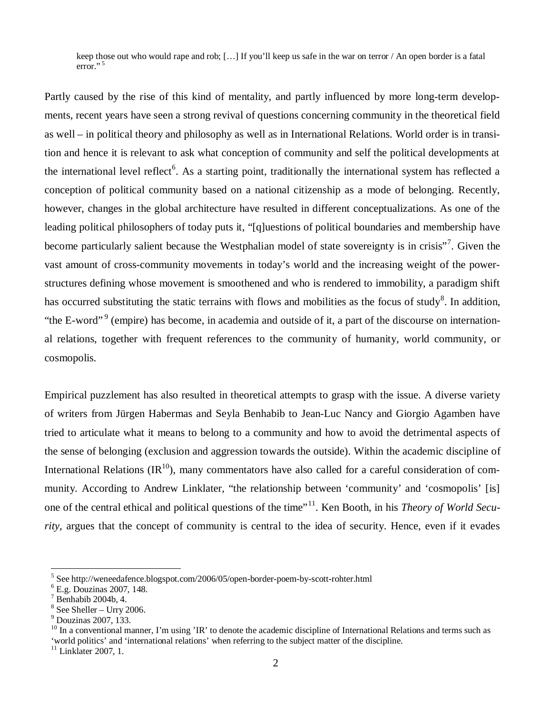keep those out who would rape and rob; [… ] If you'll keep us safe in the war on terror / An open border is a fatal  $error.^{5}$ 

Partly caused by the rise of this kind of mentality, and partly influenced by more long-term developments, recent years have seen a strong revival of questions concerning community in the theoretical field as well – in political theory and philosophy as well as in International Relations. World order is in transition and hence it is relevant to ask what conception of community and self the political developments at the international level reflect<sup>6</sup>. As a starting point, traditionally the international system has reflected a conception of political community based on a national citizenship as a mode of belonging. Recently, however, changes in the global architecture have resulted in different conceptualizations. As one of the leading political philosophers of today puts it, "[q]uestions of political boundaries and membership have become particularly salient because the Westphalian model of state sovereignty is in crisis"<sup>7</sup>. Given the vast amount of cross-community movements in today's world and the increasing weight of the powerstructures defining whose movement is smoothened and who is rendered to immobility, a paradigm shift has occurred substituting the static terrains with flows and mobilities as the focus of study<sup>8</sup>. In addition, "the E-word"<sup>9</sup> (empire) has become, in academia and outside of it, a part of the discourse on international relations, together with frequent references to the community of humanity, world community, or cosmopolis.

Empirical puzzlement has also resulted in theoretical attempts to grasp with the issue. A diverse variety of writers from Jürgen Habermas and Seyla Benhabib to Jean-Luc Nancy and Giorgio Agamben have tried to articulate what it means to belong to a community and how to avoid the detrimental aspects of the sense of belonging (exclusion and aggression towards the outside). Within the academic discipline of International Relations  $\text{(IR}^{10})$ , many commentators have also called for a careful consideration of community. According to Andrew Linklater, "the relationship between 'community' and 'cosmopolis' [is] one of the central ethical and political questions of the time"<sup>11</sup>. Ken Booth, in his *Theory of World Security*, argues that the concept of community is central to the idea of security. Hence, even if it evades

<sup>&</sup>lt;sup>5</sup> See http://weneedafence.blogspot.com/2006/05/open-border-poem-by-scott-rohter.html

<sup>6</sup> E.g. Douzinas 2007, 148.

 $7$  Benhabib 2004b, 4.

 $8$  See Sheller - Urry 2006.

<sup>9</sup> Douzinas 2007, 133.

 $10$  In a conventional manner, I'm using 'IR' to denote the academic discipline of International Relations and terms such as 'world politics' and 'international relations' when referring to the subject matter of the discipline.

<sup>&</sup>lt;sup>11</sup> Linklater 2007, 1.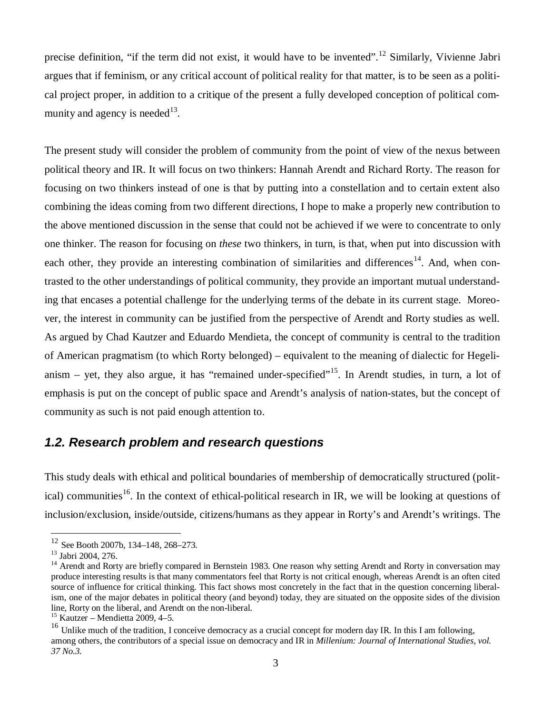precise definition, "if the term did not exist, it would have to be invented".<sup>12</sup> Similarly, Vivienne Jabri argues that if feminism, or any critical account of political reality for that matter, is to be seen as a political project proper, in addition to a critique of the present a fully developed conception of political community and agency is needed $^{13}$ .

The present study will consider the problem of community from the point of view of the nexus between political theory and IR. It will focus on two thinkers: Hannah Arendt and Richard Rorty. The reason for focusing on two thinkers instead of one is that by putting into a constellation and to certain extent also combining the ideas coming from two different directions, I hope to make a properly new contribution to the above mentioned discussion in the sense that could not be achieved if we were to concentrate to only one thinker. The reason for focusing on *these* two thinkers, in turn, is that, when put into discussion with each other, they provide an interesting combination of similarities and differences<sup>14</sup>. And, when contrasted to the other understandings of political community, they provide an important mutual understanding that encases a potential challenge for the underlying terms of the debate in its current stage. Moreover, the interest in community can be justified from the perspective of Arendt and Rorty studies as well. As argued by Chad Kautzer and Eduardo Mendieta, the concept of community is central to the tradition of American pragmatism (to which Rorty belonged) – equivalent to the meaning of dialectic for Hegelianism – yet, they also argue, it has "remained under-specified"<sup>15</sup>. In Arendt studies, in turn, a lot of emphasis is put on the concept of public space and Arendt's analysis of nation-states, but the concept of community as such is not paid enough attention to.

#### *1.2. Research problem and research questions*

This study deals with ethical and political boundaries of membership of democratically structured (political) communities<sup>16</sup>. In the context of ethical-political research in IR, we will be looking at questions of inclusion/exclusion, inside/outside, citizens/humans as they appear in Rorty's and Arendt's writings. The

 $12$  See Booth 2007b, 134–148, 268–273.

<sup>13</sup> Jabri 2004, 276.

<sup>&</sup>lt;sup>14</sup> Arendt and Rorty are briefly compared in Bernstein 1983. One reason why setting Arendt and Rorty in conversation may produce interesting results is that many commentators feel that Rorty is not critical enough, whereas Arendt is an often cited source of influence for critical thinking. This fact shows most concretely in the fact that in the question concerning liberalism, one of the major debates in political theory (and beyond) today, they are situated on the opposite sides of the division line, Rorty on the liberal, and Arendt on the non-liberal.

 $15$  Kautzer – Mendietta 2009, 4–5.

<sup>&</sup>lt;sup>16</sup> Unlike much of the tradition, I conceive democracy as a crucial concept for modern day IR. In this I am following, among others, the contributors of a special issue on democracy and IR in *Millenium: Journal of International Studies, vol. 37 No.3.*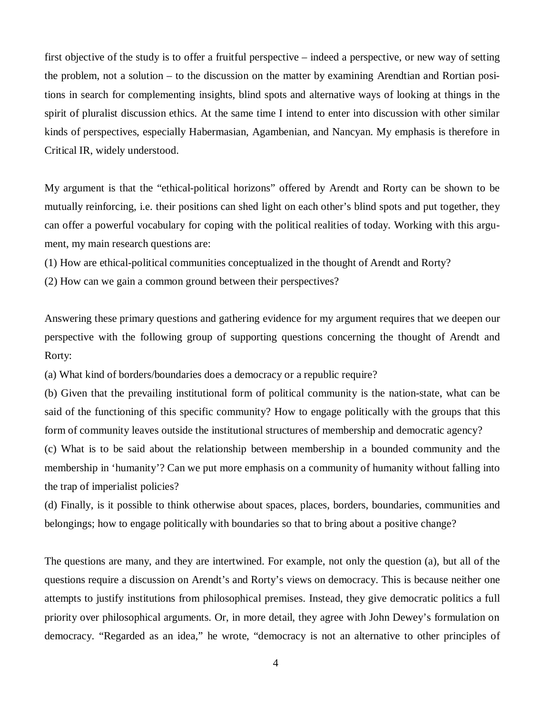first objective of the study is to offer a fruitful perspective – indeed a perspective, or new way of setting the problem, not a solution – to the discussion on the matter by examining Arendtian and Rortian positions in search for complementing insights, blind spots and alternative ways of looking at things in the spirit of pluralist discussion ethics. At the same time I intend to enter into discussion with other similar kinds of perspectives, especially Habermasian, Agambenian, and Nancyan. My emphasis is therefore in Critical IR, widely understood.

My argument is that the "ethical-political horizons" offered by Arendt and Rorty can be shown to be mutually reinforcing, i.e. their positions can shed light on each other's blind spots and put together, they can offer a powerful vocabulary for coping with the political realities of today. Working with this argument, my main research questions are:

(1) How are ethical-political communities conceptualized in the thought of Arendt and Rorty?

(2) How can we gain a common ground between their perspectives?

Answering these primary questions and gathering evidence for my argument requires that we deepen our perspective with the following group of supporting questions concerning the thought of Arendt and Rorty:

(a) What kind of borders/boundaries does a democracy or a republic require?

(b) Given that the prevailing institutional form of political community is the nation-state, what can be said of the functioning of this specific community? How to engage politically with the groups that this form of community leaves outside the institutional structures of membership and democratic agency?

(c) What is to be said about the relationship between membership in a bounded community and the membership in 'humanity'? Can we put more emphasis on a community of humanity without falling into the trap of imperialist policies?

(d) Finally, is it possible to think otherwise about spaces, places, borders, boundaries, communities and belongings; how to engage politically with boundaries so that to bring about a positive change?

The questions are many, and they are intertwined. For example, not only the question (a), but all of the questions require a discussion on Arendt's and Rorty's views on democracy. This is because neither one attempts to justify institutions from philosophical premises. Instead, they give democratic politics a full priority over philosophical arguments. Or, in more detail, they agree with John Dewey's formulation on democracy. "Regarded as an idea," he wrote, "democracy is not an alternative to other principles of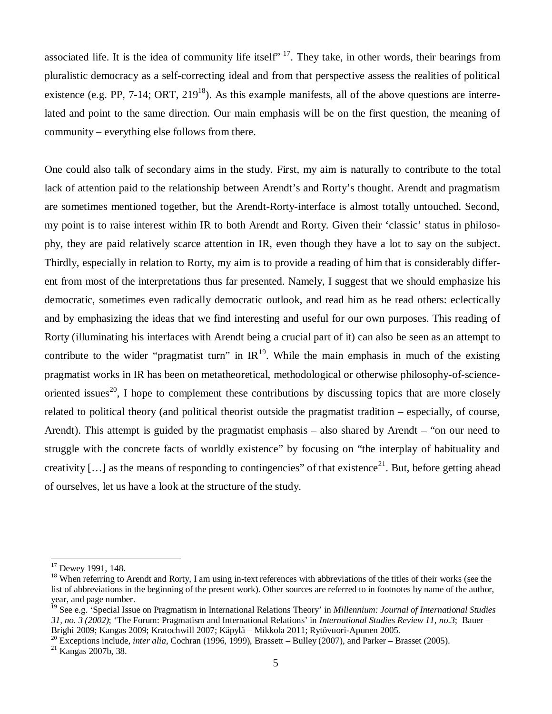associated life. It is the idea of community life itself<sup> $, 17$ </sup>. They take, in other words, their bearings from pluralistic democracy as a self-correcting ideal and from that perspective assess the realities of political existence (e.g. PP, 7-14; ORT,  $219^{18}$ ). As this example manifests, all of the above questions are interrelated and point to the same direction. Our main emphasis will be on the first question, the meaning of community – everything else follows from there.

One could also talk of secondary aims in the study. First, my aim is naturally to contribute to the total lack of attention paid to the relationship between Arendt's and Rorty's thought. Arendt and pragmatism are sometimes mentioned together, but the Arendt-Rorty-interface is almost totally untouched. Second, my point is to raise interest within IR to both Arendt and Rorty. Given their 'classic' status in philosophy, they are paid relatively scarce attention in IR, even though they have a lot to say on the subject. Thirdly, especially in relation to Rorty, my aim is to provide a reading of him that is considerably different from most of the interpretations thus far presented. Namely, I suggest that we should emphasize his democratic, sometimes even radically democratic outlook, and read him as he read others: eclectically and by emphasizing the ideas that we find interesting and useful for our own purposes. This reading of Rorty (illuminating his interfaces with Arendt being a crucial part of it) can also be seen as an attempt to contribute to the wider "pragmatist turn" in  $IR^{19}$ . While the main emphasis in much of the existing pragmatist works in IR has been on metatheoretical, methodological or otherwise philosophy-of-scienceoriented issues<sup>20</sup>. I hope to complement these contributions by discussing topics that are more closely related to political theory (and political theorist outside the pragmatist tradition – especially, of course, Arendt). This attempt is guided by the pragmatist emphasis – also shared by Arendt – "on our need to struggle with the concrete facts of worldly existence" by focusing on "the interplay of habituality and creativity [...] as the means of responding to contingencies" of that existence<sup>21</sup>. But, before getting ahead of ourselves, let us have a look at the structure of the study.

<sup>20</sup> Exceptions include, *inter alia,* Cochran (1996, 1999), Brassett – Bulley (2007), and Parker – Brasset (2005).

<sup>21</sup> Kangas 2007b, 38.

<sup>&</sup>lt;sup>17</sup> Dewey 1991, 148.

<sup>&</sup>lt;sup>18</sup> When referring to Arendt and Rorty, I am using in-text references with abbreviations of the titles of their works (see the list of abbreviations in the beginning of the present work). Other sources are referred to in footnotes by name of the author, year, and page number.

<sup>19</sup> See e.g. 'Special Issue on Pragmatism in International Relations Theory' in *Millennium: Journal of International Studies 31, no. 3 (2002)*; 'The Forum: Pragmatism and International Relations' in *International Studies Review 11, no.3*; Bauer – Brighi 2009; Kangas 2009; Kratochwill 2007; Käpylä – Mikkola 2011; Rytövuori-Apunen 2005.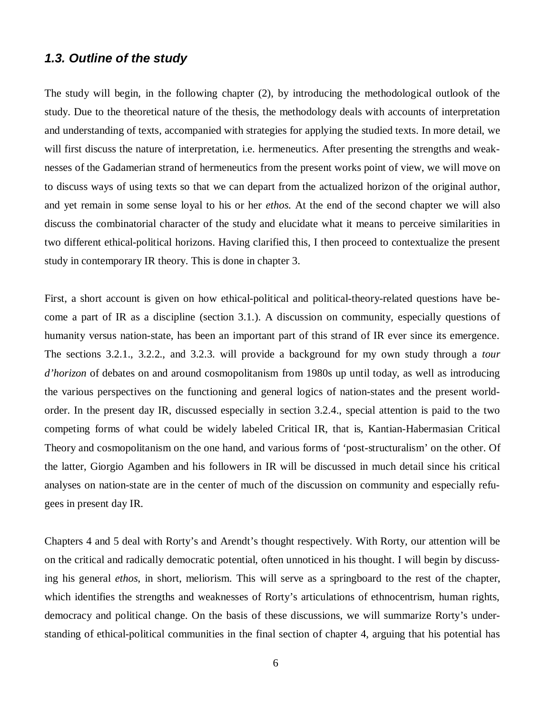#### *1.3. Outline of the study*

The study will begin, in the following chapter (2), by introducing the methodological outlook of the study. Due to the theoretical nature of the thesis, the methodology deals with accounts of interpretation and understanding of texts, accompanied with strategies for applying the studied texts. In more detail, we will first discuss the nature of interpretation, i.e. hermeneutics. After presenting the strengths and weaknesses of the Gadamerian strand of hermeneutics from the present works point of view, we will move on to discuss ways of using texts so that we can depart from the actualized horizon of the original author, and yet remain in some sense loyal to his or her *ethos.* At the end of the second chapter we will also discuss the combinatorial character of the study and elucidate what it means to perceive similarities in two different ethical-political horizons. Having clarified this, I then proceed to contextualize the present study in contemporary IR theory. This is done in chapter 3.

First, a short account is given on how ethical-political and political-theory-related questions have become a part of IR as a discipline (section 3.1.). A discussion on community, especially questions of humanity versus nation-state, has been an important part of this strand of IR ever since its emergence. The sections 3.2.1., 3.2.2., and 3.2.3. will provide a background for my own study through a *tour d'horizon* of debates on and around cosmopolitanism from 1980s up until today, as well as introducing the various perspectives on the functioning and general logics of nation-states and the present worldorder. In the present day IR, discussed especially in section 3.2.4., special attention is paid to the two competing forms of what could be widely labeled Critical IR, that is, Kantian-Habermasian Critical Theory and cosmopolitanism on the one hand, and various forms of 'post-structuralism' on the other. Of the latter, Giorgio Agamben and his followers in IR will be discussed in much detail since his critical analyses on nation-state are in the center of much of the discussion on community and especially refugees in present day IR.

Chapters 4 and 5 deal with Rorty's and Arendt's thought respectively. With Rorty, our attention will be on the critical and radically democratic potential, often unnoticed in his thought. I will begin by discussing his general *ethos*, in short, meliorism. This will serve as a springboard to the rest of the chapter, which identifies the strengths and weaknesses of Rorty's articulations of ethnocentrism, human rights, democracy and political change. On the basis of these discussions, we will summarize Rorty's understanding of ethical-political communities in the final section of chapter 4, arguing that his potential has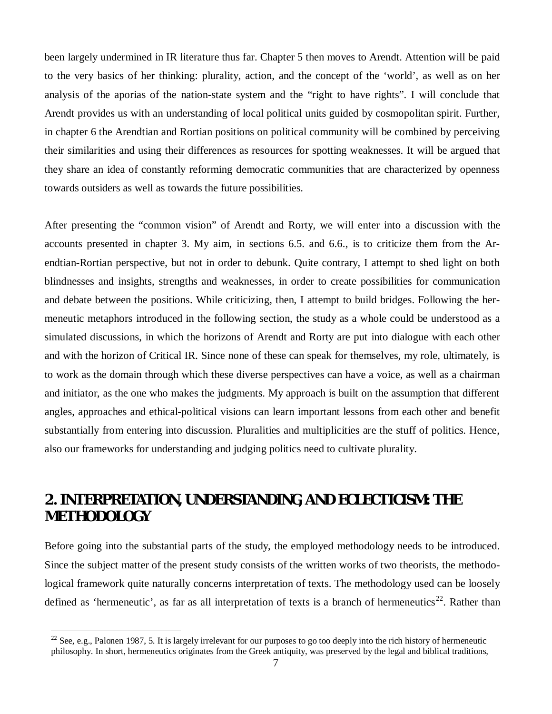been largely undermined in IR literature thus far. Chapter 5 then moves to Arendt. Attention will be paid to the very basics of her thinking: plurality, action, and the concept of the 'world', as well as on her analysis of the aporias of the nation-state system and the "right to have rights". I will conclude that Arendt provides us with an understanding of local political units guided by cosmopolitan spirit. Further, in chapter 6 the Arendtian and Rortian positions on political community will be combined by perceiving their similarities and using their differences as resources for spotting weaknesses. It will be argued that they share an idea of constantly reforming democratic communities that are characterized by openness towards outsiders as well as towards the future possibilities.

After presenting the "common vision" of Arendt and Rorty, we will enter into a discussion with the accounts presented in chapter 3. My aim, in sections 6.5. and 6.6., is to criticize them from the Arendtian-Rortian perspective, but not in order to debunk. Quite contrary, I attempt to shed light on both blindnesses and insights, strengths and weaknesses, in order to create possibilities for communication and debate between the positions. While criticizing, then, I attempt to build bridges. Following the hermeneutic metaphors introduced in the following section, the study as a whole could be understood as a simulated discussions, in which the horizons of Arendt and Rorty are put into dialogue with each other and with the horizon of Critical IR. Since none of these can speak for themselves, my role, ultimately, is to work as the domain through which these diverse perspectives can have a voice, as well as a chairman and initiator, as the one who makes the judgments. My approach is built on the assumption that different angles, approaches and ethical-political visions can learn important lessons from each other and benefit substantially from entering into discussion. Pluralities and multiplicities are the stuff of politics. Hence, also our frameworks for understanding and judging politics need to cultivate plurality.

# **2. INTERPRETATION, UNDERSTANDING, AND ECLECTICISM: THE METHODOLOGY**

Before going into the substantial parts of the study, the employed methodology needs to be introduced. Since the subject matter of the present study consists of the written works of two theorists, the methodological framework quite naturally concerns interpretation of texts. The methodology used can be loosely defined as 'hermeneutic', as far as all interpretation of texts is a branch of hermeneutics<sup>22</sup>. Rather than

<sup>&</sup>lt;sup>22</sup> See. e.g., Palonen 1987, 5. It is largely irrelevant for our purposes to go too deeply into the rich history of hermeneutic philosophy. In short, hermeneutics originates from the Greek antiquity, was preserved by the legal and biblical traditions,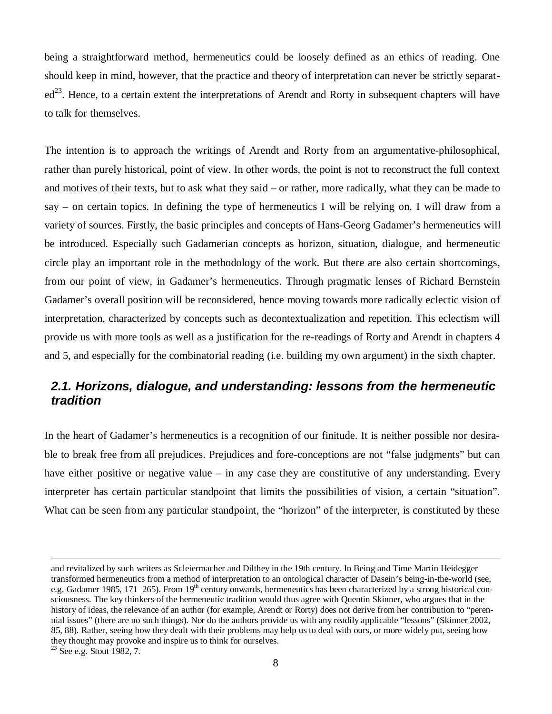being a straightforward method, hermeneutics could be loosely defined as an ethics of reading. One should keep in mind, however, that the practice and theory of interpretation can never be strictly separat $ed^{23}$ . Hence, to a certain extent the interpretations of Arendt and Rorty in subsequent chapters will have to talk for themselves.

The intention is to approach the writings of Arendt and Rorty from an argumentative-philosophical, rather than purely historical, point of view. In other words, the point is not to reconstruct the full context and motives of their texts, but to ask what they said – or rather, more radically, what they can be made to say – on certain topics. In defining the type of hermeneutics I will be relying on, I will draw from a variety of sources. Firstly, the basic principles and concepts of Hans-Georg Gadamer's hermeneutics will be introduced. Especially such Gadamerian concepts as horizon, situation, dialogue, and hermeneutic circle play an important role in the methodology of the work. But there are also certain shortcomings, from our point of view, in Gadamer's hermeneutics. Through pragmatic lenses of Richard Bernstein Gadamer's overall position will be reconsidered, hence moving towards more radically eclectic vision of interpretation, characterized by concepts such as decontextualization and repetition. This eclectism will provide us with more tools as well as a justification for the re-readings of Rorty and Arendt in chapters 4 and 5, and especially for the combinatorial reading (i.e. building my own argument) in the sixth chapter.

### *2.1. Horizons, dialogue, and understanding: lessons from the hermeneutic tradition*

In the heart of Gadamer's hermeneutics is a recognition of our finitude. It is neither possible nor desirable to break free from all prejudices. Prejudices and fore-conceptions are not "false judgments" but can have either positive or negative value – in any case they are constitutive of any understanding. Every interpreter has certain particular standpoint that limits the possibilities of vision, a certain "situation". What can be seen from any particular standpoint, the "horizon" of the interpreter, is constituted by these

and revitalized by such writers as Scleiermacher and Dilthey in the 19th century. In Being and Time Martin Heidegger transformed hermeneutics from a method of interpretation to an ontological character of Dasein's being-in-the-world (see, e.g. Gadamer 1985, 171–265). From 19<sup>th</sup> century onwards, hermeneutics has been characterized by a strong historical consciousness. The key thinkers of the hermeneutic tradition would thus agree with Quentin Skinner, who argues that in the history of ideas, the relevance of an author (for example, Arendt or Rorty) does not derive from her contribution to "perennial issues" (there are no such things). Nor do the authors provide us with any readily applicable "lessons" (Skinner 2002, 85, 88). Rather, seeing how they dealt with their problems may help us to deal with ours, or more widely put, seeing how they thought may provoke and inspire us to think for ourselves.

<sup>&</sup>lt;sup>23</sup> See e.g. Stout 1982, 7.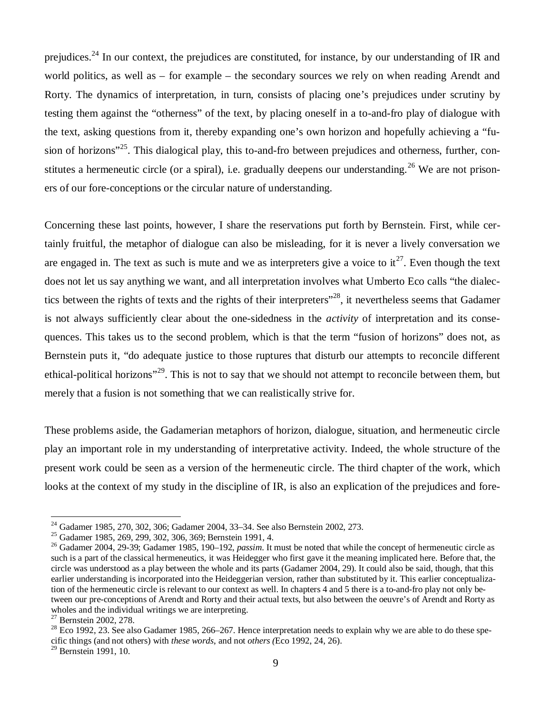prejudices.<sup>24</sup> In our context, the prejudices are constituted, for instance, by our understanding of IR and world politics, as well as – for example – the secondary sources we rely on when reading Arendt and Rorty. The dynamics of interpretation, in turn, consists of placing one's prejudices under scrutiny by testing them against the "otherness" of the text, by placing oneself in a to-and-fro play of dialogue with the text, asking questions from it, thereby expanding one's own horizon and hopefully achieving a "fusion of horizons"<sup>25</sup>. This dialogical play, this to-and-fro between prejudices and otherness, further, constitutes a hermeneutic circle (or a spiral), i.e. gradually deepens our understanding.<sup>26</sup> We are not prisoners of our fore-conceptions or the circular nature of understanding.

Concerning these last points, however, I share the reservations put forth by Bernstein. First, while certainly fruitful, the metaphor of dialogue can also be misleading, for it is never a lively conversation we are engaged in. The text as such is mute and we as interpreters give a voice to  $it^{27}$ . Even though the text does not let us say anything we want, and all interpretation involves what Umberto Eco calls "the dialectics between the rights of texts and the rights of their interpreters<sup>"28</sup>, it nevertheless seems that Gadamer is not always sufficiently clear about the one-sidedness in the *activity* of interpretation and its consequences. This takes us to the second problem, which is that the term "fusion of horizons" does not, as Bernstein puts it, "do adequate justice to those ruptures that disturb our attempts to reconcile different ethical-political horizons<sup>"29</sup>. This is not to say that we should not attempt to reconcile between them, but merely that a fusion is not something that we can realistically strive for.

These problems aside, the Gadamerian metaphors of horizon, dialogue, situation, and hermeneutic circle play an important role in my understanding of interpretative activity. Indeed, the whole structure of the present work could be seen as a version of the hermeneutic circle. The third chapter of the work, which looks at the context of my study in the discipline of IR, is also an explication of the prejudices and fore-

<sup>&</sup>lt;sup>24</sup> Gadamer 1985, 270, 302, 306; Gadamer 2004, 33–34. See also Bernstein 2002, 273.

<sup>25</sup> Gadamer 1985, 269, 299, 302, 306, 369; Bernstein 1991, 4.

<sup>26</sup> Gadamer 2004, 29-39; Gadamer 1985, 190–192, *passim*. It must be noted that while the concept of hermeneutic circle as such is a part of the classical hermeneutics, it was Heidegger who first gave it the meaning implicated here. Before that, the circle was understood as a play between the whole and its parts (Gadamer 2004, 29). It could also be said, though, that this earlier understanding is incorporated into the Heideggerian version, rather than substituted by it. This earlier conceptualization of the hermeneutic circle is relevant to our context as well. In chapters 4 and 5 there is a to-and-fro play not only between our pre-conceptions of Arendt and Rorty and their actual texts, but also between the oeuvre's of Arendt and Rorty as wholes and the individual writings we are interpreting.

<sup>&</sup>lt;sup>27</sup> Bernstein 2002, 278.

 $^{28}$  Eco 1992, 23. See also Gadamer 1985, 266–267. Hence interpretation needs to explain why we are able to do these specific things (and not others) with *these words*, and not *others (*Eco 1992, 24, 26).

<sup>29</sup> Bernstein 1991, 10.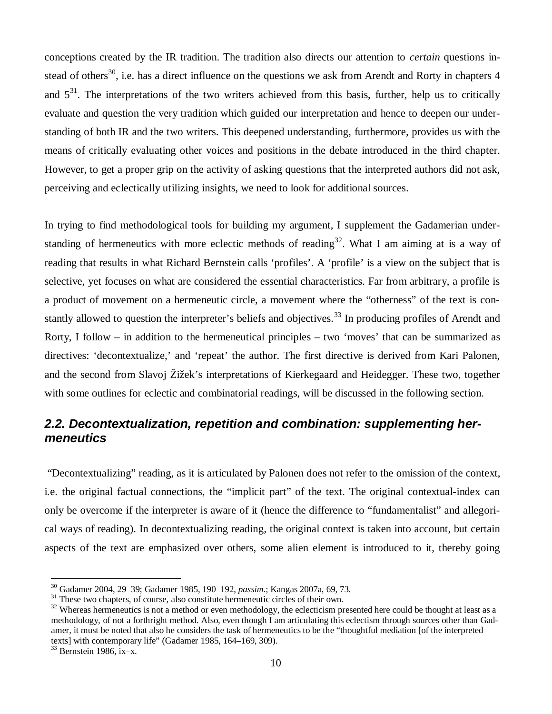conceptions created by the IR tradition. The tradition also directs our attention to *certain* questions instead of others<sup>30</sup>, i.e. has a direct influence on the questions we ask from Arendt and Rorty in chapters  $4$ and  $5<sup>31</sup>$ . The interpretations of the two writers achieved from this basis, further, help us to critically evaluate and question the very tradition which guided our interpretation and hence to deepen our understanding of both IR and the two writers. This deepened understanding, furthermore, provides us with the means of critically evaluating other voices and positions in the debate introduced in the third chapter. However, to get a proper grip on the activity of asking questions that the interpreted authors did not ask, perceiving and eclectically utilizing insights, we need to look for additional sources.

In trying to find methodological tools for building my argument, I supplement the Gadamerian understanding of hermeneutics with more eclectic methods of reading<sup>32</sup>. What I am aiming at is a way of reading that results in what Richard Bernstein calls 'profiles'. A 'profile' is a view on the subject that is selective, yet focuses on what are considered the essential characteristics. Far from arbitrary, a profile is a product of movement on a hermeneutic circle, a movement where the "otherness" of the text is constantly allowed to question the interpreter's beliefs and objectives.<sup>33</sup> In producing profiles of Arendt and Rorty, I follow – in addition to the hermeneutical principles – two 'moves' that can be summarized as directives: 'decontextualize,' and 'repeat' the author. The first directive is derived from Kari Palonen, and the second from Slavoj Žižek's interpretations of Kierkegaard and Heidegger. These two, together with some outlines for eclectic and combinatorial readings, will be discussed in the following section.

#### *2.2. Decontextualization, repetition and combination: supplementing hermeneutics*

 "Decontextualizing" reading, as it is articulated by Palonen does not refer to the omission of the context, i.e. the original factual connections, the "implicit part" of the text. The original contextual-index can only be overcome if the interpreter is aware of it (hence the difference to "fundamentalist" and allegorical ways of reading). In decontextualizing reading, the original context is taken into account, but certain aspects of the text are emphasized over others, some alien element is introduced to it, thereby going

<sup>30</sup> Gadamer 2004, 29–39; Gadamer 1985, 190–192, *passim*.; Kangas 2007a, 69, 73.

<sup>&</sup>lt;sup>31</sup> These two chapters, of course, also constitute hermeneutic circles of their own.

<sup>&</sup>lt;sup>32</sup> Whereas hermeneutics is not a method or even methodology, the eclecticism presented here could be thought at least as a methodology, of not a forthright method. Also, even though I am articulating this eclectism through sources other than Gadamer, it must be noted that also he considers the task of hermeneutics to be the "thoughtful mediation [of the interpreted texts] with contemporary life" (Gadamer 1985, 164–169, 309).

 $33$  Bernstein 1986, ix–x.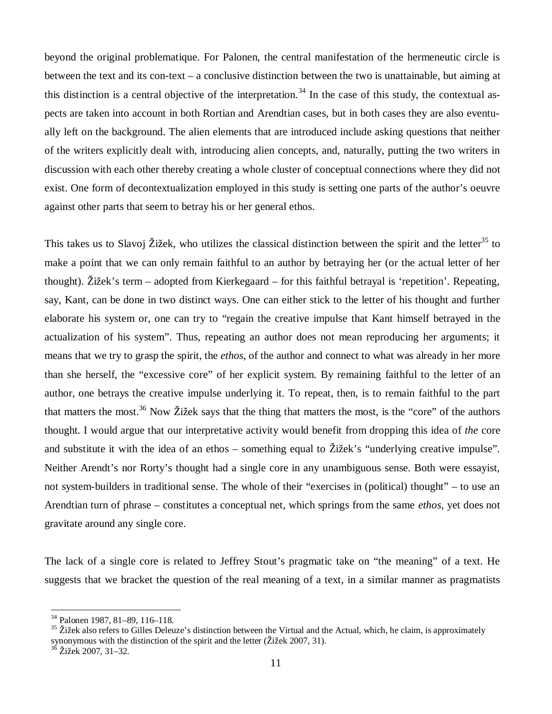beyond the original problematique. For Palonen, the central manifestation of the hermeneutic circle is between the text and its con-text – a conclusive distinction between the two is unattainable, but aiming at this distinction is a central objective of the interpretation.<sup>34</sup> In the case of this study, the contextual aspects are taken into account in both Rortian and Arendtian cases, but in both cases they are also eventually left on the background. The alien elements that are introduced include asking questions that neither of the writers explicitly dealt with, introducing alien concepts, and, naturally, putting the two writers in discussion with each other thereby creating a whole cluster of conceptual connections where they did not exist. One form of decontextualization employed in this study is setting one parts of the author's oeuvre against other parts that seem to betray his or her general ethos.

This takes us to Slavoj Žižek, who utilizes the classical distinction between the spirit and the letter<sup>35</sup> to make a point that we can only remain faithful to an author by betraying her (or the actual letter of her thought). Žižek's term – adopted from Kierkegaard – for this faithful betrayal is 'repetition'. Repeating, say, Kant, can be done in two distinct ways. One can either stick to the letter of his thought and further elaborate his system or, one can try to "regain the creative impulse that Kant himself betrayed in the actualization of his system". Thus, repeating an author does not mean reproducing her arguments; it means that we try to grasp the spirit, the *ethos*, of the author and connect to what was already in her more than she herself, the "excessive core" of her explicit system. By remaining faithful to the letter of an author, one betrays the creative impulse underlying it. To repeat, then, is to remain faithful to the part that matters the most.<sup>36</sup> Now Žižek says that the thing that matters the most, is the "core" of the authors thought. I would argue that our interpretative activity would benefit from dropping this idea of *the* core and substitute it with the idea of an ethos – something equal to Žižek's "underlying creative impulse". Neither Arendt's nor Rorty's thought had a single core in any unambiguous sense. Both were essayist, not system-builders in traditional sense. The whole of their "exercises in (political) thought" – to use an Arendtian turn of phrase – constitutes a conceptual net, which springs from the same *ethos*, yet does not gravitate around any single core.

The lack of a single core is related to Jeffrey Stout's pragmatic take on "the meaning" of a text. He suggests that we bracket the question of the real meaning of a text, in a similar manner as pragmatists

<sup>34</sup> Palonen 1987, 81–89, 116–118.

 $35$  Žižek also refers to Gilles Deleuze's distinction between the Virtual and the Actual, which, he claim, is approximately synonymous with the distinction of the spirit and the letter (Žižek 2007, 31).

<sup>36</sup> Žižek 2007, 31–32.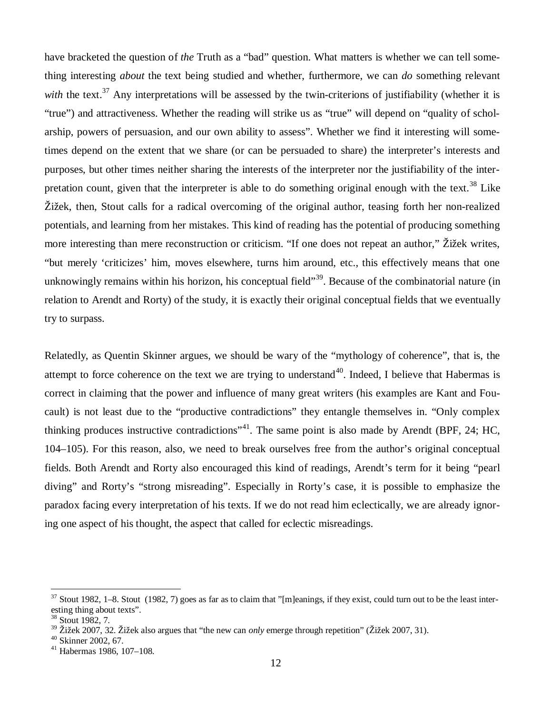have bracketed the question of *the* Truth as a "bad" question. What matters is whether we can tell something interesting *about* the text being studied and whether, furthermore, we can *do* something relevant *with* the text.<sup>37</sup> Any interpretations will be assessed by the twin-criterions of justifiability (whether it is "true") and attractiveness. Whether the reading will strike us as "true" will depend on "quality of scholarship, powers of persuasion, and our own ability to assess". Whether we find it interesting will sometimes depend on the extent that we share (or can be persuaded to share) the interpreter's interests and purposes, but other times neither sharing the interests of the interpreter nor the justifiability of the interpretation count, given that the interpreter is able to do something original enough with the text.<sup>38</sup> Like Žižek, then, Stout calls for a radical overcoming of the original author, teasing forth her non-realized potentials, and learning from her mistakes. This kind of reading has the potential of producing something more interesting than mere reconstruction or criticism. "If one does not repeat an author," Žižek writes, "but merely 'criticizes' him, moves elsewhere, turns him around, etc., this effectively means that one unknowingly remains within his horizon, his conceptual field"<sup>39</sup>. Because of the combinatorial nature (in relation to Arendt and Rorty) of the study, it is exactly their original conceptual fields that we eventually try to surpass.

Relatedly, as Quentin Skinner argues, we should be wary of the "mythology of coherence", that is, the attempt to force coherence on the text we are trying to understand<sup>40</sup>. Indeed, I believe that Habermas is correct in claiming that the power and influence of many great writers (his examples are Kant and Foucault) is not least due to the "productive contradictions" they entangle themselves in. "Only complex thinking produces instructive contradictions"<sup>41</sup>. The same point is also made by Arendt (BPF, 24; HC, 104–105). For this reason, also, we need to break ourselves free from the author's original conceptual fields. Both Arendt and Rorty also encouraged this kind of readings, Arendt's term for it being "pearl diving" and Rorty's "strong misreading". Especially in Rorty's case, it is possible to emphasize the paradox facing every interpretation of his texts. If we do not read him eclectically, we are already ignoring one aspect of his thought, the aspect that called for eclectic misreadings.

 $37$  Stout 1982, 1–8. Stout (1982, 7) goes as far as to claim that "[m]eanings, if they exist, could turn out to be the least interesting thing about texts".

<sup>38</sup> Stout 1982, 7.

<sup>39</sup> Žižek 2007, 32. Žižek also argues that "the new can *only* emerge through repetition" (Žižek 2007, 31).

 $40$  Skinner 2002, 67.

<sup>41</sup> Habermas 1986, 107–108.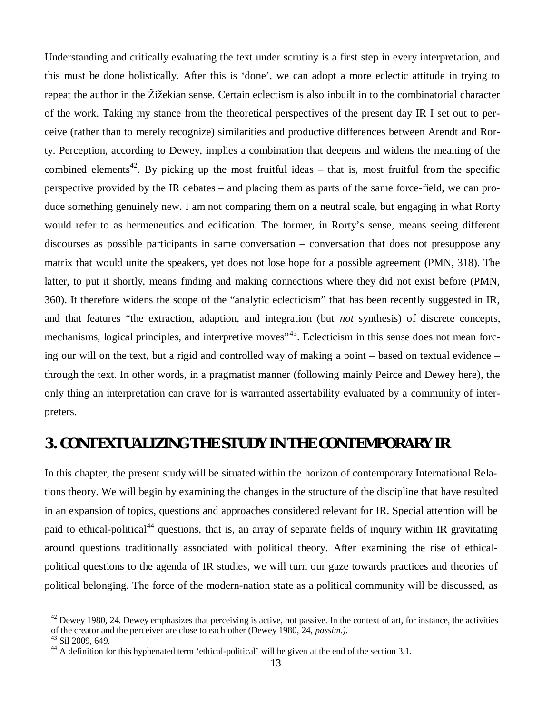Understanding and critically evaluating the text under scrutiny is a first step in every interpretation, and this must be done holistically. After this is 'done', we can adopt a more eclectic attitude in trying to repeat the author in the Žižekian sense. Certain eclectism is also inbuilt in to the combinatorial character of the work. Taking my stance from the theoretical perspectives of the present day IR I set out to perceive (rather than to merely recognize) similarities and productive differences between Arendt and Rorty. Perception, according to Dewey, implies a combination that deepens and widens the meaning of the combined elements<sup>42</sup>. By picking up the most fruitful ideas – that is, most fruitful from the specific perspective provided by the IR debates – and placing them as parts of the same force-field, we can produce something genuinely new. I am not comparing them on a neutral scale, but engaging in what Rorty would refer to as hermeneutics and edification. The former, in Rorty's sense, means seeing different discourses as possible participants in same conversation – conversation that does not presuppose any matrix that would unite the speakers, yet does not lose hope for a possible agreement (PMN, 318). The latter, to put it shortly, means finding and making connections where they did not exist before (PMN, 360). It therefore widens the scope of the "analytic eclecticism" that has been recently suggested in IR, and that features "the extraction, adaption, and integration (but *not* synthesis) of discrete concepts, mechanisms, logical principles, and interpretive moves<sup>"43</sup>. Eclecticism in this sense does not mean forcing our will on the text, but a rigid and controlled way of making a point – based on textual evidence – through the text. In other words, in a pragmatist manner (following mainly Peirce and Dewey here), the only thing an interpretation can crave for is warranted assertability evaluated by a community of interpreters.

# **3. CONTEXTUALIZING THE STUDY IN THE CONTEMPORARY IR**

In this chapter, the present study will be situated within the horizon of contemporary International Relations theory. We will begin by examining the changes in the structure of the discipline that have resulted in an expansion of topics, questions and approaches considered relevant for IR. Special attention will be paid to ethical-political<sup>44</sup> questions, that is, an array of separate fields of inquiry within IR gravitating around questions traditionally associated with political theory. After examining the rise of ethicalpolitical questions to the agenda of IR studies, we will turn our gaze towards practices and theories of political belonging. The force of the modern-nation state as a political community will be discussed, as

 $42$  Dewey 1980, 24. Dewey emphasizes that perceiving is active, not passive. In the context of art, for instance, the activities of the creator and the perceiver are close to each other (Dewey 1980, 24, *passim.)*.

<sup>43</sup> Sil 2009, 649.

<sup>&</sup>lt;sup>44</sup> A definition for this hyphenated term 'ethical-political' will be given at the end of the section 3.1.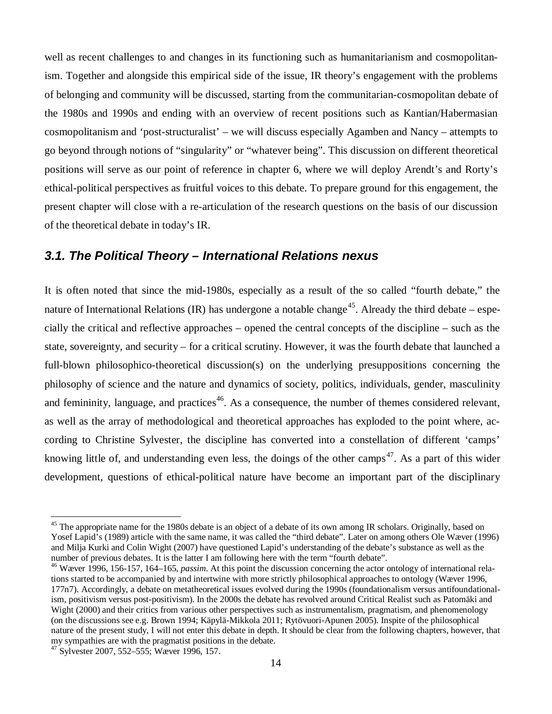well as recent challenges to and changes in its functioning such as humanitarianism and cosmopolitanism. Together and alongside this empirical side of the issue, IR theory's engagement with the problems of belonging and community will be discussed, starting from the communitarian-cosmopolitan debate of the 1980s and 1990s and ending with an overview of recent positions such as Kantian/Habermasian cosmopolitanism and 'post-structuralist' – we will discuss especially Agamben and Nancy – attempts to go beyond through notions of "singularity" or "whatever being". This discussion on different theoretical positions will serve as our point of reference in chapter 6, where we will deploy Arendt's and Rorty's ethical-political perspectives as fruitful voices to this debate. To prepare ground for this engagement, the present chapter will close with a re-articulation of the research questions on the basis of our discussion of the theoretical debate in today's IR.

#### *3.1. The Political Theory – International Relations nexus*

It is often noted that since the mid-1980s, especially as a result of the so called "fourth debate," the nature of International Relations (IR) has undergone a notable change<sup>45</sup>. Already the third debate – especially the critical and reflective approaches – opened the central concepts of the discipline – such as the state, sovereignty, and security – for a critical scrutiny. However, it was the fourth debate that launched a full-blown philosophico-theoretical discussion(s) on the underlying presuppositions concerning the philosophy of science and the nature and dynamics of society, politics, individuals, gender, masculinity and femininity, language, and practices<sup>46</sup>. As a consequence, the number of themes considered relevant, as well as the array of methodological and theoretical approaches has exploded to the point where, according to Christine Sylvester, the discipline has converted into a constellation of different 'camps' knowing little of, and understanding even less, the doings of the other camps<sup>47</sup>. As a part of this wider development, questions of ethical-political nature have become an important part of the disciplinary

<sup>&</sup>lt;sup>45</sup> The appropriate name for the 1980s debate is an object of a debate of its own among IR scholars. Originally, based on Yosef Lapid's (1989) article with the same name, it was called the "third debate". Later on among others Ole Wæver (1996) and Milja Kurki and Colin Wight (2007) have questioned Lapid's understanding of the debate's substance as well as the number of previous debates. It is the latter I am following here with the term "fourth debate".

<sup>46</sup> Wæver 1996, 156-157, 164–165, *passim*. At this point the discussion concerning the actor ontology of international relations started to be accompanied by and intertwine with more strictly philosophical approaches to ontology (Wæver 1996, 177n7). Accordingly, a debate on metatheoretical issues evolved during the 1990s (foundationalism versus antifoundationalism, positivism versus post-positivism). In the 2000s the debate has revolved around Critical Realist such as Patomäki and Wight (2000) and their critics from various other perspectives such as instrumentalism, pragmatism, and phenomenology (on the discussions see e.g. Brown 1994; Käpylä-Mikkola 2011; Rytövuori-Apunen 2005). Inspite of the philosophical nature of the present study, I will not enter this debate in depth. It should be clear from the following chapters, however, that my sympathies are with the pragmatist positions in the debate.

<sup>47</sup> Sylvester 2007, 552–555; Wæver 1996, 157.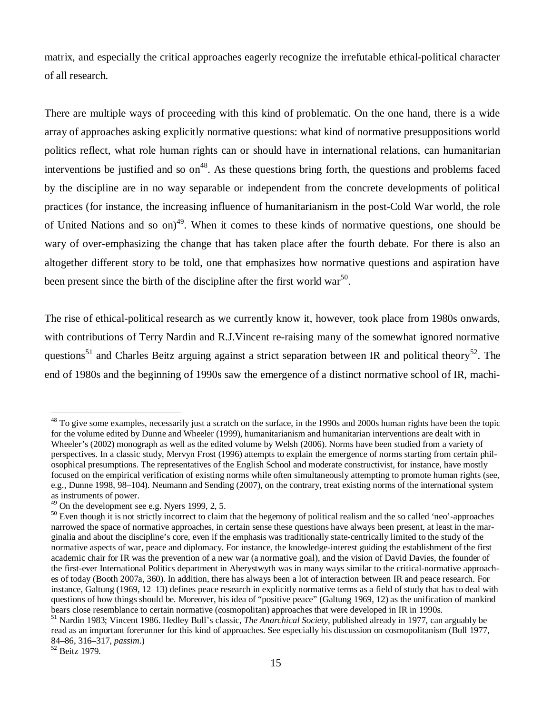matrix, and especially the critical approaches eagerly recognize the irrefutable ethical-political character of all research.

There are multiple ways of proceeding with this kind of problematic. On the one hand, there is a wide array of approaches asking explicitly normative questions: what kind of normative presuppositions world politics reflect, what role human rights can or should have in international relations, can humanitarian interventions be justified and so  $\text{on}^{48}$ . As these questions bring forth, the questions and problems faced by the discipline are in no way separable or independent from the concrete developments of political practices (for instance, the increasing influence of humanitarianism in the post-Cold War world, the role of United Nations and so on)<sup>49</sup>. When it comes to these kinds of normative questions, one should be wary of over-emphasizing the change that has taken place after the fourth debate. For there is also an altogether different story to be told, one that emphasizes how normative questions and aspiration have been present since the birth of the discipline after the first world war<sup>50</sup>.

The rise of ethical-political research as we currently know it, however, took place from 1980s onwards, with contributions of Terry Nardin and R.J. Vincent re-raising many of the somewhat ignored normative questions<sup>51</sup> and Charles Beitz arguing against a strict separation between IR and political theory<sup>52</sup>. The end of 1980s and the beginning of 1990s saw the emergence of a distinct normative school of IR, machi-

<sup>&</sup>lt;sup>48</sup> To give some examples, necessarily just a scratch on the surface, in the 1990s and 2000s human rights have been the topic for the volume edited by Dunne and Wheeler (1999), humanitarianism and humanitarian interventions are dealt with in Wheeler's (2002) monograph as well as the edited volume by Welsh (2006). Norms have been studied from a variety of perspectives. In a classic study, Mervyn Frost (1996) attempts to explain the emergence of norms starting from certain philosophical presumptions. The representatives of the English School and moderate constructivist, for instance, have mostly focused on the empirical verification of existing norms while often simultaneously attempting to promote human rights (see, e.g., Dunne 1998, 98–104). Neumann and Sending (2007), on the contrary, treat existing norms of the international system as instruments of power.

 $49$  On the development see e.g. Nyers 1999, 2, 5.

<sup>&</sup>lt;sup>50</sup> Even though it is not strictly incorrect to claim that the hegemony of political realism and the so called 'neo'-approaches narrowed the space of normative approaches, in certain sense these questions have always been present, at least in the marginalia and about the discipline's core, even if the emphasis was traditionally state-centrically limited to the study of the normative aspects of war, peace and diplomacy. For instance, the knowledge-interest guiding the establishment of the first academic chair for IR was the prevention of a new war (a normative goal), and the vision of David Davies, the founder of the first-ever International Politics department in Aberystwyth was in many ways similar to the critical-normative approaches of today (Booth 2007a, 360). In addition, there has always been a lot of interaction between IR and peace research. For instance, Galtung (1969, 12–13) defines peace research in explicitly normative terms as a field of study that has to deal with questions of how things should be. Moreover, his idea of "positive peace" (Galtung 1969, 12) as the unification of mankind bears close resemblance to certain normative (cosmopolitan) approaches that were developed in IR in 1990s.

<sup>51</sup> Nardin 1983; Vincent 1986. Hedley Bull's classic, *The Anarchical Society*, published already in 1977, can arguably be read as an important forerunner for this kind of approaches. See especially his discussion on cosmopolitanism (Bull 1977, 84–86, 316–317, *passim*.)

<sup>52</sup> Beitz 1979.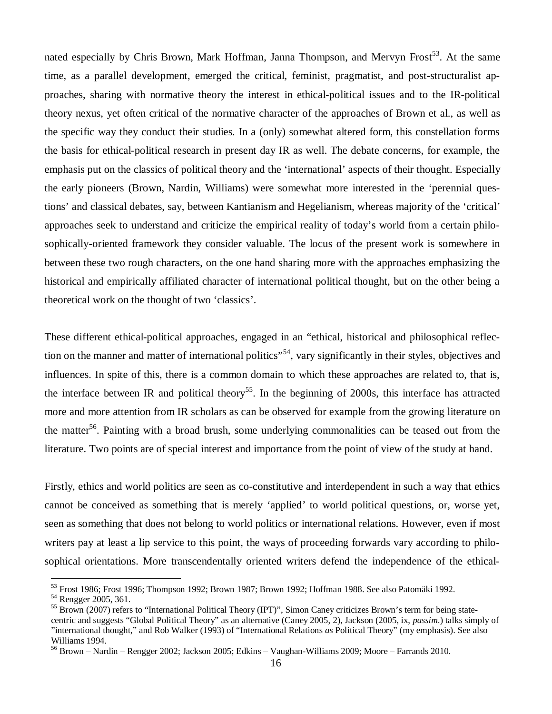nated especially by Chris Brown, Mark Hoffman, Janna Thompson, and Mervyn Frost<sup>53</sup>. At the same time, as a parallel development, emerged the critical, feminist, pragmatist, and post-structuralist approaches, sharing with normative theory the interest in ethical-political issues and to the IR-political theory nexus, yet often critical of the normative character of the approaches of Brown et al., as well as the specific way they conduct their studies. In a (only) somewhat altered form, this constellation forms the basis for ethical-political research in present day IR as well. The debate concerns, for example, the emphasis put on the classics of political theory and the 'international' aspects of their thought. Especially the early pioneers (Brown, Nardin, Williams) were somewhat more interested in the 'perennial questions' and classical debates, say, between Kantianism and Hegelianism, whereas majority of the 'critical' approaches seek to understand and criticize the empirical reality of today's world from a certain philosophically-oriented framework they consider valuable. The locus of the present work is somewhere in between these two rough characters, on the one hand sharing more with the approaches emphasizing the historical and empirically affiliated character of international political thought, but on the other being a theoretical work on the thought of two 'classics'.

These different ethical-political approaches, engaged in an "ethical, historical and philosophical reflection on the manner and matter of international politics"<sup>54</sup>, vary significantly in their styles, objectives and influences. In spite of this, there is a common domain to which these approaches are related to, that is, the interface between IR and political theory<sup>55</sup>. In the beginning of 2000s, this interface has attracted more and more attention from IR scholars as can be observed for example from the growing literature on the matter<sup>56</sup>. Painting with a broad brush, some underlying commonalities can be teased out from the literature. Two points are of special interest and importance from the point of view of the study at hand.

Firstly, ethics and world politics are seen as co-constitutive and interdependent in such a way that ethics cannot be conceived as something that is merely 'applied' to world political questions, or, worse yet, seen as something that does not belong to world politics or international relations. However, even if most writers pay at least a lip service to this point, the ways of proceeding forwards vary according to philosophical orientations. More transcendentally oriented writers defend the independence of the ethical-

<sup>53</sup> Frost 1986; Frost 1996; Thompson 1992; Brown 1987; Brown 1992; Hoffman 1988. See also Patomäki 1992.

<sup>54</sup> Rengger 2005, 361.

<sup>&</sup>lt;sup>55</sup> Brown (2007) refers to "International Political Theory (IPT)", Simon Caney criticizes Brown's term for being statecentric and suggests "Global Political Theory" as an alternative (Caney 2005, 2), Jackson (2005, ix, *passim*.) talks simply of "international thought," and Rob Walker (1993) of "International Relations *as* Political Theory" (my emphasis). See also Williams 1994.

<sup>56</sup> Brown – Nardin – Rengger 2002; Jackson 2005; Edkins – Vaughan-Williams 2009; Moore – Farrands 2010.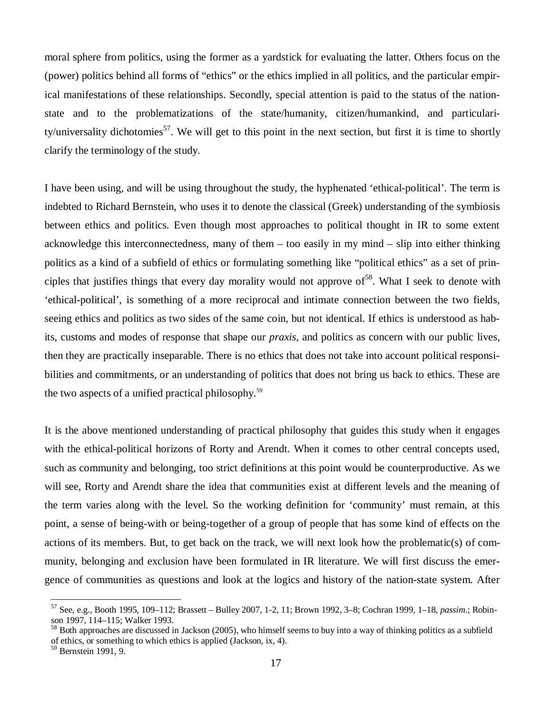moral sphere from politics, using the former as a yardstick for evaluating the latter. Others focus on the (power) politics behind all forms of "ethics" or the ethics implied in all politics, and the particular empirical manifestations of these relationships. Secondly, special attention is paid to the status of the nationstate and to the problematizations of the state/humanity, citizen/humankind, and particularity/universality dichotomies<sup>57</sup>. We will get to this point in the next section, but first it is time to shortly clarify the terminology of the study.

I have been using, and will be using throughout the study, the hyphenated 'ethical-political'. The term is indebted to Richard Bernstein, who uses it to denote the classical (Greek) understanding of the symbiosis between ethics and politics. Even though most approaches to political thought in IR to some extent acknowledge this interconnectedness, many of them – too easily in my mind – slip into either thinking politics as a kind of a subfield of ethics or formulating something like "political ethics" as a set of principles that justifies things that every day morality would not approve of <sup>58</sup>. What I seek to denote with 'ethical-political', is something of a more reciprocal and intimate connection between the two fields, seeing ethics and politics as two sides of the same coin, but not identical. If ethics is understood as habits, customs and modes of response that shape our *praxis*, and politics as concern with our public lives, then they are practically inseparable. There is no ethics that does not take into account political responsibilities and commitments, or an understanding of politics that does not bring us back to ethics. These are the two aspects of a unified practical philosophy.<sup>59</sup>

It is the above mentioned understanding of practical philosophy that guides this study when it engages with the ethical-political horizons of Rorty and Arendt. When it comes to other central concepts used, such as community and belonging, too strict definitions at this point would be counterproductive. As we will see, Rorty and Arendt share the idea that communities exist at different levels and the meaning of the term varies along with the level. So the working definition for 'community' must remain, at this point, a sense of being-with or being-together of a group of people that has some kind of effects on the actions of its members. But, to get back on the track, we will next look how the problematic(s) of community, belonging and exclusion have been formulated in IR literature. We will first discuss the emergence of communities as questions and look at the logics and history of the nation-state system. After

<sup>57</sup> See, e.g., Booth 1995, 109–112; Brassett – Bulley 2007, 1-2, 11; Brown 1992, 3–8; Cochran 1999, 1–18, *passim*.; Robinson 1997, 114–115; Walker 1993.

 $58$  Both approaches are discussed in Jackson (2005), who himself seems to buy into a way of thinking politics as a subfield of ethics, or something to which ethics is applied (Jackson, ix, 4).

<sup>59</sup> Bernstein 1991, 9.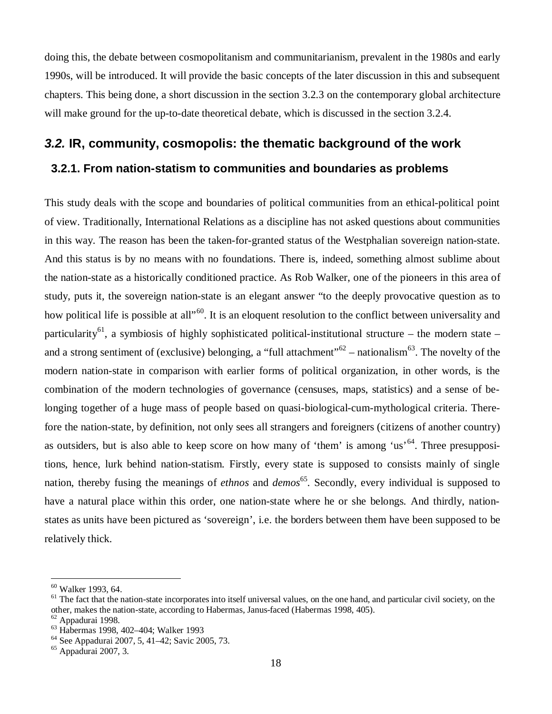doing this, the debate between cosmopolitanism and communitarianism, prevalent in the 1980s and early 1990s, will be introduced. It will provide the basic concepts of the later discussion in this and subsequent chapters. This being done, a short discussion in the section 3.2.3 on the contemporary global architecture will make ground for the up-to-date theoretical debate, which is discussed in the section 3.2.4.

# *3.2.* **IR, community, cosmopolis: the thematic background of the work 3.2.1. From nation-statism to communities and boundaries as problems**

This study deals with the scope and boundaries of political communities from an ethical-political point of view. Traditionally, International Relations as a discipline has not asked questions about communities in this way. The reason has been the taken-for-granted status of the Westphalian sovereign nation-state. And this status is by no means with no foundations. There is, indeed, something almost sublime about the nation-state as a historically conditioned practice. As Rob Walker, one of the pioneers in this area of study, puts it, the sovereign nation-state is an elegant answer "to the deeply provocative question as to how political life is possible at all<sup>"60</sup>. It is an eloquent resolution to the conflict between universality and particularity<sup>61</sup>, a symbiosis of highly sophisticated political-institutional structure – the modern state – and a strong sentiment of (exclusive) belonging, a "full attachment"<sup>62</sup> – nationalism<sup>63</sup>. The novelty of the modern nation-state in comparison with earlier forms of political organization, in other words, is the combination of the modern technologies of governance (censuses, maps, statistics) and a sense of belonging together of a huge mass of people based on quasi-biological-cum-mythological criteria. Therefore the nation-state, by definition, not only sees all strangers and foreigners (citizens of another country) as outsiders, but is also able to keep score on how many of 'them' is among 'us'<sup>64</sup>. Three presuppositions, hence, lurk behind nation-statism. Firstly, every state is supposed to consists mainly of single nation, thereby fusing the meanings of *ethnos* and *demos*<sup>65</sup>. Secondly, every individual is supposed to have a natural place within this order, one nation-state where he or she belongs. And thirdly, nationstates as units have been pictured as 'sovereign', i.e. the borders between them have been supposed to be relatively thick.

<sup>60</sup> Walker 1993, 64.

 $<sup>61</sup>$  The fact that the nation-state incorporates into itself universal values, on the one hand, and particular civil society, on the</sup> other, makes the nation-state, according to Habermas, Janus-faced (Habermas 1998, 405).

 $62$  Appadurai 1998.

<sup>63</sup> Habermas 1998, 402–404; Walker 1993

<sup>64</sup> See Appadurai 2007, 5, 41–42; Savic 2005, 73.

<sup>65</sup> Appadurai 2007, 3.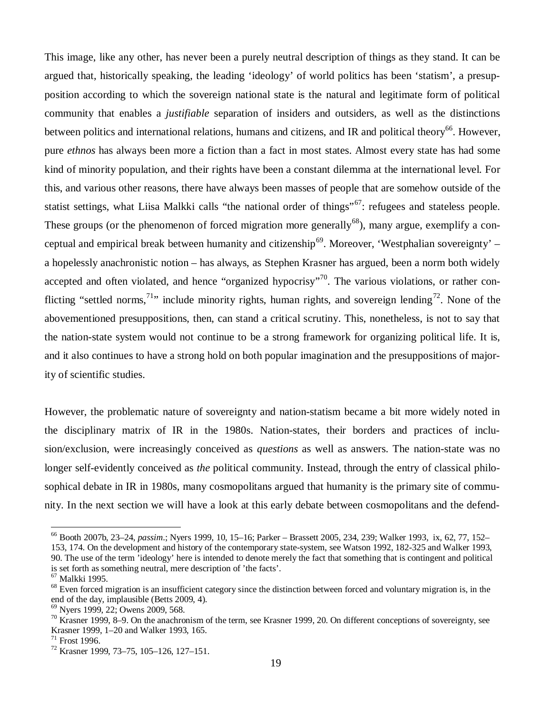This image, like any other, has never been a purely neutral description of things as they stand. It can be argued that, historically speaking, the leading 'ideology' of world politics has been 'statism', a presupposition according to which the sovereign national state is the natural and legitimate form of political community that enables a *justifiable* separation of insiders and outsiders, as well as the distinctions between politics and international relations, humans and citizens, and IR and political theory<sup>66</sup>. However, pure *ethnos* has always been more a fiction than a fact in most states. Almost every state has had some kind of minority population, and their rights have been a constant dilemma at the international level. For this, and various other reasons, there have always been masses of people that are somehow outside of the statist settings, what Liisa Malkki calls "the national order of things"<sup>67</sup>: refugees and stateless people. These groups (or the phenomenon of forced migration more generally<sup>68</sup>), many argue, exemplify a conceptual and empirical break between humanity and citizenship<sup>69</sup>. Moreover, 'Westphalian sovereignty' – a hopelessly anachronistic notion – has always, as Stephen Krasner has argued, been a norm both widely accepted and often violated, and hence "organized hypocrisy"<sup>70</sup>. The various violations, or rather conflicting "settled norms,<sup>71</sup>" include minority rights, human rights, and sovereign lending<sup>72</sup>. None of the abovementioned presuppositions, then, can stand a critical scrutiny. This, nonetheless, is not to say that the nation-state system would not continue to be a strong framework for organizing political life. It is, and it also continues to have a strong hold on both popular imagination and the presuppositions of majority of scientific studies.

However, the problematic nature of sovereignty and nation-statism became a bit more widely noted in the disciplinary matrix of IR in the 1980s. Nation-states, their borders and practices of inclusion/exclusion, were increasingly conceived as *questions* as well as answers. The nation-state was no longer self-evidently conceived as *the* political community. Instead, through the entry of classical philosophical debate in IR in 1980s, many cosmopolitans argued that humanity is the primary site of community. In the next section we will have a look at this early debate between cosmopolitans and the defend-

<sup>66</sup> Booth 2007b, 23–24, *passim*.; Nyers 1999, 10, 15–16; Parker – Brassett 2005, 234, 239; Walker 1993, ix, 62, 77, 152–

<sup>153, 174.</sup> On the development and history of the contemporary state-system, see Watson 1992, 182-325 and Walker 1993, 90. The use of the term 'ideology' here is intended to denote merely the fact that something that is contingent and political is set forth as something neutral, mere description of 'the facts'.

<sup>67</sup> Malkki 1995.

<sup>&</sup>lt;sup>68</sup> Even forced migration is an insufficient category since the distinction between forced and voluntary migration is, in the end of the day, implausible (Betts 2009, 4).

<sup>69</sup> Nyers 1999, 22; Owens 2009, 568.

 $70$  Krasner 1999, 8–9. On the anachronism of the term, see Krasner 1999, 20. On different conceptions of sovereignty, see Krasner 1999, 1–20 and Walker 1993, 165.

<sup>71</sup> Frost 1996.

<sup>72</sup> Krasner 1999, 73–75, 105–126, 127–151.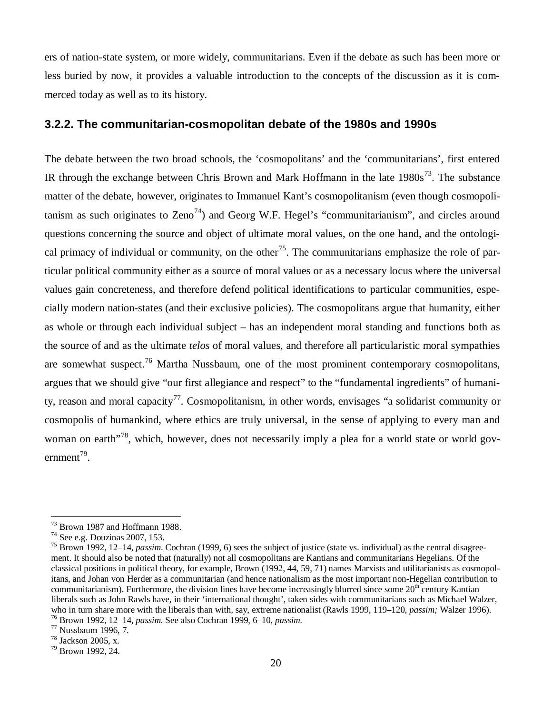ers of nation-state system, or more widely, communitarians. Even if the debate as such has been more or less buried by now, it provides a valuable introduction to the concepts of the discussion as it is commerced today as well as to its history.

#### **3.2.2. The communitarian-cosmopolitan debate of the 1980s and 1990s**

The debate between the two broad schools, the 'cosmopolitans' and the 'communitarians', first entered IR through the exchange between Chris Brown and Mark Hoffmann in the late  $1980s^{73}$ . The substance matter of the debate, however, originates to Immanuel Kant's cosmopolitanism (even though cosmopolitanism as such originates to  $\text{Zeno}^{74}$ ) and Georg W.F. Hegel's "communitarianism", and circles around questions concerning the source and object of ultimate moral values, on the one hand, and the ontological primacy of individual or community, on the other<sup>75</sup>. The communitarians emphasize the role of particular political community either as a source of moral values or as a necessary locus where the universal values gain concreteness, and therefore defend political identifications to particular communities, especially modern nation-states (and their exclusive policies). The cosmopolitans argue that humanity, either as whole or through each individual subject – has an independent moral standing and functions both as the source of and as the ultimate *telos* of moral values, and therefore all particularistic moral sympathies are somewhat suspect.<sup>76</sup> Martha Nussbaum, one of the most prominent contemporary cosmopolitans, argues that we should give "our first allegiance and respect" to the "fundamental ingredients" of humanity, reason and moral capacity<sup>77</sup>. Cosmopolitanism, in other words, envisages "a solidarist community or cosmopolis of humankind, where ethics are truly universal, in the sense of applying to every man and woman on earth<sup>"78</sup>, which, however, does not necessarily imply a plea for a world state or world gov $ermment^{79}$ .

<sup>73</sup> Brown 1987 and Hoffmann 1988.

<sup>74</sup> See e.g. Douzinas 2007, 153.

<sup>75</sup> Brown 1992, 12–14, *passim*. Cochran (1999, 6) sees the subject of justice (state vs. individual) as the central disagreement. It should also be noted that (naturally) not all cosmopolitans are Kantians and communitarians Hegelians. Of the classical positions in political theory, for example, Brown (1992, 44, 59, 71) names Marxists and utilitarianists as cosmopolitans, and Johan von Herder as a communitarian (and hence nationalism as the most important non-Hegelian contribution to communitarianism). Furthermore, the division lines have become increasingly blurred since some  $20<sup>th</sup>$  century Kantian liberals such as John Rawls have, in their 'international thought', taken sides with communitarians such as Michael Walzer, who in turn share more with the liberals than with, say, extreme nationalist (Rawls 1999, 119–120, *passim;* Walzer 1996).

<sup>76</sup> Brown 1992, 12–14, *passim.* See also Cochran 1999, 6–10, *passim.*

<sup>77</sup> Nussbaum 1996, 7.

<sup>78</sup> Jackson 2005, x.

 $79$  Brown 1992, 24.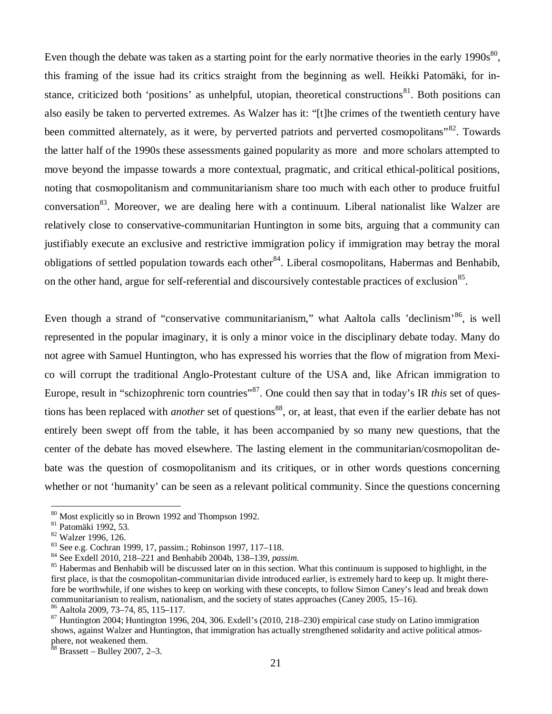Even though the debate was taken as a starting point for the early normative theories in the early  $1990s^{80}$ , this framing of the issue had its critics straight from the beginning as well. Heikki Patomäki, for instance, criticized both 'positions' as unhelpful, utopian, theoretical constructions<sup>81</sup>. Both positions can also easily be taken to perverted extremes. As Walzer has it: "[t]he crimes of the twentieth century have been committed alternately, as it were, by perverted patriots and perverted cosmopolitans"<sup>82</sup>. Towards the latter half of the 1990s these assessments gained popularity as more and more scholars attempted to move beyond the impasse towards a more contextual, pragmatic, and critical ethical-political positions, noting that cosmopolitanism and communitarianism share too much with each other to produce fruitful conversation<sup>83</sup>. Moreover, we are dealing here with a continuum. Liberal nationalist like Walzer are relatively close to conservative-communitarian Huntington in some bits, arguing that a community can justifiably execute an exclusive and restrictive immigration policy if immigration may betray the moral obligations of settled population towards each other<sup>84</sup>. Liberal cosmopolitans, Habermas and Benhabib, on the other hand, argue for self-referential and discoursively contestable practices of exclusion<sup>85</sup>.

Even though a strand of "conservative communitarianism," what Aaltola calls 'declinism'<sup>86</sup>, is well represented in the popular imaginary, it is only a minor voice in the disciplinary debate today. Many do not agree with Samuel Huntington, who has expressed his worries that the flow of migration from Mexico will corrupt the traditional Anglo-Protestant culture of the USA and, like African immigration to Europe, result in "schizophrenic torn countries"<sup>87</sup>. One could then say that in today's IR *this* set of questions has been replaced with *another* set of questions<sup>88</sup>, or, at least, that even if the earlier debate has not entirely been swept off from the table, it has been accompanied by so many new questions, that the center of the debate has moved elsewhere. The lasting element in the communitarian/cosmopolitan debate was the question of cosmopolitanism and its critiques, or in other words questions concerning whether or not 'humanity' can be seen as a relevant political community. Since the questions concerning

<sup>80</sup> Most explicitly so in Brown 1992 and Thompson 1992.

<sup>81</sup> Patomäki 1992, 53.

<sup>82</sup> Walzer 1996, 126.

<sup>83</sup> See e.g. Cochran 1999, 17, passim.; Robinson 1997, 117–118.

<sup>84</sup> See Exdell 2010, 218–221 and Benhabib 2004b, 138–139, *passim.*

<sup>&</sup>lt;sup>85</sup> Habermas and Benhabib will be discussed later on in this section. What this continuum is supposed to highlight, in the first place, is that the cosmopolitan-communitarian divide introduced earlier, is extremely hard to keep up. It might therefore be worthwhile, if one wishes to keep on working with these concepts, to follow Simon Caney's lead and break down communitarianism to realism, nationalism, and the society of states approaches (Caney 2005, 15–16). <sup>86</sup> Aaltola 2009, 73–74, 85, 115–117.

 $87$  Huntington 2004; Huntington 1996, 204, 306. Exdell's (2010, 218–230) empirical case study on Latino immigration shows, against Walzer and Huntington, that immigration has actually strengthened solidarity and active political atmosphere, not weakened them.

 $88$  Brassett – Bulley 2007, 2–3.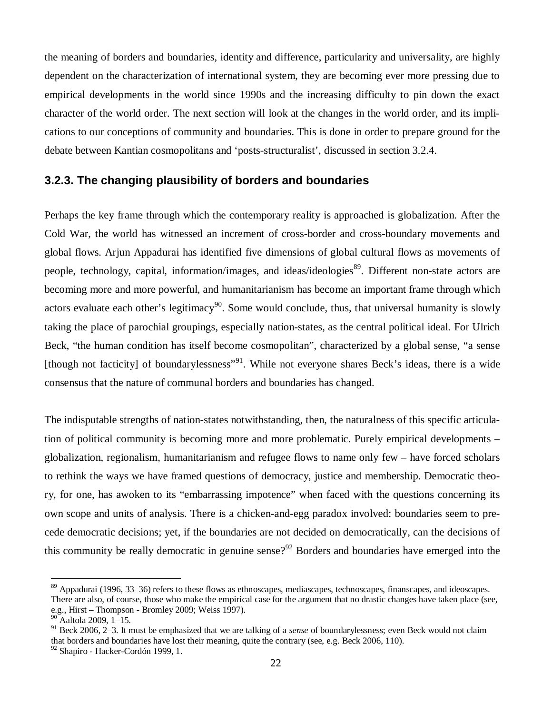the meaning of borders and boundaries, identity and difference, particularity and universality, are highly dependent on the characterization of international system, they are becoming ever more pressing due to empirical developments in the world since 1990s and the increasing difficulty to pin down the exact character of the world order. The next section will look at the changes in the world order, and its implications to our conceptions of community and boundaries. This is done in order to prepare ground for the debate between Kantian cosmopolitans and 'posts-structuralist', discussed in section 3.2.4.

#### **3.2.3. The changing plausibility of borders and boundaries**

Perhaps the key frame through which the contemporary reality is approached is globalization. After the Cold War, the world has witnessed an increment of cross-border and cross-boundary movements and global flows. Arjun Appadurai has identified five dimensions of global cultural flows as movements of people, technology, capital, information/images, and ideas/ideologies<sup>89</sup>. Different non-state actors are becoming more and more powerful, and humanitarianism has become an important frame through which actors evaluate each other's legitimacy<sup>90</sup>. Some would conclude, thus, that universal humanity is slowly taking the place of parochial groupings, especially nation-states, as the central political ideal. For Ulrich Beck, "the human condition has itself become cosmopolitan", characterized by a global sense, "a sense [though not facticity] of boundarylessness"<sup>91</sup>. While not everyone shares Beck's ideas, there is a wide consensus that the nature of communal borders and boundaries has changed.

The indisputable strengths of nation-states notwithstanding, then, the naturalness of this specific articulation of political community is becoming more and more problematic. Purely empirical developments – globalization, regionalism, humanitarianism and refugee flows to name only few – have forced scholars to rethink the ways we have framed questions of democracy, justice and membership. Democratic theory, for one, has awoken to its "embarrassing impotence" when faced with the questions concerning its own scope and units of analysis. There is a chicken-and-egg paradox involved: boundaries seem to precede democratic decisions; yet, if the boundaries are not decided on democratically, can the decisions of this community be really democratic in genuine sense?<sup>92</sup> Borders and boundaries have emerged into the

<sup>89</sup> Appadurai (1996, 33–36) refers to these flows as ethnoscapes, mediascapes, technoscapes, finanscapes, and ideoscapes. There are also, of course, those who make the empirical case for the argument that no drastic changes have taken place (see, e.g., Hirst – Thompson - Bromley 2009; Weiss 1997).

<sup>90</sup> Aaltola 2009, 1–15.

<sup>91</sup> Beck 2006, 2–3. It must be emphasized that we are talking of a *sense* of boundarylessness; even Beck would not claim that borders and boundaries have lost their meaning, quite the contrary (see, e.g. Beck 2006, 110).

<sup>92</sup> Shapiro - Hacker-Cordón 1999, 1.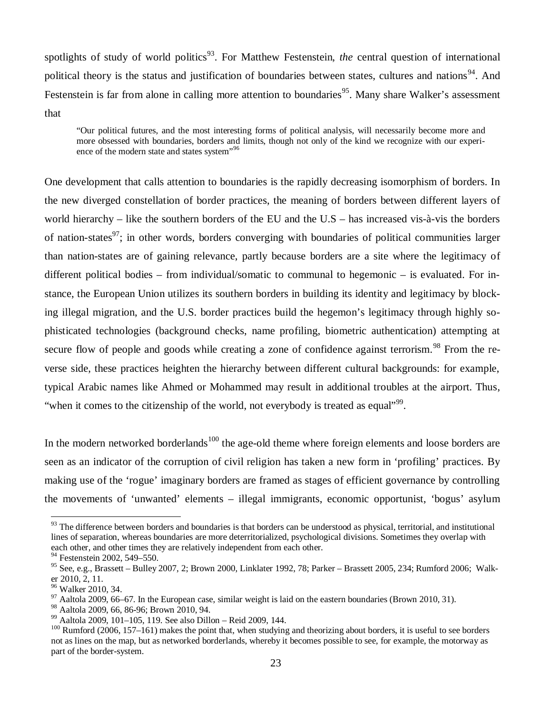spotlights of study of world politics<sup>93</sup>. For Matthew Festenstein, *the* central question of international political theory is the status and justification of boundaries between states, cultures and nations<sup>94</sup>. And Festenstein is far from alone in calling more attention to boundaries<sup>95</sup>. Many share Walker's assessment that

"Our political futures, and the most interesting forms of political analysis, will necessarily become more and more obsessed with boundaries, borders and limits, though not only of the kind we recognize with our experience of the modern state and states system", 96

One development that calls attention to boundaries is the rapidly decreasing isomorphism of borders. In the new diverged constellation of border practices, the meaning of borders between different layers of world hierarchy – like the southern borders of the EU and the U.S – has increased vis-à-vis the borders of nation-states<sup>97</sup>; in other words, borders converging with boundaries of political communities larger than nation-states are of gaining relevance, partly because borders are a site where the legitimacy of different political bodies – from individual/somatic to communal to hegemonic – is evaluated. For instance, the European Union utilizes its southern borders in building its identity and legitimacy by blocking illegal migration, and the U.S. border practices build the hegemon's legitimacy through highly sophisticated technologies (background checks, name profiling, biometric authentication) attempting at secure flow of people and goods while creating a zone of confidence against terrorism.<sup>98</sup> From the reverse side, these practices heighten the hierarchy between different cultural backgrounds: for example, typical Arabic names like Ahmed or Mohammed may result in additional troubles at the airport. Thus, "when it comes to the citizenship of the world, not everybody is treated as equal"<sup>99</sup>.

In the modern networked borderlands<sup>100</sup> the age-old theme where foreign elements and loose borders are seen as an indicator of the corruption of civil religion has taken a new form in 'profiling' practices. By making use of the 'rogue' imaginary borders are framed as stages of efficient governance by controlling the movements of 'unwanted' elements – illegal immigrants, economic opportunist, 'bogus' asylum

<sup>&</sup>lt;sup>93</sup> The difference between borders and boundaries is that borders can be understood as physical, territorial, and institutional lines of separation, whereas boundaries are more deterritorialized, psychological divisions. Sometimes they overlap with each other, and other times they are relatively independent from each other.

 $94$  Festenstein 2002, 549–550.

 $95$  See, e.g., Brassett – Bulley 2007, 2; Brown 2000, Linklater 1992, 78; Parker – Brassett 2005, 234; Rumford 2006; Walker 2010, 2, 11.

<sup>&</sup>lt;sup>96</sup> Walker 2010, 34.

 $97$  Aaltola 2009, 66–67. In the European case, similar weight is laid on the eastern boundaries (Brown 2010, 31).

<sup>98</sup> Aaltola 2009, 66, 86-96; Brown 2010, 94.

<sup>99</sup> Aaltola 2009, 101–105, 119. See also Dillon – Reid 2009, 144.

 $100$  Rumford (2006, 157–161) makes the point that, when studying and theorizing about borders, it is useful to see borders not as lines on the map, but as networked borderlands, whereby it becomes possible to see, for example, the motorway as part of the border-system.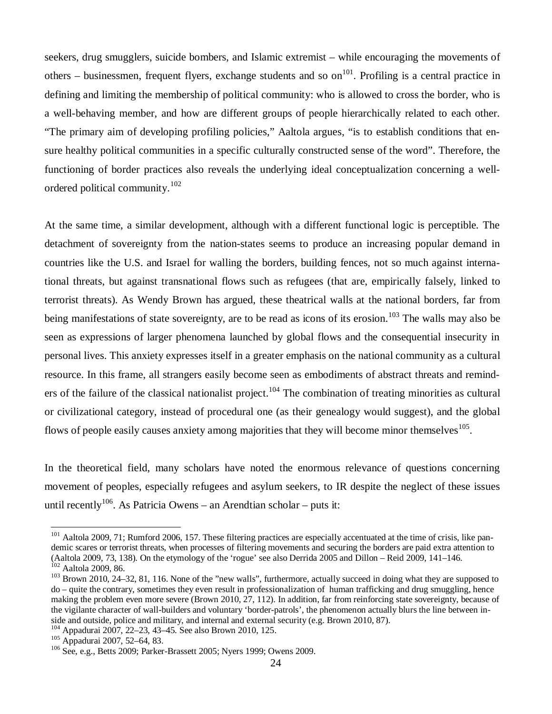seekers, drug smugglers, suicide bombers, and Islamic extremist – while encouraging the movements of others – businessmen, frequent flyers, exchange students and so  $\text{on}^{101}$ . Profiling is a central practice in defining and limiting the membership of political community: who is allowed to cross the border, who is a well-behaving member, and how are different groups of people hierarchically related to each other. "The primary aim of developing profiling policies," Aaltola argues, "is to establish conditions that ensure healthy political communities in a specific culturally constructed sense of the word". Therefore, the functioning of border practices also reveals the underlying ideal conceptualization concerning a wellordered political community.<sup>102</sup>

At the same time, a similar development, although with a different functional logic is perceptible. The detachment of sovereignty from the nation-states seems to produce an increasing popular demand in countries like the U.S. and Israel for walling the borders, building fences, not so much against international threats, but against transnational flows such as refugees (that are, empirically falsely, linked to terrorist threats). As Wendy Brown has argued, these theatrical walls at the national borders, far from being manifestations of state sovereignty, are to be read as icons of its erosion.<sup>103</sup> The walls may also be seen as expressions of larger phenomena launched by global flows and the consequential insecurity in personal lives. This anxiety expresses itself in a greater emphasis on the national community as a cultural resource. In this frame, all strangers easily become seen as embodiments of abstract threats and reminders of the failure of the classical nationalist project.<sup>104</sup> The combination of treating minorities as cultural or civilizational category, instead of procedural one (as their genealogy would suggest), and the global flows of people easily causes anxiety among majorities that they will become minor themselves  $105$ .

In the theoretical field, many scholars have noted the enormous relevance of questions concerning movement of peoples, especially refugees and asylum seekers, to IR despite the neglect of these issues until recently<sup>106</sup>. As Patricia Owens – an Arendtian scholar – puts it:

<sup>&</sup>lt;sup>101</sup> Aaltola 2009, 71; Rumford 2006, 157. These filtering practices are especially accentuated at the time of crisis, like pandemic scares or terrorist threats, when processes of filtering movements and securing the borders are paid extra attention to (Aaltola 2009, 73, 138). On the etymology of the 'rogue' see also Derrida 2005 and Dillon – Reid 2009, 141–146. <sup>102</sup> Aaltola 2009, 86.

<sup>&</sup>lt;sup>103</sup> Brown 2010, 24–32, 81, 116. None of the "new walls", furthermore, actually succeed in doing what they are supposed to do – quite the contrary, sometimes they even result in professionalization of human trafficking and drug smuggling, hence making the problem even more severe (Brown 2010, 27, 112). In addition, far from reinforcing state sovereignty, because of the vigilante character of wall-builders and voluntary 'border-patrols', the phenomenon actually blurs the line between inside and outside, police and military, and internal and external security (e.g. Brown 2010, 87).

<sup>104</sup> Appadurai 2007, 22–23, 43–45. See also Brown 2010, 125.

<sup>105</sup> Appadurai 2007, 52–64, 83.

<sup>106</sup> See, e.g., Betts 2009; Parker-Brassett 2005; Nyers 1999; Owens 2009.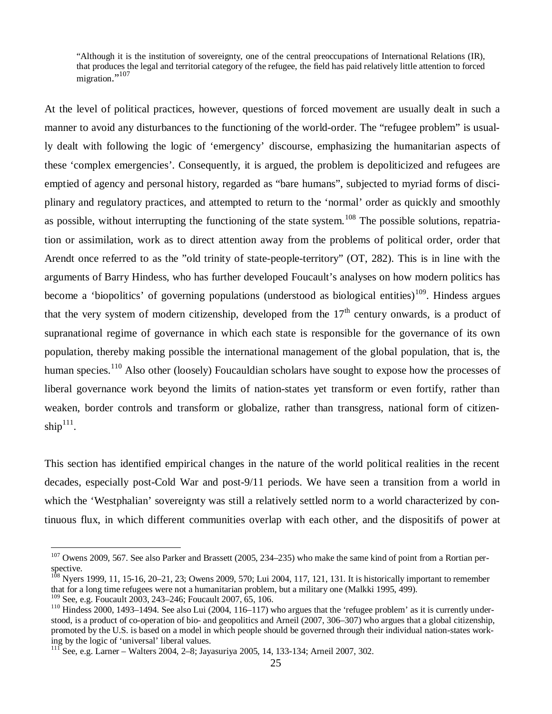"Although it is the institution of sovereignty, one of the central preoccupations of International Relations (IR), that produces the legal and territorial category of the refugee, the field has paid relatively little attention to forced migration."<sup>107</sup>

At the level of political practices, however, questions of forced movement are usually dealt in such a manner to avoid any disturbances to the functioning of the world-order. The "refugee problem" is usually dealt with following the logic of 'emergency' discourse, emphasizing the humanitarian aspects of these 'complex emergencies'. Consequently, it is argued, the problem is depoliticized and refugees are emptied of agency and personal history, regarded as "bare humans", subjected to myriad forms of disciplinary and regulatory practices, and attempted to return to the 'normal' order as quickly and smoothly as possible, without interrupting the functioning of the state system.<sup>108</sup> The possible solutions, repatriation or assimilation, work as to direct attention away from the problems of political order, order that Arendt once referred to as the "old trinity of state-people-territory" (OT, 282). This is in line with the arguments of Barry Hindess, who has further developed Foucault's analyses on how modern politics has become a 'biopolitics' of governing populations (understood as biological entities)<sup>109</sup>. Hindess argues that the very system of modern citizenship, developed from the  $17<sup>th</sup>$  century onwards, is a product of supranational regime of governance in which each state is responsible for the governance of its own population, thereby making possible the international management of the global population, that is, the human species.<sup>110</sup> Also other (loosely) Foucauldian scholars have sought to expose how the processes of liberal governance work beyond the limits of nation-states yet transform or even fortify, rather than weaken, border controls and transform or globalize, rather than transgress, national form of citizenship $111$ .

This section has identified empirical changes in the nature of the world political realities in the recent decades, especially post-Cold War and post-9/11 periods. We have seen a transition from a world in which the 'Westphalian' sovereignty was still a relatively settled norm to a world characterized by continuous flux, in which different communities overlap with each other, and the dispositifs of power at

<sup>&</sup>lt;sup>107</sup> Owens 2009, 567. See also Parker and Brassett (2005, 234–235) who make the same kind of point from a Rortian perspective.

 $108$  Nyers 1999, 11, 15-16, 20–21, 23; Owens 2009, 570; Lui 2004, 117, 121, 131. It is historically important to remember that for a long time refugees were not a humanitarian problem, but a military one (Malkki 1995, 499).

<sup>109</sup> See, e.g. Foucault 2003, 243–246; Foucault 2007, 65, 106.

 $110$  Hindess 2000, 1493–1494. See also Lui (2004, 116–117) who argues that the 'refugee problem' as it is currently understood, is a product of co-operation of bio- and geopolitics and Arneil (2007, 306–307) who argues that a global citizenship, promoted by the U.S. is based on a model in which people should be governed through their individual nation-states working by the logic of 'universal' liberal values.

 $^{111}$  See, e.g. Larner – Walters 2004, 2–8; Jayasuriya 2005, 14, 133-134; Arneil 2007, 302.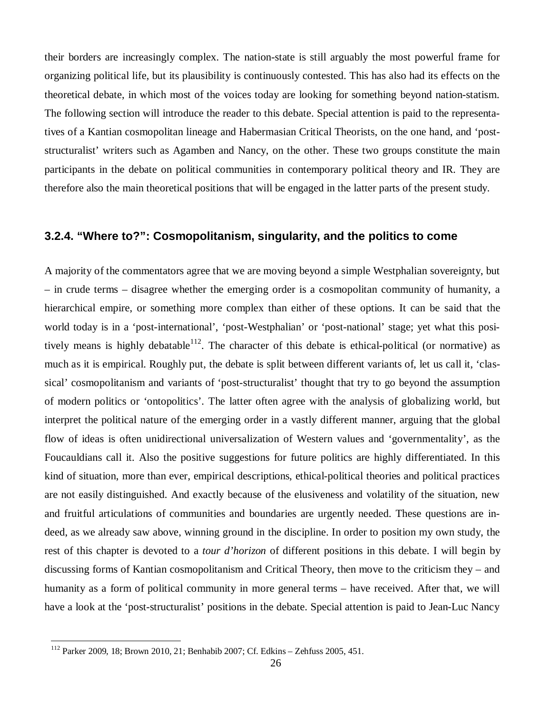their borders are increasingly complex. The nation-state is still arguably the most powerful frame for organizing political life, but its plausibility is continuously contested. This has also had its effects on the theoretical debate, in which most of the voices today are looking for something beyond nation-statism. The following section will introduce the reader to this debate. Special attention is paid to the representatives of a Kantian cosmopolitan lineage and Habermasian Critical Theorists, on the one hand, and 'poststructuralist' writers such as Agamben and Nancy, on the other. These two groups constitute the main participants in the debate on political communities in contemporary political theory and IR. They are therefore also the main theoretical positions that will be engaged in the latter parts of the present study.

### **3.2.4. "Where to?": Cosmopolitanism, singularity, and the politics to come**

A majority of the commentators agree that we are moving beyond a simple Westphalian sovereignty, but – in crude terms – disagree whether the emerging order is a cosmopolitan community of humanity, a hierarchical empire, or something more complex than either of these options. It can be said that the world today is in a 'post-international', 'post-Westphalian' or 'post-national' stage; yet what this positively means is highly debatable<sup>112</sup>. The character of this debate is ethical-political (or normative) as much as it is empirical. Roughly put, the debate is split between different variants of, let us call it, 'classical' cosmopolitanism and variants of 'post-structuralist' thought that try to go beyond the assumption of modern politics or 'ontopolitics'. The latter often agree with the analysis of globalizing world, but interpret the political nature of the emerging order in a vastly different manner, arguing that the global flow of ideas is often unidirectional universalization of Western values and 'governmentality', as the Foucauldians call it. Also the positive suggestions for future politics are highly differentiated. In this kind of situation, more than ever, empirical descriptions, ethical-political theories and political practices are not easily distinguished. And exactly because of the elusiveness and volatility of the situation, new and fruitful articulations of communities and boundaries are urgently needed. These questions are indeed, as we already saw above, winning ground in the discipline. In order to position my own study, the rest of this chapter is devoted to a *tour d'horizon* of different positions in this debate. I will begin by discussing forms of Kantian cosmopolitanism and Critical Theory, then move to the criticism they – and humanity as a form of political community in more general terms – have received. After that, we will have a look at the 'post-structuralist' positions in the debate. Special attention is paid to Jean-Luc Nancy

<sup>112</sup> Parker 2009, 18; Brown 2010, 21; Benhabib 2007; Cf. Edkins – Zehfuss 2005, 451.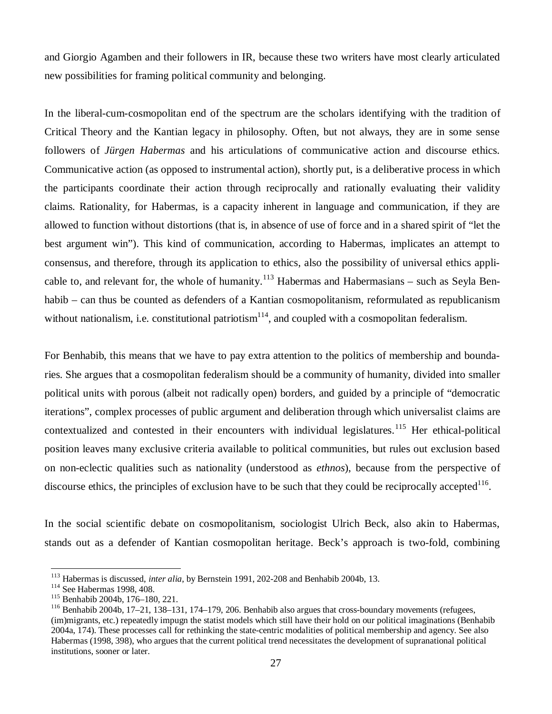and Giorgio Agamben and their followers in IR, because these two writers have most clearly articulated new possibilities for framing political community and belonging.

In the liberal-cum-cosmopolitan end of the spectrum are the scholars identifying with the tradition of Critical Theory and the Kantian legacy in philosophy. Often, but not always, they are in some sense followers of *Jürgen Habermas* and his articulations of communicative action and discourse ethics. Communicative action (as opposed to instrumental action), shortly put, is a deliberative process in which the participants coordinate their action through reciprocally and rationally evaluating their validity claims. Rationality, for Habermas, is a capacity inherent in language and communication, if they are allowed to function without distortions (that is, in absence of use of force and in a shared spirit of "let the best argument win"). This kind of communication, according to Habermas, implicates an attempt to consensus, and therefore, through its application to ethics, also the possibility of universal ethics applicable to, and relevant for, the whole of humanity.<sup>113</sup> Habermas and Habermasians – such as Seyla Benhabib – can thus be counted as defenders of a Kantian cosmopolitanism, reformulated as republicanism without nationalism, i.e. constitutional patriotism<sup>114</sup>, and coupled with a cosmopolitan federalism.

For Benhabib, this means that we have to pay extra attention to the politics of membership and boundaries. She argues that a cosmopolitan federalism should be a community of humanity, divided into smaller political units with porous (albeit not radically open) borders, and guided by a principle of "democratic iterations", complex processes of public argument and deliberation through which universalist claims are contextualized and contested in their encounters with individual legislatures.<sup>115</sup> Her ethical-political position leaves many exclusive criteria available to political communities, but rules out exclusion based on non-eclectic qualities such as nationality (understood as *ethnos*), because from the perspective of discourse ethics, the principles of exclusion have to be such that they could be reciprocally accepted $^{116}$ .

In the social scientific debate on cosmopolitanism, sociologist Ulrich Beck, also akin to Habermas, stands out as a defender of Kantian cosmopolitan heritage. Beck's approach is two-fold, combining

<sup>113</sup> Habermas is discussed, *inter alia*, by Bernstein 1991, 202-208 and Benhabib 2004b, 13.

<sup>114</sup> See Habermas 1998, 408.

<sup>115</sup> Benhabib 2004b, 176–180, 221.

<sup>&</sup>lt;sup>116</sup> Benhabib 2004b, 17–21, 138–131, 174–179, 206. Benhabib also argues that cross-boundary movements (refugees, (im)migrants, etc.) repeatedly impugn the statist models which still have their hold on our political imaginations (Benhabib 2004a, 174). These processes call for rethinking the state-centric modalities of political membership and agency. See also Habermas (1998, 398), who argues that the current political trend necessitates the development of supranational political institutions, sooner or later.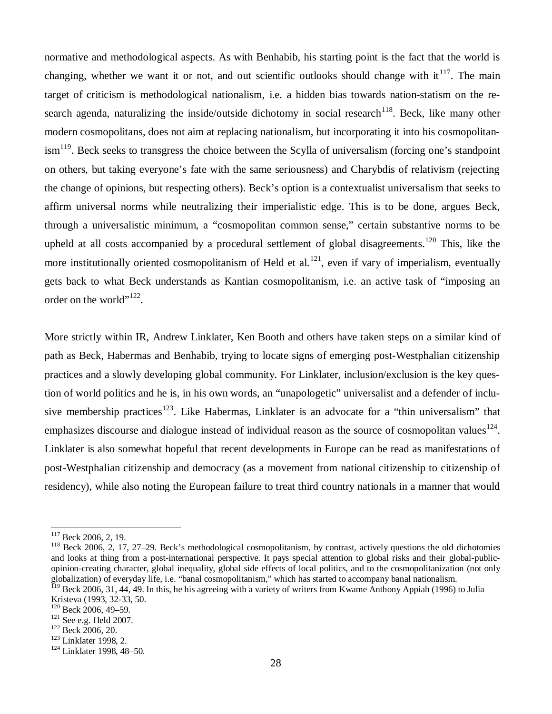normative and methodological aspects. As with Benhabib, his starting point is the fact that the world is changing, whether we want it or not, and out scientific outlooks should change with it<sup>117</sup>. The main target of criticism is methodological nationalism, i.e. a hidden bias towards nation-statism on the research agenda, naturalizing the inside/outside dichotomy in social research<sup>118</sup>. Beck, like many other modern cosmopolitans, does not aim at replacing nationalism, but incorporating it into his cosmopolitanism<sup>119</sup>. Beck seeks to transgress the choice between the Scylla of universalism (forcing one's standpoint on others, but taking everyone's fate with the same seriousness) and Charybdis of relativism (rejecting the change of opinions, but respecting others). Beck's option is a contextualist universalism that seeks to affirm universal norms while neutralizing their imperialistic edge. This is to be done, argues Beck, through a universalistic minimum, a "cosmopolitan common sense," certain substantive norms to be upheld at all costs accompanied by a procedural settlement of global disagreements.<sup>120</sup> This, like the more institutionally oriented cosmopolitanism of Held et al.<sup>121</sup>, even if vary of imperialism, eventually gets back to what Beck understands as Kantian cosmopolitanism, i.e. an active task of "imposing an order on the world"<sup>122</sup>.

More strictly within IR, Andrew Linklater, Ken Booth and others have taken steps on a similar kind of path as Beck, Habermas and Benhabib, trying to locate signs of emerging post-Westphalian citizenship practices and a slowly developing global community. For Linklater, inclusion/exclusion is the key question of world politics and he is, in his own words, an "unapologetic" universalist and a defender of inclusive membership practices<sup>123</sup>. Like Habermas, Linklater is an advocate for a "thin universalism" that emphasizes discourse and dialogue instead of individual reason as the source of cosmopolitan values  $124$ . Linklater is also somewhat hopeful that recent developments in Europe can be read as manifestations of post-Westphalian citizenship and democracy (as a movement from national citizenship to citizenship of residency), while also noting the European failure to treat third country nationals in a manner that would

 $117$  Beck 2006, 2, 19.

 $118$  Beck 2006, 2, 17, 27–29. Beck's methodological cosmopolitanism, by contrast, actively questions the old dichotomies and looks at thing from a post-international perspective. It pays special attention to global risks and their global-publicopinion-creating character, global inequality, global side effects of local politics, and to the cosmopolitanization (not only globalization) of everyday life, i.e. "banal cosmopolitanism," which has started to accompany banal nationalism.

<sup>&</sup>lt;sup>119</sup> Beck 2006, 31, 44, 49. In this, he his agreeing with a variety of writers from Kwame Anthony Appiah (1996) to Julia Kristeva (1993, 32-33, 50.

 $120$  Beck 2006, 49-59.

<sup>121</sup> See e.g. Held 2007.

<sup>&</sup>lt;sup>122</sup> Beck 2006, 20.

<sup>&</sup>lt;sup>123</sup> Linklater 1998, 2.

<sup>124</sup> Linklater 1998, 48–50.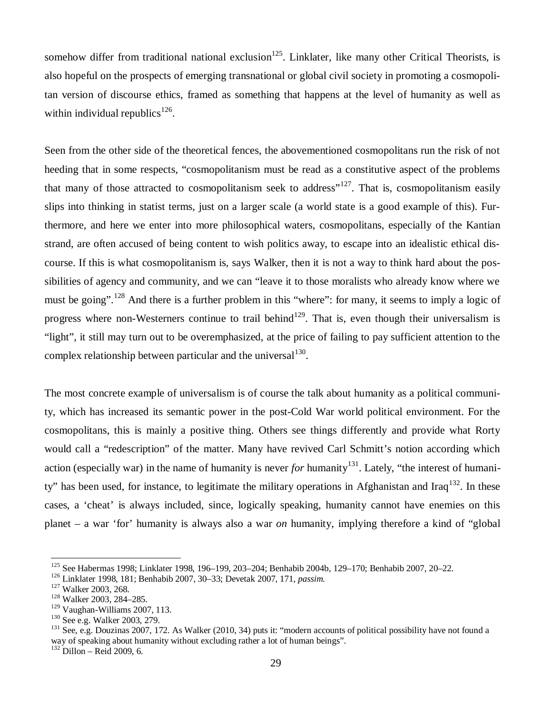somehow differ from traditional national exclusion<sup>125</sup>. Linklater, like many other Critical Theorists, is also hopeful on the prospects of emerging transnational or global civil society in promoting a cosmopolitan version of discourse ethics, framed as something that happens at the level of humanity as well as within individual republics<sup>126</sup>.

Seen from the other side of the theoretical fences, the abovementioned cosmopolitans run the risk of not heeding that in some respects, "cosmopolitanism must be read as a constitutive aspect of the problems that many of those attracted to cosmopolitanism seek to address<sup> $127$ </sup>. That is, cosmopolitanism easily slips into thinking in statist terms, just on a larger scale (a world state is a good example of this). Furthermore, and here we enter into more philosophical waters, cosmopolitans, especially of the Kantian strand, are often accused of being content to wish politics away, to escape into an idealistic ethical discourse. If this is what cosmopolitanism is, says Walker, then it is not a way to think hard about the possibilities of agency and community, and we can "leave it to those moralists who already know where we must be going".<sup>128</sup> And there is a further problem in this "where": for many, it seems to imply a logic of progress where non-Westerners continue to trail behind<sup>129</sup>. That is, even though their universalism is "light", it still may turn out to be overemphasized, at the price of failing to pay sufficient attention to the complex relationship between particular and the universal  $130$ .

The most concrete example of universalism is of course the talk about humanity as a political community, which has increased its semantic power in the post-Cold War world political environment. For the cosmopolitans, this is mainly a positive thing. Others see things differently and provide what Rorty would call a "redescription" of the matter. Many have revived Carl Schmitt's notion according which action (especially war) in the name of humanity is never *for* humanity<sup>131</sup>. Lately, "the interest of humanity" has been used, for instance, to legitimate the military operations in Afghanistan and Iraq<sup>132</sup>. In these cases, a 'cheat' is always included, since, logically speaking, humanity cannot have enemies on this planet – a war 'for' humanity is always also a war *on* humanity, implying therefore a kind of "global

<sup>125</sup> See Habermas 1998; Linklater 1998, 196–199, 203–204; Benhabib 2004b, 129–170; Benhabib 2007, 20–22.

<sup>126</sup> Linklater 1998, 181; Benhabib 2007, 30–33; Devetak 2007, 171, *passim.*

<sup>&</sup>lt;sup>127</sup> Walker 2003, 268.

<sup>128</sup> Walker 2003, 284–285.

<sup>129</sup> Vaughan-Williams 2007, 113.

<sup>130</sup> See e.g. Walker 2003, 279.

 $^{131}$  See, e.g. Douzinas 2007, 172. As Walker (2010, 34) puts it: "modern accounts of political possibility have not found a way of speaking about humanity without excluding rather a lot of human beings".

 $132$  Dillon – Reid 2009, 6.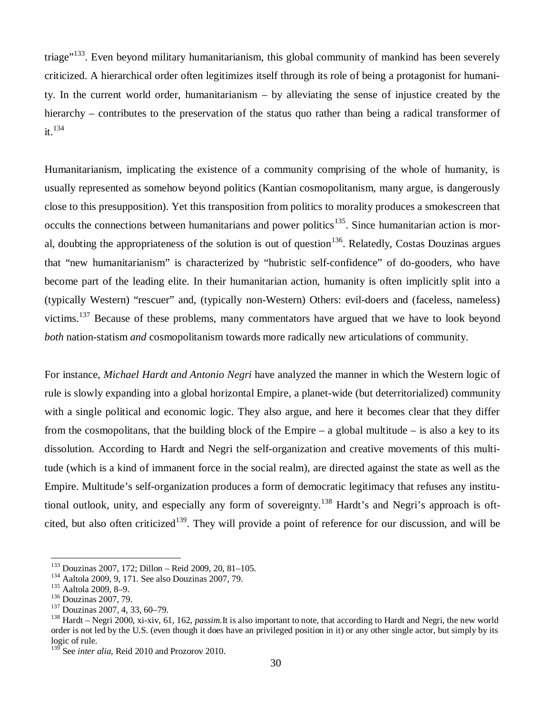triage"<sup>133</sup>. Even beyond military humanitarianism, this global community of mankind has been severely criticized. A hierarchical order often legitimizes itself through its role of being a protagonist for humanity. In the current world order, humanitarianism – by alleviating the sense of injustice created by the hierarchy – contributes to the preservation of the status quo rather than being a radical transformer of  $it<sup>134</sup>$ 

Humanitarianism, implicating the existence of a community comprising of the whole of humanity, is usually represented as somehow beyond politics (Kantian cosmopolitanism, many argue, is dangerously close to this presupposition). Yet this transposition from politics to morality produces a smokescreen that occults the connections between humanitarians and power politics<sup>135</sup>. Since humanitarian action is moral, doubting the appropriateness of the solution is out of question<sup>136</sup>. Relatedly, Costas Douzinas argues that "new humanitarianism" is characterized by "hubristic self-confidence" of do-gooders, who have become part of the leading elite. In their humanitarian action, humanity is often implicitly split into a (typically Western) "rescuer" and, (typically non-Western) Others: evil-doers and (faceless, nameless) victims.<sup>137</sup> Because of these problems, many commentators have argued that we have to look beyond *both* nation-statism *and* cosmopolitanism towards more radically new articulations of community.

For instance, *Michael Hardt and Antonio Negri* have analyzed the manner in which the Western logic of rule is slowly expanding into a global horizontal Empire, a planet-wide (but deterritorialized) community with a single political and economic logic. They also argue, and here it becomes clear that they differ from the cosmopolitans, that the building block of the Empire – a global multitude – is also a key to its dissolution. According to Hardt and Negri the self-organization and creative movements of this multitude (which is a kind of immanent force in the social realm), are directed against the state as well as the Empire. Multitude's self-organization produces a form of democratic legitimacy that refuses any institutional outlook, unity, and especially any form of sovereignty.<sup>138</sup> Hardt's and Negri's approach is oftcited, but also often criticized<sup>139</sup>. They will provide a point of reference for our discussion, and will be

<sup>133</sup> Douzinas 2007, 172; Dillon – Reid 2009, 20, 81–105.

<sup>134</sup> Aaltola 2009, 9, 171. See also Douzinas 2007, 79.

<sup>135</sup> Aaltola 2009, 8–9.

<sup>136</sup> Douzinas 2007, 79.

<sup>137</sup> Douzinas 2007, 4, 33, 60–79.

<sup>138</sup> Hardt – Negri 2000, xi-xiv, 61, 162, *passim.*It is also important to note, that according to Hardt and Negri, the new world order is not led by the U.S. (even though it does have an privileged position in it) or any other single actor, but simply by its logic of rule.

<sup>&</sup>lt;sup>139</sup> See *inter alia*, Reid 2010 and Prozorov 2010.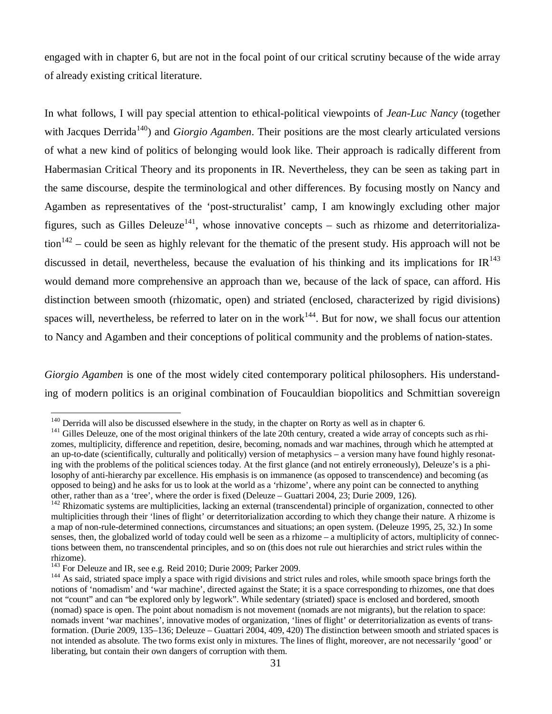engaged with in chapter 6, but are not in the focal point of our critical scrutiny because of the wide array of already existing critical literature.

In what follows, I will pay special attention to ethical-political viewpoints of *Jean-Luc Nancy* (together with Jacques Derrida<sup>140</sup>) and *Giorgio Agamben*. Their positions are the most clearly articulated versions of what a new kind of politics of belonging would look like. Their approach is radically different from Habermasian Critical Theory and its proponents in IR. Nevertheless, they can be seen as taking part in the same discourse, despite the terminological and other differences. By focusing mostly on Nancy and Agamben as representatives of the 'post-structuralist' camp, I am knowingly excluding other major figures, such as Gilles Deleuze<sup>141</sup>, whose innovative concepts – such as rhizome and deterritorializa- $\arctan^{142}$  – could be seen as highly relevant for the thematic of the present study. His approach will not be discussed in detail, nevertheless, because the evaluation of his thinking and its implications for  $IR^{143}$ would demand more comprehensive an approach than we, because of the lack of space, can afford. His distinction between smooth (rhizomatic, open) and striated (enclosed, characterized by rigid divisions) spaces will, nevertheless, be referred to later on in the work<sup>144</sup>. But for now, we shall focus our attention to Nancy and Agamben and their conceptions of political community and the problems of nation-states.

*Giorgio Agamben* is one of the most widely cited contemporary political philosophers. His understanding of modern politics is an original combination of Foucauldian biopolitics and Schmittian sovereign

<sup>&</sup>lt;sup>140</sup> Derrida will also be discussed elsewhere in the study, in the chapter on Rorty as well as in chapter 6.

<sup>&</sup>lt;sup>141</sup> Gilles Deleuze, one of the most original thinkers of the late 20th century, created a wide array of concepts such as rhizomes, multiplicity, difference and repetition, desire, becoming, nomads and war machines, through which he attempted at an up-to-date (scientifically, culturally and politically) version of metaphysics – a version many have found highly resonating with the problems of the political sciences today. At the first glance (and not entirely erroneously), Deleuze's is a philosophy of anti-hierarchy par excellence. His emphasis is on immanence (as opposed to transcendence) and becoming (as opposed to being) and he asks for us to look at the world as a 'rhizome', where any point can be connected to anything other, rather than as a 'tree', where the order is fixed (Deleuze – Guattari 2004, 23; Durie 2009, 126).

 $142$  Rhizomatic systems are multiplicities, lacking an external (transcendental) principle of organization, connected to other multiplicities through their 'lines of flight' or deterritorialization according to which they change their nature. A rhizome is a map of non-rule-determined connections, circumstances and situations; an open system. (Deleuze 1995, 25, 32.) In some senses, then, the globalized world of today could well be seen as a rhizome – a multiplicity of actors, multiplicity of connections between them, no transcendental principles, and so on (this does not rule out hierarchies and strict rules within the rhizome).

<sup>&</sup>lt;sup>143</sup> For Deleuze and IR, see e.g. Reid 2010; Durie 2009; Parker 2009.

<sup>&</sup>lt;sup>144</sup> As said, striated space imply a space with rigid divisions and strict rules and roles, while smooth space brings forth the notions of 'nomadism' and 'war machine', directed against the State; it is a space corresponding to rhizomes, one that does not "count" and can "be explored only by legwork". While sedentary (striated) space is enclosed and bordered, smooth (nomad) space is open. The point about nomadism is not movement (nomads are not migrants), but the relation to space: nomads invent 'war machines', innovative modes of organization, 'lines of flight' or deterritorialization as events of transformation. (Durie 2009, 135–136; Deleuze – Guattari 2004, 409, 420) The distinction between smooth and striated spaces is not intended as absolute. The two forms exist only in mixtures. The lines of flight, moreover, are not necessarily 'good' or liberating, but contain their own dangers of corruption with them.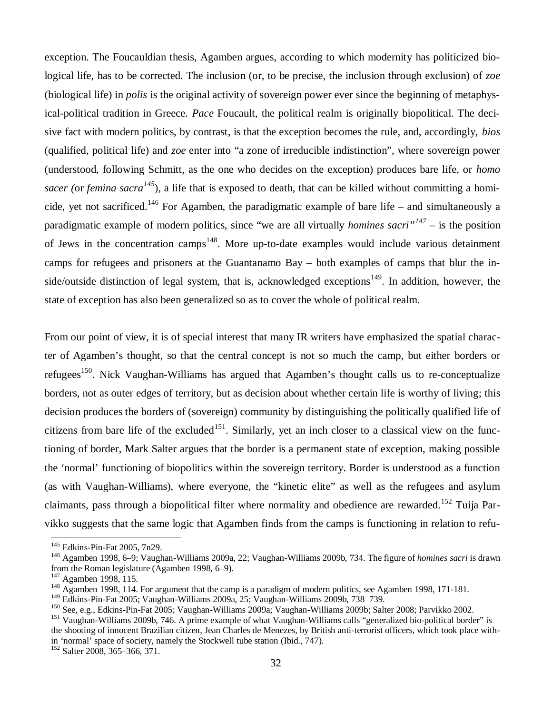exception. The Foucauldian thesis, Agamben argues, according to which modernity has politicized biological life, has to be corrected. The inclusion (or, to be precise, the inclusion through exclusion) of *zoe* (biological life) in *polis* is the original activity of sovereign power ever since the beginning of metaphysical-political tradition in Greece. *Pace* Foucault, the political realm is originally biopolitical. The decisive fact with modern politics, by contrast, is that the exception becomes the rule, and, accordingly, *bios* (qualified, political life) and *zoe* enter into "a zone of irreducible indistinction", where sovereign power (understood, following Schmitt, as the one who decides on the exception) produces bare life, or *homo sacer (*or *femina sacra<sup>145</sup>*)*,* a life that is exposed to death, that can be killed without committing a homicide, yet not sacrificed.<sup>146</sup> For Agamben, the paradigmatic example of bare life – and simultaneously a paradigmatic example of modern politics, since "we are all virtually *homines sacri"<sup>147</sup>* – is the position of Jews in the concentration camps<sup>148</sup>. More up-to-date examples would include various detainment camps for refugees and prisoners at the Guantanamo Bay – both examples of camps that blur the inside/outside distinction of legal system, that is, acknowledged exceptions<sup>149</sup>. In addition, however, the state of exception has also been generalized so as to cover the whole of political realm.

From our point of view, it is of special interest that many IR writers have emphasized the spatial character of Agamben's thought, so that the central concept is not so much the camp, but either borders or refugees<sup>150</sup>. Nick Vaughan-Williams has argued that Agamben's thought calls us to re-conceptualize borders, not as outer edges of territory, but as decision about whether certain life is worthy of living; this decision produces the borders of (sovereign) community by distinguishing the politically qualified life of citizens from bare life of the excluded<sup>151</sup>. Similarly, yet an inch closer to a classical view on the functioning of border, Mark Salter argues that the border is a permanent state of exception, making possible the 'normal' functioning of biopolitics within the sovereign territory. Border is understood as a function (as with Vaughan-Williams), where everyone, the "kinetic elite" as well as the refugees and asylum claimants, pass through a biopolitical filter where normality and obedience are rewarded.<sup>152</sup> Tuija Parvikko suggests that the same logic that Agamben finds from the camps is functioning in relation to refu-

<sup>145</sup> Edkins-Pin-Fat 2005, 7n29.

<sup>146</sup> Agamben 1998, 6–9; Vaughan-Williams 2009a, 22; Vaughan-Williams 2009b, 734. The figure of *homines sacri* is drawn from the Roman legislature (Agamben 1998, 6–9).

<sup>147</sup> Agamben 1998, 115.

<sup>&</sup>lt;sup>148</sup> Agamben 1998, 114. For argument that the camp is a paradigm of modern politics, see Agamben 1998, 171-181.

<sup>149</sup> Edkins-Pin-Fat 2005; Vaughan-Williams 2009a, 25; Vaughan-Williams 2009b, 738–739.

<sup>150</sup> See, e.g., Edkins-Pin-Fat 2005; Vaughan-Williams 2009a; Vaughan-Williams 2009b; Salter 2008; Parvikko 2002.

<sup>&</sup>lt;sup>151</sup> Vaughan-Williams 2009b, 746. A prime example of what Vaughan-Williams calls "generalized bio-political border" is the shooting of innocent Brazilian citizen, Jean Charles de Menezes, by British anti-terrorist officers, which took place within 'normal' space of society, namely the Stockwell tube station (Ibid., 747).

<sup>152</sup> Salter 2008, 365–366, 371.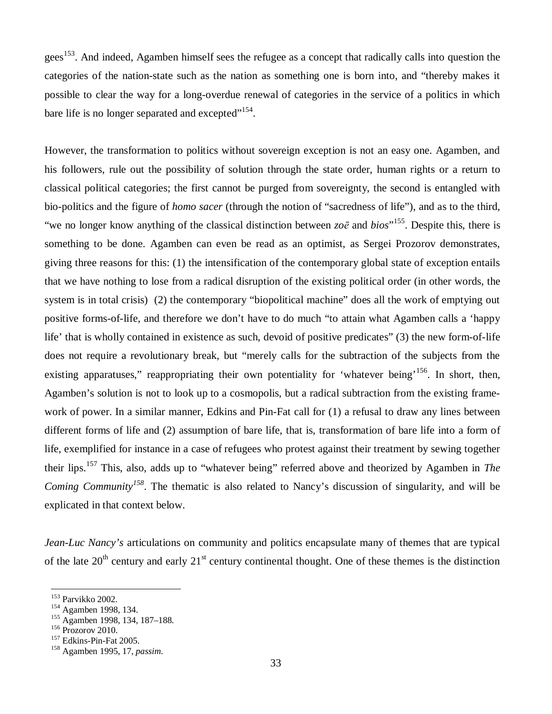gees<sup>153</sup>. And indeed, Agamben himself sees the refugee as a concept that radically calls into question the categories of the nation-state such as the nation as something one is born into, and "thereby makes it possible to clear the way for a long-overdue renewal of categories in the service of a politics in which bare life is no longer separated and excepted $"^{154}$ .

However, the transformation to politics without sovereign exception is not an easy one. Agamben, and his followers, rule out the possibility of solution through the state order, human rights or a return to classical political categories; the first cannot be purged from sovereignty, the second is entangled with bio-politics and the figure of *homo sacer* (through the notion of "sacredness of life"), and as to the third, "we no longer know anything of the classical distinction between  $z\circ\bar{e}$  and  $bi\circ s$ <sup>155</sup>. Despite this, there is something to be done. Agamben can even be read as an optimist, as Sergei Prozorov demonstrates, giving three reasons for this: (1) the intensification of the contemporary global state of exception entails that we have nothing to lose from a radical disruption of the existing political order (in other words, the system is in total crisis) (2) the contemporary "biopolitical machine" does all the work of emptying out positive forms-of-life, and therefore we don't have to do much "to attain what Agamben calls a 'happy life' that is wholly contained in existence as such, devoid of positive predicates" (3) the new form-of-life does not require a revolutionary break, but "merely calls for the subtraction of the subjects from the existing apparatuses," reappropriating their own potentiality for 'whatever being'<sup>156</sup>. In short, then, Agamben's solution is not to look up to a cosmopolis, but a radical subtraction from the existing framework of power. In a similar manner, Edkins and Pin-Fat call for (1) a refusal to draw any lines between different forms of life and (2) assumption of bare life, that is, transformation of bare life into a form of life, exemplified for instance in a case of refugees who protest against their treatment by sewing together their lips.<sup>157</sup> This, also, adds up to "whatever being" referred above and theorized by Agamben in *The Coming Community<sup>158</sup>*. The thematic is also related to Nancy's discussion of singularity, and will be explicated in that context below.

*Jean-Luc Nancy's* articulations on community and politics encapsulate many of themes that are typical of the late  $20<sup>th</sup>$  century and early  $21<sup>st</sup>$  century continental thought. One of these themes is the distinction

<sup>153</sup> Parvikko 2002.

<sup>154</sup> Agamben 1998, 134.

<sup>155</sup> Agamben 1998, 134, 187–188.

<sup>&</sup>lt;sup>156</sup> Prozorov 2010.

<sup>&</sup>lt;sup>157</sup> Edkins-Pin-Fat 2005.

<sup>158</sup> Agamben 1995, 17, *passim*.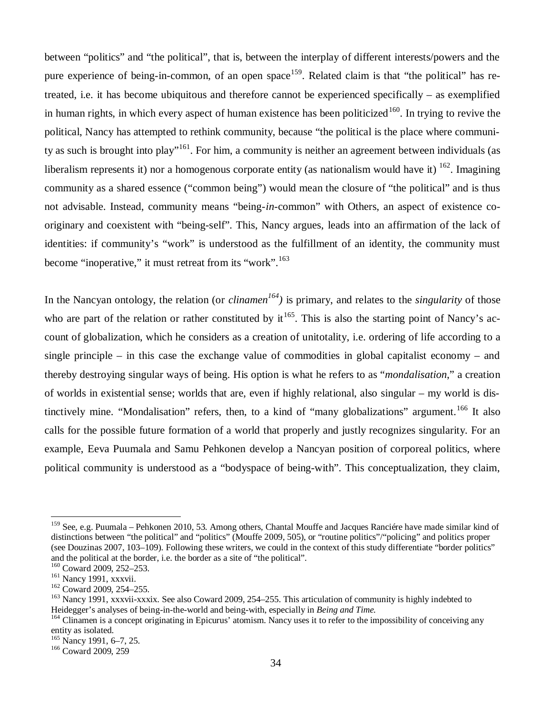between "politics" and "the political", that is, between the interplay of different interests/powers and the pure experience of being-in-common, of an open space<sup>159</sup>. Related claim is that "the political" has retreated, i.e. it has become ubiquitous and therefore cannot be experienced specifically – as exemplified in human rights, in which every aspect of human existence has been politicized<sup>160</sup>. In trying to revive the political, Nancy has attempted to rethink community, because "the political is the place where community as such is brought into play"<sup>161</sup>. For him, a community is neither an agreement between individuals (as liberalism represents it) nor a homogenous corporate entity (as nationalism would have it)  $162$ . Imagining community as a shared essence ("common being") would mean the closure of "the political" and is thus not advisable. Instead, community means "being-*in*-common" with Others, an aspect of existence cooriginary and coexistent with "being-self". This, Nancy argues, leads into an affirmation of the lack of identities: if community's "work" is understood as the fulfillment of an identity, the community must become "inoperative," it must retreat from its "work".<sup>163</sup>

In the Nancyan ontology, the relation (or *clinamen<sup>164</sup>)* is primary, and relates to the *singularity* of those who are part of the relation or rather constituted by  $it^{165}$ . This is also the starting point of Nancy's account of globalization, which he considers as a creation of unitotality, i.e. ordering of life according to a single principle – in this case the exchange value of commodities in global capitalist economy – and thereby destroying singular ways of being. His option is what he refers to as "*mondalisation*," a creation of worlds in existential sense; worlds that are, even if highly relational, also singular – my world is distinctively mine. "Mondalisation" refers, then, to a kind of "many globalizations" argument.<sup>166</sup> It also calls for the possible future formation of a world that properly and justly recognizes singularity. For an example, Eeva Puumala and Samu Pehkonen develop a Nancyan position of corporeal politics, where political community is understood as a "bodyspace of being-with". This conceptualization, they claim,

<sup>&</sup>lt;sup>159</sup> See, e.g. Puumala – Pehkonen 2010, 53. Among others, Chantal Mouffe and Jacques Ranciére have made similar kind of distinctions between "the political" and "politics" (Mouffe 2009, 505), or "routine politics"/"policing" and politics proper (see Douzinas 2007, 103–109). Following these writers, we could in the context of this study differentiate "border politics" and the political at the border, i.e. the border as a site of "the political".

<sup>&</sup>lt;sup>160</sup> Coward 2009, 252-253.

<sup>&</sup>lt;sup>161</sup> Nancy 1991, xxxvii.

<sup>&</sup>lt;sup>162</sup> Coward 2009, 254-255.

<sup>&</sup>lt;sup>163</sup> Nancy 1991, xxxvii-xxxix. See also Coward 2009, 254–255. This articulation of community is highly indebted to Heidegger's analyses of being-in-the-world and being-with, especially in *Being and Time.*

<sup>&</sup>lt;sup>164</sup> Clinamen is a concept originating in Epicurus' atomism. Nancy uses it to refer to the impossibility of conceiving any entity as isolated.

<sup>&</sup>lt;sup>165</sup> Nancy 1991, 6–7, 25.

<sup>166</sup> Coward 2009, 259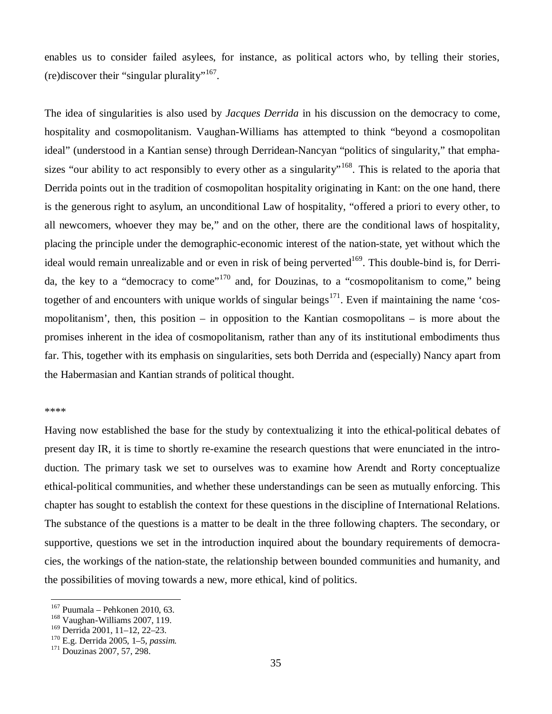enables us to consider failed asylees, for instance, as political actors who, by telling their stories, (re)discover their "singular plurality"<sup>167</sup>.

The idea of singularities is also used by *Jacques Derrida* in his discussion on the democracy to come, hospitality and cosmopolitanism. Vaughan-Williams has attempted to think "beyond a cosmopolitan ideal" (understood in a Kantian sense) through Derridean-Nancyan "politics of singularity," that emphasizes "our ability to act responsibly to every other as a singularity"<sup>168</sup>. This is related to the aporia that Derrida points out in the tradition of cosmopolitan hospitality originating in Kant: on the one hand, there is the generous right to asylum, an unconditional Law of hospitality, "offered a priori to every other, to all newcomers, whoever they may be," and on the other, there are the conditional laws of hospitality, placing the principle under the demographic-economic interest of the nation-state, yet without which the ideal would remain unrealizable and or even in risk of being perverted<sup>169</sup>. This double-bind is, for Derrida, the key to a "democracy to come"<sup>170</sup> and, for Douzinas, to a "cosmopolitanism to come," being together of and encounters with unique worlds of singular beings<sup>171</sup>. Even if maintaining the name 'cosmopolitanism', then, this position – in opposition to the Kantian cosmopolitans – is more about the promises inherent in the idea of cosmopolitanism, rather than any of its institutional embodiments thus far. This, together with its emphasis on singularities, sets both Derrida and (especially) Nancy apart from the Habermasian and Kantian strands of political thought.

#### \*\*\*\*

Having now established the base for the study by contextualizing it into the ethical-political debates of present day IR, it is time to shortly re-examine the research questions that were enunciated in the introduction. The primary task we set to ourselves was to examine how Arendt and Rorty conceptualize ethical-political communities, and whether these understandings can be seen as mutually enforcing. This chapter has sought to establish the context for these questions in the discipline of International Relations. The substance of the questions is a matter to be dealt in the three following chapters. The secondary, or supportive, questions we set in the introduction inquired about the boundary requirements of democracies, the workings of the nation-state, the relationship between bounded communities and humanity, and the possibilities of moving towards a new, more ethical, kind of politics.

 $167$  Puumala – Pehkonen 2010, 63.

<sup>168</sup> Vaughan-Williams 2007, 119.

<sup>169</sup> Derrida 2001, 11–12, 22–23.

<sup>170</sup> E.g. Derrida 2005, 1–5, *passim.*

<sup>171</sup> Douzinas 2007, 57, 298.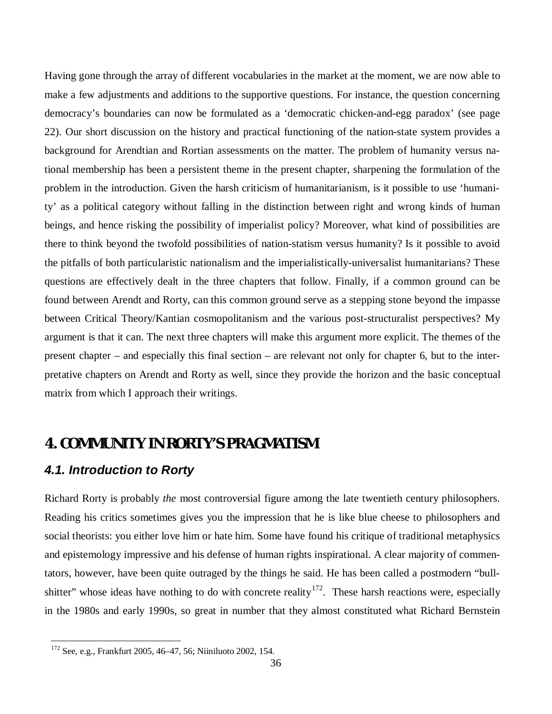Having gone through the array of different vocabularies in the market at the moment, we are now able to make a few adjustments and additions to the supportive questions. For instance, the question concerning democracy's boundaries can now be formulated as a 'democratic chicken-and-egg paradox' (see page 22). Our short discussion on the history and practical functioning of the nation-state system provides a background for Arendtian and Rortian assessments on the matter. The problem of humanity versus national membership has been a persistent theme in the present chapter, sharpening the formulation of the problem in the introduction. Given the harsh criticism of humanitarianism, is it possible to use 'humanity' as a political category without falling in the distinction between right and wrong kinds of human beings, and hence risking the possibility of imperialist policy? Moreover, what kind of possibilities are there to think beyond the twofold possibilities of nation-statism versus humanity? Is it possible to avoid the pitfalls of both particularistic nationalism and the imperialistically-universalist humanitarians? These questions are effectively dealt in the three chapters that follow. Finally, if a common ground can be found between Arendt and Rorty, can this common ground serve as a stepping stone beyond the impasse between Critical Theory/Kantian cosmopolitanism and the various post-structuralist perspectives? My argument is that it can. The next three chapters will make this argument more explicit. The themes of the present chapter – and especially this final section – are relevant not only for chapter 6, but to the interpretative chapters on Arendt and Rorty as well, since they provide the horizon and the basic conceptual matrix from which I approach their writings.

# **4. COMMUNITY IN RORTY'S PRAGMATISM**

# *4.1. Introduction to Rorty*

Richard Rorty is probably *the* most controversial figure among the late twentieth century philosophers. Reading his critics sometimes gives you the impression that he is like blue cheese to philosophers and social theorists: you either love him or hate him. Some have found his critique of traditional metaphysics and epistemology impressive and his defense of human rights inspirational. A clear majority of commentators, however, have been quite outraged by the things he said. He has been called a postmodern "bullshitter" whose ideas have nothing to do with concrete reality<sup>172</sup>. These harsh reactions were, especially in the 1980s and early 1990s, so great in number that they almost constituted what Richard Bernstein

<sup>172</sup> See, e.g., Frankfurt 2005, 46–47, 56; Niiniluoto 2002, 154.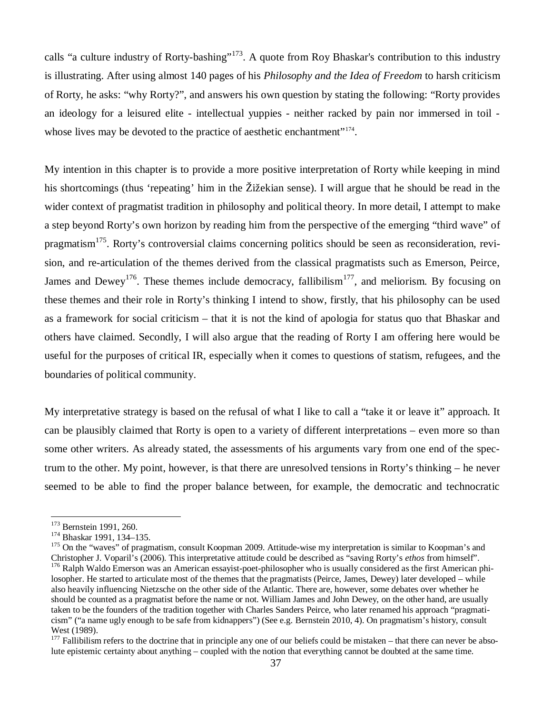calls "a culture industry of Rorty-bashing"<sup>173</sup>. A quote from Roy Bhaskar's contribution to this industry is illustrating. After using almost 140 pages of his *Philosophy and the Idea of Freedom* to harsh criticism of Rorty, he asks: "why Rorty?", and answers his own question by stating the following: "Rorty provides an ideology for a leisured elite - intellectual yuppies - neither racked by pain nor immersed in toil whose lives may be devoted to the practice of aesthetic enchantment"<sup>174</sup>.

My intention in this chapter is to provide a more positive interpretation of Rorty while keeping in mind his shortcomings (thus 'repeating' him in the Žižekian sense). I will argue that he should be read in the wider context of pragmatist tradition in philosophy and political theory. In more detail, I attempt to make a step beyond Rorty's own horizon by reading him from the perspective of the emerging "third wave" of pragmatism<sup>175</sup>. Rorty's controversial claims concerning politics should be seen as reconsideration, revision, and re-articulation of the themes derived from the classical pragmatists such as Emerson, Peirce, James and Dewey<sup>176</sup>. These themes include democracy, fallibilism<sup>177</sup>, and meliorism. By focusing on these themes and their role in Rorty's thinking I intend to show, firstly, that his philosophy can be used as a framework for social criticism – that it is not the kind of apologia for status quo that Bhaskar and others have claimed. Secondly, I will also argue that the reading of Rorty I am offering here would be useful for the purposes of critical IR, especially when it comes to questions of statism, refugees, and the boundaries of political community.

My interpretative strategy is based on the refusal of what I like to call a "take it or leave it" approach. It can be plausibly claimed that Rorty is open to a variety of different interpretations – even more so than some other writers. As already stated, the assessments of his arguments vary from one end of the spectrum to the other. My point, however, is that there are unresolved tensions in Rorty's thinking – he never seemed to be able to find the proper balance between, for example, the democratic and technocratic

<sup>&</sup>lt;sup>173</sup> Bernstein 1991, 260.

<sup>&</sup>lt;sup>174</sup> Bhaskar 1991, 134-135.

<sup>&</sup>lt;sup>175</sup> On the "waves" of pragmatism, consult Koopman 2009. Attitude-wise my interpretation is similar to Koopman's and Christopher J. Voparil's (2006). This interpretative attitude could be described as "saving Rorty's *ethos* from himself". <sup>176</sup> Ralph Waldo Emerson was an American essayist-poet-philosopher who is usually considered as the first American phi-

losopher. He started to articulate most of the themes that the pragmatists (Peirce, James, Dewey) later developed – while also heavily influencing Nietzsche on the other side of the Atlantic. There are, however, some debates over whether he should be counted as a pragmatist before the name or not. William James and John Dewey, on the other hand, are usually taken to be the founders of the tradition together with Charles Sanders Peirce, who later renamed his approach "pragmaticism" ("a name ugly enough to be safe from kidnappers") (See e.g. Bernstein 2010, 4). On pragmatism's history, consult West (1989).

 $177$  Fallibilism refers to the doctrine that in principle any one of our beliefs could be mistaken – that there can never be absolute epistemic certainty about anything – coupled with the notion that everything cannot be doubted at the same time.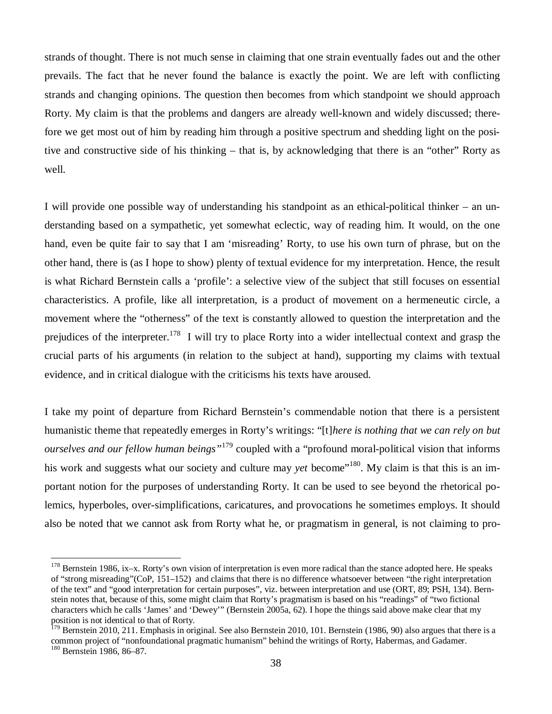strands of thought. There is not much sense in claiming that one strain eventually fades out and the other prevails. The fact that he never found the balance is exactly the point. We are left with conflicting strands and changing opinions. The question then becomes from which standpoint we should approach Rorty. My claim is that the problems and dangers are already well-known and widely discussed; therefore we get most out of him by reading him through a positive spectrum and shedding light on the positive and constructive side of his thinking – that is, by acknowledging that there is an "other" Rorty as well.

I will provide one possible way of understanding his standpoint as an ethical-political thinker – an understanding based on a sympathetic, yet somewhat eclectic, way of reading him. It would, on the one hand, even be quite fair to say that I am 'misreading' Rorty, to use his own turn of phrase, but on the other hand, there is (as I hope to show) plenty of textual evidence for my interpretation. Hence, the result is what Richard Bernstein calls a 'profile': a selective view of the subject that still focuses on essential characteristics. A profile, like all interpretation, is a product of movement on a hermeneutic circle, a movement where the "otherness" of the text is constantly allowed to question the interpretation and the prejudices of the interpreter.<sup>178</sup> I will try to place Rorty into a wider intellectual context and grasp the crucial parts of his arguments (in relation to the subject at hand), supporting my claims with textual evidence, and in critical dialogue with the criticisms his texts have aroused.

I take my point of departure from Richard Bernstein's commendable notion that there is a persistent humanistic theme that repeatedly emerges in Rorty's writings: "[t]*here is nothing that we can rely on but ourselves and our fellow human beings"*<sup>179</sup> coupled with a "profound moral-political vision that informs his work and suggests what our society and culture may *vet* become<sup>"180</sup>. My claim is that this is an important notion for the purposes of understanding Rorty. It can be used to see beyond the rhetorical polemics, hyperboles, over-simplifications, caricatures, and provocations he sometimes employs. It should also be noted that we cannot ask from Rorty what he, or pragmatism in general, is not claiming to pro-

 $178$  Bernstein 1986, ix–x. Rorty's own vision of interpretation is even more radical than the stance adopted here. He speaks of "strong misreading"(CoP, 151–152) and claims that there is no difference whatsoever between "the right interpretation of the text" and "good interpretation for certain purposes", viz. between interpretation and use (ORT, 89; PSH, 134). Bernstein notes that, because of this, some might claim that Rorty's pragmatism is based on his "readings" of "two fictional characters which he calls 'James' and 'Dewey'" (Bernstein 2005a, 62). I hope the things said above make clear that my position is not identical to that of Rorty.

 $179$  Bernstein 2010, 211. Emphasis in original. See also Bernstein 2010, 101. Bernstein (1986, 90) also argues that there is a common project of "nonfoundational pragmatic humanism" behind the writings of Rorty, Habermas, and Gadamer. <sup>180</sup> Bernstein 1986, 86–87.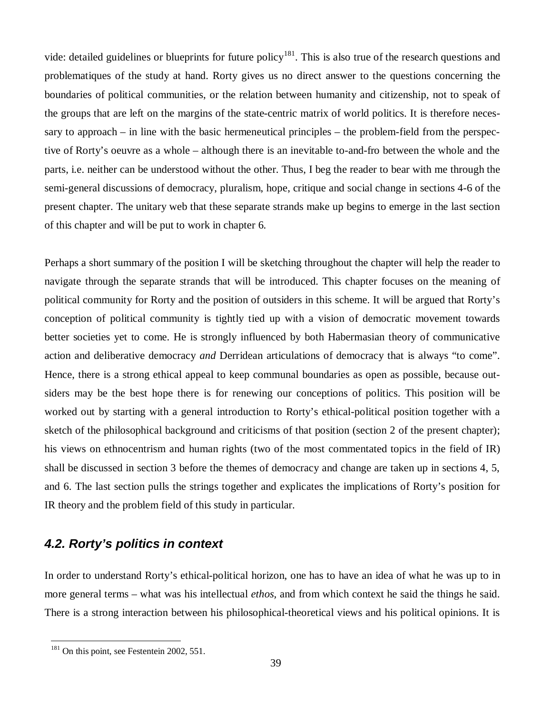vide: detailed guidelines or blueprints for future policy<sup>181</sup>. This is also true of the research questions and problematiques of the study at hand. Rorty gives us no direct answer to the questions concerning the boundaries of political communities, or the relation between humanity and citizenship, not to speak of the groups that are left on the margins of the state-centric matrix of world politics. It is therefore necessary to approach – in line with the basic hermeneutical principles – the problem-field from the perspective of Rorty's oeuvre as a whole – although there is an inevitable to-and-fro between the whole and the parts, i.e. neither can be understood without the other. Thus, I beg the reader to bear with me through the semi-general discussions of democracy, pluralism, hope, critique and social change in sections 4-6 of the present chapter. The unitary web that these separate strands make up begins to emerge in the last section of this chapter and will be put to work in chapter 6.

Perhaps a short summary of the position I will be sketching throughout the chapter will help the reader to navigate through the separate strands that will be introduced. This chapter focuses on the meaning of political community for Rorty and the position of outsiders in this scheme. It will be argued that Rorty's conception of political community is tightly tied up with a vision of democratic movement towards better societies yet to come. He is strongly influenced by both Habermasian theory of communicative action and deliberative democracy *and* Derridean articulations of democracy that is always "to come". Hence, there is a strong ethical appeal to keep communal boundaries as open as possible, because outsiders may be the best hope there is for renewing our conceptions of politics. This position will be worked out by starting with a general introduction to Rorty's ethical-political position together with a sketch of the philosophical background and criticisms of that position (section 2 of the present chapter); his views on ethnocentrism and human rights (two of the most commentated topics in the field of IR) shall be discussed in section 3 before the themes of democracy and change are taken up in sections 4, 5, and 6. The last section pulls the strings together and explicates the implications of Rorty's position for IR theory and the problem field of this study in particular.

# *4.2. Rorty's politics in context*

In order to understand Rorty's ethical-political horizon, one has to have an idea of what he was up to in more general terms – what was his intellectual *ethos,* and from which context he said the things he said. There is a strong interaction between his philosophical-theoretical views and his political opinions. It is

<sup>&</sup>lt;sup>181</sup> On this point, see Festentein 2002, 551.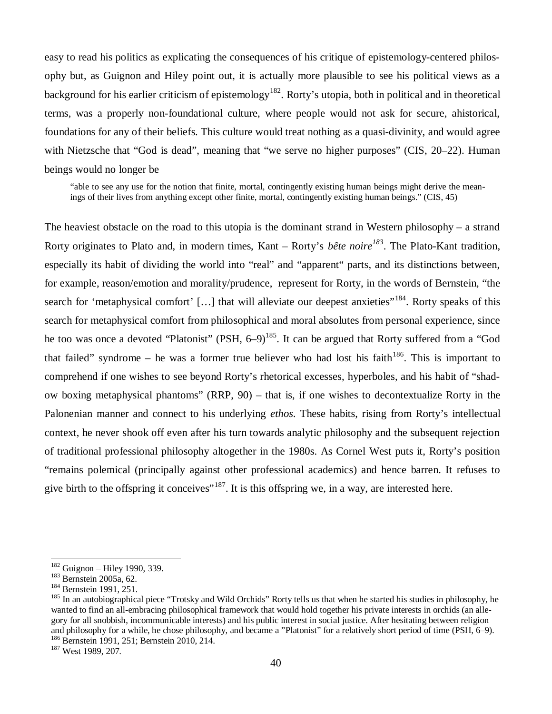easy to read his politics as explicating the consequences of his critique of epistemology-centered philosophy but, as Guignon and Hiley point out, it is actually more plausible to see his political views as a background for his earlier criticism of epistemology<sup>182</sup>. Rorty's utopia, both in political and in theoretical terms, was a properly non-foundational culture, where people would not ask for secure, ahistorical, foundations for any of their beliefs. This culture would treat nothing as a quasi-divinity, and would agree with Nietzsche that "God is dead", meaning that "we serve no higher purposes" (CIS, 20–22). Human beings would no longer be

"able to see any use for the notion that finite, mortal, contingently existing human beings might derive the meanings of their lives from anything except other finite, mortal, contingently existing human beings." (CIS, 45)

The heaviest obstacle on the road to this utopia is the dominant strand in Western philosophy – a strand Rorty originates to Plato and, in modern times, Kant – Rorty's *bête noire<sup>183</sup>*. The Plato-Kant tradition, especially its habit of dividing the world into "real" and "apparent" parts, and its distinctions between, for example, reason/emotion and morality/prudence, represent for Rorty, in the words of Bernstein, "the search for 'metaphysical comfort' [...] that will alleviate our deepest anxieties"<sup>184</sup>. Rorty speaks of this search for metaphysical comfort from philosophical and moral absolutes from personal experience, since he too was once a devoted "Platonist" (PSH, 6–9)<sup>185</sup>. It can be argued that Rorty suffered from a "God that failed" syndrome – he was a former true believer who had lost his faith $186$ . This is important to comprehend if one wishes to see beyond Rorty's rhetorical excesses, hyperboles, and his habit of "shadow boxing metaphysical phantoms" (RRP, 90) – that is, if one wishes to decontextualize Rorty in the Palonenian manner and connect to his underlying *ethos*. These habits, rising from Rorty's intellectual context, he never shook off even after his turn towards analytic philosophy and the subsequent rejection of traditional professional philosophy altogether in the 1980s. As Cornel West puts it, Rorty's position "remains polemical (principally against other professional academics) and hence barren. It refuses to give birth to the offspring it conceives"<sup>187</sup>. It is this offspring we, in a way, are interested here.

 $182$  Guignon – Hiley 1990, 339.

<sup>183</sup> Bernstein 2005a, 62.

<sup>&</sup>lt;sup>184</sup> Bernstein 1991, 251.

<sup>&</sup>lt;sup>185</sup> In an autobiographical piece "Trotsky and Wild Orchids" Rorty tells us that when he started his studies in philosophy, he wanted to find an all-embracing philosophical framework that would hold together his private interests in orchids (an allegory for all snobbish, incommunicable interests) and his public interest in social justice. After hesitating between religion and philosophy for a while, he chose philosophy, and became a "Platonist" for a relatively short period of time (PSH, 6–9). <sup>186</sup> Bernstein 1991, 251; Bernstein 2010, 214.

<sup>&</sup>lt;sup>187</sup> West 1989, 207.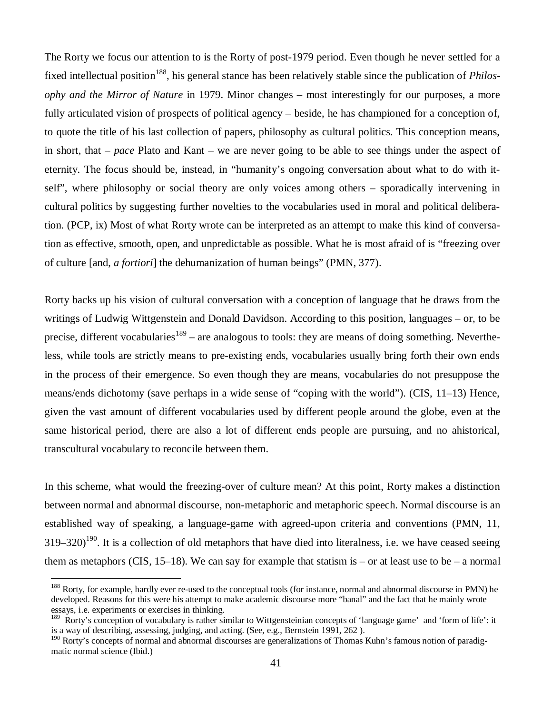The Rorty we focus our attention to is the Rorty of post-1979 period. Even though he never settled for a fixed intellectual position<sup>188</sup>, his general stance has been relatively stable since the publication of *Philosophy and the Mirror of Nature* in 1979. Minor changes – most interestingly for our purposes, a more fully articulated vision of prospects of political agency – beside, he has championed for a conception of, to quote the title of his last collection of papers, philosophy as cultural politics. This conception means, in short, that –*pace* Plato and Kant – we are never going to be able to see things under the aspect of eternity. The focus should be, instead, in "humanity's ongoing conversation about what to do with itself", where philosophy or social theory are only voices among others – sporadically intervening in cultural politics by suggesting further novelties to the vocabularies used in moral and political deliberation. (PCP, ix) Most of what Rorty wrote can be interpreted as an attempt to make this kind of conversation as effective, smooth, open, and unpredictable as possible. What he is most afraid of is "freezing over of culture [and, *a fortiori*] the dehumanization of human beings" (PMN, 377).

Rorty backs up his vision of cultural conversation with a conception of language that he draws from the writings of Ludwig Wittgenstein and Donald Davidson. According to this position, languages – or, to be precise, different vocabularies<sup>189</sup> – are analogous to tools: they are means of doing something. Nevertheless, while tools are strictly means to pre-existing ends, vocabularies usually bring forth their own ends in the process of their emergence. So even though they are means, vocabularies do not presuppose the means/ends dichotomy (save perhaps in a wide sense of "coping with the world"). (CIS, 11–13) Hence, given the vast amount of different vocabularies used by different people around the globe, even at the same historical period, there are also a lot of different ends people are pursuing, and no ahistorical, transcultural vocabulary to reconcile between them.

In this scheme, what would the freezing-over of culture mean? At this point, Rorty makes a distinction between normal and abnormal discourse, non-metaphoric and metaphoric speech. Normal discourse is an established way of speaking, a language-game with agreed-upon criteria and conventions (PMN, 11,  $319-320$ <sup>190</sup>. It is a collection of old metaphors that have died into literalness, i.e. we have ceased seeing them as metaphors (CIS,  $15-18$ ). We can say for example that statism is – or at least use to be – a normal

<sup>&</sup>lt;sup>188</sup> Rorty, for example, hardly ever re-used to the conceptual tools (for instance, normal and abnormal discourse in PMN) he developed. Reasons for this were his attempt to make academic discourse more "banal" and the fact that he mainly wrote essays, i.e. experiments or exercises in thinking.

<sup>&</sup>lt;sup>189</sup> Rorty's conception of vocabulary is rather similar to Wittgensteinian concepts of 'language game' and 'form of life': it is a way of describing, assessing, judging, and acting. (See, e.g., Bernstein 1991, 262 ).

<sup>&</sup>lt;sup>190</sup> Rorty's concepts of normal and abnormal discourses are generalizations of Thomas Kuhn's famous notion of paradigmatic normal science (Ibid.)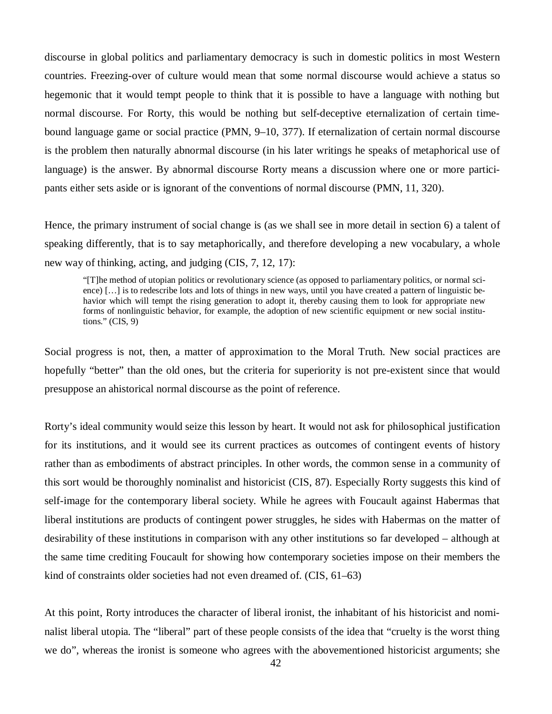discourse in global politics and parliamentary democracy is such in domestic politics in most Western countries. Freezing-over of culture would mean that some normal discourse would achieve a status so hegemonic that it would tempt people to think that it is possible to have a language with nothing but normal discourse. For Rorty, this would be nothing but self-deceptive eternalization of certain timebound language game or social practice (PMN, 9–10, 377). If eternalization of certain normal discourse is the problem then naturally abnormal discourse (in his later writings he speaks of metaphorical use of language) is the answer. By abnormal discourse Rorty means a discussion where one or more participants either sets aside or is ignorant of the conventions of normal discourse (PMN, 11, 320).

Hence, the primary instrument of social change is (as we shall see in more detail in section 6) a talent of speaking differently, that is to say metaphorically, and therefore developing a new vocabulary, a whole new way of thinking, acting, and judging (CIS, 7, 12, 17):

"[T]he method of utopian politics or revolutionary science (as opposed to parliamentary politics, or normal science) [… ] is to redescribe lots and lots of things in new ways, until you have created a pattern of linguistic behavior which will tempt the rising generation to adopt it, thereby causing them to look for appropriate new forms of nonlinguistic behavior, for example, the adoption of new scientific equipment or new social institutions." (CIS, 9)

Social progress is not, then, a matter of approximation to the Moral Truth. New social practices are hopefully "better" than the old ones, but the criteria for superiority is not pre-existent since that would presuppose an ahistorical normal discourse as the point of reference.

Rorty's ideal community would seize this lesson by heart. It would not ask for philosophical justification for its institutions, and it would see its current practices as outcomes of contingent events of history rather than as embodiments of abstract principles. In other words, the common sense in a community of this sort would be thoroughly nominalist and historicist (CIS, 87). Especially Rorty suggests this kind of self-image for the contemporary liberal society. While he agrees with Foucault against Habermas that liberal institutions are products of contingent power struggles, he sides with Habermas on the matter of desirability of these institutions in comparison with any other institutions so far developed – although at the same time crediting Foucault for showing how contemporary societies impose on their members the kind of constraints older societies had not even dreamed of. (CIS, 61–63)

At this point, Rorty introduces the character of liberal ironist, the inhabitant of his historicist and nominalist liberal utopia. The "liberal" part of these people consists of the idea that "cruelty is the worst thing we do", whereas the ironist is someone who agrees with the abovementioned historicist arguments; she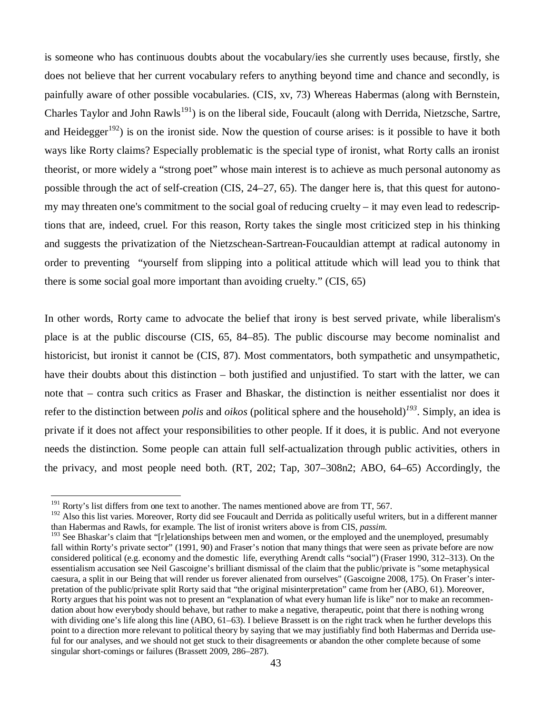is someone who has continuous doubts about the vocabulary/ies she currently uses because, firstly, she does not believe that her current vocabulary refers to anything beyond time and chance and secondly, is painfully aware of other possible vocabularies. (CIS, xv, 73) Whereas Habermas (along with Bernstein, Charles Taylor and John  $Rawls<sup>191</sup>$  is on the liberal side, Foucault (along with Derrida, Nietzsche, Sartre, and Heidegger<sup>192</sup>) is on the ironist side. Now the question of course arises: is it possible to have it both ways like Rorty claims? Especially problematic is the special type of ironist, what Rorty calls an ironist theorist, or more widely a "strong poet" whose main interest is to achieve as much personal autonomy as possible through the act of self-creation (CIS, 24–27, 65). The danger here is, that this quest for autonomy may threaten one's commitment to the social goal of reducing cruelty – it may even lead to redescriptions that are, indeed, cruel. For this reason, Rorty takes the single most criticized step in his thinking and suggests the privatization of the Nietzschean-Sartrean-Foucauldian attempt at radical autonomy in order to preventing "yourself from slipping into a political attitude which will lead you to think that there is some social goal more important than avoiding cruelty." (CIS, 65)

In other words, Rorty came to advocate the belief that irony is best served private, while liberalism's place is at the public discourse (CIS, 65, 84–85). The public discourse may become nominalist and historicist, but ironist it cannot be (CIS, 87). Most commentators, both sympathetic and unsympathetic, have their doubts about this distinction – both justified and unjustified. To start with the latter, we can note that – contra such critics as Fraser and Bhaskar, the distinction is neither essentialist nor does it refer to the distinction between *polis* and *oikos* (political sphere and the household)*<sup>193</sup>*. Simply, an idea is private if it does not affect your responsibilities to other people. If it does, it is public. And not everyone needs the distinction. Some people can attain full self-actualization through public activities, others in the privacy, and most people need both. (RT, 202; Tap, 307–308n2; ABO, 64–65) Accordingly, the

<sup>&</sup>lt;sup>191</sup> Rorty's list differs from one text to another. The names mentioned above are from TT, 567.

 $192$  Also this list varies. Moreover, Rorty did see Foucault and Derrida as politically useful writers, but in a different manner than Habermas and Rawls, for example. The list of ironist writers above is from CIS, *passim*.

<sup>&</sup>lt;sup>193</sup> See Bhaskar's claim that "[r]elationships between men and women, or the employed and the unemployed, presumably fall within Rorty's private sector" (1991, 90) and Fraser's notion that many things that were seen as private before are now considered political (e.g. economy and the domestic life, everything Arendt calls "social") (Fraser 1990, 312–313). On the essentialism accusation see Neil Gascoigne's brilliant dismissal of the claim that the public/private is "some metaphysical caesura, a split in our Being that will render us forever alienated from ourselves" (Gascoigne 2008, 175). On Fraser's interpretation of the public/private split Rorty said that "the original misinterpretation" came from her (ABO, 61). Moreover, Rorty argues that his point was not to present an "explanation of what every human life is like" nor to make an recommendation about how everybody should behave, but rather to make a negative, therapeutic, point that there is nothing wrong with dividing one's life along this line (ABO, 61–63). I believe Brassett is on the right track when he further develops this point to a direction more relevant to political theory by saying that we may justifiably find both Habermas and Derrida useful for our analyses, and we should not get stuck to their disagreements or abandon the other complete because of some singular short-comings or failures (Brassett 2009, 286–287).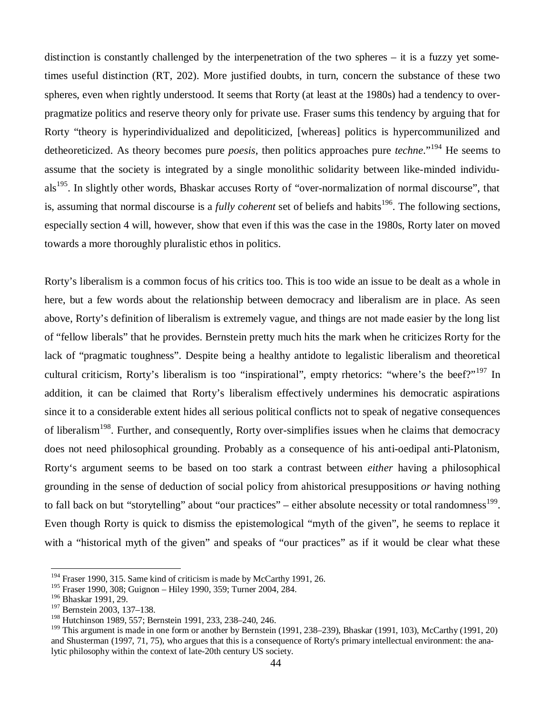distinction is constantly challenged by the interpenetration of the two spheres – it is a fuzzy yet sometimes useful distinction (RT, 202). More justified doubts, in turn, concern the substance of these two spheres, even when rightly understood. It seems that Rorty (at least at the 1980s) had a tendency to overpragmatize politics and reserve theory only for private use. Fraser sums this tendency by arguing that for Rorty "theory is hyperindividualized and depoliticized, [whereas] politics is hypercommunilized and detheoreticized. As theory becomes pure *poesis*, then politics approaches pure *techne*."<sup>194</sup> He seems to assume that the society is integrated by a single monolithic solidarity between like-minded individuals<sup>195</sup>. In slightly other words, Bhaskar accuses Rorty of "over-normalization of normal discourse", that is, assuming that normal discourse is a *fully coherent* set of beliefs and habits<sup>196</sup>. The following sections, especially section 4 will, however, show that even if this was the case in the 1980s, Rorty later on moved towards a more thoroughly pluralistic ethos in politics.

Rorty's liberalism is a common focus of his critics too. This is too wide an issue to be dealt as a whole in here, but a few words about the relationship between democracy and liberalism are in place. As seen above, Rorty's definition of liberalism is extremely vague, and things are not made easier by the long list of "fellow liberals" that he provides. Bernstein pretty much hits the mark when he criticizes Rorty for the lack of "pragmatic toughness". Despite being a healthy antidote to legalistic liberalism and theoretical cultural criticism, Rorty's liberalism is too "inspirational", empty rhetorics: "where's the beef?"<sup>197</sup> In addition, it can be claimed that Rorty's liberalism effectively undermines his democratic aspirations since it to a considerable extent hides all serious political conflicts not to speak of negative consequences of liberalism<sup>198</sup>. Further, and consequently, Rorty over-simplifies issues when he claims that democracy does not need philosophical grounding. Probably as a consequence of his anti-oedipal anti-Platonism, Rorty's argument seems to be based on too stark a contrast between *either* having a philosophical grounding in the sense of deduction of social policy from ahistorical presuppositions *or* having nothing to fall back on but "storytelling" about "our practices" – either absolute necessity or total randomness<sup>199</sup>. Even though Rorty is quick to dismiss the epistemological "myth of the given", he seems to replace it with a "historical myth of the given" and speaks of "our practices" as if it would be clear what these

<sup>&</sup>lt;sup>194</sup> Fraser 1990, 315. Same kind of criticism is made by McCarthy 1991, 26.

<sup>&</sup>lt;sup>195</sup> Fraser 1990, 308; Guignon – Hiley 1990, 359; Turner 2004, 284.

<sup>196</sup> Bhaskar 1991, 29.

<sup>&</sup>lt;sup>197</sup> Bernstein 2003, 137-138.

<sup>&</sup>lt;sup>198</sup> Hutchinson 1989, 557; Bernstein 1991, 233, 238-240, 246.

<sup>&</sup>lt;sup>199</sup> This argument is made in one form or another by Bernstein (1991, 238–239), Bhaskar (1991, 103), McCarthy (1991, 20) and Shusterman (1997, 71, 75), who argues that this is a consequence of Rorty's primary intellectual environment: the analytic philosophy within the context of late-20th century US society.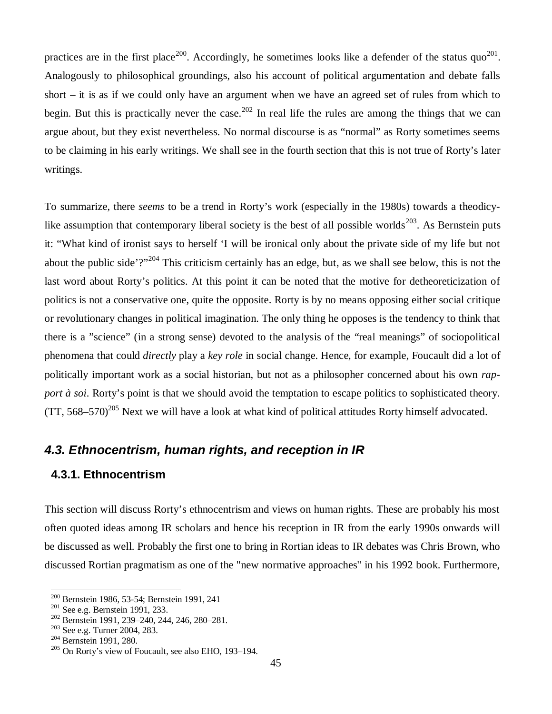practices are in the first place<sup>200</sup>. Accordingly, he sometimes looks like a defender of the status quo<sup>201</sup>. Analogously to philosophical groundings, also his account of political argumentation and debate falls short – it is as if we could only have an argument when we have an agreed set of rules from which to begin. But this is practically never the case.<sup>202</sup> In real life the rules are among the things that we can argue about, but they exist nevertheless. No normal discourse is as "normal" as Rorty sometimes seems to be claiming in his early writings. We shall see in the fourth section that this is not true of Rorty's later writings.

To summarize, there *seems* to be a trend in Rorty's work (especially in the 1980s) towards a theodicylike assumption that contemporary liberal society is the best of all possible worlds<sup>203</sup>. As Bernstein puts it: "What kind of ironist says to herself 'I will be ironical only about the private side of my life but not about the public side'?"<sup>204</sup> This criticism certainly has an edge, but, as we shall see below, this is not the last word about Rorty's politics. At this point it can be noted that the motive for detheoreticization of politics is not a conservative one, quite the opposite. Rorty is by no means opposing either social critique or revolutionary changes in political imagination. The only thing he opposes is the tendency to think that there is a "science" (in a strong sense) devoted to the analysis of the "real meanings" of sociopolitical phenomena that could *directly* play a *key role* in social change. Hence, for example, Foucault did a lot of politically important work as a social historian, but not as a philosopher concerned about his own *rapport à soi*. Rorty's point is that we should avoid the temptation to escape politics to sophisticated theory.  $(TT, 568-570)^{205}$  Next we will have a look at what kind of political attitudes Rorty himself advocated.

## *4.3. Ethnocentrism, human rights, and reception in IR*

#### **4.3.1. Ethnocentrism**

This section will discuss Rorty's ethnocentrism and views on human rights. These are probably his most often quoted ideas among IR scholars and hence his reception in IR from the early 1990s onwards will be discussed as well. Probably the first one to bring in Rortian ideas to IR debates was Chris Brown, who discussed Rortian pragmatism as one of the "new normative approaches" in his 1992 book. Furthermore,

<sup>200</sup> Bernstein 1986, 53-54; Bernstein 1991, 241

<sup>&</sup>lt;sup>201</sup> See e.g. Bernstein 1991, 233.

<sup>202</sup> Bernstein 1991, 239–240, 244, 246, 280–281.

<sup>203</sup> See e.g. Turner 2004, 283.

<sup>&</sup>lt;sup>204</sup> Bernstein 1991, 280.

<sup>205</sup> On Rorty's view of Foucault, see also EHO, 193–194.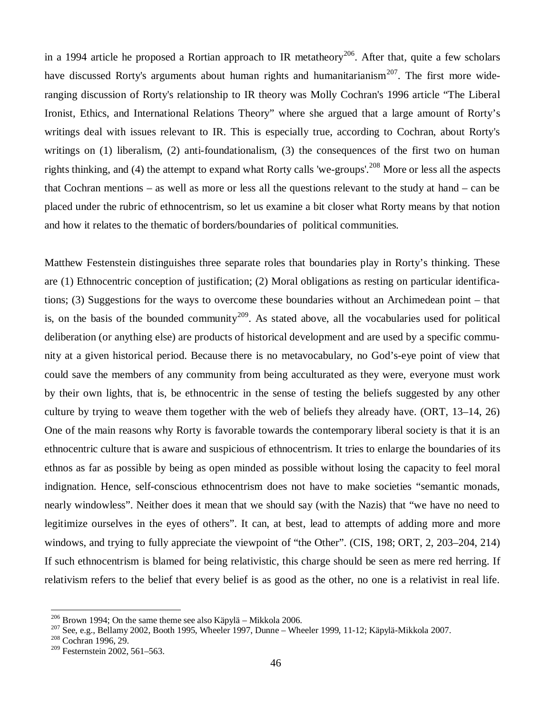in a 1994 article he proposed a Rortian approach to IR metatheory<sup>206</sup>. After that, quite a few scholars have discussed Rorty's arguments about human rights and humanitarianism<sup>207</sup>. The first more wideranging discussion of Rorty's relationship to IR theory was Molly Cochran's 1996 article "The Liberal Ironist, Ethics, and International Relations Theory" where she argued that a large amount of Rorty's writings deal with issues relevant to IR. This is especially true, according to Cochran, about Rorty's writings on (1) liberalism, (2) anti-foundationalism, (3) the consequences of the first two on human rights thinking, and (4) the attempt to expand what Rorty calls 'we-groups'.<sup>208</sup> More or less all the aspects that Cochran mentions – as well as more or less all the questions relevant to the study at hand – can be placed under the rubric of ethnocentrism, so let us examine a bit closer what Rorty means by that notion and how it relates to the thematic of borders/boundaries of political communities.

Matthew Festenstein distinguishes three separate roles that boundaries play in Rorty's thinking. These are (1) Ethnocentric conception of justification; (2) Moral obligations as resting on particular identifications; (3) Suggestions for the ways to overcome these boundaries without an Archimedean point – that is, on the basis of the bounded community<sup>209</sup>. As stated above, all the vocabularies used for political deliberation (or anything else) are products of historical development and are used by a specific community at a given historical period. Because there is no metavocabulary, no God's-eye point of view that could save the members of any community from being acculturated as they were, everyone must work by their own lights, that is, be ethnocentric in the sense of testing the beliefs suggested by any other culture by trying to weave them together with the web of beliefs they already have. (ORT, 13–14, 26) One of the main reasons why Rorty is favorable towards the contemporary liberal society is that it is an ethnocentric culture that is aware and suspicious of ethnocentrism. It tries to enlarge the boundaries of its ethnos as far as possible by being as open minded as possible without losing the capacity to feel moral indignation. Hence, self-conscious ethnocentrism does not have to make societies "semantic monads, nearly windowless". Neither does it mean that we should say (with the Nazis) that "we have no need to legitimize ourselves in the eyes of others". It can, at best, lead to attempts of adding more and more windows, and trying to fully appreciate the viewpoint of "the Other". (CIS, 198; ORT, 2, 203–204, 214) If such ethnocentrism is blamed for being relativistic, this charge should be seen as mere red herring. If relativism refers to the belief that every belief is as good as the other, no one is a relativist in real life.

<sup>206</sup> Brown 1994; On the same theme see also Käpylä – Mikkola 2006.

<sup>207</sup> See, e.g., Bellamy 2002, Booth 1995, Wheeler 1997, Dunne – Wheeler 1999, 11-12; Käpylä-Mikkola 2007.

<sup>208</sup> Cochran 1996, 29.

<sup>&</sup>lt;sup>209</sup> Festernstein 2002, 561–563.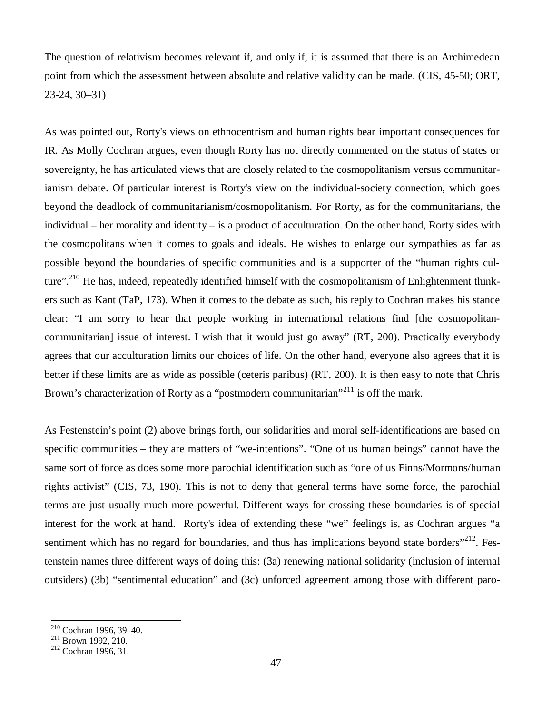The question of relativism becomes relevant if, and only if, it is assumed that there is an Archimedean point from which the assessment between absolute and relative validity can be made. (CIS, 45-50; ORT, 23-24, 30–31)

As was pointed out, Rorty's views on ethnocentrism and human rights bear important consequences for IR. As Molly Cochran argues, even though Rorty has not directly commented on the status of states or sovereignty, he has articulated views that are closely related to the cosmopolitanism versus communitarianism debate. Of particular interest is Rorty's view on the individual-society connection, which goes beyond the deadlock of communitarianism/cosmopolitanism. For Rorty, as for the communitarians, the individual – her morality and identity – is a product of acculturation. On the other hand, Rorty sides with the cosmopolitans when it comes to goals and ideals. He wishes to enlarge our sympathies as far as possible beyond the boundaries of specific communities and is a supporter of the "human rights culture".<sup>210</sup> He has, indeed, repeatedly identified himself with the cosmopolitanism of Enlightenment thinkers such as Kant (TaP, 173). When it comes to the debate as such, his reply to Cochran makes his stance clear: "I am sorry to hear that people working in international relations find [the cosmopolitancommunitarian] issue of interest. I wish that it would just go away" (RT, 200). Practically everybody agrees that our acculturation limits our choices of life. On the other hand, everyone also agrees that it is better if these limits are as wide as possible (ceteris paribus) (RT, 200). It is then easy to note that Chris Brown's characterization of Rorty as a "postmodern communitarian"<sup>211</sup> is off the mark.

As Festenstein's point (2) above brings forth, our solidarities and moral self-identifications are based on specific communities – they are matters of "we-intentions". "One of us human beings" cannot have the same sort of force as does some more parochial identification such as "one of us Finns/Mormons/human rights activist" (CIS, 73, 190). This is not to deny that general terms have some force, the parochial terms are just usually much more powerful. Different ways for crossing these boundaries is of special interest for the work at hand. Rorty's idea of extending these "we" feelings is, as Cochran argues "a sentiment which has no regard for boundaries, and thus has implications beyond state borders $"^{212}$ . Festenstein names three different ways of doing this: (3a) renewing national solidarity (inclusion of internal outsiders) (3b) "sentimental education" and (3c) unforced agreement among those with different paro-

<sup>210</sup> Cochran 1996, 39–40.

 $^{211}$  Brown 1992, 210.

<sup>212</sup> Cochran 1996, 31.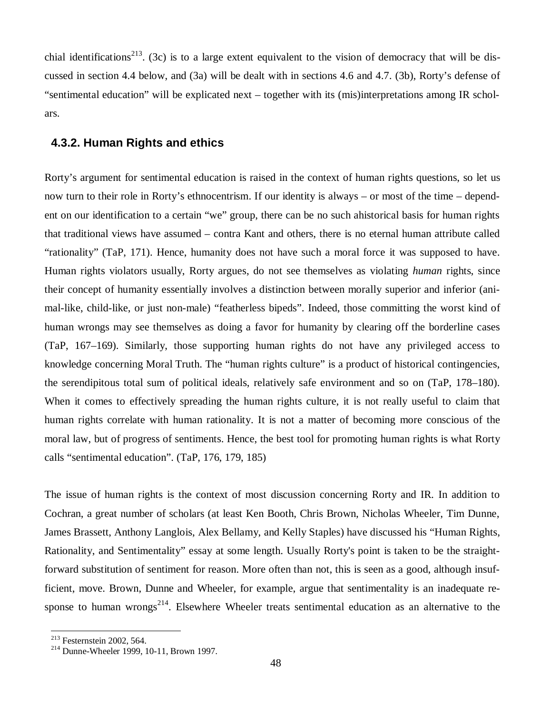chial identifications<sup>213</sup>. (3c) is to a large extent equivalent to the vision of democracy that will be discussed in section 4.4 below, and (3a) will be dealt with in sections 4.6 and 4.7. (3b), Rorty's defense of "sentimental education" will be explicated next – together with its (mis)interpretations among IR scholars.

## **4.3.2. Human Rights and ethics**

Rorty's argument for sentimental education is raised in the context of human rights questions, so let us now turn to their role in Rorty's ethnocentrism. If our identity is always – or most of the time – dependent on our identification to a certain "we" group, there can be no such ahistorical basis for human rights that traditional views have assumed – contra Kant and others, there is no eternal human attribute called "rationality" (TaP, 171). Hence, humanity does not have such a moral force it was supposed to have. Human rights violators usually, Rorty argues, do not see themselves as violating *human* rights, since their concept of humanity essentially involves a distinction between morally superior and inferior (animal-like, child-like, or just non-male) "featherless bipeds". Indeed, those committing the worst kind of human wrongs may see themselves as doing a favor for humanity by clearing off the borderline cases (TaP, 167–169). Similarly, those supporting human rights do not have any privileged access to knowledge concerning Moral Truth. The "human rights culture" is a product of historical contingencies, the serendipitous total sum of political ideals, relatively safe environment and so on (TaP, 178–180). When it comes to effectively spreading the human rights culture, it is not really useful to claim that human rights correlate with human rationality. It is not a matter of becoming more conscious of the moral law, but of progress of sentiments. Hence, the best tool for promoting human rights is what Rorty calls "sentimental education". (TaP, 176, 179, 185)

The issue of human rights is the context of most discussion concerning Rorty and IR. In addition to Cochran, a great number of scholars (at least Ken Booth, Chris Brown, Nicholas Wheeler, Tim Dunne, James Brassett, Anthony Langlois, Alex Bellamy, and Kelly Staples) have discussed his "Human Rights, Rationality, and Sentimentality" essay at some length. Usually Rorty's point is taken to be the straightforward substitution of sentiment for reason. More often than not, this is seen as a good, although insufficient, move. Brown, Dunne and Wheeler, for example, argue that sentimentality is an inadequate response to human wrongs $^{214}$ . Elsewhere Wheeler treats sentimental education as an alternative to the

<sup>213</sup> Festernstein 2002, 564.

<sup>&</sup>lt;sup>214</sup> Dunne-Wheeler 1999, 10-11, Brown 1997.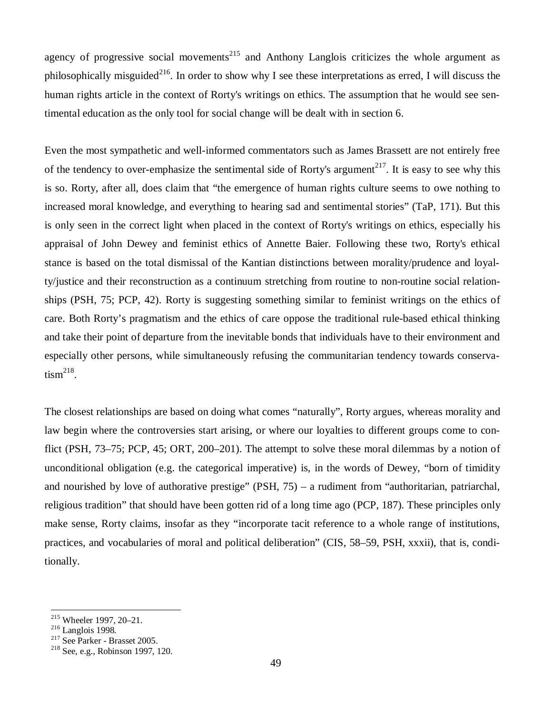agency of progressive social movements<sup>215</sup> and Anthony Langlois criticizes the whole argument as philosophically misguided<sup>216</sup>. In order to show why I see these interpretations as erred, I will discuss the human rights article in the context of Rorty's writings on ethics. The assumption that he would see sentimental education as the only tool for social change will be dealt with in section 6.

Even the most sympathetic and well-informed commentators such as James Brassett are not entirely free of the tendency to over-emphasize the sentimental side of Rorty's argument<sup>217</sup>. It is easy to see why this is so. Rorty, after all, does claim that "the emergence of human rights culture seems to owe nothing to increased moral knowledge, and everything to hearing sad and sentimental stories" (TaP, 171). But this is only seen in the correct light when placed in the context of Rorty's writings on ethics, especially his appraisal of John Dewey and feminist ethics of Annette Baier. Following these two, Rorty's ethical stance is based on the total dismissal of the Kantian distinctions between morality/prudence and loyalty/justice and their reconstruction as a continuum stretching from routine to non-routine social relationships (PSH, 75; PCP, 42). Rorty is suggesting something similar to feminist writings on the ethics of care. Both Rorty's pragmatism and the ethics of care oppose the traditional rule-based ethical thinking and take their point of departure from the inevitable bonds that individuals have to their environment and especially other persons, while simultaneously refusing the communitarian tendency towards conserva- $\text{tism}^{\text{218}}$ .

The closest relationships are based on doing what comes "naturally", Rorty argues, whereas morality and law begin where the controversies start arising, or where our loyalties to different groups come to conflict (PSH, 73–75; PCP, 45; ORT, 200–201). The attempt to solve these moral dilemmas by a notion of unconditional obligation (e.g. the categorical imperative) is, in the words of Dewey, "born of timidity and nourished by love of authorative prestige" (PSH, 75) – a rudiment from "authoritarian, patriarchal, religious tradition" that should have been gotten rid of a long time ago (PCP, 187). These principles only make sense, Rorty claims, insofar as they "incorporate tacit reference to a whole range of institutions, practices, and vocabularies of moral and political deliberation" (CIS, 58–59, PSH, xxxii), that is, conditionally.

<sup>215</sup> Wheeler 1997, 20–21.

<sup>216</sup> Langlois 1998.

 $217$  See Parker - Brasset 2005.

<sup>218</sup> See, e.g., Robinson 1997, 120.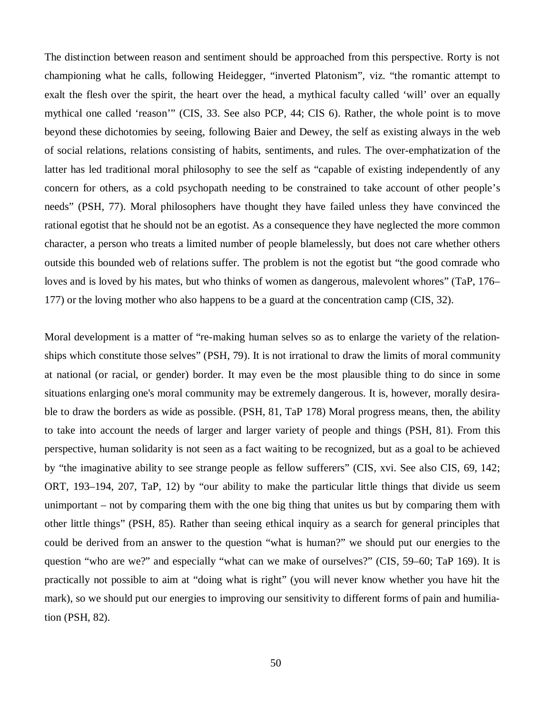The distinction between reason and sentiment should be approached from this perspective. Rorty is not championing what he calls, following Heidegger, "inverted Platonism", viz. "the romantic attempt to exalt the flesh over the spirit, the heart over the head, a mythical faculty called 'will' over an equally mythical one called 'reason'" (CIS, 33. See also PCP, 44; CIS 6). Rather, the whole point is to move beyond these dichotomies by seeing, following Baier and Dewey, the self as existing always in the web of social relations, relations consisting of habits, sentiments, and rules. The over-emphatization of the latter has led traditional moral philosophy to see the self as "capable of existing independently of any concern for others, as a cold psychopath needing to be constrained to take account of other people's needs" (PSH, 77). Moral philosophers have thought they have failed unless they have convinced the rational egotist that he should not be an egotist. As a consequence they have neglected the more common character, a person who treats a limited number of people blamelessly, but does not care whether others outside this bounded web of relations suffer. The problem is not the egotist but "the good comrade who loves and is loved by his mates, but who thinks of women as dangerous, malevolent whores" (TaP, 176– 177) or the loving mother who also happens to be a guard at the concentration camp (CIS, 32).

Moral development is a matter of "re-making human selves so as to enlarge the variety of the relationships which constitute those selves" (PSH, 79). It is not irrational to draw the limits of moral community at national (or racial, or gender) border. It may even be the most plausible thing to do since in some situations enlarging one's moral community may be extremely dangerous. It is, however, morally desirable to draw the borders as wide as possible. (PSH, 81, TaP 178) Moral progress means, then, the ability to take into account the needs of larger and larger variety of people and things (PSH, 81). From this perspective, human solidarity is not seen as a fact waiting to be recognized, but as a goal to be achieved by "the imaginative ability to see strange people as fellow sufferers" (CIS, xvi. See also CIS, 69, 142; ORT, 193–194, 207, TaP, 12) by "our ability to make the particular little things that divide us seem unimportant – not by comparing them with the one big thing that unites us but by comparing them with other little things" (PSH, 85). Rather than seeing ethical inquiry as a search for general principles that could be derived from an answer to the question "what is human?" we should put our energies to the question "who are we?" and especially "what can we make of ourselves?" (CIS, 59–60; TaP 169). It is practically not possible to aim at "doing what is right" (you will never know whether you have hit the mark), so we should put our energies to improving our sensitivity to different forms of pain and humiliation (PSH, 82).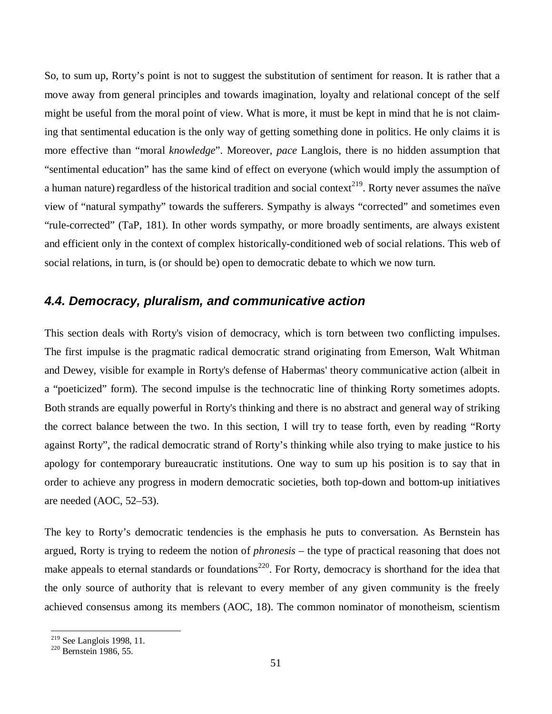So, to sum up, Rorty's point is not to suggest the substitution of sentiment for reason. It is rather that a move away from general principles and towards imagination, loyalty and relational concept of the self might be useful from the moral point of view. What is more, it must be kept in mind that he is not claiming that sentimental education is the only way of getting something done in politics. He only claims it is more effective than "moral *knowledge*". Moreover, *pace* Langlois, there is no hidden assumption that "sentimental education" has the same kind of effect on everyone (which would imply the assumption of a human nature) regardless of the historical tradition and social context<sup>219</sup>. Rorty never assumes the naïve view of "natural sympathy" towards the sufferers. Sympathy is always "corrected" and sometimes even "rule-corrected" (TaP, 181). In other words sympathy, or more broadly sentiments, are always existent and efficient only in the context of complex historically-conditioned web of social relations. This web of social relations, in turn, is (or should be) open to democratic debate to which we now turn.

## *4.4. Democracy, pluralism, and communicative action*

This section deals with Rorty's vision of democracy, which is torn between two conflicting impulses. The first impulse is the pragmatic radical democratic strand originating from Emerson, Walt Whitman and Dewey, visible for example in Rorty's defense of Habermas' theory communicative action (albeit in a "poeticized" form). The second impulse is the technocratic line of thinking Rorty sometimes adopts. Both strands are equally powerful in Rorty's thinking and there is no abstract and general way of striking the correct balance between the two. In this section, I will try to tease forth, even by reading "Rorty against Rorty", the radical democratic strand of Rorty's thinking while also trying to make justice to his apology for contemporary bureaucratic institutions. One way to sum up his position is to say that in order to achieve any progress in modern democratic societies, both top-down and bottom-up initiatives are needed (AOC, 52–53).

The key to Rorty's democratic tendencies is the emphasis he puts to conversation. As Bernstein has argued, Rorty is trying to redeem the notion of *phronesis* – the type of practical reasoning that does not make appeals to eternal standards or foundations<sup>220</sup>. For Rorty, democracy is shorthand for the idea that the only source of authority that is relevant to every member of any given community is the freely achieved consensus among its members (AOC, 18). The common nominator of monotheism, scientism

 $2^{19}$  See Langlois 1998, 11.

<sup>&</sup>lt;sup>220</sup> Bernstein 1986, 55.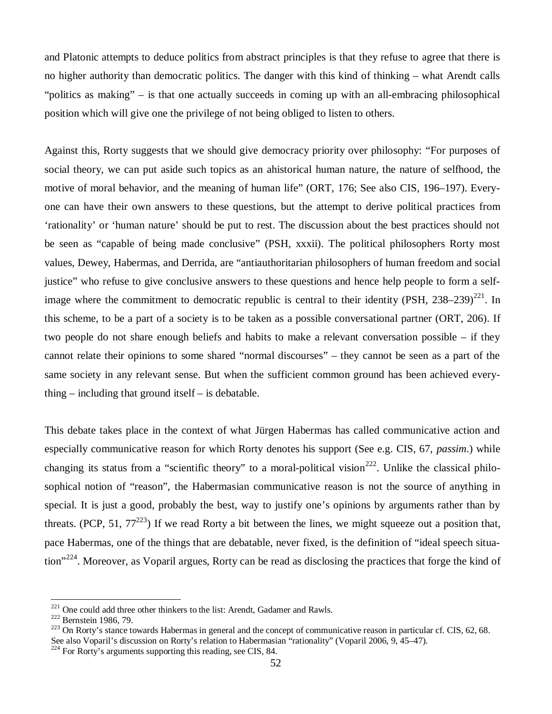and Platonic attempts to deduce politics from abstract principles is that they refuse to agree that there is no higher authority than democratic politics. The danger with this kind of thinking – what Arendt calls "politics as making" – is that one actually succeeds in coming up with an all-embracing philosophical position which will give one the privilege of not being obliged to listen to others.

Against this, Rorty suggests that we should give democracy priority over philosophy: "For purposes of social theory, we can put aside such topics as an ahistorical human nature, the nature of selfhood, the motive of moral behavior, and the meaning of human life" (ORT, 176; See also CIS, 196–197). Everyone can have their own answers to these questions, but the attempt to derive political practices from 'rationality' or 'human nature' should be put to rest. The discussion about the best practices should not be seen as "capable of being made conclusive" (PSH, xxxii). The political philosophers Rorty most values, Dewey, Habermas, and Derrida, are "antiauthoritarian philosophers of human freedom and social justice" who refuse to give conclusive answers to these questions and hence help people to form a selfimage where the commitment to democratic republic is central to their identity (PSH,  $238-239$ )<sup>221</sup>. In this scheme, to be a part of a society is to be taken as a possible conversational partner (ORT, 206). If two people do not share enough beliefs and habits to make a relevant conversation possible – if they cannot relate their opinions to some shared "normal discourses" – they cannot be seen as a part of the same society in any relevant sense. But when the sufficient common ground has been achieved everything – including that ground itself – is debatable.

This debate takes place in the context of what Jürgen Habermas has called communicative action and especially communicative reason for which Rorty denotes his support (See e.g. CIS, 67, *passim*.) while changing its status from a "scientific theory" to a moral-political vision<sup>222</sup>. Unlike the classical philosophical notion of "reason", the Habermasian communicative reason is not the source of anything in special. It is just a good, probably the best, way to justify one's opinions by arguments rather than by threats. (PCP, 51,  $77^{223}$ ) If we read Rorty a bit between the lines, we might squeeze out a position that, pace Habermas, one of the things that are debatable, never fixed, is the definition of "ideal speech situation"<sup>224</sup>. Moreover, as Voparil argues, Rorty can be read as disclosing the practices that forge the kind of

<sup>&</sup>lt;sup>221</sup> One could add three other thinkers to the list: Arendt, Gadamer and Rawls.

<sup>222</sup> Bernstein 1986, 79.

 $^{223}$  On Rorty's stance towards Habermas in general and the concept of communicative reason in particular cf. CIS, 62, 68. See also Voparil's discussion on Rorty's relation to Habermasian "rationality" (Voparil 2006, 9, 45–47).

 $224$  For Rorty's arguments supporting this reading, see CIS, 84.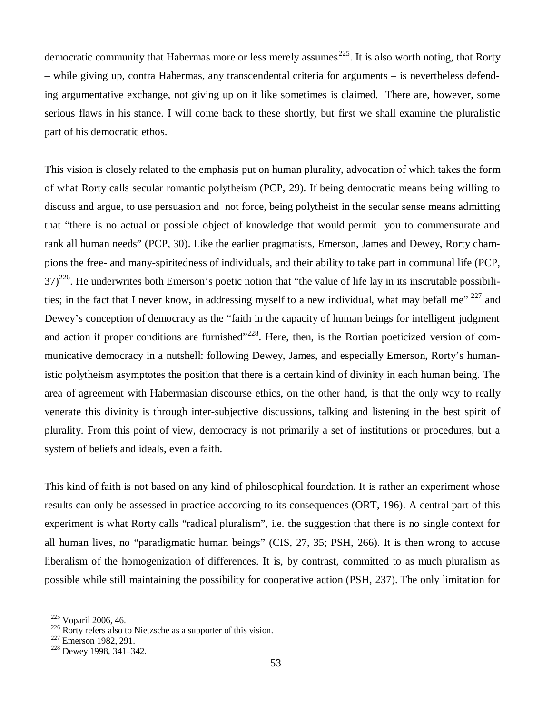democratic community that Habermas more or less merely assumes<sup>225</sup>. It is also worth noting, that Rorty – while giving up, contra Habermas, any transcendental criteria for arguments – is nevertheless defending argumentative exchange, not giving up on it like sometimes is claimed. There are, however, some serious flaws in his stance. I will come back to these shortly, but first we shall examine the pluralistic part of his democratic ethos.

This vision is closely related to the emphasis put on human plurality, advocation of which takes the form of what Rorty calls secular romantic polytheism (PCP, 29). If being democratic means being willing to discuss and argue, to use persuasion and not force, being polytheist in the secular sense means admitting that "there is no actual or possible object of knowledge that would permit you to commensurate and rank all human needs" (PCP, 30). Like the earlier pragmatists, Emerson, James and Dewey, Rorty champions the free- and many-spiritedness of individuals, and their ability to take part in communal life (PCP,  $37$ <sup>226</sup>. He underwrites both Emerson's poetic notion that "the value of life lay in its inscrutable possibilities; in the fact that I never know, in addressing myself to a new individual, what may befall me"  $^{227}$  and Dewey's conception of democracy as the "faith in the capacity of human beings for intelligent judgment and action if proper conditions are furnished"<sup>228</sup>. Here, then, is the Rortian poeticized version of communicative democracy in a nutshell: following Dewey, James, and especially Emerson, Rorty's humanistic polytheism asymptotes the position that there is a certain kind of divinity in each human being. The area of agreement with Habermasian discourse ethics, on the other hand, is that the only way to really venerate this divinity is through inter-subjective discussions, talking and listening in the best spirit of plurality. From this point of view, democracy is not primarily a set of institutions or procedures, but a system of beliefs and ideals, even a faith.

This kind of faith is not based on any kind of philosophical foundation. It is rather an experiment whose results can only be assessed in practice according to its consequences (ORT, 196). A central part of this experiment is what Rorty calls "radical pluralism", i.e. the suggestion that there is no single context for all human lives, no "paradigmatic human beings" (CIS, 27, 35; PSH, 266). It is then wrong to accuse liberalism of the homogenization of differences. It is, by contrast, committed to as much pluralism as possible while still maintaining the possibility for cooperative action (PSH, 237). The only limitation for

<sup>225</sup> Voparil 2006, 46.

<sup>226</sup> Rorty refers also to Nietzsche as a supporter of this vision.

<sup>&</sup>lt;sup>227</sup> Emerson 1982, 291.

<sup>228</sup> Dewey 1998, 341–342.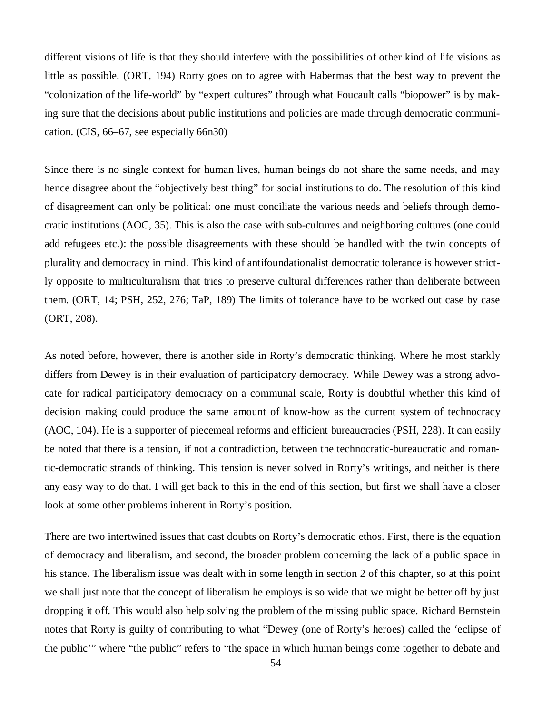different visions of life is that they should interfere with the possibilities of other kind of life visions as little as possible. (ORT, 194) Rorty goes on to agree with Habermas that the best way to prevent the "colonization of the life-world" by "expert cultures" through what Foucault calls "biopower" is by making sure that the decisions about public institutions and policies are made through democratic communication. (CIS, 66–67, see especially 66n30)

Since there is no single context for human lives, human beings do not share the same needs, and may hence disagree about the "objectively best thing" for social institutions to do. The resolution of this kind of disagreement can only be political: one must conciliate the various needs and beliefs through democratic institutions (AOC, 35). This is also the case with sub-cultures and neighboring cultures (one could add refugees etc.): the possible disagreements with these should be handled with the twin concepts of plurality and democracy in mind. This kind of antifoundationalist democratic tolerance is however strictly opposite to multiculturalism that tries to preserve cultural differences rather than deliberate between them. (ORT, 14; PSH, 252, 276; TaP, 189) The limits of tolerance have to be worked out case by case (ORT, 208).

As noted before, however, there is another side in Rorty's democratic thinking. Where he most starkly differs from Dewey is in their evaluation of participatory democracy. While Dewey was a strong advocate for radical participatory democracy on a communal scale, Rorty is doubtful whether this kind of decision making could produce the same amount of know-how as the current system of technocracy (AOC, 104). He is a supporter of piecemeal reforms and efficient bureaucracies (PSH, 228). It can easily be noted that there is a tension, if not a contradiction, between the technocratic-bureaucratic and romantic-democratic strands of thinking. This tension is never solved in Rorty's writings, and neither is there any easy way to do that. I will get back to this in the end of this section, but first we shall have a closer look at some other problems inherent in Rorty's position.

There are two intertwined issues that cast doubts on Rorty's democratic ethos. First, there is the equation of democracy and liberalism, and second, the broader problem concerning the lack of a public space in his stance. The liberalism issue was dealt with in some length in section 2 of this chapter, so at this point we shall just note that the concept of liberalism he employs is so wide that we might be better off by just dropping it off. This would also help solving the problem of the missing public space. Richard Bernstein notes that Rorty is guilty of contributing to what "Dewey (one of Rorty's heroes) called the 'eclipse of the public'" where "the public" refers to "the space in which human beings come together to debate and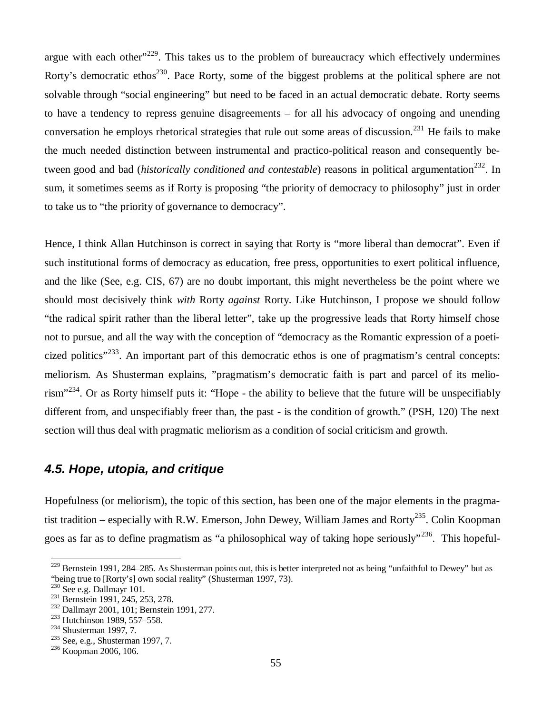argue with each other<sup> $229$ </sup>. This takes us to the problem of bureaucracy which effectively undermines Rorty's democratic ethos<sup>230</sup>. Pace Rorty, some of the biggest problems at the political sphere are not solvable through "social engineering" but need to be faced in an actual democratic debate. Rorty seems to have a tendency to repress genuine disagreements – for all his advocacy of ongoing and unending conversation he employs rhetorical strategies that rule out some areas of discussion.<sup>231</sup> He fails to make the much needed distinction between instrumental and practico-political reason and consequently between good and bad (*historically conditioned and contestable*) reasons in political argumentation<sup>232</sup>. In sum, it sometimes seems as if Rorty is proposing "the priority of democracy to philosophy" just in order to take us to "the priority of governance to democracy".

Hence, I think Allan Hutchinson is correct in saying that Rorty is "more liberal than democrat". Even if such institutional forms of democracy as education, free press, opportunities to exert political influence, and the like (See, e.g. CIS, 67) are no doubt important, this might nevertheless be the point where we should most decisively think *with* Rorty *against* Rorty. Like Hutchinson, I propose we should follow "the radical spirit rather than the liberal letter", take up the progressive leads that Rorty himself chose not to pursue, and all the way with the conception of "democracy as the Romantic expression of a poeticized politics<sup>"233</sup>. An important part of this democratic ethos is one of pragmatism's central concepts: meliorism. As Shusterman explains, "pragmatism's democratic faith is part and parcel of its meliorism"<sup>234</sup>. Or as Rorty himself puts it: "Hope - the ability to believe that the future will be unspecifiably different from, and unspecifiably freer than, the past - is the condition of growth." (PSH, 120) The next section will thus deal with pragmatic meliorism as a condition of social criticism and growth.

# *4.5. Hope, utopia, and critique*

Hopefulness (or meliorism), the topic of this section, has been one of the major elements in the pragmatist tradition – especially with R.W. Emerson, John Dewey, William James and Rorty<sup>235</sup>. Colin Koopman goes as far as to define pragmatism as "a philosophical way of taking hope seriously"<sup>236</sup>. This hopeful-

<sup>&</sup>lt;sup>229</sup> Bernstein 1991, 284–285. As Shusterman points out, this is better interpreted not as being "unfaithful to Dewey" but as "being true to [Rorty's] own social reality" (Shusterman 1997, 73).

<sup>&</sup>lt;sup>230</sup> See e.g. Dallmayr 101.

<sup>&</sup>lt;sup>231</sup> Bernstein 1991, 245, 253, 278.

<sup>232</sup> Dallmayr 2001, 101; Bernstein 1991, 277.

<sup>233</sup> Hutchinson 1989, 557–558.

 $234$  Shusterman 1997, 7.

 $235$  See, e.g., Shusterman 1997, 7.

<sup>236</sup> Koopman 2006, 106.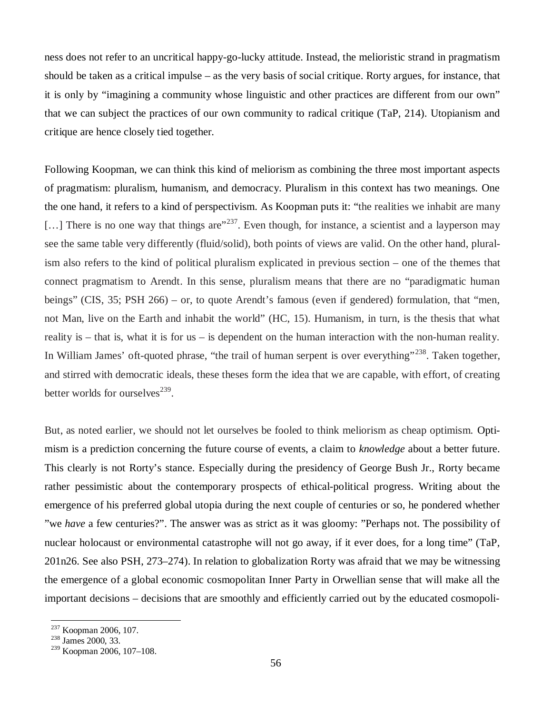ness does not refer to an uncritical happy-go-lucky attitude. Instead, the melioristic strand in pragmatism should be taken as a critical impulse – as the very basis of social critique. Rorty argues, for instance, that it is only by "imagining a community whose linguistic and other practices are different from our own" that we can subject the practices of our own community to radical critique (TaP, 214). Utopianism and critique are hence closely tied together.

Following Koopman, we can think this kind of meliorism as combining the three most important aspects of pragmatism: pluralism, humanism, and democracy. Pluralism in this context has two meanings. One the one hand, it refers to a kind of perspectivism. As Koopman puts it: "the realities we inhabit are many [...] There is no one way that things are  $237$ . Even though, for instance, a scientist and a layperson may see the same table very differently (fluid/solid), both points of views are valid. On the other hand, pluralism also refers to the kind of political pluralism explicated in previous section – one of the themes that connect pragmatism to Arendt. In this sense, pluralism means that there are no "paradigmatic human beings" (CIS, 35; PSH 266) – or, to quote Arendt's famous (even if gendered) formulation, that "men, not Man, live on the Earth and inhabit the world" (HC, 15). Humanism, in turn, is the thesis that what reality is – that is, what it is for us – is dependent on the human interaction with the non-human reality. In William James' oft-quoted phrase, "the trail of human serpent is over everything"<sup>238</sup>. Taken together, and stirred with democratic ideals, these theses form the idea that we are capable, with effort, of creating better worlds for ourselves<sup>239</sup>.

But, as noted earlier, we should not let ourselves be fooled to think meliorism as cheap optimism. Optimism is a prediction concerning the future course of events, a claim to *knowledge* about a better future. This clearly is not Rorty's stance. Especially during the presidency of George Bush Jr., Rorty became rather pessimistic about the contemporary prospects of ethical-political progress. Writing about the emergence of his preferred global utopia during the next couple of centuries or so, he pondered whether "we *have* a few centuries?". The answer was as strict as it was gloomy: "Perhaps not. The possibility of nuclear holocaust or environmental catastrophe will not go away, if it ever does, for a long time" (TaP, 201n26. See also PSH, 273–274). In relation to globalization Rorty was afraid that we may be witnessing the emergence of a global economic cosmopolitan Inner Party in Orwellian sense that will make all the important decisions – decisions that are smoothly and efficiently carried out by the educated cosmopoli-

<sup>237</sup> Koopman 2006, 107.

<sup>238</sup> James 2000, 33.

<sup>239</sup> Koopman 2006, 107–108.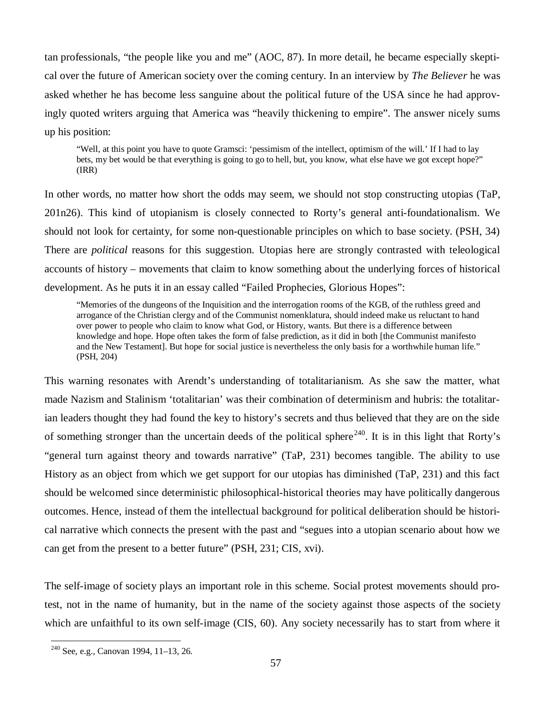tan professionals, "the people like you and me" (AOC, 87). In more detail, he became especially skeptical over the future of American society over the coming century. In an interview by *The Believer* he was asked whether he has become less sanguine about the political future of the USA since he had approvingly quoted writers arguing that America was "heavily thickening to empire". The answer nicely sums up his position:

"Well, at this point you have to quote Gramsci: 'pessimism of the intellect, optimism of the will.' If I had to lay bets, my bet would be that everything is going to go to hell, but, you know, what else have we got except hope?" (IRR)

In other words, no matter how short the odds may seem, we should not stop constructing utopias (TaP, 201n26). This kind of utopianism is closely connected to Rorty's general anti-foundationalism. We should not look for certainty, for some non-questionable principles on which to base society. (PSH, 34) There are *political* reasons for this suggestion. Utopias here are strongly contrasted with teleological accounts of history – movements that claim to know something about the underlying forces of historical development. As he puts it in an essay called "Failed Prophecies, Glorious Hopes":

"Memories of the dungeons of the Inquisition and the interrogation rooms of the KGB, of the ruthless greed and arrogance of the Christian clergy and of the Communist nomenklatura, should indeed make us reluctant to hand over power to people who claim to know what God, or History, wants. But there is a difference between knowledge and hope. Hope often takes the form of false prediction, as it did in both [the Communist manifesto and the New Testament]. But hope for social justice is nevertheless the only basis for a worthwhile human life." (PSH, 204)

This warning resonates with Arendt's understanding of totalitarianism. As she saw the matter, what made Nazism and Stalinism 'totalitarian' was their combination of determinism and hubris: the totalitarian leaders thought they had found the key to history's secrets and thus believed that they are on the side of something stronger than the uncertain deeds of the political sphere<sup>240</sup>. It is in this light that Rorty's "general turn against theory and towards narrative" (TaP, 231) becomes tangible. The ability to use History as an object from which we get support for our utopias has diminished (TaP, 231) and this fact should be welcomed since deterministic philosophical-historical theories may have politically dangerous outcomes. Hence, instead of them the intellectual background for political deliberation should be historical narrative which connects the present with the past and "segues into a utopian scenario about how we can get from the present to a better future" (PSH, 231; CIS, xvi).

The self-image of society plays an important role in this scheme. Social protest movements should protest, not in the name of humanity, but in the name of the society against those aspects of the society which are unfaithful to its own self-image (CIS, 60). Any society necessarily has to start from where it

<sup>240</sup> See, e.g., Canovan 1994, 11–13, 26.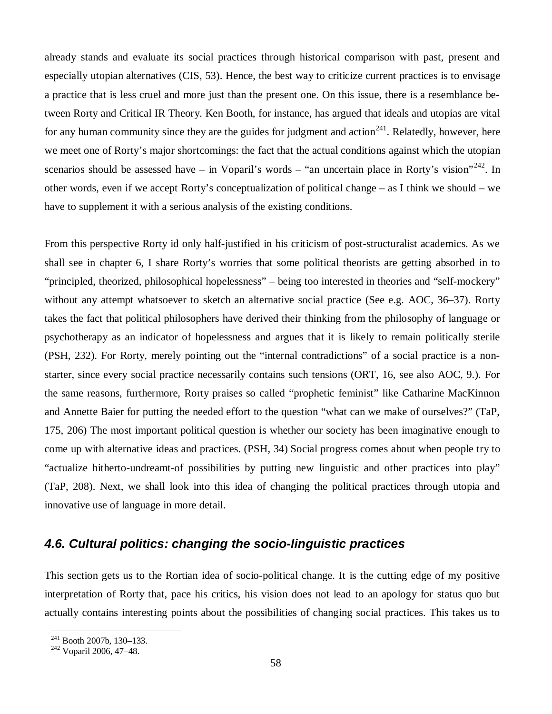already stands and evaluate its social practices through historical comparison with past, present and especially utopian alternatives (CIS, 53). Hence, the best way to criticize current practices is to envisage a practice that is less cruel and more just than the present one. On this issue, there is a resemblance between Rorty and Critical IR Theory. Ken Booth, for instance, has argued that ideals and utopias are vital for any human community since they are the guides for judgment and action<sup>241</sup>. Relatedly, however, here we meet one of Rorty's major shortcomings: the fact that the actual conditions against which the utopian scenarios should be assessed have – in Voparil's words – "an uncertain place in Rorty's vision"<sup>242</sup>. In other words, even if we accept Rorty's conceptualization of political change – as I think we should – we have to supplement it with a serious analysis of the existing conditions.

From this perspective Rorty id only half-justified in his criticism of post-structuralist academics. As we shall see in chapter 6, I share Rorty's worries that some political theorists are getting absorbed in to "principled, theorized, philosophical hopelessness" – being too interested in theories and "self-mockery" without any attempt whatsoever to sketch an alternative social practice (See e.g. AOC, 36–37). Rorty takes the fact that political philosophers have derived their thinking from the philosophy of language or psychotherapy as an indicator of hopelessness and argues that it is likely to remain politically sterile (PSH, 232). For Rorty, merely pointing out the "internal contradictions" of a social practice is a nonstarter, since every social practice necessarily contains such tensions (ORT, 16, see also AOC, 9.). For the same reasons, furthermore, Rorty praises so called "prophetic feminist" like Catharine MacKinnon and Annette Baier for putting the needed effort to the question "what can we make of ourselves?" (TaP, 175, 206) The most important political question is whether our society has been imaginative enough to come up with alternative ideas and practices. (PSH, 34) Social progress comes about when people try to "actualize hitherto-undreamt-of possibilities by putting new linguistic and other practices into play" (TaP, 208). Next, we shall look into this idea of changing the political practices through utopia and innovative use of language in more detail.

# *4.6. Cultural politics: changing the socio-linguistic practices*

This section gets us to the Rortian idea of socio-political change. It is the cutting edge of my positive interpretation of Rorty that, pace his critics, his vision does not lead to an apology for status quo but actually contains interesting points about the possibilities of changing social practices. This takes us to

<sup>241</sup> Booth 2007b, 130–133.

<sup>&</sup>lt;sup>242</sup> Voparil 2006, 47–48.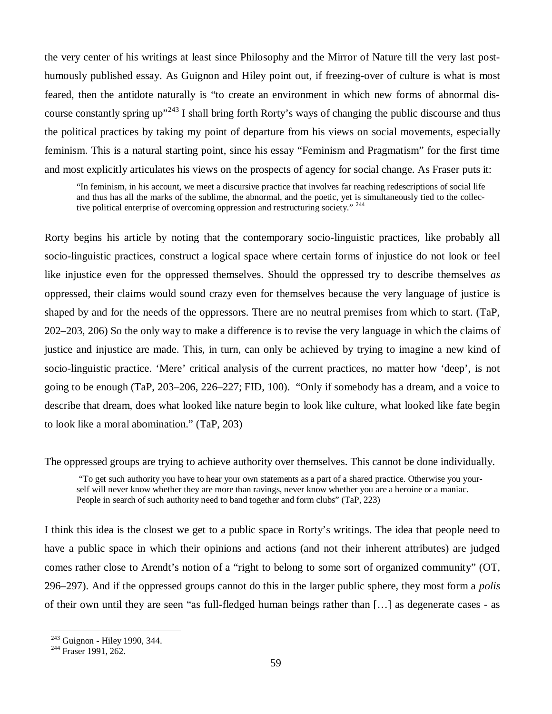the very center of his writings at least since Philosophy and the Mirror of Nature till the very last posthumously published essay. As Guignon and Hiley point out, if freezing-over of culture is what is most feared, then the antidote naturally is "to create an environment in which new forms of abnormal discourse constantly spring up"<sup>243</sup> I shall bring forth Rorty's ways of changing the public discourse and thus the political practices by taking my point of departure from his views on social movements, especially feminism. This is a natural starting point, since his essay "Feminism and Pragmatism" for the first time and most explicitly articulates his views on the prospects of agency for social change. As Fraser puts it:

"In feminism, in his account, we meet a discursive practice that involves far reaching redescriptions of social life and thus has all the marks of the sublime, the abnormal, and the poetic, yet is simultaneously tied to the collective political enterprise of overcoming oppression and restructuring society."<sup>244</sup>

Rorty begins his article by noting that the contemporary socio-linguistic practices, like probably all socio-linguistic practices, construct a logical space where certain forms of injustice do not look or feel like injustice even for the oppressed themselves. Should the oppressed try to describe themselves *as* oppressed, their claims would sound crazy even for themselves because the very language of justice is shaped by and for the needs of the oppressors. There are no neutral premises from which to start. (TaP, 202–203, 206) So the only way to make a difference is to revise the very language in which the claims of justice and injustice are made. This, in turn, can only be achieved by trying to imagine a new kind of socio-linguistic practice. 'Mere' critical analysis of the current practices, no matter how 'deep', is not going to be enough (TaP, 203–206, 226–227; FID, 100). "Only if somebody has a dream, and a voice to describe that dream, does what looked like nature begin to look like culture, what looked like fate begin to look like a moral abomination." (TaP, 203)

The oppressed groups are trying to achieve authority over themselves. This cannot be done individually.

 "To get such authority you have to hear your own statements as a part of a shared practice. Otherwise you yourself will never know whether they are more than ravings, never know whether you are a heroine or a maniac. People in search of such authority need to band together and form clubs" (TaP, 223)

I think this idea is the closest we get to a public space in Rorty's writings. The idea that people need to have a public space in which their opinions and actions (and not their inherent attributes) are judged comes rather close to Arendt's notion of a "right to belong to some sort of organized community" (OT, 296–297). And if the oppressed groups cannot do this in the larger public sphere, they most form a *polis* of their own until they are seen "as full-fledged human beings rather than [… ] as degenerate cases - as

<sup>243</sup> Guignon - Hiley 1990, 344.

<sup>&</sup>lt;sup>244</sup> Fraser 1991, 262.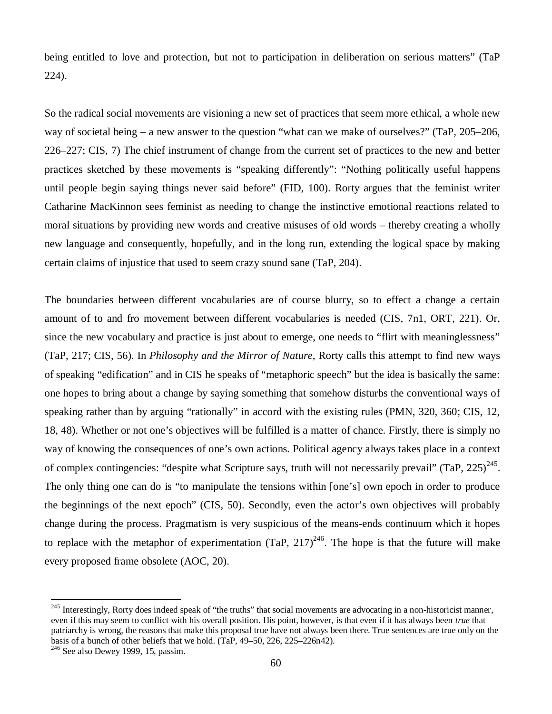being entitled to love and protection, but not to participation in deliberation on serious matters" (TaP 224).

So the radical social movements are visioning a new set of practices that seem more ethical, a whole new way of societal being – a new answer to the question "what can we make of ourselves?" (TaP, 205–206, 226–227; CIS, 7) The chief instrument of change from the current set of practices to the new and better practices sketched by these movements is "speaking differently": "Nothing politically useful happens until people begin saying things never said before" (FID, 100). Rorty argues that the feminist writer Catharine MacKinnon sees feminist as needing to change the instinctive emotional reactions related to moral situations by providing new words and creative misuses of old words – thereby creating a wholly new language and consequently, hopefully, and in the long run, extending the logical space by making certain claims of injustice that used to seem crazy sound sane (TaP, 204).

The boundaries between different vocabularies are of course blurry, so to effect a change a certain amount of to and fro movement between different vocabularies is needed (CIS, 7n1, ORT, 221). Or, since the new vocabulary and practice is just about to emerge, one needs to "flirt with meaninglessness" (TaP, 217; CIS, 56). In *Philosophy and the Mirror of Nature*, Rorty calls this attempt to find new ways of speaking "edification" and in CIS he speaks of "metaphoric speech" but the idea is basically the same: one hopes to bring about a change by saying something that somehow disturbs the conventional ways of speaking rather than by arguing "rationally" in accord with the existing rules (PMN, 320, 360; CIS, 12, 18, 48). Whether or not one's objectives will be fulfilled is a matter of chance. Firstly, there is simply no way of knowing the consequences of one's own actions. Political agency always takes place in a context of complex contingencies: "despite what Scripture says, truth will not necessarily prevail" (TaP, 225)<sup>245</sup>. The only thing one can do is "to manipulate the tensions within [one's] own epoch in order to produce the beginnings of the next epoch" (CIS, 50). Secondly, even the actor's own objectives will probably change during the process. Pragmatism is very suspicious of the means-ends continuum which it hopes to replace with the metaphor of experimentation (TaP,  $217)^{246}$ . The hope is that the future will make every proposed frame obsolete (AOC, 20).

<sup>&</sup>lt;sup>245</sup> Interestingly, Rorty does indeed speak of "the truths" that social movements are advocating in a non-historicist manner, even if this may seem to conflict with his overall position. His point, however, is that even if it has always been *true* that patriarchy is wrong, the reasons that make this proposal true have not always been there. True sentences are true only on the basis of a bunch of other beliefs that we hold. (TaP, 49–50, 226, 225–226n42).

 $246$  See also Dewey 1999, 15, passim.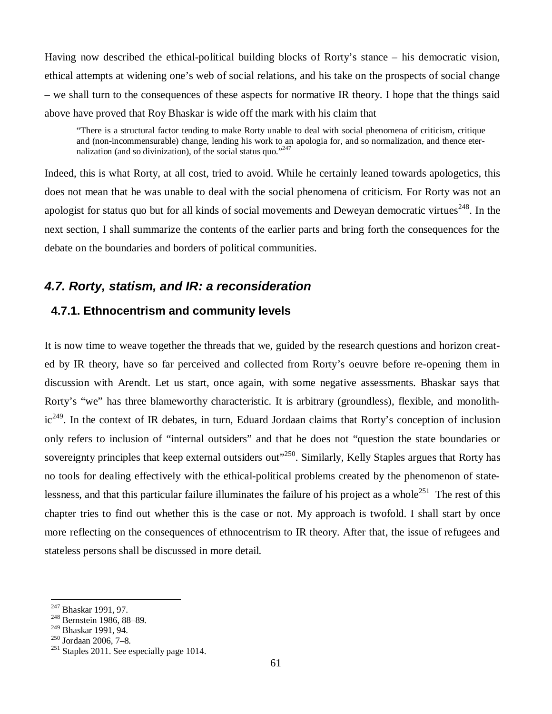Having now described the ethical-political building blocks of Rorty's stance – his democratic vision, ethical attempts at widening one's web of social relations, and his take on the prospects of social change – we shall turn to the consequences of these aspects for normative IR theory. I hope that the things said above have proved that Roy Bhaskar is wide off the mark with his claim that

"There is a structural factor tending to make Rorty unable to deal with social phenomena of criticism, critique and (non-incommensurable) change, lending his work to an apologia for, and so normalization, and thence eternalization (and so divinization), of the social status quo." $247$ 

Indeed, this is what Rorty, at all cost, tried to avoid. While he certainly leaned towards apologetics, this does not mean that he was unable to deal with the social phenomena of criticism. For Rorty was not an apologist for status quo but for all kinds of social movements and Deweyan democratic virtues<sup>248</sup>. In the next section, I shall summarize the contents of the earlier parts and bring forth the consequences for the debate on the boundaries and borders of political communities.

## *4.7. Rorty, statism, and IR: a reconsideration*

## **4.7.1. Ethnocentrism and community levels**

It is now time to weave together the threads that we, guided by the research questions and horizon created by IR theory, have so far perceived and collected from Rorty's oeuvre before re-opening them in discussion with Arendt. Let us start, once again, with some negative assessments. Bhaskar says that Rorty's "we" has three blameworthy characteristic. It is arbitrary (groundless), flexible, and monolith $ic^{249}$ . In the context of IR debates, in turn, Eduard Jordaan claims that Rorty's conception of inclusion only refers to inclusion of "internal outsiders" and that he does not "question the state boundaries or sovereignty principles that keep external outsiders out"<sup>250</sup>. Similarly, Kelly Staples argues that Rorty has no tools for dealing effectively with the ethical-political problems created by the phenomenon of statelessness, and that this particular failure illuminates the failure of his project as a whole<sup>251</sup> The rest of this chapter tries to find out whether this is the case or not. My approach is twofold. I shall start by once more reflecting on the consequences of ethnocentrism to IR theory. After that, the issue of refugees and stateless persons shall be discussed in more detail.

<sup>&</sup>lt;sup>247</sup> Bhaskar 1991, 97.

<sup>248</sup> Bernstein 1986, 88–89.

<sup>249</sup> Bhaskar 1991, 94.

<sup>250</sup> Jordaan 2006, 7–8.

 $251$  Staples 2011. See especially page 1014.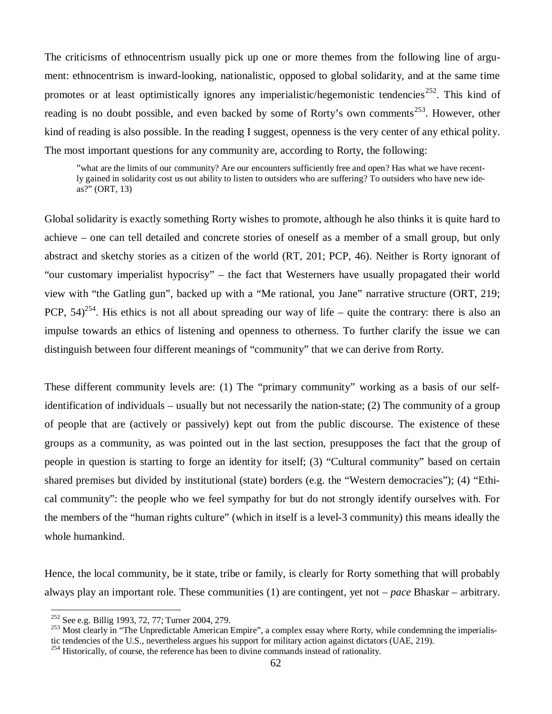The criticisms of ethnocentrism usually pick up one or more themes from the following line of argument: ethnocentrism is inward-looking, nationalistic, opposed to global solidarity, and at the same time promotes or at least optimistically ignores any imperialistic/hegemonistic tendencies<sup>252</sup>. This kind of reading is no doubt possible, and even backed by some of Rorty's own comments<sup>253</sup>. However, other kind of reading is also possible. In the reading I suggest, openness is the very center of any ethical polity. The most important questions for any community are, according to Rorty, the following:

"what are the limits of our community? Are our encounters sufficiently free and open? Has what we have recently gained in solidarity cost us out ability to listen to outsiders who are suffering? To outsiders who have new ideas?" (ORT, 13)

Global solidarity is exactly something Rorty wishes to promote, although he also thinks it is quite hard to achieve – one can tell detailed and concrete stories of oneself as a member of a small group, but only abstract and sketchy stories as a citizen of the world (RT, 201; PCP, 46). Neither is Rorty ignorant of "our customary imperialist hypocrisy" – the fact that Westerners have usually propagated their world view with "the Gatling gun", backed up with a "Me rational, you Jane" narrative structure (ORT, 219; PCP,  $54^{254}$ . His ethics is not all about spreading our way of life – quite the contrary: there is also an impulse towards an ethics of listening and openness to otherness. To further clarify the issue we can distinguish between four different meanings of "community" that we can derive from Rorty.

These different community levels are: (1) The "primary community" working as a basis of our selfidentification of individuals – usually but not necessarily the nation-state; (2) The community of a group of people that are (actively or passively) kept out from the public discourse. The existence of these groups as a community, as was pointed out in the last section, presupposes the fact that the group of people in question is starting to forge an identity for itself; (3) "Cultural community" based on certain shared premises but divided by institutional (state) borders (e.g. the "Western democracies"); (4) "Ethical community": the people who we feel sympathy for but do not strongly identify ourselves with. For the members of the "human rights culture" (which in itself is a level-3 community) this means ideally the whole humankind.

Hence, the local community, be it state, tribe or family, is clearly for Rorty something that will probably always play an important role. These communities (1) are contingent, yet not –*pace* Bhaskar – arbitrary.

<sup>252</sup> See e.g. Billig 1993, 72, 77; Turner 2004, 279.

 $^{253}$  Most clearly in "The Unpredictable American Empire", a complex essay where Rorty, while condemning the imperialis-

tic tendencies of the U.S., nevertheless argues his support for military action against dictators (UAE, 219).

 $^{254}$  Historically, of course, the reference has been to divine commands instead of rationality.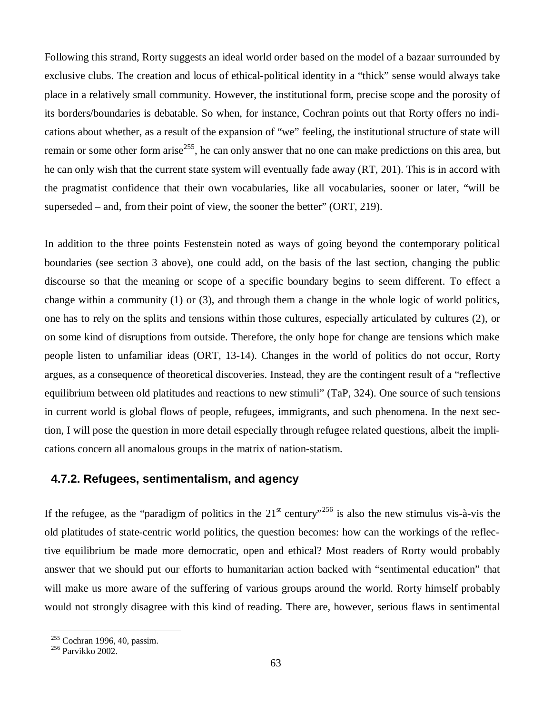Following this strand, Rorty suggests an ideal world order based on the model of a bazaar surrounded by exclusive clubs. The creation and locus of ethical-political identity in a "thick" sense would always take place in a relatively small community. However, the institutional form, precise scope and the porosity of its borders/boundaries is debatable. So when, for instance, Cochran points out that Rorty offers no indications about whether, as a result of the expansion of "we" feeling, the institutional structure of state will remain or some other form arise<sup>255</sup>, he can only answer that no one can make predictions on this area, but he can only wish that the current state system will eventually fade away (RT, 201). This is in accord with the pragmatist confidence that their own vocabularies, like all vocabularies, sooner or later, "will be superseded – and, from their point of view, the sooner the better" (ORT, 219).

In addition to the three points Festenstein noted as ways of going beyond the contemporary political boundaries (see section 3 above), one could add, on the basis of the last section, changing the public discourse so that the meaning or scope of a specific boundary begins to seem different. To effect a change within a community (1) or (3), and through them a change in the whole logic of world politics, one has to rely on the splits and tensions within those cultures, especially articulated by cultures (2), or on some kind of disruptions from outside. Therefore, the only hope for change are tensions which make people listen to unfamiliar ideas (ORT, 13-14). Changes in the world of politics do not occur, Rorty argues, as a consequence of theoretical discoveries. Instead, they are the contingent result of a "reflective equilibrium between old platitudes and reactions to new stimuli" (TaP, 324). One source of such tensions in current world is global flows of people, refugees, immigrants, and such phenomena. In the next section, I will pose the question in more detail especially through refugee related questions, albeit the implications concern all anomalous groups in the matrix of nation-statism.

### **4.7.2. Refugees, sentimentalism, and agency**

If the refugee, as the "paradigm of politics in the  $21<sup>st</sup>$  century"<sup>256</sup> is also the new stimulus vis-à-vis the old platitudes of state-centric world politics, the question becomes: how can the workings of the reflective equilibrium be made more democratic, open and ethical? Most readers of Rorty would probably answer that we should put our efforts to humanitarian action backed with "sentimental education" that will make us more aware of the suffering of various groups around the world. Rorty himself probably would not strongly disagree with this kind of reading. There are, however, serious flaws in sentimental

<sup>&</sup>lt;sup>255</sup> Cochran 1996, 40, passim.

<sup>256</sup> Parvikko 2002.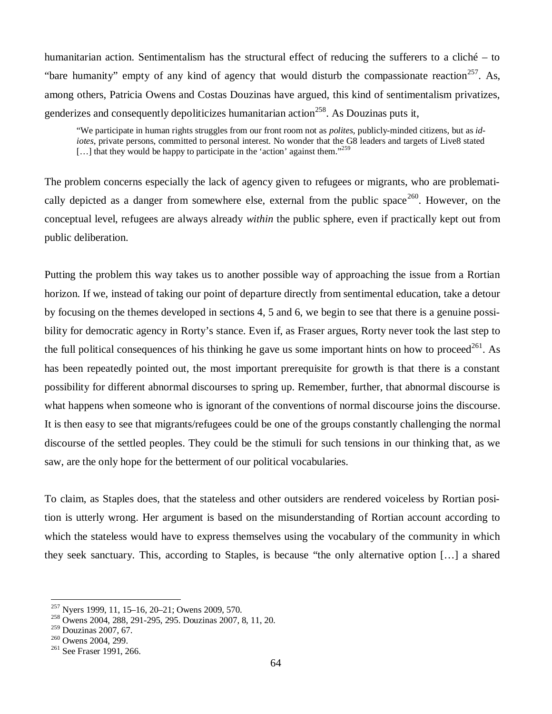humanitarian action. Sentimentalism has the structural effect of reducing the sufferers to a cliché – to "bare humanity" empty of any kind of agency that would disturb the compassionate reaction<sup>257</sup>. As, among others, Patricia Owens and Costas Douzinas have argued, this kind of sentimentalism privatizes, genderizes and consequently depoliticizes humanitarian action<sup>258</sup>. As Douzinas puts it,

"We participate in human rights struggles from our front room not as *polites*, publicly-minded citizens, but as *idiotes*, private persons, committed to personal interest. No wonder that the G8 leaders and targets of Live8 stated  $\left[\ldots\right]$  that they would be happy to participate in the 'action' against them."<sup>259</sup>

The problem concerns especially the lack of agency given to refugees or migrants, who are problematically depicted as a danger from somewhere else, external from the public space<sup>260</sup>. However, on the conceptual level, refugees are always already *within* the public sphere, even if practically kept out from public deliberation.

Putting the problem this way takes us to another possible way of approaching the issue from a Rortian horizon. If we, instead of taking our point of departure directly from sentimental education, take a detour by focusing on the themes developed in sections 4, 5 and 6, we begin to see that there is a genuine possibility for democratic agency in Rorty's stance. Even if, as Fraser argues, Rorty never took the last step to the full political consequences of his thinking he gave us some important hints on how to proceed<sup>261</sup>. As has been repeatedly pointed out, the most important prerequisite for growth is that there is a constant possibility for different abnormal discourses to spring up. Remember, further, that abnormal discourse is what happens when someone who is ignorant of the conventions of normal discourse joins the discourse. It is then easy to see that migrants/refugees could be one of the groups constantly challenging the normal discourse of the settled peoples. They could be the stimuli for such tensions in our thinking that, as we saw, are the only hope for the betterment of our political vocabularies.

To claim, as Staples does, that the stateless and other outsiders are rendered voiceless by Rortian position is utterly wrong. Her argument is based on the misunderstanding of Rortian account according to which the stateless would have to express themselves using the vocabulary of the community in which they seek sanctuary. This, according to Staples, is because "the only alternative option [… ] a shared

<sup>257</sup> Nyers 1999, 11, 15–16, 20–21; Owens 2009, 570.

<sup>258</sup> Owens 2004, 288, 291-295, 295. Douzinas 2007, 8, 11, 20.

<sup>259</sup> Douzinas 2007, 67.

<sup>&</sup>lt;sup>260</sup> Owens 2004, 299.

<sup>&</sup>lt;sup>261</sup> See Fraser 1991, 266.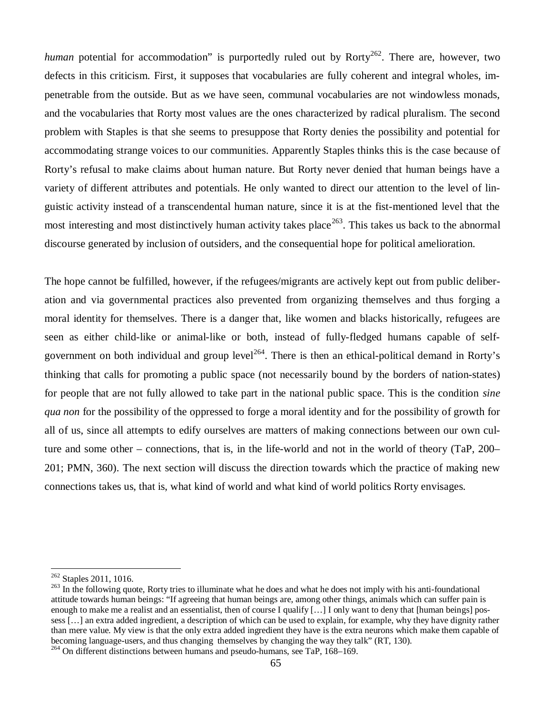*human* potential for accommodation" is purportedly ruled out by Rorty<sup>262</sup>. There are, however, two defects in this criticism. First, it supposes that vocabularies are fully coherent and integral wholes, impenetrable from the outside. But as we have seen, communal vocabularies are not windowless monads, and the vocabularies that Rorty most values are the ones characterized by radical pluralism. The second problem with Staples is that she seems to presuppose that Rorty denies the possibility and potential for accommodating strange voices to our communities. Apparently Staples thinks this is the case because of Rorty's refusal to make claims about human nature. But Rorty never denied that human beings have a variety of different attributes and potentials. He only wanted to direct our attention to the level of linguistic activity instead of a transcendental human nature, since it is at the fist-mentioned level that the most interesting and most distinctively human activity takes place<sup>263</sup>. This takes us back to the abnormal discourse generated by inclusion of outsiders, and the consequential hope for political amelioration.

The hope cannot be fulfilled, however, if the refugees/migrants are actively kept out from public deliberation and via governmental practices also prevented from organizing themselves and thus forging a moral identity for themselves. There is a danger that, like women and blacks historically, refugees are seen as either child-like or animal-like or both, instead of fully-fledged humans capable of selfgovernment on both individual and group level<sup>264</sup>. There is then an ethical-political demand in Rorty's thinking that calls for promoting a public space (not necessarily bound by the borders of nation-states) for people that are not fully allowed to take part in the national public space. This is the condition *sine qua non* for the possibility of the oppressed to forge a moral identity and for the possibility of growth for all of us, since all attempts to edify ourselves are matters of making connections between our own culture and some other – connections, that is, in the life-world and not in the world of theory (TaP, 200– 201; PMN, 360). The next section will discuss the direction towards which the practice of making new connections takes us, that is, what kind of world and what kind of world politics Rorty envisages.

 $262$  Staples 2011, 1016.

<sup>&</sup>lt;sup>263</sup> In the following quote, Rorty tries to illuminate what he does and what he does not imply with his anti-foundational attitude towards human beings: "If agreeing that human beings are, among other things, animals which can suffer pain is enough to make me a realist and an essentialist, then of course I qualify [...] I only want to deny that [human beings] possess [… ] an extra added ingredient, a description of which can be used to explain, for example, why they have dignity rather than mere value. My view is that the only extra added ingredient they have is the extra neurons which make them capable of becoming language-users, and thus changing themselves by changing the way they talk" (RT, 130). <sup>264</sup> On different distinctions between humans and pseudo-humans, see TaP, 168–169.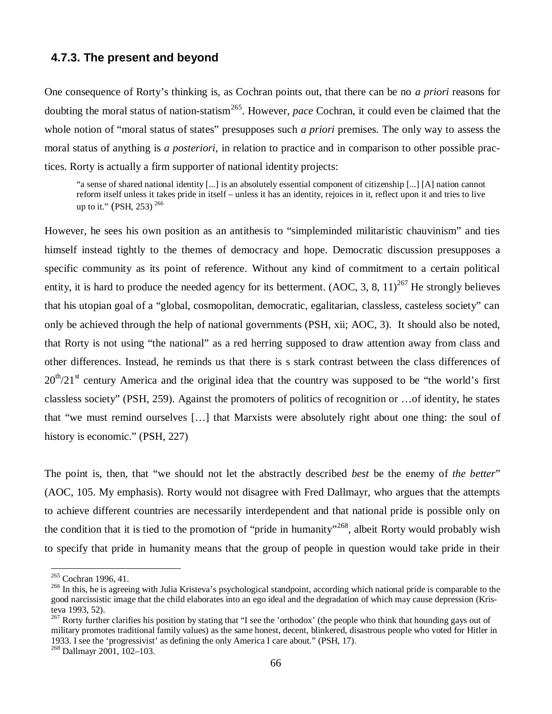### **4.7.3. The present and beyond**

One consequence of Rorty's thinking is, as Cochran points out, that there can be no *a priori* reasons for doubting the moral status of nation-statism<sup>265</sup>. However, *pace* Cochran, it could even be claimed that the whole notion of "moral status of states" presupposes such *a priori* premises. The only way to assess the moral status of anything is *a posteriori*, in relation to practice and in comparison to other possible practices. Rorty is actually a firm supporter of national identity projects:

"a sense of shared national identity [...] is an absolutely essential component of citizenship [...] [A] nation cannot reform itself unless it takes pride in itself – unless it has an identity, rejoices in it, reflect upon it and tries to live up to it." (PSH, 253)  $^{266}$ 

However, he sees his own position as an antithesis to "simpleminded militaristic chauvinism" and ties himself instead tightly to the themes of democracy and hope. Democratic discussion presupposes a specific community as its point of reference. Without any kind of commitment to a certain political entity, it is hard to produce the needed agency for its betterment. (AOC, 3, 8, 11)<sup>267</sup> He strongly believes that his utopian goal of a "global, cosmopolitan, democratic, egalitarian, classless, casteless society" can only be achieved through the help of national governments (PSH, xii; AOC, 3). It should also be noted, that Rorty is not using "the national" as a red herring supposed to draw attention away from class and other differences. Instead, he reminds us that there is s stark contrast between the class differences of  $20<sup>th</sup>/21<sup>st</sup>$  century America and the original idea that the country was supposed to be "the world's first classless society" (PSH, 259). Against the promoters of politics of recognition or … of identity, he states that "we must remind ourselves [… ] that Marxists were absolutely right about one thing: the soul of history is economic." (PSH, 227)

The point is, then, that "we should not let the abstractly described *best* be the enemy of *the better*" (AOC, 105. My emphasis). Rorty would not disagree with Fred Dallmayr, who argues that the attempts to achieve different countries are necessarily interdependent and that national pride is possible only on the condition that it is tied to the promotion of "pride in humanity"<sup>268</sup>, albeit Rorty would probably wish to specify that pride in humanity means that the group of people in question would take pride in their

<sup>&</sup>lt;sup>265</sup> Cochran 1996, 41.

<sup>&</sup>lt;sup>266</sup> In this, he is agreeing with Julia Kristeva's psychological standpoint, according which national pride is comparable to the good narcissistic image that the child elaborates into an ego ideal and the degradation of which may cause depression (Kristeva 1993, 52).

 $^{267}$  Rorty further clarifies his position by stating that "I see the 'orthodox' (the people who think that hounding gays out of military promotes traditional family values) as the same honest, decent, blinkered, disastrous people who voted for Hitler in 1933. I see the 'progressivist' as defining the only America I care about." (PSH, 17).

<sup>268</sup> Dallmayr 2001, 102–103.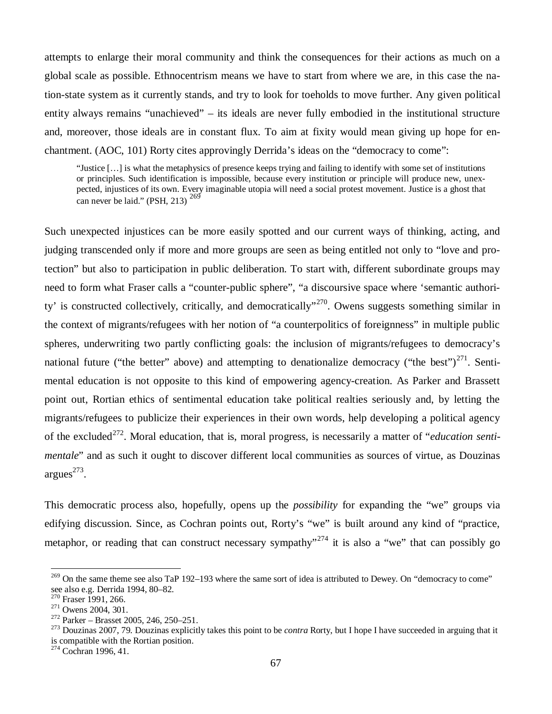attempts to enlarge their moral community and think the consequences for their actions as much on a global scale as possible. Ethnocentrism means we have to start from where we are, in this case the nation-state system as it currently stands, and try to look for toeholds to move further. Any given political entity always remains "unachieved" – its ideals are never fully embodied in the institutional structure and, moreover, those ideals are in constant flux. To aim at fixity would mean giving up hope for enchantment. (AOC, 101) Rorty cites approvingly Derrida's ideas on the "democracy to come":

"Justice [… ] is what the metaphysics of presence keeps trying and failing to identify with some set of institutions or principles. Such identification is impossible, because every institution or principle will produce new, unexpected, injustices of its own. Every imaginable utopia will need a social protest movement. Justice is a ghost that can never be laid." (PSH, 213)  $^{269}$ 

Such unexpected injustices can be more easily spotted and our current ways of thinking, acting, and judging transcended only if more and more groups are seen as being entitled not only to "love and protection" but also to participation in public deliberation. To start with, different subordinate groups may need to form what Fraser calls a "counter-public sphere", "a discoursive space where 'semantic authority' is constructed collectively, critically, and democratically"<sup>270</sup>. Owens suggests something similar in the context of migrants/refugees with her notion of "a counterpolitics of foreignness" in multiple public spheres, underwriting two partly conflicting goals: the inclusion of migrants/refugees to democracy's national future ("the better" above) and attempting to denationalize democracy ("the best")<sup>271</sup>. Sentimental education is not opposite to this kind of empowering agency-creation. As Parker and Brassett point out, Rortian ethics of sentimental education take political realties seriously and, by letting the migrants/refugees to publicize their experiences in their own words, help developing a political agency of the excluded<sup>272</sup>. Moral education, that is, moral progress, is necessarily a matter of "*education sentimentale*" and as such it ought to discover different local communities as sources of virtue, as Douzinas  $argues^{273}$ .

This democratic process also, hopefully, opens up the *possibility* for expanding the "we" groups via edifying discussion. Since, as Cochran points out, Rorty's "we" is built around any kind of "practice, metaphor, or reading that can construct necessary sympathy"<sup>274</sup> it is also a "we" that can possibly go

<sup>&</sup>lt;sup>269</sup> On the same theme see also TaP 192–193 where the same sort of idea is attributed to Dewey. On "democracy to come" see also e.g. Derrida 1994, 80–82.

 $270$  Fraser 1991, 266.

<sup>&</sup>lt;sup>271</sup> Owens 2004, 301.

<sup>272</sup> Parker – Brasset 2005, 246, 250–251.

<sup>273</sup> Douzinas 2007, 79. Douzinas explicitly takes this point to be *contra* Rorty, but I hope I have succeeded in arguing that it is compatible with the Rortian position.

 $274$  Cochran 1996, 41.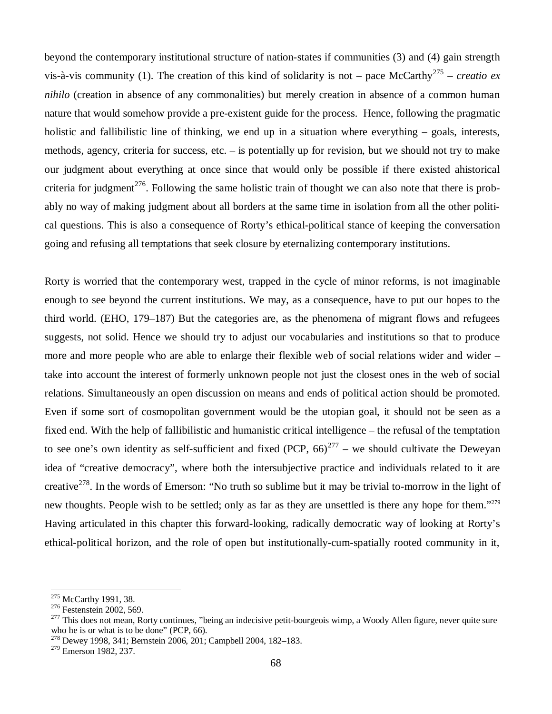beyond the contemporary institutional structure of nation-states if communities (3) and (4) gain strength vis-à-vis community (1). The creation of this kind of solidarity is not – pace McCarthy<sup>275</sup> – *creatio ex nihilo* (creation in absence of any commonalities) but merely creation in absence of a common human nature that would somehow provide a pre-existent guide for the process. Hence, following the pragmatic holistic and fallibilistic line of thinking, we end up in a situation where everything – goals, interests, methods, agency, criteria for success, etc. – is potentially up for revision, but we should not try to make our judgment about everything at once since that would only be possible if there existed ahistorical criteria for judgment<sup>276</sup>. Following the same holistic train of thought we can also note that there is probably no way of making judgment about all borders at the same time in isolation from all the other political questions. This is also a consequence of Rorty's ethical-political stance of keeping the conversation going and refusing all temptations that seek closure by eternalizing contemporary institutions.

Rorty is worried that the contemporary west, trapped in the cycle of minor reforms, is not imaginable enough to see beyond the current institutions. We may, as a consequence, have to put our hopes to the third world. (EHO, 179–187) But the categories are, as the phenomena of migrant flows and refugees suggests, not solid. Hence we should try to adjust our vocabularies and institutions so that to produce more and more people who are able to enlarge their flexible web of social relations wider and wider – take into account the interest of formerly unknown people not just the closest ones in the web of social relations. Simultaneously an open discussion on means and ends of political action should be promoted. Even if some sort of cosmopolitan government would be the utopian goal, it should not be seen as a fixed end. With the help of fallibilistic and humanistic critical intelligence – the refusal of the temptation to see one's own identity as self-sufficient and fixed (PCP,  $66^{277}$  – we should cultivate the Deweyan idea of "creative democracy", where both the intersubjective practice and individuals related to it are creative<sup>278</sup>. In the words of Emerson: "No truth so sublime but it may be trivial to-morrow in the light of new thoughts. People wish to be settled; only as far as they are unsettled is there any hope for them."<sup>279</sup> Having articulated in this chapter this forward-looking, radically democratic way of looking at Rorty's ethical-political horizon, and the role of open but institutionally-cum-spatially rooted community in it,

<sup>&</sup>lt;sup>275</sup> McCarthy 1991, 38.

<sup>&</sup>lt;sup>276</sup> Festenstein 2002, 569.

<sup>&</sup>lt;sup>277</sup> This does not mean, Rorty continues, "being an indecisive petit-bourgeois wimp, a Woody Allen figure, never quite sure who he is or what is to be done" (PCP, 66).

<sup>278</sup> Dewey 1998, 341; Bernstein 2006, 201; Campbell 2004, 182–183.

<sup>&</sup>lt;sup>279</sup> Emerson 1982, 237.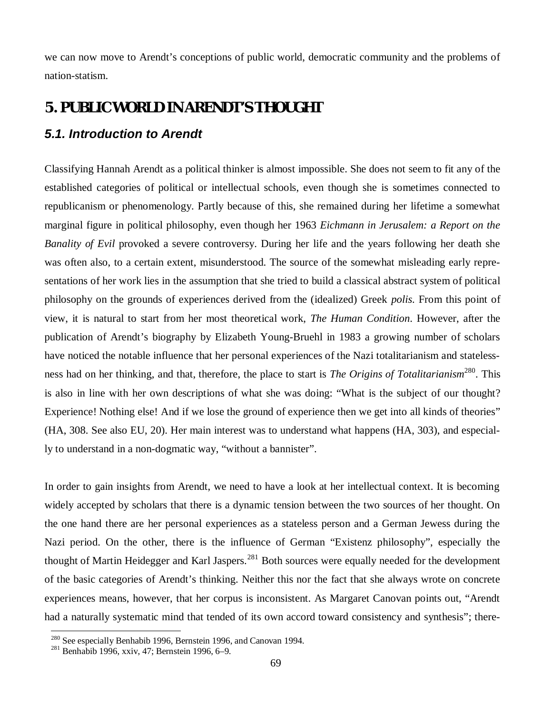we can now move to Arendt's conceptions of public world, democratic community and the problems of nation-statism.

# **5. PUBLIC WORLD IN ARENDT'S THOUGHT**

# *5.1. Introduction to Arendt*

Classifying Hannah Arendt as a political thinker is almost impossible. She does not seem to fit any of the established categories of political or intellectual schools, even though she is sometimes connected to republicanism or phenomenology. Partly because of this, she remained during her lifetime a somewhat marginal figure in political philosophy, even though her 1963 *Eichmann in Jerusalem: a Report on the Banality of Evil* provoked a severe controversy. During her life and the years following her death she was often also, to a certain extent, misunderstood. The source of the somewhat misleading early representations of her work lies in the assumption that she tried to build a classical abstract system of political philosophy on the grounds of experiences derived from the (idealized) Greek *polis.* From this point of view, it is natural to start from her most theoretical work, *The Human Condition*. However, after the publication of Arendt's biography by Elizabeth Young-Bruehl in 1983 a growing number of scholars have noticed the notable influence that her personal experiences of the Nazi totalitarianism and statelessness had on her thinking, and that, therefore, the place to start is *The Origins of Totalitarianism*<sup>280</sup>. This is also in line with her own descriptions of what she was doing: "What is the subject of our thought? Experience! Nothing else! And if we lose the ground of experience then we get into all kinds of theories" (HA, 308. See also EU, 20). Her main interest was to understand what happens (HA, 303), and especially to understand in a non-dogmatic way, "without a bannister".

In order to gain insights from Arendt, we need to have a look at her intellectual context. It is becoming widely accepted by scholars that there is a dynamic tension between the two sources of her thought. On the one hand there are her personal experiences as a stateless person and a German Jewess during the Nazi period. On the other, there is the influence of German "Existenz philosophy", especially the thought of Martin Heidegger and Karl Jaspers.<sup>281</sup> Both sources were equally needed for the development of the basic categories of Arendt's thinking. Neither this nor the fact that she always wrote on concrete experiences means, however, that her corpus is inconsistent. As Margaret Canovan points out, "Arendt had a naturally systematic mind that tended of its own accord toward consistency and synthesis"; there-

<sup>280</sup> See especially Benhabib 1996, Bernstein 1996, and Canovan 1994.

 $281$  Benhabib 1996, xxiv, 47; Bernstein 1996, 6–9.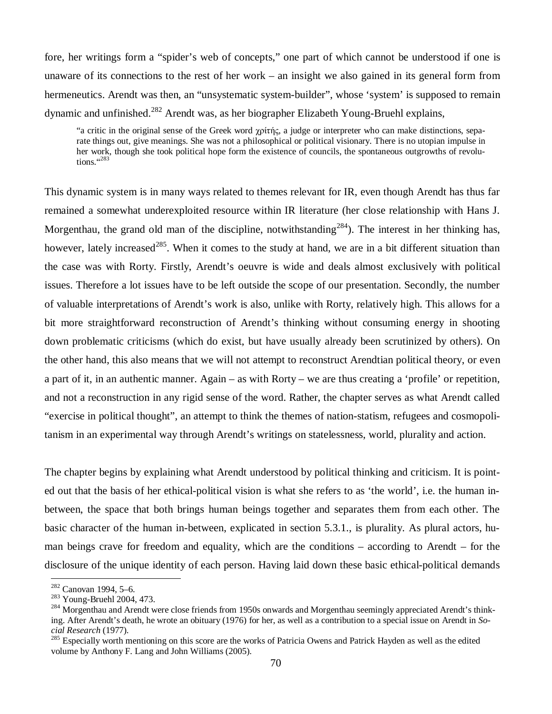fore, her writings form a "spider's web of concepts," one part of which cannot be understood if one is unaware of its connections to the rest of her work – an insight we also gained in its general form from hermeneutics. Arendt was then, an "unsystematic system-builder", whose 'system' is supposed to remain dynamic and unfinished.<sup>282</sup> Arendt was, as her biographer Elizabeth Young-Bruehl explains,

"a critic in the original sense of the Greek word  $\gamma$  $\beta$ ific, a judge or interpreter who can make distinctions, separate things out, give meanings. She was not a philosophical or political visionary. There is no utopian impulse in her work, though she took political hope form the existence of councils, the spontaneous outgrowths of revolutions. $4283$ 

This dynamic system is in many ways related to themes relevant for IR, even though Arendt has thus far remained a somewhat underexploited resource within IR literature (her close relationship with Hans J. Morgenthau, the grand old man of the discipline, notwithstanding<sup>284</sup>). The interest in her thinking has, however, lately increased<sup>285</sup>. When it comes to the study at hand, we are in a bit different situation than the case was with Rorty. Firstly, Arendt's oeuvre is wide and deals almost exclusively with political issues. Therefore a lot issues have to be left outside the scope of our presentation. Secondly, the number of valuable interpretations of Arendt's work is also, unlike with Rorty, relatively high. This allows for a bit more straightforward reconstruction of Arendt's thinking without consuming energy in shooting down problematic criticisms (which do exist, but have usually already been scrutinized by others). On the other hand, this also means that we will not attempt to reconstruct Arendtian political theory, or even a part of it, in an authentic manner. Again – as with Rorty – we are thus creating a 'profile' or repetition, and not a reconstruction in any rigid sense of the word. Rather, the chapter serves as what Arendt called "exercise in political thought", an attempt to think the themes of nation-statism, refugees and cosmopolitanism in an experimental way through Arendt's writings on statelessness, world, plurality and action.

The chapter begins by explaining what Arendt understood by political thinking and criticism. It is pointed out that the basis of her ethical-political vision is what she refers to as 'the world', i.e. the human inbetween, the space that both brings human beings together and separates them from each other. The basic character of the human in-between, explicated in section 5.3.1., is plurality. As plural actors, human beings crave for freedom and equality, which are the conditions – according to Arendt – for the disclosure of the unique identity of each person. Having laid down these basic ethical-political demands

<sup>282</sup> Canovan 1994, 5–6.

<sup>283</sup> Young-Bruehl 2004, 473.

<sup>&</sup>lt;sup>284</sup> Morgenthau and Arendt were close friends from 1950s onwards and Morgenthau seemingly appreciated Arendt's thinking. After Arendt's death, he wrote an obituary (1976) for her, as well as a contribution to a special issue on Arendt in *Social Research* (1977)*.*

<sup>285</sup> Especially worth mentioning on this score are the works of Patricia Owens and Patrick Hayden as well as the edited volume by Anthony F. Lang and John Williams (2005).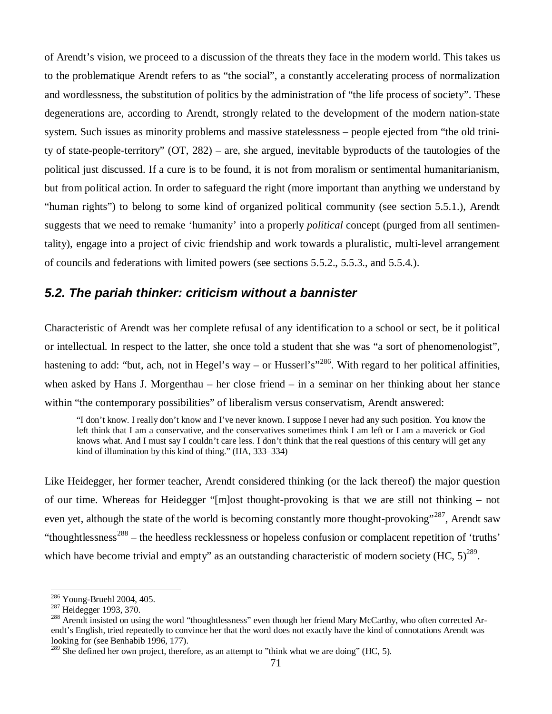of Arendt's vision, we proceed to a discussion of the threats they face in the modern world. This takes us to the problematique Arendt refers to as "the social", a constantly accelerating process of normalization and wordlessness, the substitution of politics by the administration of "the life process of society". These degenerations are, according to Arendt, strongly related to the development of the modern nation-state system. Such issues as minority problems and massive statelessness – people ejected from "the old trinity of state-people-territory" (OT, 282) – are, she argued, inevitable byproducts of the tautologies of the political just discussed. If a cure is to be found, it is not from moralism or sentimental humanitarianism, but from political action. In order to safeguard the right (more important than anything we understand by "human rights") to belong to some kind of organized political community (see section 5.5.1.), Arendt suggests that we need to remake 'humanity' into a properly *political* concept (purged from all sentimentality), engage into a project of civic friendship and work towards a pluralistic, multi-level arrangement of councils and federations with limited powers (see sections 5.5.2., 5.5.3., and 5.5.4.).

### *5.2. The pariah thinker: criticism without a bannister*

Characteristic of Arendt was her complete refusal of any identification to a school or sect, be it political or intellectual. In respect to the latter, she once told a student that she was "a sort of phenomenologist", hastening to add: "but, ach, not in Hegel's way – or Husserl's"<sup>286</sup>. With regard to her political affinities, when asked by Hans J. Morgenthau – her close friend – in a seminar on her thinking about her stance within "the contemporary possibilities" of liberalism versus conservatism, Arendt answered:

"I don't know. I really don't know and I've never known. I suppose I never had any such position. You know the left think that I am a conservative, and the conservatives sometimes think I am left or I am a maverick or God knows what. And I must say I couldn't care less. I don't think that the real questions of this century will get any kind of illumination by this kind of thing." (HA, 333–334)

Like Heidegger, her former teacher, Arendt considered thinking (or the lack thereof) the major question of our time. Whereas for Heidegger "[m]ost thought-provoking is that we are still not thinking – not even yet, although the state of the world is becoming constantly more thought-provoking"<sup>287</sup>, Arendt saw "thoughtlessness<sup>288</sup> – the heedless recklessness or hopeless confusion or complacent repetition of 'truths' which have become trivial and empty" as an outstanding characteristic of modern society (HC,  $5)^{289}$ .

<sup>286</sup> Young-Bruehl 2004, 405.

<sup>287</sup> Heidegger 1993, 370.

<sup>&</sup>lt;sup>288</sup> Arendt insisted on using the word "thoughtlessness" even though her friend Mary McCarthy, who often corrected Arendt's English, tried repeatedly to convince her that the word does not exactly have the kind of connotations Arendt was looking for (see Benhabib 1996, 177).

 $289$  She defined her own project, therefore, as an attempt to "think what we are doing" (HC, 5).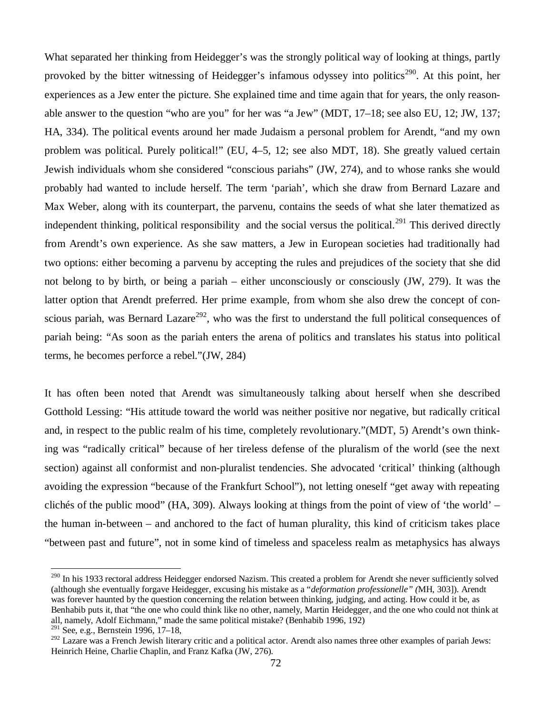What separated her thinking from Heidegger's was the strongly political way of looking at things, partly provoked by the bitter witnessing of Heidegger's infamous odyssey into politics<sup>290</sup>. At this point, her experiences as a Jew enter the picture. She explained time and time again that for years, the only reasonable answer to the question "who are you" for her was "a Jew" (MDT, 17–18; see also EU, 12; JW, 137; HA, 334). The political events around her made Judaism a personal problem for Arendt, "and my own problem was political. Purely political!" (EU, 4–5, 12; see also MDT, 18). She greatly valued certain Jewish individuals whom she considered "conscious pariahs" (JW, 274), and to whose ranks she would probably had wanted to include herself. The term 'pariah', which she draw from Bernard Lazare and Max Weber, along with its counterpart, the parvenu, contains the seeds of what she later thematized as independent thinking, political responsibility and the social versus the political.<sup>291</sup> This derived directly from Arendt's own experience. As she saw matters, a Jew in European societies had traditionally had two options: either becoming a parvenu by accepting the rules and prejudices of the society that she did not belong to by birth, or being a pariah – either unconsciously or consciously (JW, 279). It was the latter option that Arendt preferred. Her prime example, from whom she also drew the concept of conscious pariah, was Bernard Lazare<sup>292</sup>, who was the first to understand the full political consequences of pariah being: "As soon as the pariah enters the arena of politics and translates his status into political terms, he becomes perforce a rebel."(JW, 284)

It has often been noted that Arendt was simultaneously talking about herself when she described Gotthold Lessing: "His attitude toward the world was neither positive nor negative, but radically critical and, in respect to the public realm of his time, completely revolutionary."(MDT, 5) Arendt's own thinking was "radically critical" because of her tireless defense of the pluralism of the world (see the next section) against all conformist and non-pluralist tendencies. She advocated 'critical' thinking (although avoiding the expression "because of the Frankfurt School"), not letting oneself "get away with repeating clichés of the public mood" (HA, 309). Always looking at things from the point of view of 'the world' – the human in-between – and anchored to the fact of human plurality, this kind of criticism takes place "between past and future", not in some kind of timeless and spaceless realm as metaphysics has always

<sup>&</sup>lt;sup>290</sup> In his 1933 rectoral address Heidegger endorsed Nazism. This created a problem for Arendt she never sufficiently solved (although she eventually forgave Heidegger, excusing his mistake as a "*deformation professionelle" (*MH, 303]). Arendt was forever haunted by the question concerning the relation between thinking, judging, and acting. How could it be, as Benhabib puts it, that "the one who could think like no other, namely, Martin Heidegger, and the one who could not think at all, namely, Adolf Eichmann," made the same political mistake? (Benhabib 1996, 192)

 $291$  See, e.g., Bernstein 1996, 17–18,

<sup>&</sup>lt;sup>292</sup> Lazare was a French Jewish literary critic and a political actor. Arendt also names three other examples of pariah Jews: Heinrich Heine, Charlie Chaplin, and Franz Kafka (JW, 276).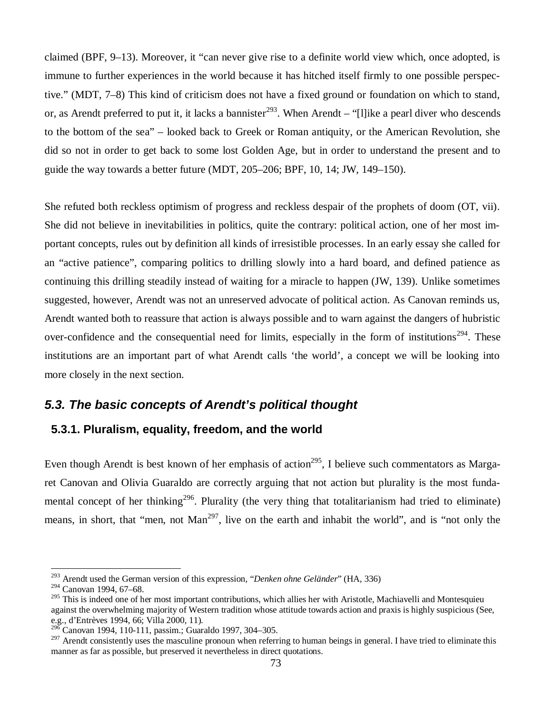claimed (BPF, 9–13). Moreover, it "can never give rise to a definite world view which, once adopted, is immune to further experiences in the world because it has hitched itself firmly to one possible perspective." (MDT, 7–8) This kind of criticism does not have a fixed ground or foundation on which to stand, or, as Arendt preferred to put it, it lacks a bannister<sup>293</sup>. When Arendt – "[l] ike a pearl diver who descends to the bottom of the sea" – looked back to Greek or Roman antiquity, or the American Revolution, she did so not in order to get back to some lost Golden Age, but in order to understand the present and to guide the way towards a better future (MDT, 205–206; BPF, 10, 14; JW, 149–150).

She refuted both reckless optimism of progress and reckless despair of the prophets of doom (OT, vii). She did not believe in inevitabilities in politics, quite the contrary: political action, one of her most important concepts, rules out by definition all kinds of irresistible processes. In an early essay she called for an "active patience", comparing politics to drilling slowly into a hard board, and defined patience as continuing this drilling steadily instead of waiting for a miracle to happen (JW, 139). Unlike sometimes suggested, however, Arendt was not an unreserved advocate of political action. As Canovan reminds us, Arendt wanted both to reassure that action is always possible and to warn against the dangers of hubristic over-confidence and the consequential need for limits, especially in the form of institutions<sup>294</sup>. These institutions are an important part of what Arendt calls 'the world', a concept we will be looking into more closely in the next section.

### *5.3. The basic concepts of Arendt's political thought*

### **5.3.1. Pluralism, equality, freedom, and the world**

Even though Arendt is best known of her emphasis of action<sup>295</sup>, I believe such commentators as Margaret Canovan and Olivia Guaraldo are correctly arguing that not action but plurality is the most fundamental concept of her thinking<sup>296</sup>. Plurality (the very thing that totalitarianism had tried to eliminate) means, in short, that "men, not Man<sup>297</sup>, live on the earth and inhabit the world", and is "not only the

<sup>293</sup> Arendt used the German version of this expression, "*Denken ohne Geländer*" (HA, 336)

<sup>294</sup> Canovan 1994, 67–68.

<sup>&</sup>lt;sup>295</sup> This is indeed one of her most important contributions, which allies her with Aristotle, Machiavelli and Montesquieu against the overwhelming majority of Western tradition whose attitude towards action and praxis is highly suspicious (See, e.g., d'Entrèves 1994, 66; Villa 2000, 11).

<sup>296</sup> Canovan 1994, 110-111, passim.; Guaraldo 1997, 304–305.

 $297$  Arendt consistently uses the masculine pronoun when referring to human beings in general. I have tried to eliminate this manner as far as possible, but preserved it nevertheless in direct quotations.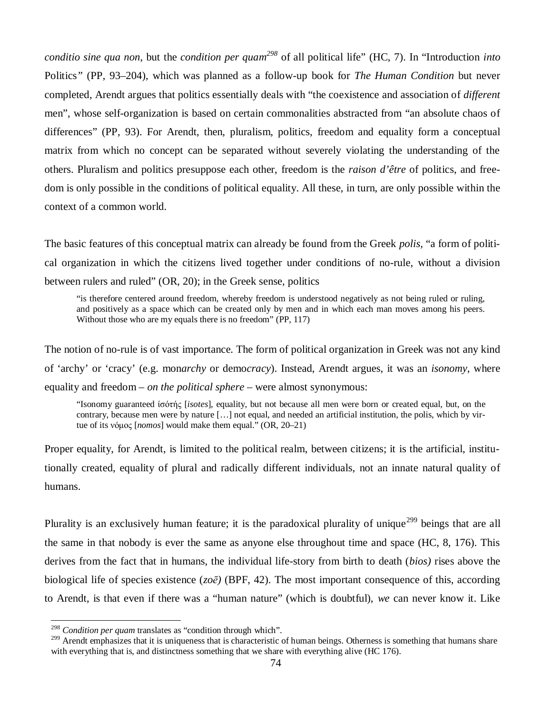*conditio sine qua non*, but the *condition per quam<sup>298</sup>* of all political life" (HC, 7). In "Introduction *into* Politics*"* (PP, 93–204), which was planned as a follow-up book for *The Human Condition* but never completed, Arendt argues that politics essentially deals with "the coexistence and association of *different* men", whose self-organization is based on certain commonalities abstracted from "an absolute chaos of differences" (PP, 93). For Arendt, then, pluralism, politics, freedom and equality form a conceptual matrix from which no concept can be separated without severely violating the understanding of the others. Pluralism and politics presuppose each other, freedom is the *raison d'être* of politics, and freedom is only possible in the conditions of political equality. All these, in turn, are only possible within the context of a common world.

The basic features of this conceptual matrix can already be found from the Greek *polis,* "a form of political organization in which the citizens lived together under conditions of no-rule, without a division between rulers and ruled" (OR, 20); in the Greek sense*,* politics

"is therefore centered around freedom, whereby freedom is understood negatively as not being ruled or ruling, and positively as a space which can be created only by men and in which each man moves among his peers. Without those who are my equals there is no freedom" (PP, 117)

The notion of no-rule is of vast importance. The form of political organization in Greek was not any kind of 'archy' or 'cracy' (e.g. mon*archy* or demo*cracy*). Instead, Arendt argues, it was an *isonomy*, where equality and freedom – *on the political sphere* – were almost synonymous:

"Isonomy guaranteed ȓıȩIJȒȢ [*isotes*], equality, but not because all men were born or created equal, but, on the contrary, because men were by nature [… ] not equal, and needed an artificial institution, the polis, which by virtue of its νόμος [*nomos*] would make them equal." (OR, 20–21)

Proper equality, for Arendt, is limited to the political realm, between citizens; it is the artificial, institutionally created, equality of plural and radically different individuals, not an innate natural quality of humans.

Plurality is an exclusively human feature; it is the paradoxical plurality of unique<sup>299</sup> beings that are all the same in that nobody is ever the same as anyone else throughout time and space (HC, 8, 176). This derives from the fact that in humans, the individual life-story from birth to death (*bios)* rises above the biological life of species existence  $(zo\bar{e})$  (BPF, 42). The most important consequence of this, according to Arendt, is that even if there was a "human nature" (which is doubtful), *we* can never know it. Like

<sup>298</sup> *Condition per quam* translates as "condition through which".

<sup>&</sup>lt;sup>299</sup> Arendt emphasizes that it is uniqueness that is characteristic of human beings. Otherness is something that humans share with everything that is, and distinctness something that we share with everything alive (HC 176).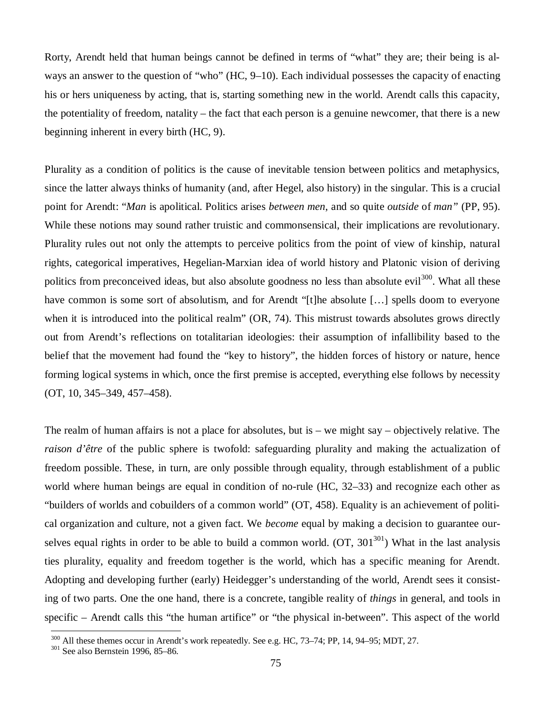Rorty, Arendt held that human beings cannot be defined in terms of "what" they are; their being is always an answer to the question of "who" (HC, 9–10). Each individual possesses the capacity of enacting his or hers uniqueness by acting, that is, starting something new in the world. Arendt calls this capacity, the potentiality of freedom, natality – the fact that each person is a genuine newcomer, that there is a new beginning inherent in every birth (HC, 9).

Plurality as a condition of politics is the cause of inevitable tension between politics and metaphysics, since the latter always thinks of humanity (and, after Hegel, also history) in the singular. This is a crucial point for Arendt: "*Man* is apolitical. Politics arises *between men*, and so quite *outside* of *man"* (PP, 95). While these notions may sound rather truistic and commonsensical, their implications are revolutionary. Plurality rules out not only the attempts to perceive politics from the point of view of kinship, natural rights, categorical imperatives, Hegelian-Marxian idea of world history and Platonic vision of deriving politics from preconceived ideas, but also absolute goodness no less than absolute evil<sup>300</sup>. What all these have common is some sort of absolutism, and for Arendt "[t]he absolute [...] spells doom to everyone when it is introduced into the political realm" (OR, 74). This mistrust towards absolutes grows directly out from Arendt's reflections on totalitarian ideologies: their assumption of infallibility based to the belief that the movement had found the "key to history", the hidden forces of history or nature, hence forming logical systems in which, once the first premise is accepted, everything else follows by necessity (OT, 10, 345–349, 457–458).

The realm of human affairs is not a place for absolutes, but is – we might say – objectively relative. The *raison d'être* of the public sphere is twofold: safeguarding plurality and making the actualization of freedom possible. These, in turn, are only possible through equality, through establishment of a public world where human beings are equal in condition of no-rule (HC, 32–33) and recognize each other as "builders of worlds and cobuilders of a common world" (OT, 458). Equality is an achievement of political organization and culture, not a given fact. We *become* equal by making a decision to guarantee ourselves equal rights in order to be able to build a common world.  $(OT, 301^{301})$  What in the last analysis ties plurality, equality and freedom together is the world, which has a specific meaning for Arendt. Adopting and developing further (early) Heidegger's understanding of the world, Arendt sees it consisting of two parts. One the one hand, there is a concrete, tangible reality of *things* in general, and tools in specific – Arendt calls this "the human artifice" or "the physical in-between". This aspect of the world

<sup>&</sup>lt;sup>300</sup> All these themes occur in Arendt's work repeatedly. See e.g. HC, 73–74; PP, 14, 94–95; MDT, 27.

<sup>301</sup> See also Bernstein 1996, 85–86.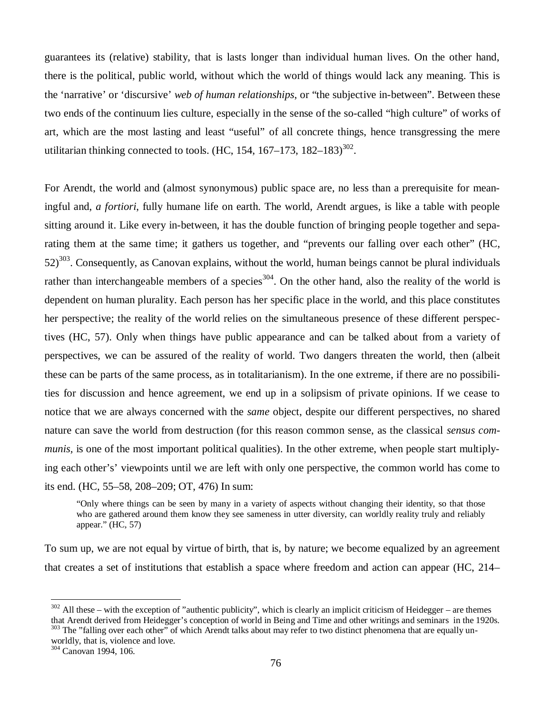guarantees its (relative) stability, that is lasts longer than individual human lives. On the other hand, there is the political, public world, without which the world of things would lack any meaning. This is the 'narrative' or 'discursive'*web of human relationships*, or "the subjective in-between". Between these two ends of the continuum lies culture, especially in the sense of the so-called "high culture" of works of art, which are the most lasting and least "useful" of all concrete things, hence transgressing the mere utilitarian thinking connected to tools. (HC, 154, 167–173, 182–183)<sup>302</sup>.

For Arendt, the world and (almost synonymous) public space are, no less than a prerequisite for meaningful and, *a fortiori*, fully humane life on earth. The world, Arendt argues, is like a table with people sitting around it. Like every in-between, it has the double function of bringing people together and separating them at the same time; it gathers us together, and "prevents our falling over each other" (HC,  $52$ )<sup>303</sup>. Consequently, as Canovan explains, without the world, human beings cannot be plural individuals rather than interchangeable members of a species<sup>304</sup>. On the other hand, also the reality of the world is dependent on human plurality. Each person has her specific place in the world, and this place constitutes her perspective; the reality of the world relies on the simultaneous presence of these different perspectives (HC, 57). Only when things have public appearance and can be talked about from a variety of perspectives, we can be assured of the reality of world. Two dangers threaten the world, then (albeit these can be parts of the same process, as in totalitarianism). In the one extreme, if there are no possibilities for discussion and hence agreement, we end up in a solipsism of private opinions. If we cease to notice that we are always concerned with the *same* object, despite our different perspectives, no shared nature can save the world from destruction (for this reason common sense, as the classical *sensus communis,* is one of the most important political qualities). In the other extreme, when people start multiplying each other's' viewpoints until we are left with only one perspective, the common world has come to its end. (HC, 55–58, 208–209; OT, 476) In sum:

"Only where things can be seen by many in a variety of aspects without changing their identity, so that those who are gathered around them know they see sameness in utter diversity, can worldly reality truly and reliably appear." (HC, 57)

To sum up, we are not equal by virtue of birth, that is, by nature; we become equalized by an agreement that creates a set of institutions that establish a space where freedom and action can appear (HC, 214–

 $302$  All these – with the exception of "authentic publicity", which is clearly an implicit criticism of Heidegger – are themes that Arendt derived from Heidegger's conception of world in Being and Time and other writings and seminars in the 1920s.

<sup>&</sup>lt;sup>303</sup> The "falling over each other" of which Arendt talks about may refer to two distinct phenomena that are equally unworldly, that is, violence and love.

<sup>304</sup> Canovan 1994, 106.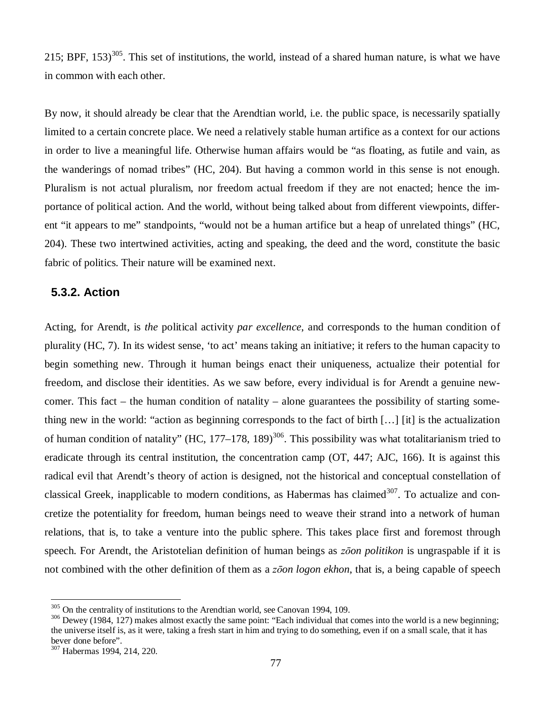215; BPF,  $153$ <sup>305</sup>. This set of institutions, the world, instead of a shared human nature, is what we have in common with each other.

By now, it should already be clear that the Arendtian world, i.e. the public space, is necessarily spatially limited to a certain concrete place. We need a relatively stable human artifice as a context for our actions in order to live a meaningful life. Otherwise human affairs would be "as floating, as futile and vain, as the wanderings of nomad tribes" (HC, 204). But having a common world in this sense is not enough. Pluralism is not actual pluralism, nor freedom actual freedom if they are not enacted; hence the importance of political action. And the world, without being talked about from different viewpoints, different "it appears to me" standpoints, "would not be a human artifice but a heap of unrelated things" (HC, 204). These two intertwined activities, acting and speaking, the deed and the word, constitute the basic fabric of politics. Their nature will be examined next.

#### **5.3.2. Action**

Acting, for Arendt, is *the* political activity *par excellence*, and corresponds to the human condition of plurality (HC, 7). In its widest sense, 'to act' means taking an initiative; it refers to the human capacity to begin something new. Through it human beings enact their uniqueness, actualize their potential for freedom, and disclose their identities. As we saw before, every individual is for Arendt a genuine newcomer. This fact – the human condition of natality – alone guarantees the possibility of starting something new in the world: "action as beginning corresponds to the fact of birth [… ] [it] is the actualization of human condition of natality" (HC,  $177-178$ ,  $189$ )<sup>306</sup>. This possibility was what totalitarianism tried to eradicate through its central institution, the concentration camp (OT, 447; AJC, 166). It is against this radical evil that Arendt's theory of action is designed, not the historical and conceptual constellation of classical Greek, inapplicable to modern conditions, as Habermas has claimed  $307$ . To actualize and concretize the potentiality for freedom, human beings need to weave their strand into a network of human relations, that is, to take a venture into the public sphere. This takes place first and foremost through speech. For Arendt, the Aristotelian definition of human beings as *zoon politikon* is ungraspable if it is not combined with the other definition of them as a *z*<sub>*oon logon ekhon*, that is, a being capable of speech</sub>

<sup>&</sup>lt;sup>305</sup> On the centrality of institutions to the Arendtian world, see Canovan 1994, 109.

<sup>&</sup>lt;sup>306</sup> Dewey (1984, 127) makes almost exactly the same point: "Each individual that comes into the world is a new beginning; the universe itself is, as it were, taking a fresh start in him and trying to do something, even if on a small scale, that it has bever done before".

<sup>307</sup> Habermas 1994, 214, 220.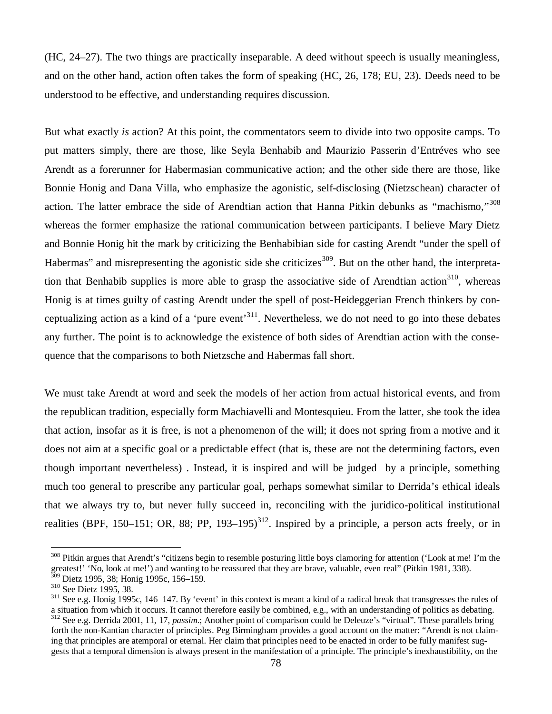(HC, 24–27). The two things are practically inseparable. A deed without speech is usually meaningless, and on the other hand, action often takes the form of speaking (HC, 26, 178; EU, 23). Deeds need to be understood to be effective, and understanding requires discussion.

But what exactly *is* action? At this point, the commentators seem to divide into two opposite camps. To put matters simply, there are those, like Seyla Benhabib and Maurizio Passerin d'Entréves who see Arendt as a forerunner for Habermasian communicative action; and the other side there are those, like Bonnie Honig and Dana Villa, who emphasize the agonistic, self-disclosing (Nietzschean) character of action. The latter embrace the side of Arendtian action that Hanna Pitkin debunks as "machismo,"<sup>308</sup> whereas the former emphasize the rational communication between participants. I believe Mary Dietz and Bonnie Honig hit the mark by criticizing the Benhabibian side for casting Arendt "under the spell of Habermas" and misrepresenting the agonistic side she criticizes<sup>309</sup>. But on the other hand, the interpretation that Benhabib supplies is more able to grasp the associative side of Arendtian action<sup>310</sup>, whereas Honig is at times guilty of casting Arendt under the spell of post-Heideggerian French thinkers by conceptualizing action as a kind of a 'pure event'<sup>311</sup>. Nevertheless, we do not need to go into these debates any further. The point is to acknowledge the existence of both sides of Arendtian action with the consequence that the comparisons to both Nietzsche and Habermas fall short.

We must take Arendt at word and seek the models of her action from actual historical events, and from the republican tradition, especially form Machiavelli and Montesquieu. From the latter, she took the idea that action, insofar as it is free, is not a phenomenon of the will; it does not spring from a motive and it does not aim at a specific goal or a predictable effect (that is, these are not the determining factors, even though important nevertheless) . Instead, it is inspired and will be judged by a principle, something much too general to prescribe any particular goal, perhaps somewhat similar to Derrida's ethical ideals that we always try to, but never fully succeed in, reconciling with the juridico-political institutional realities (BPF, 150–151; OR, 88; PP, 193–195)<sup>312</sup>. Inspired by a principle, a person acts freely, or in

<sup>&</sup>lt;sup>308</sup> Pitkin argues that Arendt's "citizens begin to resemble posturing little boys clamoring for attention ('Look at me! I'm the greatest!' 'No, look at me!') and wanting to be reassured that they are brave, valuable, even real" (Pitkin 1981, 338).  $309$  Dietz 1995, 38; Honig 1995c, 156–159.

<sup>310</sup> See Dietz 1995, 38.

 $311$  See e.g. Honig 1995c, 146–147. By 'event' in this context is meant a kind of a radical break that transgresses the rules of a situation from which it occurs. It cannot therefore easily be combined, e.g., with an understanding of politics as debating. <sup>312</sup> See e.g. Derrida 2001, 11, 17, *passim*.; Another point of comparison could be Deleuze's "virtual". These parallels bring forth the non-Kantian character of principles. Peg Birmingham provides a good account on the matter: "Arendt is not claiming that principles are atemporal or eternal. Her claim that principles need to be enacted in order to be fully manifest suggests that a temporal dimension is always present in the manifestation of a principle. The principle's inexhaustibility, on the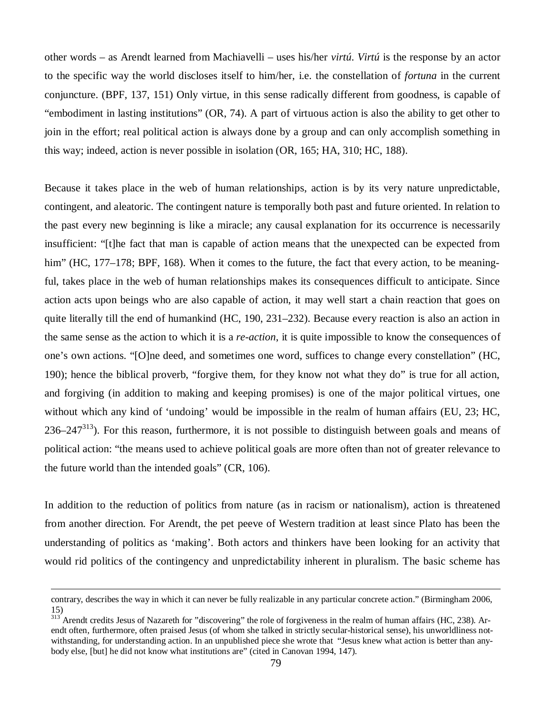other words – as Arendt learned from Machiavelli – uses his/her *virtú*. *Virtú* is the response by an actor to the specific way the world discloses itself to him/her, i.e. the constellation of *fortuna* in the current conjuncture. (BPF, 137, 151) Only virtue, in this sense radically different from goodness, is capable of "embodiment in lasting institutions" (OR, 74). A part of virtuous action is also the ability to get other to join in the effort; real political action is always done by a group and can only accomplish something in this way; indeed, action is never possible in isolation (OR, 165; HA, 310; HC, 188).

Because it takes place in the web of human relationships, action is by its very nature unpredictable, contingent, and aleatoric. The contingent nature is temporally both past and future oriented. In relation to the past every new beginning is like a miracle; any causal explanation for its occurrence is necessarily insufficient: "[t]he fact that man is capable of action means that the unexpected can be expected from him" (HC, 177–178; BPF, 168). When it comes to the future, the fact that every action, to be meaningful, takes place in the web of human relationships makes its consequences difficult to anticipate. Since action acts upon beings who are also capable of action, it may well start a chain reaction that goes on quite literally till the end of humankind (HC, 190, 231–232). Because every reaction is also an action in the same sense as the action to which it is a *re-action*, it is quite impossible to know the consequences of one's own actions. "[O]ne deed, and sometimes one word, suffices to change every constellation" (HC, 190); hence the biblical proverb, "forgive them, for they know not what they do" is true for all action, and forgiving (in addition to making and keeping promises) is one of the major political virtues, one without which any kind of 'undoing' would be impossible in the realm of human affairs (EU, 23; HC,  $236-247^{313}$ ). For this reason, furthermore, it is not possible to distinguish between goals and means of political action: "the means used to achieve political goals are more often than not of greater relevance to the future world than the intended goals" (CR, 106).

In addition to the reduction of politics from nature (as in racism or nationalism), action is threatened from another direction. For Arendt, the pet peeve of Western tradition at least since Plato has been the understanding of politics as 'making'. Both actors and thinkers have been looking for an activity that would rid politics of the contingency and unpredictability inherent in pluralism. The basic scheme has

contrary, describes the way in which it can never be fully realizable in any particular concrete action." (Birmingham 2006, 15)

<sup>&</sup>lt;sup>313</sup> Arendt credits Jesus of Nazareth for "discovering" the role of forgiveness in the realm of human affairs (HC, 238). Arendt often, furthermore, often praised Jesus (of whom she talked in strictly secular-historical sense), his unworldliness notwithstanding, for understanding action. In an unpublished piece she wrote that "Jesus knew what action is better than anybody else, [but] he did not know what institutions are" (cited in Canovan 1994, 147).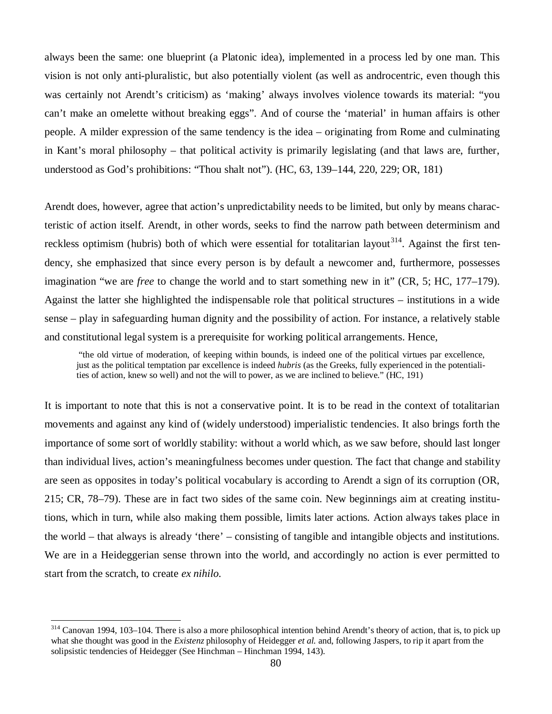always been the same: one blueprint (a Platonic idea), implemented in a process led by one man. This vision is not only anti-pluralistic, but also potentially violent (as well as androcentric, even though this was certainly not Arendt's criticism) as 'making' always involves violence towards its material: "you can't make an omelette without breaking eggs". And of course the 'material' in human affairs is other people. A milder expression of the same tendency is the idea – originating from Rome and culminating in Kant's moral philosophy – that political activity is primarily legislating (and that laws are, further, understood as God's prohibitions: "Thou shalt not"). (HC, 63, 139–144, 220, 229; OR, 181)

Arendt does, however, agree that action's unpredictability needs to be limited, but only by means characteristic of action itself. Arendt, in other words, seeks to find the narrow path between determinism and reckless optimism (hubris) both of which were essential for totalitarian layout<sup>314</sup>. Against the first tendency, she emphasized that since every person is by default a newcomer and, furthermore, possesses imagination "we are *free* to change the world and to start something new in it" (CR, 5; HC, 177–179). Against the latter she highlighted the indispensable role that political structures – institutions in a wide sense – play in safeguarding human dignity and the possibility of action. For instance, a relatively stable and constitutional legal system is a prerequisite for working political arrangements. Hence,

 "the old virtue of moderation, of keeping within bounds, is indeed one of the political virtues par excellence, just as the political temptation par excellence is indeed *hubris* (as the Greeks, fully experienced in the potentialities of action, knew so well) and not the will to power, as we are inclined to believe." (HC, 191)

It is important to note that this is not a conservative point. It is to be read in the context of totalitarian movements and against any kind of (widely understood) imperialistic tendencies. It also brings forth the importance of some sort of worldly stability: without a world which, as we saw before, should last longer than individual lives, action's meaningfulness becomes under question. The fact that change and stability are seen as opposites in today's political vocabulary is according to Arendt a sign of its corruption (OR, 215; CR, 78–79). These are in fact two sides of the same coin. New beginnings aim at creating institutions, which in turn, while also making them possible, limits later actions. Action always takes place in the world – that always is already 'there' – consisting of tangible and intangible objects and institutions. We are in a Heideggerian sense thrown into the world, and accordingly no action is ever permitted to start from the scratch, to create *ex nihilo.*

 $314$  Canovan 1994, 103–104. There is also a more philosophical intention behind Arendt's theory of action, that is, to pick up what she thought was good in the *Existenz* philosophy of Heidegger *et al.* and, following Jaspers, to rip it apart from the solipsistic tendencies of Heidegger (See Hinchman – Hinchman 1994, 143).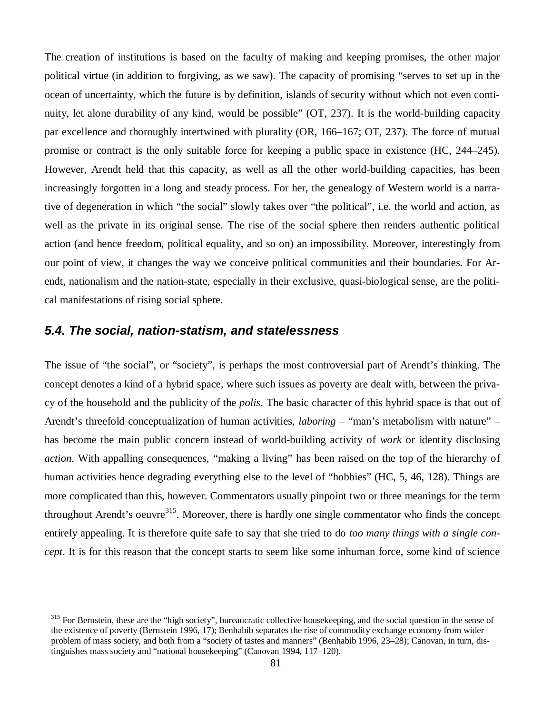The creation of institutions is based on the faculty of making and keeping promises, the other major political virtue (in addition to forgiving, as we saw). The capacity of promising "serves to set up in the ocean of uncertainty, which the future is by definition, islands of security without which not even continuity, let alone durability of any kind, would be possible" (OT, 237). It is the world-building capacity par excellence and thoroughly intertwined with plurality (OR, 166–167; OT, 237). The force of mutual promise or contract is the only suitable force for keeping a public space in existence (HC, 244–245). However, Arendt held that this capacity, as well as all the other world-building capacities, has been increasingly forgotten in a long and steady process. For her, the genealogy of Western world is a narrative of degeneration in which "the social" slowly takes over "the political", i.e. the world and action, as well as the private in its original sense. The rise of the social sphere then renders authentic political action (and hence freedom, political equality, and so on) an impossibility. Moreover, interestingly from our point of view, it changes the way we conceive political communities and their boundaries. For Arendt, nationalism and the nation-state, especially in their exclusive, quasi-biological sense, are the political manifestations of rising social sphere.

### *5.4. The social, nation-statism, and statelessness*

The issue of "the social", or "society", is perhaps the most controversial part of Arendt's thinking. The concept denotes a kind of a hybrid space*,* where such issues as poverty are dealt with, between the privacy of the household and the publicity of the *polis*. The basic character of this hybrid space is that out of Arendt's threefold conceptualization of human activities, *laboring* – "man's metabolism with nature" – has become the main public concern instead of world-building activity of *work* or identity disclosing *action*. With appalling consequences, "making a living" has been raised on the top of the hierarchy of human activities hence degrading everything else to the level of "hobbies" (HC, 5, 46, 128). Things are more complicated than this, however. Commentators usually pinpoint two or three meanings for the term throughout Arendt's oeuvre<sup>315</sup>. Moreover, there is hardly one single commentator who finds the concept entirely appealing. It is therefore quite safe to say that she tried to do *too many things with a single concept*. It is for this reason that the concept starts to seem like some inhuman force, some kind of science

<sup>&</sup>lt;sup>315</sup> For Bernstein, these are the "high society", bureaucratic collective housekeeping, and the social question in the sense of the existence of poverty (Bernstein 1996, 17); Benhabib separates the rise of commodity exchange economy from wider problem of mass society, and both from a "society of tastes and manners" (Benhabib 1996, 23–28); Canovan, in turn, distinguishes mass society and "national housekeeping" (Canovan 1994, 117–120).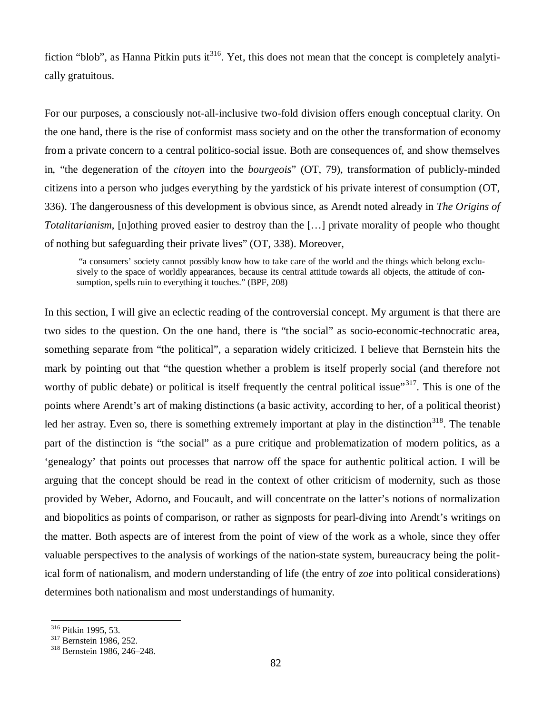fiction "blob", as Hanna Pitkin puts it  $316$ . Yet, this does not mean that the concept is completely analytically gratuitous.

For our purposes, a consciously not-all-inclusive two-fold division offers enough conceptual clarity. On the one hand, there is the rise of conformist mass society and on the other the transformation of economy from a private concern to a central politico-social issue. Both are consequences of, and show themselves in, "the degeneration of the *citoyen* into the *bourgeois*" (OT, 79), transformation of publicly-minded citizens into a person who judges everything by the yardstick of his private interest of consumption (OT, 336). The dangerousness of this development is obvious since, as Arendt noted already in *The Origins of Totalitarianism*, [n]othing proved easier to destroy than the [… ] private morality of people who thought of nothing but safeguarding their private lives" (OT, 338). Moreover,

 "a consumers' society cannot possibly know how to take care of the world and the things which belong exclusively to the space of worldly appearances, because its central attitude towards all objects, the attitude of consumption, spells ruin to everything it touches." (BPF, 208)

In this section, I will give an eclectic reading of the controversial concept. My argument is that there are two sides to the question. On the one hand, there is "the social" as socio-economic-technocratic area, something separate from "the political", a separation widely criticized. I believe that Bernstein hits the mark by pointing out that "the question whether a problem is itself properly social (and therefore not worthy of public debate) or political is itself frequently the central political issue"<sup>317</sup>. This is one of the points where Arendt's art of making distinctions (a basic activity, according to her, of a political theorist) led her astray. Even so, there is something extremely important at play in the distinction<sup>318</sup>. The tenable part of the distinction is "the social" as a pure critique and problematization of modern politics, as a 'genealogy' that points out processes that narrow off the space for authentic political action. I will be arguing that the concept should be read in the context of other criticism of modernity, such as those provided by Weber, Adorno, and Foucault, and will concentrate on the latter's notions of normalization and biopolitics as points of comparison, or rather as signposts for pearl-diving into Arendt's writings on the matter. Both aspects are of interest from the point of view of the work as a whole, since they offer valuable perspectives to the analysis of workings of the nation-state system, bureaucracy being the political form of nationalism, and modern understanding of life (the entry of *zoe* into political considerations) determines both nationalism and most understandings of humanity.

<sup>316</sup> Pitkin 1995, 53.

<sup>&</sup>lt;sup>317</sup> Bernstein 1986, 252.

<sup>318</sup> Bernstein 1986, 246–248.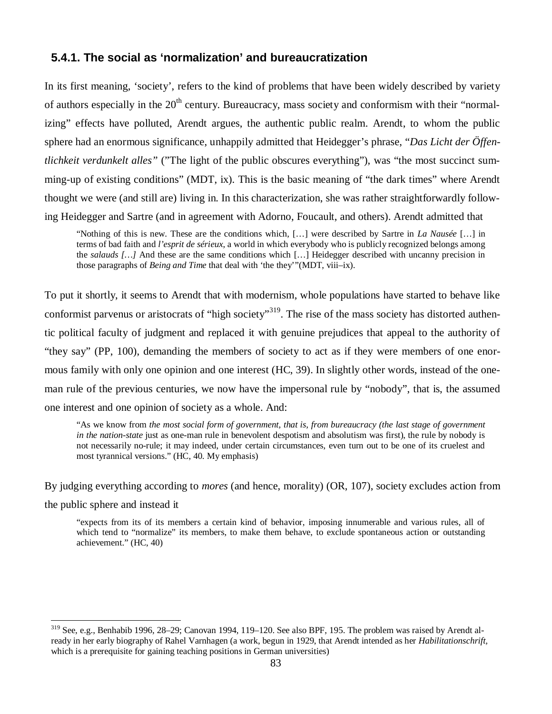#### **5.4.1. The social as 'normalization' and bureaucratization**

In its first meaning, 'society', refers to the kind of problems that have been widely described by variety of authors especially in the  $20<sup>th</sup>$  century. Bureaucracy, mass society and conformism with their "normalizing" effects have polluted, Arendt argues, the authentic public realm. Arendt, to whom the public sphere had an enormous significance, unhappily admitted that Heidegger's phrase, "*Das Licht der Öffentlichkeit verdunkelt alles"* ("The light of the public obscures everything"), was "the most succinct summing-up of existing conditions" (MDT, ix). This is the basic meaning of "the dark times" where Arendt thought we were (and still are) living in. In this characterization, she was rather straightforwardly following Heidegger and Sartre (and in agreement with Adorno, Foucault, and others). Arendt admitted that

"Nothing of this is new. These are the conditions which, [… ] were described by Sartre in *La Nausée* [… ] in terms of bad faith and *l'esprit de sérieux*, a world in which everybody who is publicly recognized belongs among the *salauds* [...] And these are the same conditions which [...] Heidegger described with uncanny precision in those paragraphs of *Being and Time* that deal with 'the they'"(MDT, viii–ix).

To put it shortly, it seems to Arendt that with modernism, whole populations have started to behave like conformist parvenus or aristocrats of "high society"<sup>319</sup>. The rise of the mass society has distorted authentic political faculty of judgment and replaced it with genuine prejudices that appeal to the authority of "they say" (PP, 100), demanding the members of society to act as if they were members of one enormous family with only one opinion and one interest (HC, 39). In slightly other words, instead of the oneman rule of the previous centuries, we now have the impersonal rule by "nobody", that is, the assumed one interest and one opinion of society as a whole. And:

"As we know from *the most social form of government, that is, from bureaucracy (the last stage of government in the nation-state* just as one-man rule in benevolent despotism and absolutism was first), the rule by nobody is not necessarily no-rule; it may indeed, under certain circumstances, even turn out to be one of its cruelest and most tyrannical versions." (HC, 40. My emphasis)

By judging everything according to *mores* (and hence, morality) (OR, 107), society excludes action from

the public sphere and instead it

"expects from its of its members a certain kind of behavior, imposing innumerable and various rules, all of which tend to "normalize" its members, to make them behave, to exclude spontaneous action or outstanding achievement." (HC, 40)

<sup>319</sup> See, e.g., Benhabib 1996, 28–29; Canovan 1994, 119–120. See also BPF, 195. The problem was raised by Arendt already in her early biography of Rahel Varnhagen (a work, begun in 1929, that Arendt intended as her *Habilitationschrift,* which is a prerequisite for gaining teaching positions in German universities)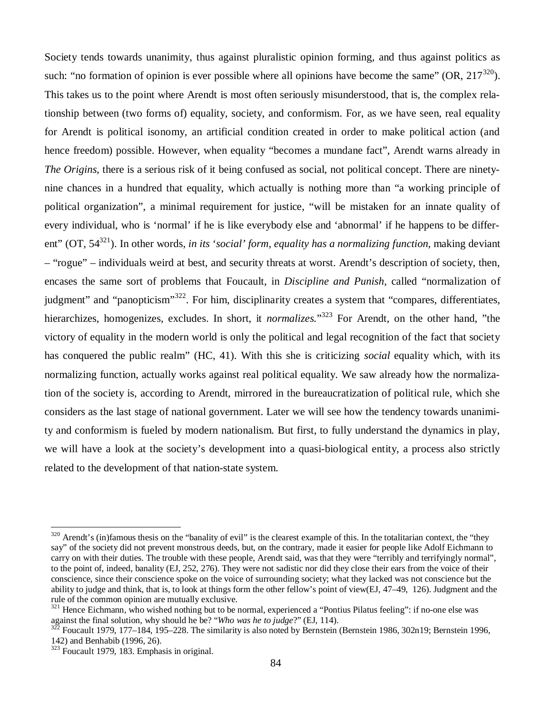Society tends towards unanimity, thus against pluralistic opinion forming, and thus against politics as such: "no formation of opinion is ever possible where all opinions have become the same"  $(OR, 217^{320})$ . This takes us to the point where Arendt is most often seriously misunderstood, that is, the complex relationship between (two forms of) equality, society, and conformism. For, as we have seen, real equality for Arendt is political isonomy, an artificial condition created in order to make political action (and hence freedom) possible. However, when equality "becomes a mundane fact", Arendt warns already in *The Origins*, there is a serious risk of it being confused as social, not political concept. There are ninetynine chances in a hundred that equality, which actually is nothing more than "a working principle of political organization", a minimal requirement for justice, "will be mistaken for an innate quality of every individual, who is 'normal' if he is like everybody else and 'abnormal' if he happens to be different" (OT, 54<sup>321</sup>). In other words, *in its 'social' form, equality has a normalizing function*, making deviant – "rogue" – individuals weird at best, and security threats at worst. Arendt's description of society, then, encases the same sort of problems that Foucault, in *Discipline and Punish*, called "normalization of judgment" and "panopticism"<sup>322</sup>. For him, disciplinarity creates a system that "compares, differentiates, hierarchizes, homogenizes, excludes. In short, it *normalizes.*" <sup>323</sup> For Arendt, on the other hand, "the victory of equality in the modern world is only the political and legal recognition of the fact that society has conquered the public realm" (HC, 41). With this she is criticizing *social* equality which, with its normalizing function, actually works against real political equality. We saw already how the normalization of the society is, according to Arendt, mirrored in the bureaucratization of political rule, which she considers as the last stage of national government. Later we will see how the tendency towards unanimity and conformism is fueled by modern nationalism. But first, to fully understand the dynamics in play, we will have a look at the society's development into a quasi-biological entity, a process also strictly related to the development of that nation-state system.

 $320$  Arendt's (in)famous thesis on the "banality of evil" is the clearest example of this. In the totalitarian context, the "they say" of the society did not prevent monstrous deeds, but, on the contrary, made it easier for people like Adolf Eichmann to carry on with their duties. The trouble with these people, Arendt said, was that they were "terribly and terrifyingly normal", to the point of, indeed, banality (EJ, 252, 276). They were not sadistic nor did they close their ears from the voice of their conscience, since their conscience spoke on the voice of surrounding society; what they lacked was not conscience but the ability to judge and think, that is, to look at things form the other fellow's point of view(EJ, 47–49, 126). Judgment and the rule of the common opinion are mutually exclusive.

<sup>&</sup>lt;sup>321</sup> Hence Eichmann, who wished nothing but to be normal, experienced a "Pontius Pilatus feeling": if no-one else was against the final solution, why should he be? "*Who was he to judge*?" (EJ, 114).

 $3^{32}$  Foucault 1979, 177–184, 195–228. The similarity is also noted by Bernstein (Bernstein 1986, 302n19; Bernstein 1996, 142) and Benhabib (1996, 26).

<sup>323</sup> Foucault 1979, 183. Emphasis in original.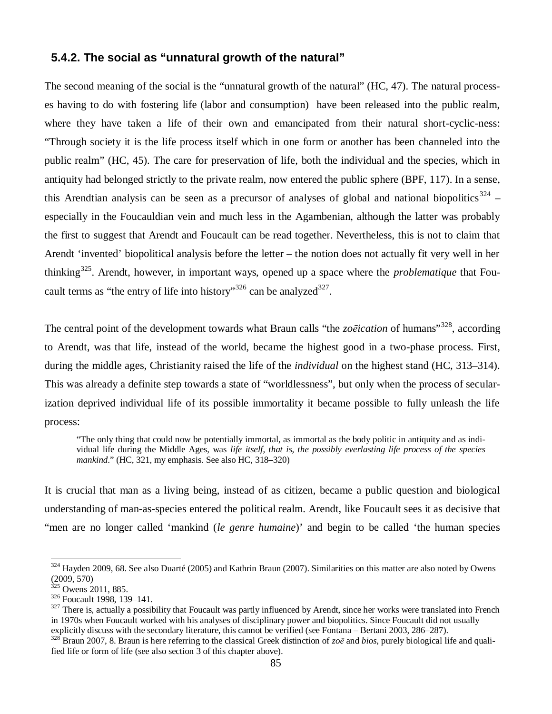### **5.4.2. The social as "unnatural growth of the natural"**

The second meaning of the social is the "unnatural growth of the natural" (HC, 47). The natural processes having to do with fostering life (labor and consumption) have been released into the public realm, where they have taken a life of their own and emancipated from their natural short-cyclic-ness: "Through society it is the life process itself which in one form or another has been channeled into the public realm" (HC, 45). The care for preservation of life, both the individual and the species, which in antiquity had belonged strictly to the private realm, now entered the public sphere (BPF, 117). In a sense, this Arendtian analysis can be seen as a precursor of analyses of global and national biopolitics<sup>324</sup> – especially in the Foucauldian vein and much less in the Agambenian, although the latter was probably the first to suggest that Arendt and Foucault can be read together. Nevertheless, this is not to claim that Arendt 'invented' biopolitical analysis before the letter – the notion does not actually fit very well in her thinking<sup>325</sup>. Arendt, however, in important ways, opened up a space where the *problematique* that Foucault terms as "the entry of life into history"<sup>326</sup> can be analyzed<sup>327</sup>.

The central point of the development towards what Braun calls "the *zo* $\bar{e}$ *ication* of humans"<sup>328</sup>, according to Arendt, was that life, instead of the world, became the highest good in a two-phase process. First, during the middle ages, Christianity raised the life of the *individual* on the highest stand (HC, 313–314). This was already a definite step towards a state of "worldlessness", but only when the process of secularization deprived individual life of its possible immortality it became possible to fully unleash the life process:

"The only thing that could now be potentially immortal, as immortal as the body politic in antiquity and as individual life during the Middle Ages, was *life itself, that is, the possibly everlasting life process of the species mankind*." (HC, 321, my emphasis. See also HC, 318–320)

It is crucial that man as a living being, instead of as citizen, became a public question and biological understanding of man-as-species entered the political realm. Arendt, like Foucault sees it as decisive that "men are no longer called 'mankind (*le genre humaine*)' and begin to be called 'the human species

<sup>&</sup>lt;sup>324</sup> Hayden 2009, 68. See also Duarté (2005) and Kathrin Braun (2007). Similarities on this matter are also noted by Owens (2009, 570)

 $325$  Owens 2011, 885.

<sup>326</sup> Foucault 1998, 139–141.

<sup>&</sup>lt;sup>327</sup> There is, actually a possibility that Foucault was partly influenced by Arendt, since her works were translated into French in 1970s when Foucault worked with his analyses of disciplinary power and biopolitics. Since Foucault did not usually explicitly discuss with the secondary literature, this cannot be verified (see Fontana – Bertani 2003, 286–287).

 $328$ <sup>r</sup>Braun 2007, 8. Braun is here referring to the classical Greek distinction of  $z\circ\bar{e}$  and *bios*, purely biological life and qualified life or form of life (see also section 3 of this chapter above).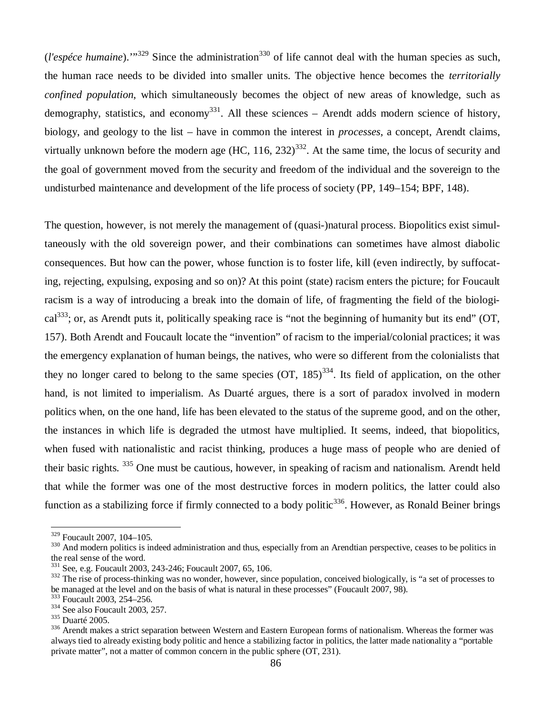$(l'espéce humaine)$ .<sup>"329</sup> Since the administration<sup>330</sup> of life cannot deal with the human species as such, the human race needs to be divided into smaller units. The objective hence becomes the *territorially confined population*, which simultaneously becomes the object of new areas of knowledge, such as demography, statistics, and economy<sup>331</sup>. All these sciences – Arendt adds modern science of history, biology, and geology to the list – have in common the interest in *processes*, a concept, Arendt claims, virtually unknown before the modern age (HC,  $116$ ,  $232$ )<sup>332</sup>. At the same time, the locus of security and the goal of government moved from the security and freedom of the individual and the sovereign to the undisturbed maintenance and development of the life process of society (PP, 149–154; BPF, 148).

The question, however, is not merely the management of (quasi-)natural process. Biopolitics exist simultaneously with the old sovereign power, and their combinations can sometimes have almost diabolic consequences. But how can the power, whose function is to foster life, kill (even indirectly, by suffocating, rejecting, expulsing, exposing and so on)? At this point (state) racism enters the picture; for Foucault racism is a way of introducing a break into the domain of life, of fragmenting the field of the biological<sup>333</sup>; or, as Arendt puts it, politically speaking race is "not the beginning of humanity but its end" (OT, 157). Both Arendt and Foucault locate the "invention" of racism to the imperial/colonial practices; it was the emergency explanation of human beings, the natives, who were so different from the colonialists that they no longer cared to belong to the same species  $(OT, 185)^{334}$ . Its field of application, on the other hand, is not limited to imperialism. As Duarté argues, there is a sort of paradox involved in modern politics when, on the one hand, life has been elevated to the status of the supreme good, and on the other, the instances in which life is degraded the utmost have multiplied. It seems, indeed, that biopolitics, when fused with nationalistic and racist thinking, produces a huge mass of people who are denied of their basic rights. <sup>335</sup> One must be cautious, however, in speaking of racism and nationalism. Arendt held that while the former was one of the most destructive forces in modern politics, the latter could also function as a stabilizing force if firmly connected to a body politic<sup>336</sup>. However, as Ronald Beiner brings

<sup>329</sup> Foucault 2007, 104–105.

<sup>&</sup>lt;sup>330</sup> And modern politics is indeed administration and thus, especially from an Arendtian perspective, ceases to be politics in the real sense of the word.

<sup>331</sup> See, e.g. Foucault 2003, 243-246; Foucault 2007, 65, 106.

<sup>&</sup>lt;sup>332</sup> The rise of process-thinking was no wonder, however, since population, conceived biologically, is "a set of processes to be managed at the level and on the basis of what is natural in these processes" (Foucault 2007, 98).

<sup>333</sup> Foucault 2003, 254–256.

<sup>334</sup> See also Foucault 2003, 257.

<sup>335</sup> Duarté 2005.

<sup>&</sup>lt;sup>336</sup> Arendt makes a strict separation between Western and Eastern European forms of nationalism. Whereas the former was always tied to already existing body politic and hence a stabilizing factor in politics, the latter made nationality a "portable private matter", not a matter of common concern in the public sphere (OT, 231).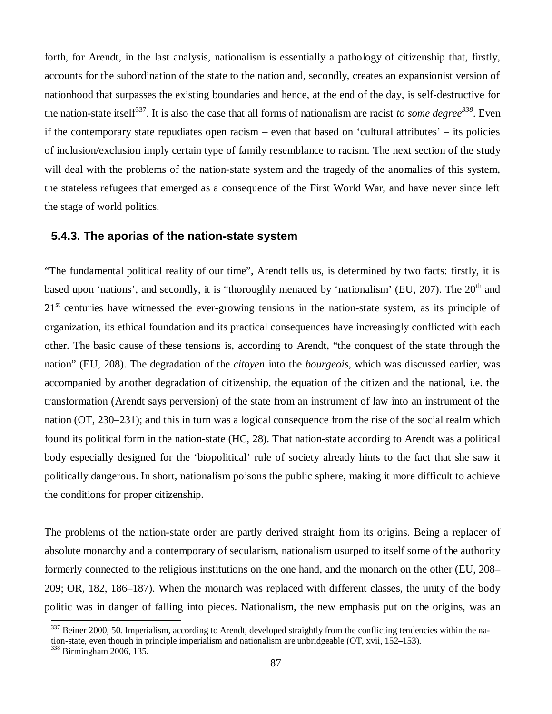forth, for Arendt, in the last analysis, nationalism is essentially a pathology of citizenship that, firstly, accounts for the subordination of the state to the nation and, secondly, creates an expansionist version of nationhood that surpasses the existing boundaries and hence, at the end of the day, is self-destructive for the nation-state itself<sup>337</sup>. It is also the case that all forms of nationalism are racist *to some degree*<sup>338</sup>. Even if the contemporary state repudiates open racism – even that based on 'cultural attributes' – its policies of inclusion/exclusion imply certain type of family resemblance to racism. The next section of the study will deal with the problems of the nation-state system and the tragedy of the anomalies of this system, the stateless refugees that emerged as a consequence of the First World War, and have never since left the stage of world politics.

#### **5.4.3. The aporias of the nation-state system**

"The fundamental political reality of our time", Arendt tells us, is determined by two facts: firstly, it is based upon 'nations', and secondly, it is "thoroughly menaced by 'nationalism' (EU, 207). The 20<sup>th</sup> and 21<sup>st</sup> centuries have witnessed the ever-growing tensions in the nation-state system, as its principle of organization, its ethical foundation and its practical consequences have increasingly conflicted with each other. The basic cause of these tensions is, according to Arendt, "the conquest of the state through the nation" (EU, 208). The degradation of the *citoyen* into the *bourgeois,* which was discussed earlier, was accompanied by another degradation of citizenship, the equation of the citizen and the national, i.e. the transformation (Arendt says perversion) of the state from an instrument of law into an instrument of the nation (OT, 230–231); and this in turn was a logical consequence from the rise of the social realm which found its political form in the nation-state (HC, 28). That nation-state according to Arendt was a political body especially designed for the 'biopolitical' rule of society already hints to the fact that she saw it politically dangerous. In short, nationalism poisons the public sphere, making it more difficult to achieve the conditions for proper citizenship.

The problems of the nation-state order are partly derived straight from its origins. Being a replacer of absolute monarchy and a contemporary of secularism, nationalism usurped to itself some of the authority formerly connected to the religious institutions on the one hand, and the monarch on the other (EU, 208– 209; OR, 182, 186–187). When the monarch was replaced with different classes, the unity of the body politic was in danger of falling into pieces. Nationalism, the new emphasis put on the origins, was an

 $337$  Beiner 2000, 50. Imperialism, according to Arendt, developed straightly from the conflicting tendencies within the na-

tion-state, even though in principle imperialism and nationalism are unbridgeable (OT, xvii, 152–153).

<sup>338</sup> Birmingham 2006, 135.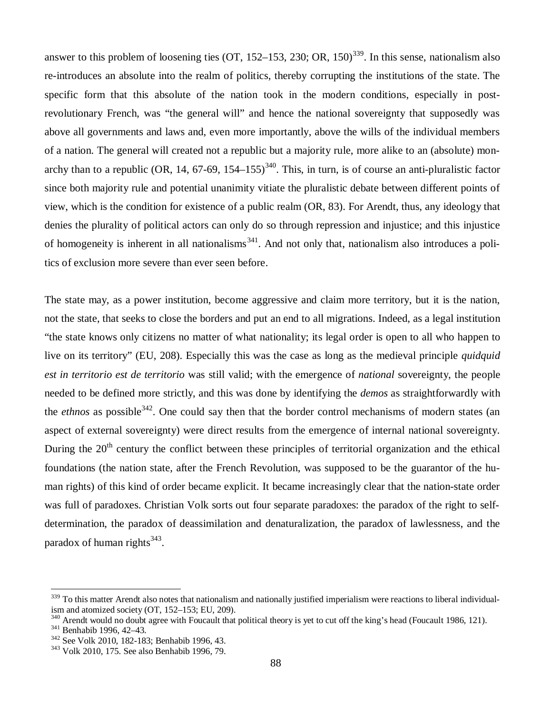answer to this problem of loosening ties (OT, 152–153, 230; OR, 150)<sup>339</sup>. In this sense, nationalism also re-introduces an absolute into the realm of politics, thereby corrupting the institutions of the state. The specific form that this absolute of the nation took in the modern conditions, especially in postrevolutionary French, was "the general will" and hence the national sovereignty that supposedly was above all governments and laws and, even more importantly, above the wills of the individual members of a nation. The general will created not a republic but a majority rule, more alike to an (absolute) monarchy than to a republic (OR, 14, 67-69, 154–155)<sup>340</sup>. This, in turn, is of course an anti-pluralistic factor since both majority rule and potential unanimity vitiate the pluralistic debate between different points of view, which is the condition for existence of a public realm (OR, 83). For Arendt, thus, any ideology that denies the plurality of political actors can only do so through repression and injustice; and this injustice of homogeneity is inherent in all nationalisms<sup>341</sup>. And not only that, nationalism also introduces a politics of exclusion more severe than ever seen before.

The state may, as a power institution, become aggressive and claim more territory, but it is the nation, not the state, that seeks to close the borders and put an end to all migrations. Indeed, as a legal institution "the state knows only citizens no matter of what nationality; its legal order is open to all who happen to live on its territory" (EU, 208). Especially this was the case as long as the medieval principle *quidquid est in territorio est de territorio* was still valid; with the emergence of *national* sovereignty, the people needed to be defined more strictly, and this was done by identifying the *demos* as straightforwardly with the *ethnos* as possible<sup>342</sup>. One could say then that the border control mechanisms of modern states (an aspect of external sovereignty) were direct results from the emergence of internal national sovereignty. During the  $20<sup>th</sup>$  century the conflict between these principles of territorial organization and the ethical foundations (the nation state, after the French Revolution, was supposed to be the guarantor of the human rights) of this kind of order became explicit. It became increasingly clear that the nation-state order was full of paradoxes. Christian Volk sorts out four separate paradoxes: the paradox of the right to selfdetermination, the paradox of deassimilation and denaturalization, the paradox of lawlessness, and the paradox of human rights<sup>343</sup>.

 $339$  To this matter Arendt also notes that nationalism and nationally justified imperialism were reactions to liberal individualism and atomized society (OT, 152–153; EU, 209).

<sup>&</sup>lt;sup>340</sup> Arendt would no doubt agree with Foucault that political theory is yet to cut off the king's head (Foucault 1986, 121).

<sup>341</sup> Benhabib 1996, 42–43.

<sup>342</sup> See Volk 2010, 182-183; Benhabib 1996, 43.

<sup>343</sup> Volk 2010, 175. See also Benhabib 1996, 79.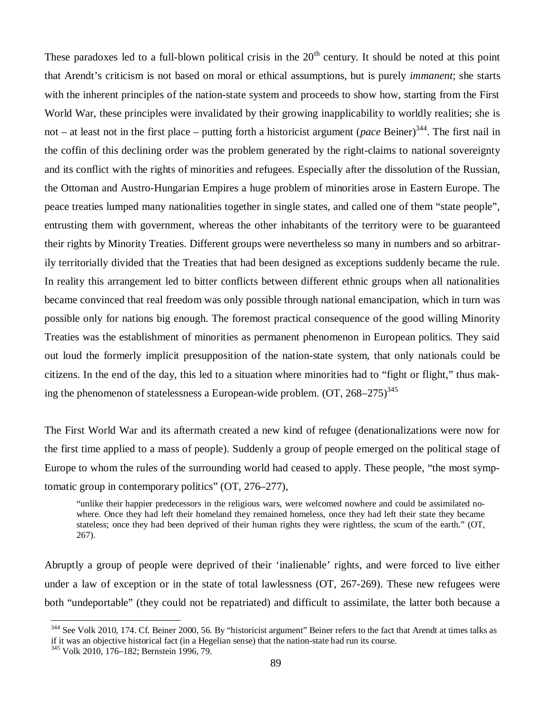These paradoxes led to a full-blown political crisis in the  $20<sup>th</sup>$  century. It should be noted at this point that Arendt's criticism is not based on moral or ethical assumptions, but is purely *immanent*; she starts with the inherent principles of the nation-state system and proceeds to show how, starting from the First World War, these principles were invalidated by their growing inapplicability to worldly realities; she is not – at least not in the first place – putting forth a historicist argument (*pace* Beiner)<sup>344</sup>. The first nail in the coffin of this declining order was the problem generated by the right-claims to national sovereignty and its conflict with the rights of minorities and refugees. Especially after the dissolution of the Russian, the Ottoman and Austro-Hungarian Empires a huge problem of minorities arose in Eastern Europe. The peace treaties lumped many nationalities together in single states, and called one of them "state people", entrusting them with government, whereas the other inhabitants of the territory were to be guaranteed their rights by Minority Treaties. Different groups were nevertheless so many in numbers and so arbitrarily territorially divided that the Treaties that had been designed as exceptions suddenly became the rule. In reality this arrangement led to bitter conflicts between different ethnic groups when all nationalities became convinced that real freedom was only possible through national emancipation, which in turn was possible only for nations big enough. The foremost practical consequence of the good willing Minority Treaties was the establishment of minorities as permanent phenomenon in European politics. They said out loud the formerly implicit presupposition of the nation-state system, that only nationals could be citizens. In the end of the day, this led to a situation where minorities had to "fight or flight," thus making the phenomenon of statelessness a European-wide problem.  $(OT, 268-275)^{345}$ 

The First World War and its aftermath created a new kind of refugee (denationalizations were now for the first time applied to a mass of people). Suddenly a group of people emerged on the political stage of Europe to whom the rules of the surrounding world had ceased to apply. These people, "the most symptomatic group in contemporary politics" (OT, 276–277),

"unlike their happier predecessors in the religious wars, were welcomed nowhere and could be assimilated nowhere. Once they had left their homeland they remained homeless, once they had left their state they became stateless; once they had been deprived of their human rights they were rightless, the scum of the earth." (OT, 267).

Abruptly a group of people were deprived of their 'inalienable' rights, and were forced to live either under a law of exception or in the state of total lawlessness (OT, 267-269). These new refugees were both "undeportable" (they could not be repatriated) and difficult to assimilate, the latter both because a

<sup>&</sup>lt;sup>344</sup> See Volk 2010, 174. Cf. Beiner 2000, 56. By "historicist argument" Beiner refers to the fact that Arendt at times talks as if it was an objective historical fact (in a Hegelian sense) that the nation-state had run its course.

<sup>345</sup> Volk 2010, 176–182; Bernstein 1996, 79.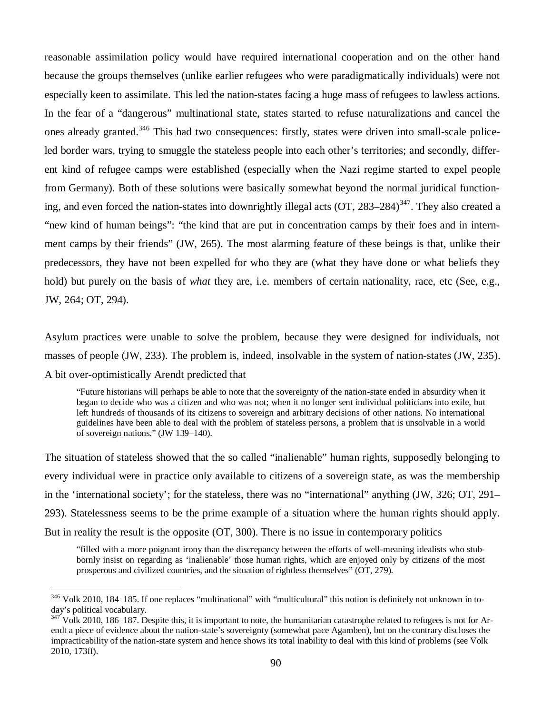reasonable assimilation policy would have required international cooperation and on the other hand because the groups themselves (unlike earlier refugees who were paradigmatically individuals) were not especially keen to assimilate. This led the nation-states facing a huge mass of refugees to lawless actions. In the fear of a "dangerous" multinational state, states started to refuse naturalizations and cancel the ones already granted.<sup>346</sup> This had two consequences: firstly, states were driven into small-scale policeled border wars, trying to smuggle the stateless people into each other's territories; and secondly, different kind of refugee camps were established (especially when the Nazi regime started to expel people from Germany). Both of these solutions were basically somewhat beyond the normal juridical functioning, and even forced the nation-states into downrightly illegal acts (OT, 283–284)<sup>347</sup>. They also created a "new kind of human beings": "the kind that are put in concentration camps by their foes and in internment camps by their friends" (JW, 265). The most alarming feature of these beings is that, unlike their predecessors, they have not been expelled for who they are (what they have done or what beliefs they hold) but purely on the basis of *what* they are, i.e. members of certain nationality, race, etc (See, e.g., JW, 264; OT, 294).

Asylum practices were unable to solve the problem, because they were designed for individuals, not masses of people (JW, 233). The problem is, indeed, insolvable in the system of nation-states (JW, 235). A bit over-optimistically Arendt predicted that

"Future historians will perhaps be able to note that the sovereignty of the nation-state ended in absurdity when it began to decide who was a citizen and who was not; when it no longer sent individual politicians into exile, but left hundreds of thousands of its citizens to sovereign and arbitrary decisions of other nations. No international guidelines have been able to deal with the problem of stateless persons, a problem that is unsolvable in a world of sovereign nations." (JW 139–140).

The situation of stateless showed that the so called "inalienable" human rights, supposedly belonging to every individual were in practice only available to citizens of a sovereign state, as was the membership in the 'international society'; for the stateless, there was no "international" anything (JW, 326; OT, 291– 293). Statelessness seems to be the prime example of a situation where the human rights should apply. But in reality the result is the opposite (OT, 300). There is no issue in contemporary politics

"filled with a more poignant irony than the discrepancy between the efforts of well-meaning idealists who stubbornly insist on regarding as 'inalienable' those human rights, which are enjoyed only by citizens of the most prosperous and civilized countries, and the situation of rightless themselves" (OT, 279).

<sup>&</sup>lt;sup>346</sup> Volk 2010, 184–185. If one replaces "multinational" with "multicultural" this notion is definitely not unknown in today's political vocabulary.

 $347$  Volk 2010, 186–187. Despite this, it is important to note, the humanitarian catastrophe related to refugees is not for Arendt a piece of evidence about the nation-state's sovereignty (somewhat pace Agamben), but on the contrary discloses the impracticability of the nation-state system and hence shows its total inability to deal with this kind of problems (see Volk 2010, 173ff).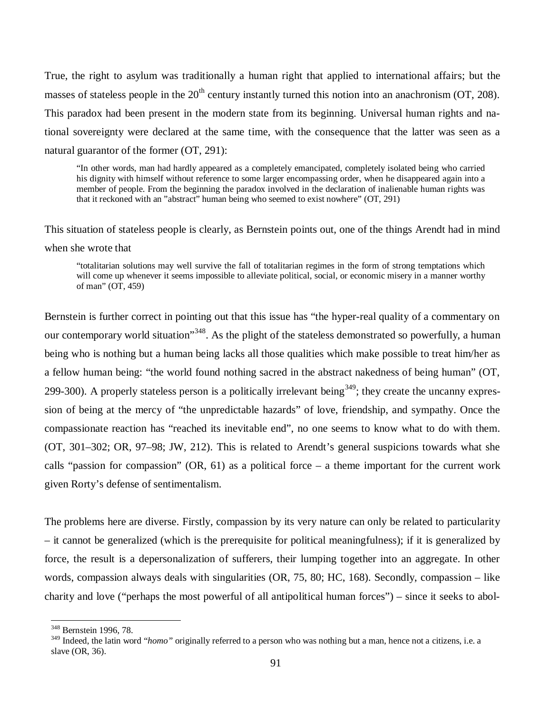True, the right to asylum was traditionally a human right that applied to international affairs; but the masses of stateless people in the  $20<sup>th</sup>$  century instantly turned this notion into an anachronism (OT, 208). This paradox had been present in the modern state from its beginning. Universal human rights and national sovereignty were declared at the same time, with the consequence that the latter was seen as a natural guarantor of the former (OT, 291):

"In other words, man had hardly appeared as a completely emancipated, completely isolated being who carried his dignity with himself without reference to some larger encompassing order, when he disappeared again into a member of people. From the beginning the paradox involved in the declaration of inalienable human rights was that it reckoned with an "abstract" human being who seemed to exist nowhere" (OT, 291)

This situation of stateless people is clearly, as Bernstein points out, one of the things Arendt had in mind when she wrote that

"totalitarian solutions may well survive the fall of totalitarian regimes in the form of strong temptations which will come up whenever it seems impossible to alleviate political, social, or economic misery in a manner worthy of man" (OT, 459)

Bernstein is further correct in pointing out that this issue has "the hyper-real quality of a commentary on our contemporary world situation<sup>348</sup>. As the plight of the stateless demonstrated so powerfully, a human being who is nothing but a human being lacks all those qualities which make possible to treat him/her as a fellow human being: "the world found nothing sacred in the abstract nakedness of being human" (OT, 299-300). A properly stateless person is a politically irrelevant being<sup>349</sup>; they create the uncanny expression of being at the mercy of "the unpredictable hazards" of love, friendship, and sympathy. Once the compassionate reaction has "reached its inevitable end", no one seems to know what to do with them. (OT, 301–302; OR, 97–98; JW, 212). This is related to Arendt's general suspicions towards what she calls "passion for compassion" (OR, 61) as a political force – a theme important for the current work given Rorty's defense of sentimentalism.

The problems here are diverse. Firstly, compassion by its very nature can only be related to particularity – it cannot be generalized (which is the prerequisite for political meaningfulness); if it is generalized by force, the result is a depersonalization of sufferers, their lumping together into an aggregate. In other words, compassion always deals with singularities (OR, 75, 80; HC, 168). Secondly, compassion – like charity and love ("perhaps the most powerful of all antipolitical human forces") – since it seeks to abol-

<sup>348</sup> Bernstein 1996, 78.

<sup>&</sup>lt;sup>349</sup> Indeed, the latin word "*homo*" originally referred to a person who was nothing but a man, hence not a citizens, i.e. a slave (OR, 36).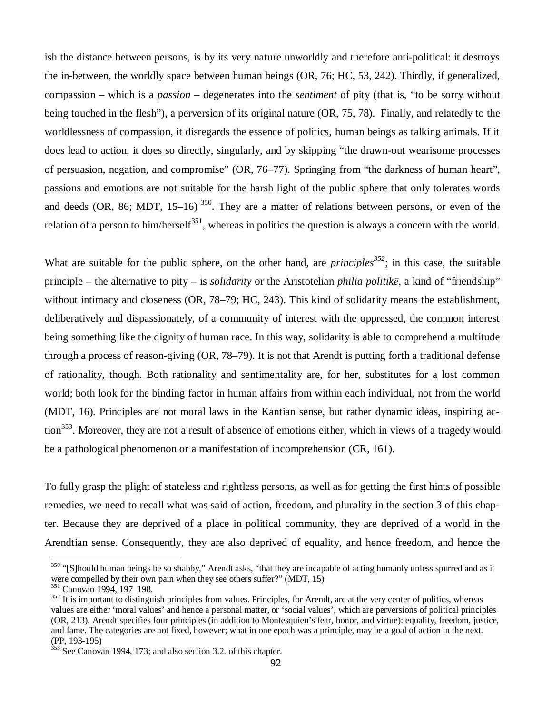ish the distance between persons, is by its very nature unworldly and therefore anti-political: it destroys the in-between, the worldly space between human beings (OR, 76; HC, 53, 242). Thirdly, if generalized, compassion – which is a *passion* – degenerates into the *sentiment* of pity (that is, "to be sorry without being touched in the flesh"), a perversion of its original nature (OR, 75, 78). Finally, and relatedly to the worldlessness of compassion, it disregards the essence of politics, human beings as talking animals. If it does lead to action, it does so directly, singularly, and by skipping "the drawn-out wearisome processes of persuasion, negation, and compromise" (OR, 76–77). Springing from "the darkness of human heart", passions and emotions are not suitable for the harsh light of the public sphere that only tolerates words and deeds (OR, 86; MDT, 15–16)<sup>350</sup>. They are a matter of relations between persons, or even of the relation of a person to him/herself<sup>351</sup>, whereas in politics the question is always a concern with the world.

What are suitable for the public sphere, on the other hand, are *principles*<sup>352</sup>; in this case, the suitable principle – the alternative to pity – is *solidarity* or the Aristotelian *philia politike*, a kind of "friendship" without intimacy and closeness (OR, 78–79; HC, 243). This kind of solidarity means the establishment, deliberatively and dispassionately, of a community of interest with the oppressed, the common interest being something like the dignity of human race. In this way, solidarity is able to comprehend a multitude through a process of reason-giving (OR, 78–79). It is not that Arendt is putting forth a traditional defense of rationality, though. Both rationality and sentimentality are, for her, substitutes for a lost common world; both look for the binding factor in human affairs from within each individual, not from the world (MDT, 16). Principles are not moral laws in the Kantian sense, but rather dynamic ideas, inspiring action<sup>353</sup>. Moreover, they are not a result of absence of emotions either, which in views of a tragedy would be a pathological phenomenon or a manifestation of incomprehension (CR, 161).

To fully grasp the plight of stateless and rightless persons, as well as for getting the first hints of possible remedies, we need to recall what was said of action, freedom, and plurality in the section 3 of this chapter. Because they are deprived of a place in political community, they are deprived of a world in the Arendtian sense. Consequently, they are also deprived of equality, and hence freedom, and hence the

<sup>&</sup>lt;sup>350</sup> "[S]hould human beings be so shabby," Arendt asks, "that they are incapable of acting humanly unless spurred and as it were compelled by their own pain when they see others suffer?" (MDT, 15)

<sup>351</sup> Canovan 1994, 197–198.

 $352$  It is important to distinguish principles from values. Principles, for Arendt, are at the very center of politics, whereas values are either 'moral values' and hence a personal matter, or 'social values', which are perversions of political principles (OR, 213). Arendt specifies four principles (in addition to Montesquieu's fear, honor, and virtue): equality, freedom, justice, and fame. The categories are not fixed, however; what in one epoch was a principle, may be a goal of action in the next. (PP, 193-195)

<sup>&</sup>lt;sup>353</sup> See Canovan 1994, 173; and also section 3.2. of this chapter.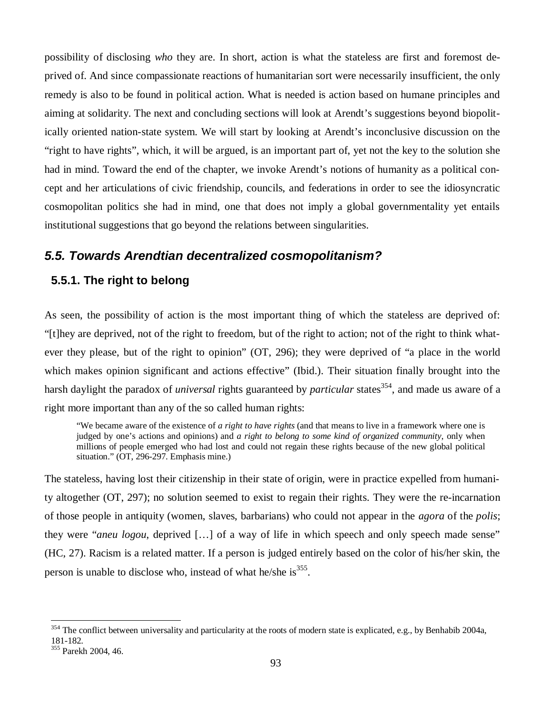possibility of disclosing *who* they are. In short, action is what the stateless are first and foremost deprived of. And since compassionate reactions of humanitarian sort were necessarily insufficient, the only remedy is also to be found in political action. What is needed is action based on humane principles and aiming at solidarity. The next and concluding sections will look at Arendt's suggestions beyond biopolitically oriented nation-state system. We will start by looking at Arendt's inconclusive discussion on the "right to have rights", which, it will be argued, is an important part of, yet not the key to the solution she had in mind. Toward the end of the chapter, we invoke Arendt's notions of humanity as a political concept and her articulations of civic friendship, councils, and federations in order to see the idiosyncratic cosmopolitan politics she had in mind, one that does not imply a global governmentality yet entails institutional suggestions that go beyond the relations between singularities.

#### *5.5. Towards Arendtian decentralized cosmopolitanism?*

#### **5.5.1. The right to belong**

As seen, the possibility of action is the most important thing of which the stateless are deprived of: "[t]hey are deprived, not of the right to freedom, but of the right to action; not of the right to think whatever they please, but of the right to opinion" (OT, 296); they were deprived of "a place in the world which makes opinion significant and actions effective" (Ibid.). Their situation finally brought into the harsh daylight the paradox of *universal* rights guaranteed by *particular* states<sup>354</sup>, and made us aware of a right more important than any of the so called human rights:

"We became aware of the existence of *a right to have rights* (and that means to live in a framework where one is judged by one's actions and opinions) and *a right to belong to some kind of organized community*, only when millions of people emerged who had lost and could not regain these rights because of the new global political situation." (OT, 296-297. Emphasis mine.)

The stateless, having lost their citizenship in their state of origin, were in practice expelled from humanity altogether (OT, 297); no solution seemed to exist to regain their rights. They were the re-incarnation of those people in antiquity (women, slaves, barbarians) who could not appear in the *agora* of the *polis*; they were "*aneu logou*, deprived [… ] of a way of life in which speech and only speech made sense" (HC, 27). Racism is a related matter. If a person is judged entirely based on the color of his/her skin, the person is unable to disclose who, instead of what he/she is<sup>355</sup>.

 $354$  The conflict between universality and particularity at the roots of modern state is explicated, e.g., by Benhabib 2004a, 181-182.

<sup>355</sup> Parekh 2004, 46.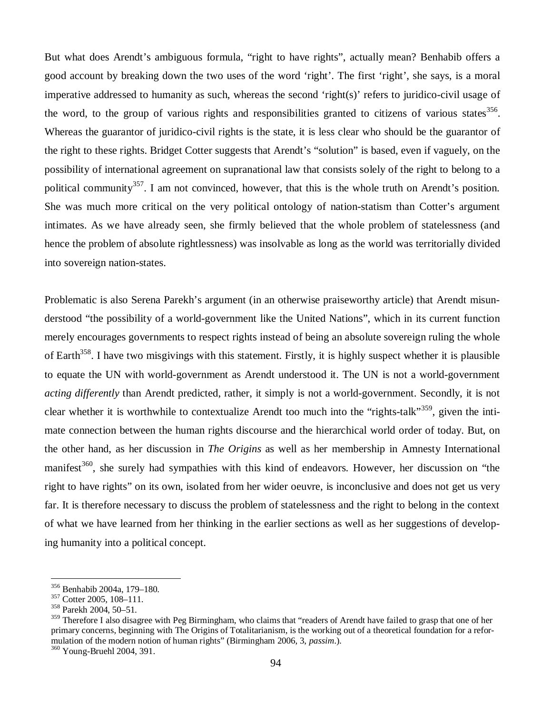But what does Arendt's ambiguous formula, "right to have rights", actually mean? Benhabib offers a good account by breaking down the two uses of the word 'right'. The first 'right', she says, is a moral imperative addressed to humanity as such, whereas the second 'right(s)' refers to juridico-civil usage of the word, to the group of various rights and responsibilities granted to citizens of various states  $356$ . Whereas the guarantor of juridico-civil rights is the state, it is less clear who should be the guarantor of the right to these rights. Bridget Cotter suggests that Arendt's "solution" is based, even if vaguely, on the possibility of international agreement on supranational law that consists solely of the right to belong to a political community<sup>357</sup>. I am not convinced, however, that this is the whole truth on Arendt's position. She was much more critical on the very political ontology of nation-statism than Cotter's argument intimates. As we have already seen, she firmly believed that the whole problem of statelessness (and hence the problem of absolute rightlessness) was insolvable as long as the world was territorially divided into sovereign nation-states.

Problematic is also Serena Parekh's argument (in an otherwise praiseworthy article) that Arendt misunderstood "the possibility of a world-government like the United Nations", which in its current function merely encourages governments to respect rights instead of being an absolute sovereign ruling the whole of Earth<sup>358</sup>. I have two misgivings with this statement. Firstly, it is highly suspect whether it is plausible to equate the UN with world-government as Arendt understood it. The UN is not a world-government *acting differently* than Arendt predicted, rather, it simply is not a world-government. Secondly, it is not clear whether it is worthwhile to contextualize Arendt too much into the "rights-talk"<sup>359</sup>, given the intimate connection between the human rights discourse and the hierarchical world order of today. But, on the other hand, as her discussion in *The Origins* as well as her membership in Amnesty International manifest<sup>360</sup>, she surely had sympathies with this kind of endeavors. However, her discussion on "the right to have rights" on its own, isolated from her wider oeuvre, is inconclusive and does not get us very far. It is therefore necessary to discuss the problem of statelessness and the right to belong in the context of what we have learned from her thinking in the earlier sections as well as her suggestions of developing humanity into a political concept.

<sup>356</sup> Benhabib 2004a, 179–180.

<sup>357</sup> Cotter 2005, 108–111.

<sup>358</sup> Parekh 2004, 50–51.

<sup>&</sup>lt;sup>359</sup> Therefore I also disagree with Peg Birmingham, who claims that "readers of Arendt have failed to grasp that one of her primary concerns, beginning with The Origins of Totalitarianism, is the working out of a theoretical foundation for a reformulation of the modern notion of human rights" (Birmingham 2006, 3, *passim*.).

<sup>360</sup> Young-Bruehl 2004, 391.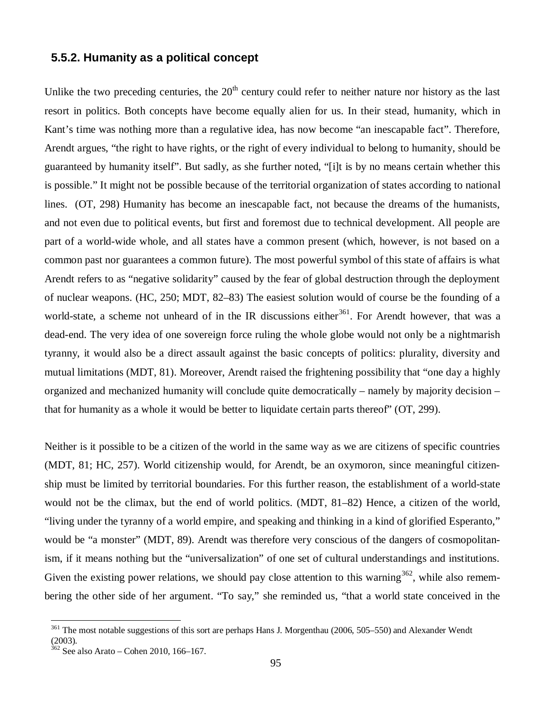### **5.5.2. Humanity as a political concept**

Unlike the two preceding centuries, the  $20<sup>th</sup>$  century could refer to neither nature nor history as the last resort in politics. Both concepts have become equally alien for us. In their stead, humanity, which in Kant's time was nothing more than a regulative idea, has now become "an inescapable fact". Therefore, Arendt argues, "the right to have rights, or the right of every individual to belong to humanity, should be guaranteed by humanity itself". But sadly, as she further noted, "[i]t is by no means certain whether this is possible." It might not be possible because of the territorial organization of states according to national lines. (OT, 298) Humanity has become an inescapable fact, not because the dreams of the humanists, and not even due to political events, but first and foremost due to technical development. All people are part of a world-wide whole, and all states have a common present (which, however, is not based on a common past nor guarantees a common future). The most powerful symbol of this state of affairs is what Arendt refers to as "negative solidarity" caused by the fear of global destruction through the deployment of nuclear weapons. (HC, 250; MDT, 82–83) The easiest solution would of course be the founding of a world-state, a scheme not unheard of in the IR discussions either<sup>361</sup>. For Arendt however, that was a dead-end. The very idea of one sovereign force ruling the whole globe would not only be a nightmarish tyranny, it would also be a direct assault against the basic concepts of politics: plurality, diversity and mutual limitations (MDT, 81). Moreover, Arendt raised the frightening possibility that "one day a highly organized and mechanized humanity will conclude quite democratically – namely by majority decision – that for humanity as a whole it would be better to liquidate certain parts thereof" (OT, 299).

Neither is it possible to be a citizen of the world in the same way as we are citizens of specific countries (MDT, 81; HC, 257). World citizenship would, for Arendt, be an oxymoron, since meaningful citizenship must be limited by territorial boundaries. For this further reason, the establishment of a world-state would not be the climax, but the end of world politics. (MDT, 81–82) Hence, a citizen of the world, "living under the tyranny of a world empire, and speaking and thinking in a kind of glorified Esperanto," would be "a monster" (MDT, 89). Arendt was therefore very conscious of the dangers of cosmopolitanism, if it means nothing but the "universalization" of one set of cultural understandings and institutions. Given the existing power relations, we should pay close attention to this warning<sup>362</sup>, while also remembering the other side of her argument. "To say," she reminded us, "that a world state conceived in the

<sup>&</sup>lt;sup>361</sup> The most notable suggestions of this sort are perhaps Hans J. Morgenthau (2006, 505–550) and Alexander Wendt (2003).

 $362$  See also Arato – Cohen 2010, 166–167.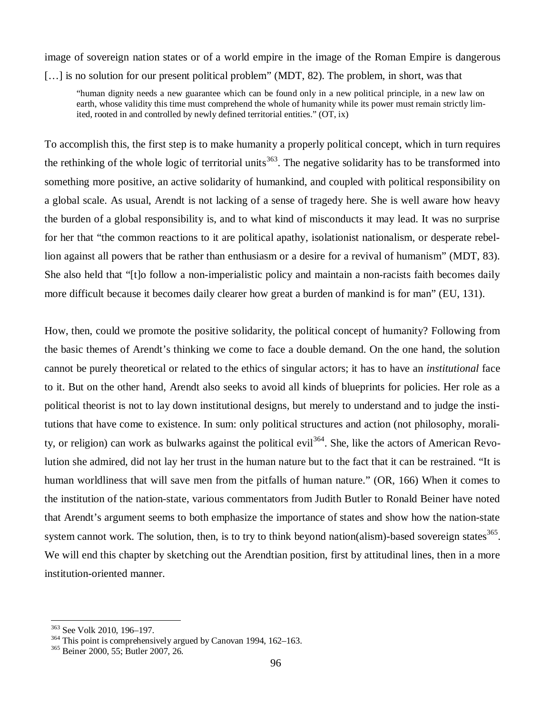image of sovereign nation states or of a world empire in the image of the Roman Empire is dangerous [...] is no solution for our present political problem" (MDT, 82). The problem, in short, was that

"human dignity needs a new guarantee which can be found only in a new political principle, in a new law on earth, whose validity this time must comprehend the whole of humanity while its power must remain strictly limited, rooted in and controlled by newly defined territorial entities." (OT, ix)

To accomplish this, the first step is to make humanity a properly political concept, which in turn requires the rethinking of the whole logic of territorial units<sup>363</sup>. The negative solidarity has to be transformed into something more positive, an active solidarity of humankind, and coupled with political responsibility on a global scale. As usual, Arendt is not lacking of a sense of tragedy here. She is well aware how heavy the burden of a global responsibility is, and to what kind of misconducts it may lead. It was no surprise for her that "the common reactions to it are political apathy, isolationist nationalism, or desperate rebellion against all powers that be rather than enthusiasm or a desire for a revival of humanism" (MDT, 83). She also held that "[t]o follow a non-imperialistic policy and maintain a non-racists faith becomes daily more difficult because it becomes daily clearer how great a burden of mankind is for man" (EU, 131).

How, then, could we promote the positive solidarity, the political concept of humanity? Following from the basic themes of Arendt's thinking we come to face a double demand. On the one hand, the solution cannot be purely theoretical or related to the ethics of singular actors; it has to have an *institutional* face to it. But on the other hand, Arendt also seeks to avoid all kinds of blueprints for policies. Her role as a political theorist is not to lay down institutional designs, but merely to understand and to judge the institutions that have come to existence. In sum: only political structures and action (not philosophy, morality, or religion) can work as bulwarks against the political evil<sup>364</sup>. She, like the actors of American Revolution she admired, did not lay her trust in the human nature but to the fact that it can be restrained. "It is human worldliness that will save men from the pitfalls of human nature." (OR, 166) When it comes to the institution of the nation-state, various commentators from Judith Butler to Ronald Beiner have noted that Arendt's argument seems to both emphasize the importance of states and show how the nation-state system cannot work. The solution, then, is to try to think beyond nation(alism)-based sovereign states  $365$ . We will end this chapter by sketching out the Arendtian position, first by attitudinal lines, then in a more institution-oriented manner.

<sup>363</sup> See Volk 2010, 196–197.

<sup>364</sup> This point is comprehensively argued by Canovan 1994, 162–163.

<sup>365</sup> Beiner 2000, 55; Butler 2007, 26.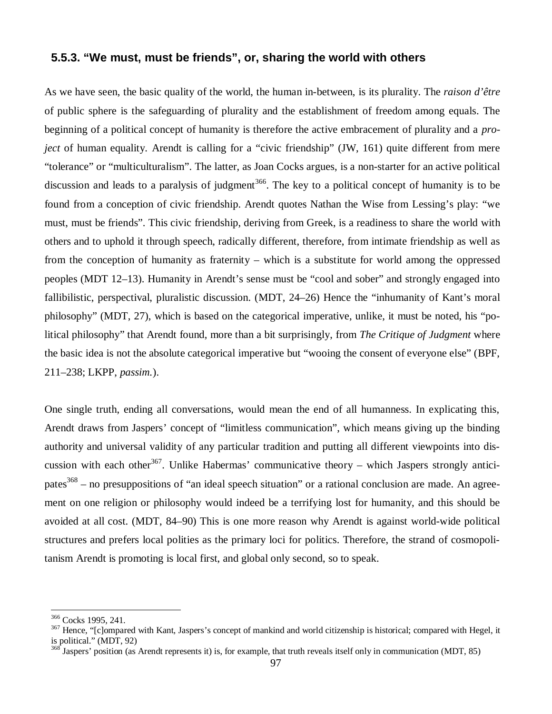### **5.5.3. "We must, must be friends", or, sharing the world with others**

As we have seen, the basic quality of the world, the human in-between, is its plurality. The *raison d'être* of public sphere is the safeguarding of plurality and the establishment of freedom among equals. The beginning of a political concept of humanity is therefore the active embracement of plurality and a *project* of human equality. Arendt is calling for a "civic friendship" (JW, 161) quite different from mere "tolerance" or "multiculturalism". The latter, as Joan Cocks argues, is a non-starter for an active political discussion and leads to a paralysis of judgment<sup>366</sup>. The key to a political concept of humanity is to be found from a conception of civic friendship. Arendt quotes Nathan the Wise from Lessing's play: "we must, must be friends". This civic friendship, deriving from Greek, is a readiness to share the world with others and to uphold it through speech, radically different, therefore, from intimate friendship as well as from the conception of humanity as fraternity – which is a substitute for world among the oppressed peoples (MDT 12–13). Humanity in Arendt's sense must be "cool and sober" and strongly engaged into fallibilistic, perspectival, pluralistic discussion. (MDT, 24–26) Hence the "inhumanity of Kant's moral philosophy" (MDT, 27), which is based on the categorical imperative, unlike, it must be noted, his "political philosophy" that Arendt found, more than a bit surprisingly, from *The Critique of Judgment* where the basic idea is not the absolute categorical imperative but "wooing the consent of everyone else" (BPF, 211–238; LKPP, *passim.*).

One single truth, ending all conversations, would mean the end of all humanness. In explicating this, Arendt draws from Jaspers' concept of "limitless communication", which means giving up the binding authority and universal validity of any particular tradition and putting all different viewpoints into discussion with each other<sup>367</sup>. Unlike Habermas' communicative theory – which Jaspers strongly anticipates<sup>368</sup> – no presuppositions of "an ideal speech situation" or a rational conclusion are made. An agreement on one religion or philosophy would indeed be a terrifying lost for humanity, and this should be avoided at all cost. (MDT, 84–90) This is one more reason why Arendt is against world-wide political structures and prefers local polities as the primary loci for politics. Therefore, the strand of cosmopolitanism Arendt is promoting is local first, and global only second, so to speak.

<sup>366</sup> Cocks 1995, 241.

<sup>&</sup>lt;sup>367</sup> Hence, "[c]ompared with Kant, Jaspers's concept of mankind and world citizenship is historical; compared with Hegel, it is political." (MDT, 92)

 $\frac{368}{368}$  Jaspers' position (as Arendt represents it) is, for example, that truth reveals itself only in communication (MDT, 85)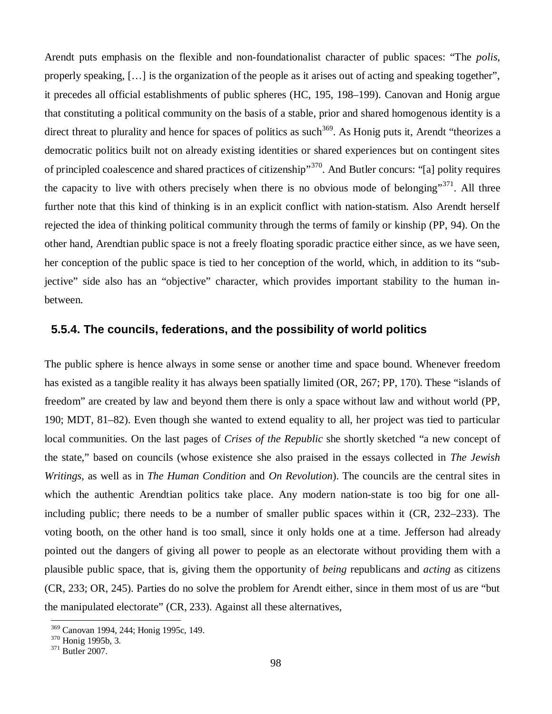Arendt puts emphasis on the flexible and non-foundationalist character of public spaces: "The *polis*, properly speaking, [… ] is the organization of the people as it arises out of acting and speaking together", it precedes all official establishments of public spheres (HC, 195, 198–199). Canovan and Honig argue that constituting a political community on the basis of a stable, prior and shared homogenous identity is a direct threat to plurality and hence for spaces of politics as such<sup>369</sup>. As Honig puts it, Arendt "theorizes a democratic politics built not on already existing identities or shared experiences but on contingent sites of principled coalescence and shared practices of citizenship"<sup>370</sup>. And Butler concurs: "[a] polity requires the capacity to live with others precisely when there is no obvious mode of belonging"<sup>371</sup>. All three further note that this kind of thinking is in an explicit conflict with nation-statism. Also Arendt herself rejected the idea of thinking political community through the terms of family or kinship (PP, 94). On the other hand, Arendtian public space is not a freely floating sporadic practice either since, as we have seen, her conception of the public space is tied to her conception of the world, which, in addition to its "subjective" side also has an "objective" character, which provides important stability to the human inbetween.

### **5.5.4. The councils, federations, and the possibility of world politics**

The public sphere is hence always in some sense or another time and space bound. Whenever freedom has existed as a tangible reality it has always been spatially limited (OR, 267; PP, 170). These "islands of freedom" are created by law and beyond them there is only a space without law and without world (PP, 190; MDT, 81–82). Even though she wanted to extend equality to all, her project was tied to particular local communities. On the last pages of *Crises of the Republic* she shortly sketched "a new concept of the state," based on councils (whose existence she also praised in the essays collected in *The Jewish Writings*, as well as in *The Human Condition* and *On Revolution*). The councils are the central sites in which the authentic Arendtian politics take place. Any modern nation-state is too big for one allincluding public; there needs to be a number of smaller public spaces within it (CR, 232–233). The voting booth, on the other hand is too small, since it only holds one at a time. Jefferson had already pointed out the dangers of giving all power to people as an electorate without providing them with a plausible public space, that is, giving them the opportunity of *being* republicans and *acting* as citizens (CR, 233; OR, 245). Parties do no solve the problem for Arendt either, since in them most of us are "but the manipulated electorate" (CR, 233). Against all these alternatives,

<sup>369</sup> Canovan 1994, 244; Honig 1995c, 149.

<sup>370</sup> Honig 1995b, 3.

<sup>371</sup> Butler 2007.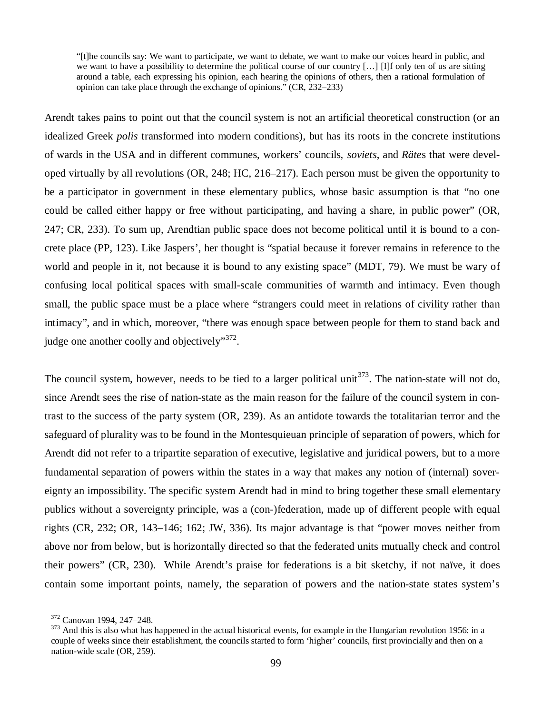"[t]he councils say: We want to participate, we want to debate, we want to make our voices heard in public, and we want to have a possibility to determine the political course of our country [...] [I]f only ten of us are sitting around a table, each expressing his opinion, each hearing the opinions of others, then a rational formulation of opinion can take place through the exchange of opinions." (CR, 232–233)

Arendt takes pains to point out that the council system is not an artificial theoretical construction (or an idealized Greek *polis* transformed into modern conditions), but has its roots in the concrete institutions of wards in the USA and in different communes, workers' councils, *soviets*, and *Räte*s that were developed virtually by all revolutions (OR, 248; HC, 216–217). Each person must be given the opportunity to be a participator in government in these elementary publics, whose basic assumption is that "no one could be called either happy or free without participating, and having a share, in public power" (OR, 247; CR, 233). To sum up, Arendtian public space does not become political until it is bound to a concrete place (PP, 123). Like Jaspers', her thought is "spatial because it forever remains in reference to the world and people in it, not because it is bound to any existing space" (MDT, 79). We must be wary of confusing local political spaces with small-scale communities of warmth and intimacy. Even though small, the public space must be a place where "strangers could meet in relations of civility rather than intimacy", and in which, moreover, "there was enough space between people for them to stand back and judge one another coolly and objectively"<sup>372</sup>.

The council system, however, needs to be tied to a larger political unit  $373$ . The nation-state will not do, since Arendt sees the rise of nation-state as the main reason for the failure of the council system in contrast to the success of the party system (OR, 239). As an antidote towards the totalitarian terror and the safeguard of plurality was to be found in the Montesquieuan principle of separation of powers, which for Arendt did not refer to a tripartite separation of executive, legislative and juridical powers, but to a more fundamental separation of powers within the states in a way that makes any notion of (internal) sovereignty an impossibility. The specific system Arendt had in mind to bring together these small elementary publics without a sovereignty principle, was a (con-)federation, made up of different people with equal rights (CR, 232; OR, 143–146; 162; JW, 336). Its major advantage is that "power moves neither from above nor from below, but is horizontally directed so that the federated units mutually check and control their powers" (CR, 230). While Arendt's praise for federations is a bit sketchy, if not naïve, it does contain some important points, namely, the separation of powers and the nation-state states system's

<sup>372</sup> Canovan 1994, 247–248.

 $373$  And this is also what has happened in the actual historical events, for example in the Hungarian revolution 1956: in a couple of weeks since their establishment, the councils started to form 'higher' councils, first provincially and then on a nation-wide scale (OR, 259).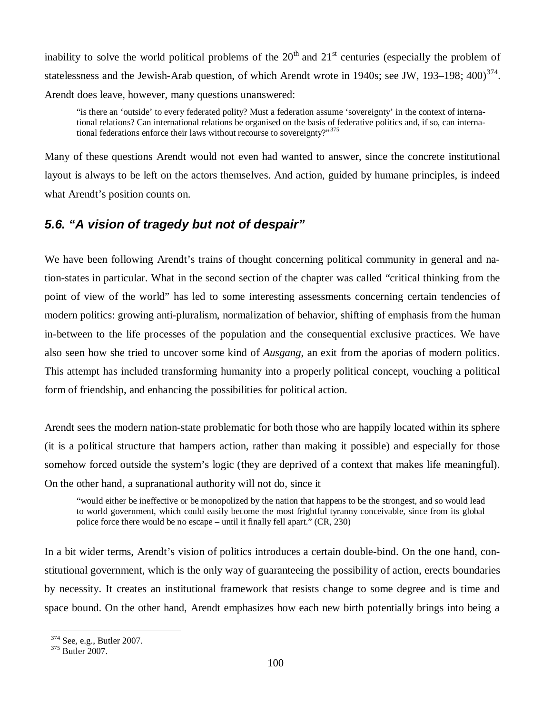inability to solve the world political problems of the  $20<sup>th</sup>$  and  $21<sup>st</sup>$  centuries (especially the problem of statelessness and the Jewish-Arab question, of which Arendt wrote in 1940s; see JW, 193–198; 400)<sup>374</sup>. Arendt does leave, however, many questions unanswered:

"is there an 'outside' to every federated polity? Must a federation assume 'sovereignty' in the context of international relations? Can international relations be organised on the basis of federative politics and, if so, can international federations enforce their laws without recourse to sovereignty?"<sup>375</sup>

Many of these questions Arendt would not even had wanted to answer, since the concrete institutional layout is always to be left on the actors themselves. And action, guided by humane principles, is indeed what Arendt's position counts on.

## *5.6. "A vision of tragedy but not of despair"*

We have been following Arendt's trains of thought concerning political community in general and nation-states in particular. What in the second section of the chapter was called "critical thinking from the point of view of the world" has led to some interesting assessments concerning certain tendencies of modern politics: growing anti-pluralism, normalization of behavior, shifting of emphasis from the human in-between to the life processes of the population and the consequential exclusive practices. We have also seen how she tried to uncover some kind of *Ausgang*, an exit from the aporias of modern politics. This attempt has included transforming humanity into a properly political concept, vouching a political form of friendship, and enhancing the possibilities for political action.

Arendt sees the modern nation-state problematic for both those who are happily located within its sphere (it is a political structure that hampers action, rather than making it possible) and especially for those somehow forced outside the system's logic (they are deprived of a context that makes life meaningful). On the other hand, a supranational authority will not do, since it

"would either be ineffective or be monopolized by the nation that happens to be the strongest, and so would lead to world government, which could easily become the most frightful tyranny conceivable, since from its global police force there would be no escape – until it finally fell apart." (CR, 230)

In a bit wider terms, Arendt's vision of politics introduces a certain double-bind. On the one hand, constitutional government, which is the only way of guaranteeing the possibility of action, erects boundaries by necessity. It creates an institutional framework that resists change to some degree and is time and space bound. On the other hand, Arendt emphasizes how each new birth potentially brings into being a

<sup>374</sup> See, e.g., Butler 2007.

<sup>375</sup> Butler 2007.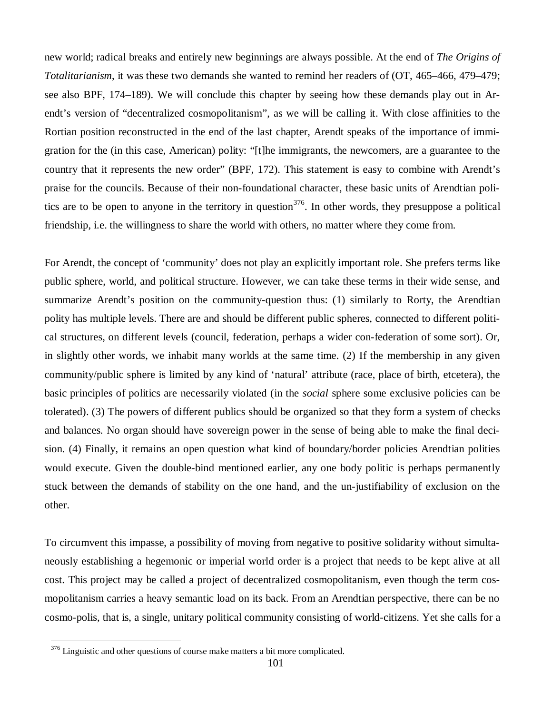new world; radical breaks and entirely new beginnings are always possible. At the end of *The Origins of Totalitarianism*, it was these two demands she wanted to remind her readers of (OT, 465–466, 479–479; see also BPF, 174–189). We will conclude this chapter by seeing how these demands play out in Arendt's version of "decentralized cosmopolitanism", as we will be calling it. With close affinities to the Rortian position reconstructed in the end of the last chapter, Arendt speaks of the importance of immigration for the (in this case, American) polity: "[t]he immigrants, the newcomers, are a guarantee to the country that it represents the new order" (BPF, 172). This statement is easy to combine with Arendt's praise for the councils. Because of their non-foundational character, these basic units of Arendtian politics are to be open to anyone in the territory in question<sup>376</sup>. In other words, they presuppose a political friendship, i.e. the willingness to share the world with others, no matter where they come from.

For Arendt, the concept of 'community' does not play an explicitly important role. She prefers terms like public sphere, world, and political structure. However, we can take these terms in their wide sense, and summarize Arendt's position on the community-question thus: (1) similarly to Rorty, the Arendtian polity has multiple levels. There are and should be different public spheres, connected to different political structures, on different levels (council, federation, perhaps a wider con-federation of some sort). Or, in slightly other words, we inhabit many worlds at the same time. (2) If the membership in any given community/public sphere is limited by any kind of 'natural' attribute (race, place of birth, etcetera), the basic principles of politics are necessarily violated (in the *social* sphere some exclusive policies can be tolerated). (3) The powers of different publics should be organized so that they form a system of checks and balances. No organ should have sovereign power in the sense of being able to make the final decision. (4) Finally, it remains an open question what kind of boundary/border policies Arendtian polities would execute. Given the double-bind mentioned earlier, any one body politic is perhaps permanently stuck between the demands of stability on the one hand, and the un-justifiability of exclusion on the other.

To circumvent this impasse, a possibility of moving from negative to positive solidarity without simultaneously establishing a hegemonic or imperial world order is a project that needs to be kept alive at all cost. This project may be called a project of decentralized cosmopolitanism, even though the term cosmopolitanism carries a heavy semantic load on its back. From an Arendtian perspective, there can be no cosmo-polis, that is, a single, unitary political community consisting of world-citizens. Yet she calls for a

<sup>&</sup>lt;sup>376</sup> Linguistic and other questions of course make matters a bit more complicated.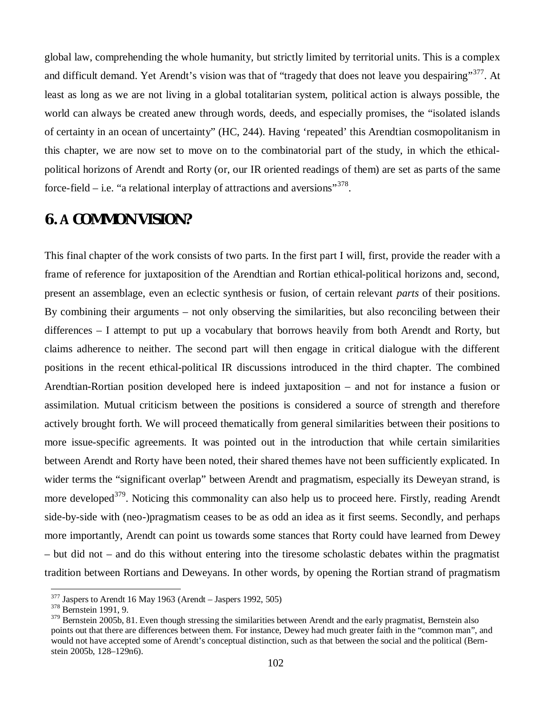global law, comprehending the whole humanity, but strictly limited by territorial units. This is a complex and difficult demand. Yet Arendt's vision was that of "tragedy that does not leave you despairing"<sup>377</sup>. At least as long as we are not living in a global totalitarian system, political action is always possible, the world can always be created anew through words, deeds, and especially promises, the "isolated islands of certainty in an ocean of uncertainty" (HC, 244). Having 'repeated' this Arendtian cosmopolitanism in this chapter, we are now set to move on to the combinatorial part of the study, in which the ethicalpolitical horizons of Arendt and Rorty (or, our IR oriented readings of them) are set as parts of the same force-field  $-$  i.e. "a relational interplay of attractions and aversions"<sup>378</sup>.

# **6.COMMON VISION?**

This final chapter of the work consists of two parts. In the first part I will, first, provide the reader with a frame of reference for juxtaposition of the Arendtian and Rortian ethical-political horizons and, second, present an assemblage, even an eclectic synthesis or fusion, of certain relevant *parts* of their positions. By combining their arguments – not only observing the similarities, but also reconciling between their differences – I attempt to put up a vocabulary that borrows heavily from both Arendt and Rorty, but claims adherence to neither. The second part will then engage in critical dialogue with the different positions in the recent ethical-political IR discussions introduced in the third chapter. The combined Arendtian-Rortian position developed here is indeed juxtaposition – and not for instance a fusion or assimilation. Mutual criticism between the positions is considered a source of strength and therefore actively brought forth. We will proceed thematically from general similarities between their positions to more issue-specific agreements. It was pointed out in the introduction that while certain similarities between Arendt and Rorty have been noted, their shared themes have not been sufficiently explicated. In wider terms the "significant overlap" between Arendt and pragmatism, especially its Deweyan strand, is more developed<sup>379</sup>. Noticing this commonality can also help us to proceed here. Firstly, reading Arendt side-by-side with (neo-)pragmatism ceases to be as odd an idea as it first seems. Secondly, and perhaps more importantly, Arendt can point us towards some stances that Rorty could have learned from Dewey – but did not – and do this without entering into the tiresome scholastic debates within the pragmatist tradition between Rortians and Deweyans. In other words, by opening the Rortian strand of pragmatism

 $377$  Jaspers to Arendt 16 May 1963 (Arendt – Jaspers 1992, 505)

<sup>378</sup> Bernstein 1991, 9.

<sup>&</sup>lt;sup>379</sup> Bernstein 2005b, 81. Even though stressing the similarities between Arendt and the early pragmatist, Bernstein also points out that there are differences between them. For instance, Dewey had much greater faith in the "common man", and would not have accepted some of Arendt's conceptual distinction, such as that between the social and the political (Bernstein 2005b, 128–129n6).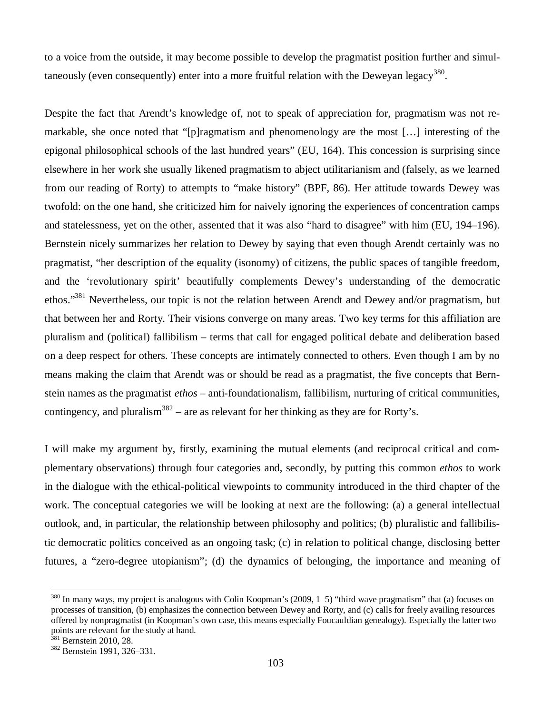to a voice from the outside, it may become possible to develop the pragmatist position further and simultaneously (even consequently) enter into a more fruitful relation with the Deweyan legacy<sup>380</sup>.

Despite the fact that Arendt's knowledge of, not to speak of appreciation for, pragmatism was not remarkable, she once noted that "[p]ragmatism and phenomenology are the most [… ] interesting of the epigonal philosophical schools of the last hundred years" (EU, 164). This concession is surprising since elsewhere in her work she usually likened pragmatism to abject utilitarianism and (falsely, as we learned from our reading of Rorty) to attempts to "make history" (BPF, 86). Her attitude towards Dewey was twofold: on the one hand, she criticized him for naively ignoring the experiences of concentration camps and statelessness, yet on the other, assented that it was also "hard to disagree" with him (EU, 194–196). Bernstein nicely summarizes her relation to Dewey by saying that even though Arendt certainly was no pragmatist, "her description of the equality (isonomy) of citizens, the public spaces of tangible freedom, and the 'revolutionary spirit' beautifully complements Dewey's understanding of the democratic ethos."<sup>381</sup> Nevertheless, our topic is not the relation between Arendt and Dewey and/or pragmatism, but that between her and Rorty. Their visions converge on many areas. Two key terms for this affiliation are pluralism and (political) fallibilism – terms that call for engaged political debate and deliberation based on a deep respect for others. These concepts are intimately connected to others. Even though I am by no means making the claim that Arendt was or should be read as a pragmatist, the five concepts that Bernstein names as the pragmatist *ethos* – anti-foundationalism, fallibilism, nurturing of critical communities, contingency, and pluralism<sup>382</sup> – are as relevant for her thinking as they are for Rorty's.

I will make my argument by, firstly, examining the mutual elements (and reciprocal critical and complementary observations) through four categories and, secondly, by putting this common *ethos* to work in the dialogue with the ethical-political viewpoints to community introduced in the third chapter of the work. The conceptual categories we will be looking at next are the following: (a) a general intellectual outlook, and, in particular, the relationship between philosophy and politics; (b) pluralistic and fallibilistic democratic politics conceived as an ongoing task; (c) in relation to political change, disclosing better futures, a "zero-degree utopianism"; (d) the dynamics of belonging, the importance and meaning of

 $380$  In many ways, my project is analogous with Colin Koopman's (2009, 1–5) "third wave pragmatism" that (a) focuses on processes of transition, (b) emphasizes the connection between Dewey and Rorty, and (c) calls for freely availing resources offered by nonpragmatist (in Koopman's own case, this means especially Foucauldian genealogy). Especially the latter two points are relevant for the study at hand.

 $381$  Bernstein 2010, 28.

<sup>382</sup> Bernstein 1991, 326–331.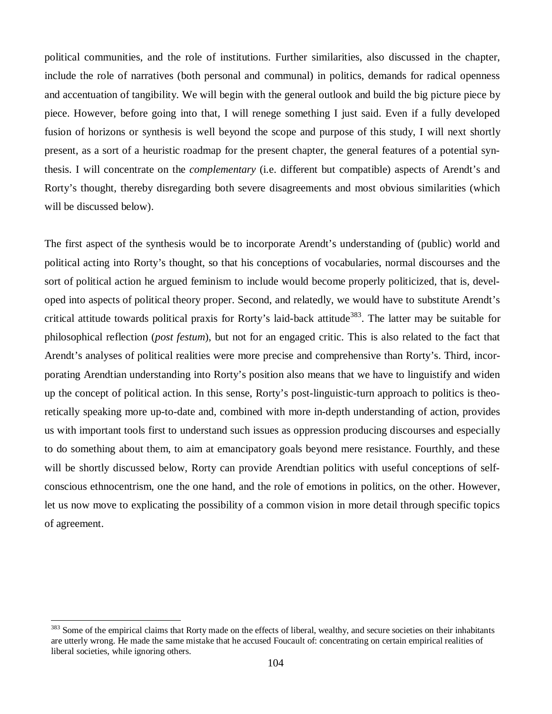political communities, and the role of institutions. Further similarities, also discussed in the chapter, include the role of narratives (both personal and communal) in politics, demands for radical openness and accentuation of tangibility. We will begin with the general outlook and build the big picture piece by piece. However, before going into that, I will renege something I just said. Even if a fully developed fusion of horizons or synthesis is well beyond the scope and purpose of this study, I will next shortly present, as a sort of a heuristic roadmap for the present chapter, the general features of a potential synthesis. I will concentrate on the *complementary* (i.e. different but compatible) aspects of Arendt's and Rorty's thought, thereby disregarding both severe disagreements and most obvious similarities (which will be discussed below).

The first aspect of the synthesis would be to incorporate Arendt's understanding of (public) world and political acting into Rorty's thought, so that his conceptions of vocabularies, normal discourses and the sort of political action he argued feminism to include would become properly politicized, that is, developed into aspects of political theory proper. Second, and relatedly, we would have to substitute Arendt's critical attitude towards political praxis for Rorty's laid-back attitude<sup>383</sup>. The latter may be suitable for philosophical reflection (*post festum*), but not for an engaged critic. This is also related to the fact that Arendt's analyses of political realities were more precise and comprehensive than Rorty's. Third, incorporating Arendtian understanding into Rorty's position also means that we have to linguistify and widen up the concept of political action. In this sense, Rorty's post-linguistic-turn approach to politics is theoretically speaking more up-to-date and, combined with more in-depth understanding of action, provides us with important tools first to understand such issues as oppression producing discourses and especially to do something about them, to aim at emancipatory goals beyond mere resistance. Fourthly, and these will be shortly discussed below, Rorty can provide Arendtian politics with useful conceptions of selfconscious ethnocentrism, one the one hand, and the role of emotions in politics, on the other. However, let us now move to explicating the possibility of a common vision in more detail through specific topics of agreement.

<sup>&</sup>lt;sup>383</sup> Some of the empirical claims that Rorty made on the effects of liberal, wealthy, and secure societies on their inhabitants are utterly wrong. He made the same mistake that he accused Foucault of: concentrating on certain empirical realities of liberal societies, while ignoring others.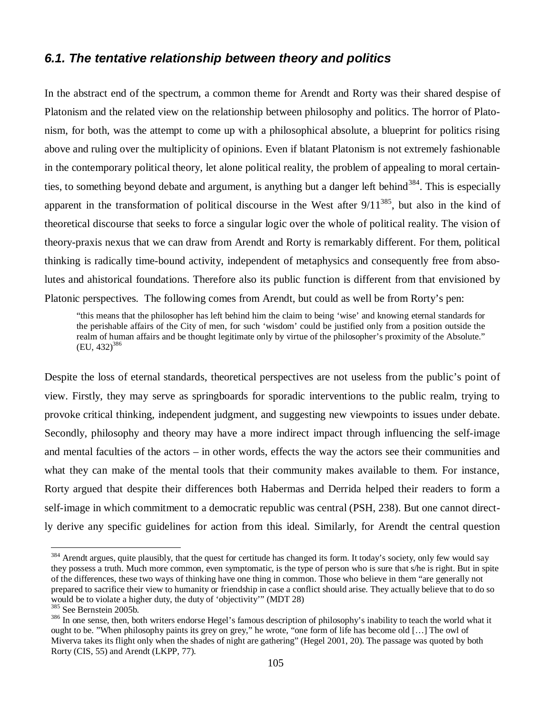## *6.1. The tentative relationship between theory and politics*

In the abstract end of the spectrum, a common theme for Arendt and Rorty was their shared despise of Platonism and the related view on the relationship between philosophy and politics. The horror of Platonism, for both, was the attempt to come up with a philosophical absolute, a blueprint for politics rising above and ruling over the multiplicity of opinions. Even if blatant Platonism is not extremely fashionable in the contemporary political theory, let alone political reality, the problem of appealing to moral certainties, to something beyond debate and argument, is anything but a danger left behind<sup>384</sup>. This is especially apparent in the transformation of political discourse in the West after  $9/11^{385}$ , but also in the kind of theoretical discourse that seeks to force a singular logic over the whole of political reality. The vision of theory-praxis nexus that we can draw from Arendt and Rorty is remarkably different. For them, political thinking is radically time-bound activity, independent of metaphysics and consequently free from absolutes and ahistorical foundations. Therefore also its public function is different from that envisioned by Platonic perspectives. The following comes from Arendt, but could as well be from Rorty's pen:

"this means that the philosopher has left behind him the claim to being 'wise' and knowing eternal standards for the perishable affairs of the City of men, for such 'wisdom' could be justified only from a position outside the realm of human affairs and be thought legitimate only by virtue of the philosopher's proximity of the Absolute."  $(EU, 432)^{386}$ 

Despite the loss of eternal standards, theoretical perspectives are not useless from the public's point of view. Firstly, they may serve as springboards for sporadic interventions to the public realm, trying to provoke critical thinking, independent judgment, and suggesting new viewpoints to issues under debate. Secondly, philosophy and theory may have a more indirect impact through influencing the self-image and mental faculties of the actors – in other words, effects the way the actors see their communities and what they can make of the mental tools that their community makes available to them. For instance, Rorty argued that despite their differences both Habermas and Derrida helped their readers to form a self-image in which commitment to a democratic republic was central (PSH, 238). But one cannot directly derive any specific guidelines for action from this ideal. Similarly, for Arendt the central question

<sup>&</sup>lt;sup>384</sup> Arendt argues, quite plausibly, that the quest for certitude has changed its form. It today's society, only few would say they possess a truth. Much more common, even symptomatic, is the type of person who is sure that s/he is right. But in spite of the differences, these two ways of thinking have one thing in common. Those who believe in them "are generally not prepared to sacrifice their view to humanity or friendship in case a conflict should arise. They actually believe that to do so would be to violate a higher duty, the duty of 'objectivity'" (MDT 28)

<sup>385</sup> See Bernstein 2005b.

<sup>&</sup>lt;sup>386</sup> In one sense, then, both writers endorse Hegel's famous description of philosophy's inability to teach the world what it ought to be. "When philosophy paints its grey on grey," he wrote, "one form of life has become old [… ] The owl of Miverva takes its flight only when the shades of night are gathering" (Hegel 2001, 20). The passage was quoted by both Rorty (CIS, 55) and Arendt (LKPP, 77).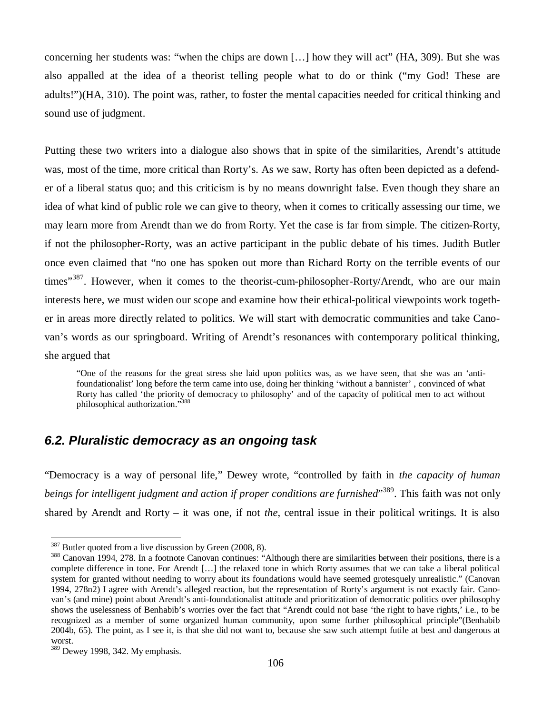concerning her students was: "when the chips are down [… ] how they will act" (HA, 309). But she was also appalled at the idea of a theorist telling people what to do or think ("my God! These are adults!")(HA, 310). The point was, rather, to foster the mental capacities needed for critical thinking and sound use of judgment.

Putting these two writers into a dialogue also shows that in spite of the similarities, Arendt's attitude was, most of the time, more critical than Rorty's. As we saw, Rorty has often been depicted as a defender of a liberal status quo; and this criticism is by no means downright false. Even though they share an idea of what kind of public role we can give to theory, when it comes to critically assessing our time, we may learn more from Arendt than we do from Rorty. Yet the case is far from simple. The citizen-Rorty, if not the philosopher-Rorty, was an active participant in the public debate of his times. Judith Butler once even claimed that "no one has spoken out more than Richard Rorty on the terrible events of our times"<sup>387</sup>. However, when it comes to the theorist-cum-philosopher-Rorty/Arendt, who are our main interests here, we must widen our scope and examine how their ethical-political viewpoints work together in areas more directly related to politics. We will start with democratic communities and take Canovan's words as our springboard. Writing of Arendt's resonances with contemporary political thinking, she argued that

"One of the reasons for the great stress she laid upon politics was, as we have seen, that she was an 'antifoundationalist' long before the term came into use, doing her thinking 'without a bannister' , convinced of what Rorty has called 'the priority of democracy to philosophy' and of the capacity of political men to act without philosophical authorization."<sup>388</sup>

## *6.2. Pluralistic democracy as an ongoing task*

"Democracy is a way of personal life," Dewey wrote, "controlled by faith in *the capacity of human beings for intelligent judgment and action if proper conditions are furnished*" <sup>389</sup>. This faith was not only shared by Arendt and Rorty – it was one, if not *the*, central issue in their political writings. It is also

<sup>&</sup>lt;sup>387</sup> Butler quoted from a live discussion by Green (2008, 8).

<sup>&</sup>lt;sup>388</sup> Canovan 1994, 278. In a footnote Canovan continues: "Although there are similarities between their positions, there is a complete difference in tone. For Arendt [… ] the relaxed tone in which Rorty assumes that we can take a liberal political system for granted without needing to worry about its foundations would have seemed grotesquely unrealistic." (Canovan 1994, 278n2) I agree with Arendt's alleged reaction, but the representation of Rorty's argument is not exactly fair. Canovan's (and mine) point about Arendt's anti-foundationalist attitude and prioritization of democratic politics over philosophy shows the uselessness of Benhabib's worries over the fact that "Arendt could not base 'the right to have rights,' i.e., to be recognized as a member of some organized human community, upon some further philosophical principle"(Benhabib 2004b, 65). The point, as I see it, is that she did not want to, because she saw such attempt futile at best and dangerous at worst.

<sup>&</sup>lt;sup>389</sup> Dewey 1998, 342. My emphasis.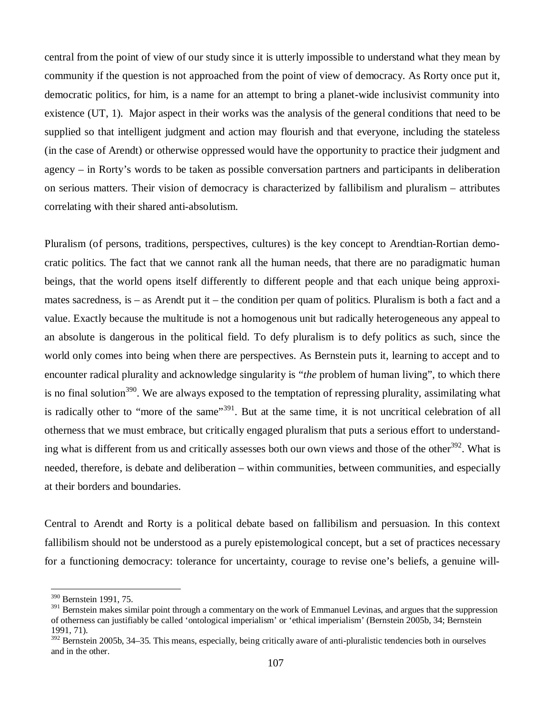central from the point of view of our study since it is utterly impossible to understand what they mean by community if the question is not approached from the point of view of democracy. As Rorty once put it, democratic politics, for him, is a name for an attempt to bring a planet-wide inclusivist community into existence (UT, 1). Major aspect in their works was the analysis of the general conditions that need to be supplied so that intelligent judgment and action may flourish and that everyone, including the stateless (in the case of Arendt) or otherwise oppressed would have the opportunity to practice their judgment and agency – in Rorty's words to be taken as possible conversation partners and participants in deliberation on serious matters. Their vision of democracy is characterized by fallibilism and pluralism – attributes correlating with their shared anti-absolutism.

Pluralism (of persons, traditions, perspectives, cultures) is the key concept to Arendtian-Rortian democratic politics. The fact that we cannot rank all the human needs, that there are no paradigmatic human beings, that the world opens itself differently to different people and that each unique being approximates sacredness, is – as Arendt put it – the condition per quam of politics. Pluralism is both a fact and a value. Exactly because the multitude is not a homogenous unit but radically heterogeneous any appeal to an absolute is dangerous in the political field. To defy pluralism is to defy politics as such, since the world only comes into being when there are perspectives. As Bernstein puts it, learning to accept and to encounter radical plurality and acknowledge singularity is "*the* problem of human living", to which there is no final solution<sup>390</sup>. We are always exposed to the temptation of repressing plurality, assimilating what is radically other to "more of the same"<sup>391</sup>. But at the same time, it is not uncritical celebration of all otherness that we must embrace, but critically engaged pluralism that puts a serious effort to understanding what is different from us and critically assesses both our own views and those of the other<sup>392</sup>. What is needed, therefore, is debate and deliberation – within communities, between communities, and especially at their borders and boundaries.

Central to Arendt and Rorty is a political debate based on fallibilism and persuasion. In this context fallibilism should not be understood as a purely epistemological concept, but a set of practices necessary for a functioning democracy: tolerance for uncertainty, courage to revise one's beliefs, a genuine will-

<sup>390</sup> Bernstein 1991, 75.

<sup>&</sup>lt;sup>391</sup> Bernstein makes similar point through a commentary on the work of Emmanuel Levinas, and argues that the suppression of otherness can justifiably be called 'ontological imperialism' or 'ethical imperialism' (Bernstein 2005b, 34; Bernstein 1991, 71).

 $392$  Bernstein 2005b, 34–35. This means, especially, being critically aware of anti-pluralistic tendencies both in ourselves and in the other.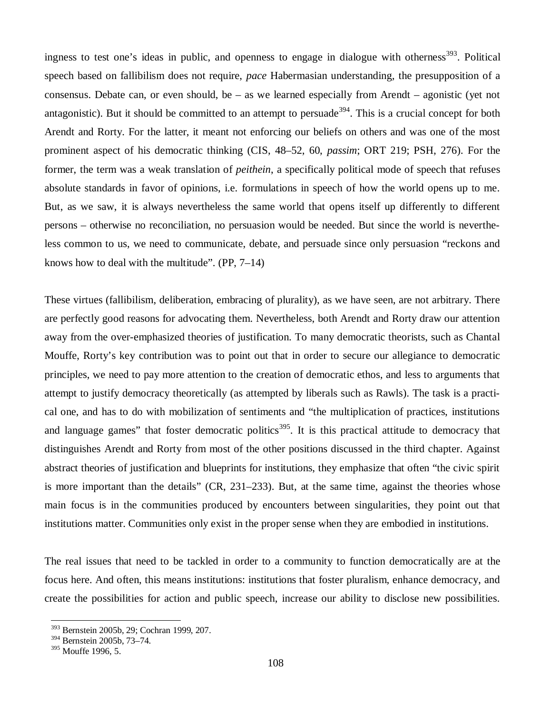ingness to test one's ideas in public, and openness to engage in dialogue with otherness<sup>393</sup>. Political speech based on fallibilism does not require, *pace* Habermasian understanding, the presupposition of a consensus. Debate can, or even should, be – as we learned especially from Arendt – agonistic (yet not antagonistic). But it should be committed to an attempt to persuade<sup>394</sup>. This is a crucial concept for both Arendt and Rorty. For the latter, it meant not enforcing our beliefs on others and was one of the most prominent aspect of his democratic thinking (CIS, 48–52, 60, *passim*; ORT 219; PSH, 276). For the former, the term was a weak translation of *peithein*, a specifically political mode of speech that refuses absolute standards in favor of opinions, i.e. formulations in speech of how the world opens up to me. But, as we saw, it is always nevertheless the same world that opens itself up differently to different persons – otherwise no reconciliation, no persuasion would be needed. But since the world is nevertheless common to us, we need to communicate, debate, and persuade since only persuasion "reckons and knows how to deal with the multitude". (PP, 7–14)

These virtues (fallibilism, deliberation, embracing of plurality), as we have seen, are not arbitrary. There are perfectly good reasons for advocating them. Nevertheless, both Arendt and Rorty draw our attention away from the over-emphasized theories of justification. To many democratic theorists, such as Chantal Mouffe, Rorty's key contribution was to point out that in order to secure our allegiance to democratic principles, we need to pay more attention to the creation of democratic ethos, and less to arguments that attempt to justify democracy theoretically (as attempted by liberals such as Rawls). The task is a practical one, and has to do with mobilization of sentiments and "the multiplication of practices, institutions and language games" that foster democratic politics<sup>395</sup>. It is this practical attitude to democracy that distinguishes Arendt and Rorty from most of the other positions discussed in the third chapter. Against abstract theories of justification and blueprints for institutions, they emphasize that often "the civic spirit is more important than the details" (CR, 231–233). But, at the same time, against the theories whose main focus is in the communities produced by encounters between singularities, they point out that institutions matter. Communities only exist in the proper sense when they are embodied in institutions.

The real issues that need to be tackled in order to a community to function democratically are at the focus here. And often, this means institutions: institutions that foster pluralism, enhance democracy, and create the possibilities for action and public speech, increase our ability to disclose new possibilities.

<sup>393</sup> Bernstein 2005b, 29; Cochran 1999, 207.

<sup>394</sup> Bernstein 2005b, 73–74.

<sup>395</sup> Mouffe 1996, 5.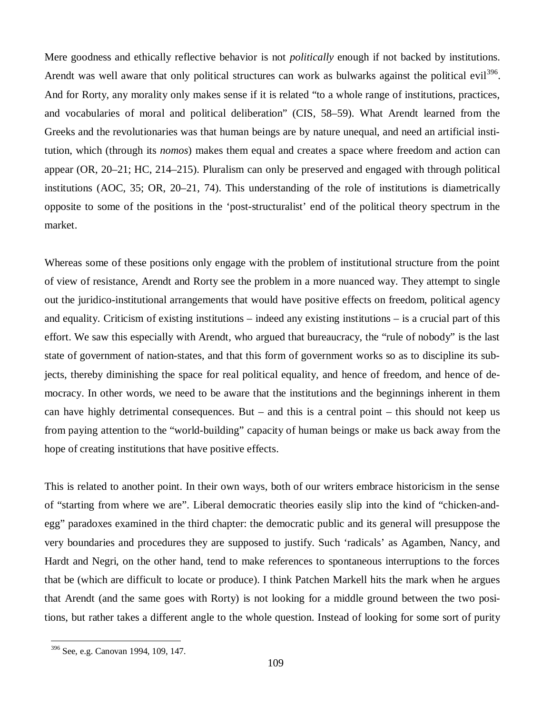Mere goodness and ethically reflective behavior is not *politically* enough if not backed by institutions. Arendt was well aware that only political structures can work as bulwarks against the political evil<sup>396</sup>. And for Rorty, any morality only makes sense if it is related "to a whole range of institutions, practices, and vocabularies of moral and political deliberation" (CIS, 58–59). What Arendt learned from the Greeks and the revolutionaries was that human beings are by nature unequal, and need an artificial institution, which (through its *nomos*) makes them equal and creates a space where freedom and action can appear (OR, 20–21; HC, 214–215). Pluralism can only be preserved and engaged with through political institutions (AOC, 35; OR, 20–21, 74). This understanding of the role of institutions is diametrically opposite to some of the positions in the 'post-structuralist' end of the political theory spectrum in the market.

Whereas some of these positions only engage with the problem of institutional structure from the point of view of resistance, Arendt and Rorty see the problem in a more nuanced way. They attempt to single out the juridico-institutional arrangements that would have positive effects on freedom, political agency and equality. Criticism of existing institutions – indeed any existing institutions – is a crucial part of this effort. We saw this especially with Arendt, who argued that bureaucracy, the "rule of nobody" is the last state of government of nation-states, and that this form of government works so as to discipline its subjects, thereby diminishing the space for real political equality, and hence of freedom, and hence of democracy. In other words, we need to be aware that the institutions and the beginnings inherent in them can have highly detrimental consequences. But – and this is a central point – this should not keep us from paying attention to the "world-building" capacity of human beings or make us back away from the hope of creating institutions that have positive effects.

This is related to another point. In their own ways, both of our writers embrace historicism in the sense of "starting from where we are". Liberal democratic theories easily slip into the kind of "chicken-andegg" paradoxes examined in the third chapter: the democratic public and its general will presuppose the very boundaries and procedures they are supposed to justify. Such 'radicals' as Agamben, Nancy, and Hardt and Negri, on the other hand, tend to make references to spontaneous interruptions to the forces that be (which are difficult to locate or produce). I think Patchen Markell hits the mark when he argues that Arendt (and the same goes with Rorty) is not looking for a middle ground between the two positions, but rather takes a different angle to the whole question. Instead of looking for some sort of purity

<sup>396</sup> See, e.g. Canovan 1994, 109, 147.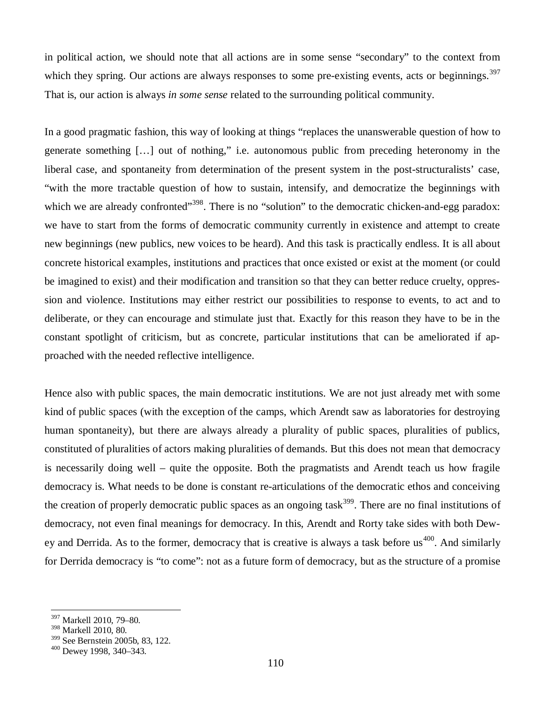in political action, we should note that all actions are in some sense "secondary" to the context from which they spring. Our actions are always responses to some pre-existing events, acts or beginnings.<sup>397</sup> That is, our action is always *in some sense* related to the surrounding political community.

In a good pragmatic fashion, this way of looking at things "replaces the unanswerable question of how to generate something [… ] out of nothing," i.e. autonomous public from preceding heteronomy in the liberal case, and spontaneity from determination of the present system in the post-structuralists' case, "with the more tractable question of how to sustain, intensify, and democratize the beginnings with which we are already confronted"<sup>398</sup>. There is no "solution" to the democratic chicken-and-egg paradox: we have to start from the forms of democratic community currently in existence and attempt to create new beginnings (new publics, new voices to be heard). And this task is practically endless. It is all about concrete historical examples, institutions and practices that once existed or exist at the moment (or could be imagined to exist) and their modification and transition so that they can better reduce cruelty, oppression and violence. Institutions may either restrict our possibilities to response to events, to act and to deliberate, or they can encourage and stimulate just that. Exactly for this reason they have to be in the constant spotlight of criticism, but as concrete, particular institutions that can be ameliorated if approached with the needed reflective intelligence.

Hence also with public spaces, the main democratic institutions. We are not just already met with some kind of public spaces (with the exception of the camps, which Arendt saw as laboratories for destroying human spontaneity), but there are always already a plurality of public spaces, pluralities of publics, constituted of pluralities of actors making pluralities of demands. But this does not mean that democracy is necessarily doing well – quite the opposite. Both the pragmatists and Arendt teach us how fragile democracy is. What needs to be done is constant re-articulations of the democratic ethos and conceiving the creation of properly democratic public spaces as an ongoing task<sup>399</sup>. There are no final institutions of democracy, not even final meanings for democracy. In this, Arendt and Rorty take sides with both Dewey and Derrida. As to the former, democracy that is creative is always a task before us<sup>400</sup>. And similarly for Derrida democracy is "to come": not as a future form of democracy, but as the structure of a promise

<sup>397</sup> Markell 2010, 79–80.

<sup>398</sup> Markell 2010, 80.

<sup>399</sup> See Bernstein 2005b, 83, 122.

<sup>400</sup> Dewey 1998, 340–343.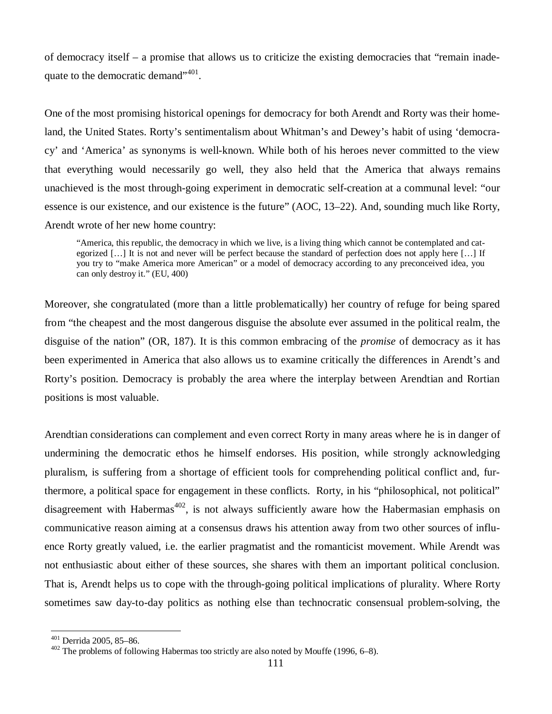of democracy itself – a promise that allows us to criticize the existing democracies that "remain inadequate to the democratic demand"<sup>401</sup>.

One of the most promising historical openings for democracy for both Arendt and Rorty was their homeland, the United States. Rorty's sentimentalism about Whitman's and Dewey's habit of using 'democracy' and 'America' as synonyms is well-known. While both of his heroes never committed to the view that everything would necessarily go well, they also held that the America that always remains unachieved is the most through-going experiment in democratic self-creation at a communal level: "our essence is our existence, and our existence is the future" (AOC, 13–22). And, sounding much like Rorty, Arendt wrote of her new home country:

"America, this republic, the democracy in which we live, is a living thing which cannot be contemplated and categorized [...] It is not and never will be perfect because the standard of perfection does not apply here [...] If you try to "make America more American" or a model of democracy according to any preconceived idea, you can only destroy it." (EU, 400)

Moreover, she congratulated (more than a little problematically) her country of refuge for being spared from "the cheapest and the most dangerous disguise the absolute ever assumed in the political realm, the disguise of the nation" (OR, 187). It is this common embracing of the *promise* of democracy as it has been experimented in America that also allows us to examine critically the differences in Arendt's and Rorty's position. Democracy is probably the area where the interplay between Arendtian and Rortian positions is most valuable.

Arendtian considerations can complement and even correct Rorty in many areas where he is in danger of undermining the democratic ethos he himself endorses. His position, while strongly acknowledging pluralism, is suffering from a shortage of efficient tools for comprehending political conflict and, furthermore, a political space for engagement in these conflicts. Rorty, in his "philosophical, not political" disagreement with Habermas<sup>402</sup>, is not always sufficiently aware how the Habermasian emphasis on communicative reason aiming at a consensus draws his attention away from two other sources of influence Rorty greatly valued, i.e. the earlier pragmatist and the romanticist movement. While Arendt was not enthusiastic about either of these sources, she shares with them an important political conclusion. That is, Arendt helps us to cope with the through-going political implications of plurality. Where Rorty sometimes saw day-to-day politics as nothing else than technocratic consensual problem-solving, the

<sup>401</sup> Derrida 2005, 85–86.

<sup>402</sup> The problems of following Habermas too strictly are also noted by Mouffe (1996, 6–8).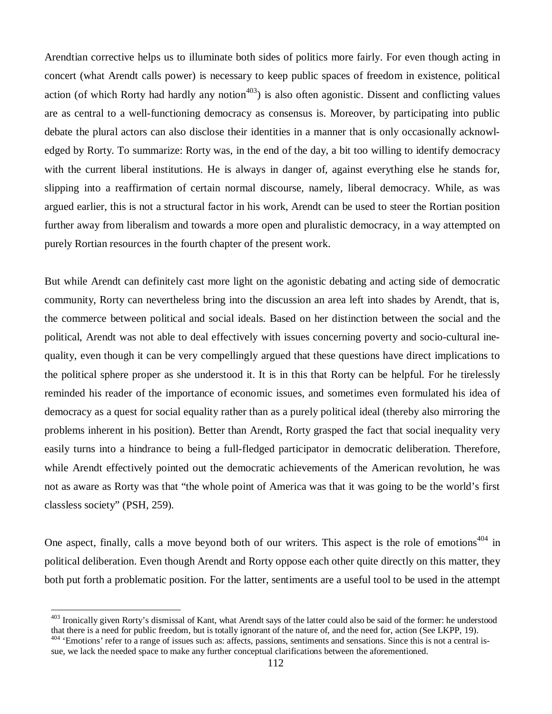Arendtian corrective helps us to illuminate both sides of politics more fairly. For even though acting in concert (what Arendt calls power) is necessary to keep public spaces of freedom in existence, political action (of which Rorty had hardly any notion<sup> $403$ </sup>) is also often agonistic. Dissent and conflicting values are as central to a well-functioning democracy as consensus is. Moreover, by participating into public debate the plural actors can also disclose their identities in a manner that is only occasionally acknowledged by Rorty. To summarize: Rorty was, in the end of the day, a bit too willing to identify democracy with the current liberal institutions. He is always in danger of, against everything else he stands for, slipping into a reaffirmation of certain normal discourse, namely, liberal democracy. While, as was argued earlier, this is not a structural factor in his work, Arendt can be used to steer the Rortian position further away from liberalism and towards a more open and pluralistic democracy, in a way attempted on purely Rortian resources in the fourth chapter of the present work.

But while Arendt can definitely cast more light on the agonistic debating and acting side of democratic community, Rorty can nevertheless bring into the discussion an area left into shades by Arendt, that is, the commerce between political and social ideals. Based on her distinction between the social and the political, Arendt was not able to deal effectively with issues concerning poverty and socio-cultural inequality, even though it can be very compellingly argued that these questions have direct implications to the political sphere proper as she understood it. It is in this that Rorty can be helpful. For he tirelessly reminded his reader of the importance of economic issues, and sometimes even formulated his idea of democracy as a quest for social equality rather than as a purely political ideal (thereby also mirroring the problems inherent in his position). Better than Arendt, Rorty grasped the fact that social inequality very easily turns into a hindrance to being a full-fledged participator in democratic deliberation. Therefore, while Arendt effectively pointed out the democratic achievements of the American revolution, he was not as aware as Rorty was that "the whole point of America was that it was going to be the world's first classless society" (PSH, 259).

One aspect, finally, calls a move beyond both of our writers. This aspect is the role of emotions<sup> $404$ </sup> in political deliberation. Even though Arendt and Rorty oppose each other quite directly on this matter, they both put forth a problematic position. For the latter, sentiments are a useful tool to be used in the attempt

<sup>&</sup>lt;sup>403</sup> Ironically given Rorty's dismissal of Kant, what Arendt says of the latter could also be said of the former: he understood that there is a need for public freedom, but is totally ignorant of the nature of, and the need for, action (See LKPP, 19).

<sup>&</sup>lt;sup>404</sup> 'Emotions' refer to a range of issues such as: affects, passions, sentiments and sensations. Since this is not a central issue, we lack the needed space to make any further conceptual clarifications between the aforementioned.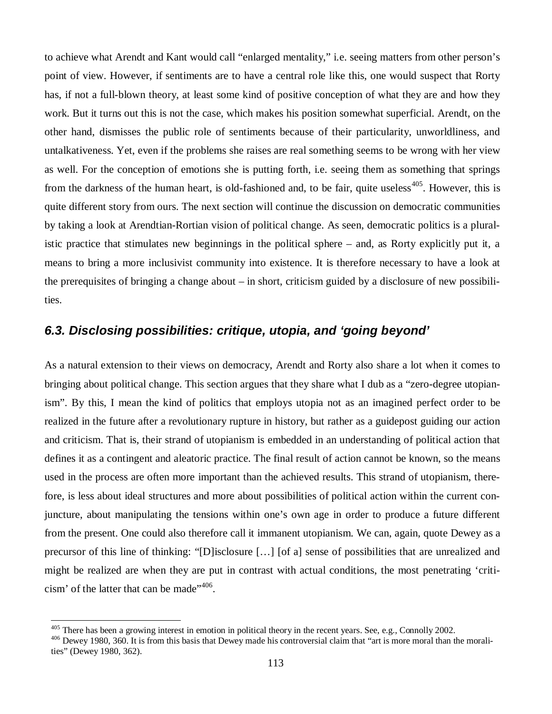to achieve what Arendt and Kant would call "enlarged mentality," i.e. seeing matters from other person's point of view. However, if sentiments are to have a central role like this, one would suspect that Rorty has, if not a full-blown theory, at least some kind of positive conception of what they are and how they work. But it turns out this is not the case, which makes his position somewhat superficial. Arendt, on the other hand, dismisses the public role of sentiments because of their particularity, unworldliness, and untalkativeness. Yet, even if the problems she raises are real something seems to be wrong with her view as well. For the conception of emotions she is putting forth, i.e. seeing them as something that springs from the darkness of the human heart, is old-fashioned and, to be fair, quite useless<sup> $405$ </sup>. However, this is quite different story from ours. The next section will continue the discussion on democratic communities by taking a look at Arendtian-Rortian vision of political change. As seen, democratic politics is a pluralistic practice that stimulates new beginnings in the political sphere – and, as Rorty explicitly put it, a means to bring a more inclusivist community into existence. It is therefore necessary to have a look at the prerequisites of bringing a change about – in short, criticism guided by a disclosure of new possibilities.

# *6.3. Disclosing possibilities: critique, utopia, and 'going beyond'*

As a natural extension to their views on democracy, Arendt and Rorty also share a lot when it comes to bringing about political change. This section argues that they share what I dub as a "zero-degree utopianism". By this, I mean the kind of politics that employs utopia not as an imagined perfect order to be realized in the future after a revolutionary rupture in history, but rather as a guidepost guiding our action and criticism. That is, their strand of utopianism is embedded in an understanding of political action that defines it as a contingent and aleatoric practice. The final result of action cannot be known, so the means used in the process are often more important than the achieved results. This strand of utopianism, therefore, is less about ideal structures and more about possibilities of political action within the current conjuncture, about manipulating the tensions within one's own age in order to produce a future different from the present. One could also therefore call it immanent utopianism. We can, again, quote Dewey as a precursor of this line of thinking: "[D]isclosure [… ] [of a] sense of possibilities that are unrealized and might be realized are when they are put in contrast with actual conditions, the most penetrating 'criticism' of the latter that can be made"<sup>406</sup>.

<sup>&</sup>lt;sup>405</sup> There has been a growing interest in emotion in political theory in the recent years. See, e.g., Connolly 2002.

<sup>&</sup>lt;sup>406</sup> Dewey 1980, 360. It is from this basis that Dewey made his controversial claim that "art is more moral than the moralities" (Dewey 1980, 362).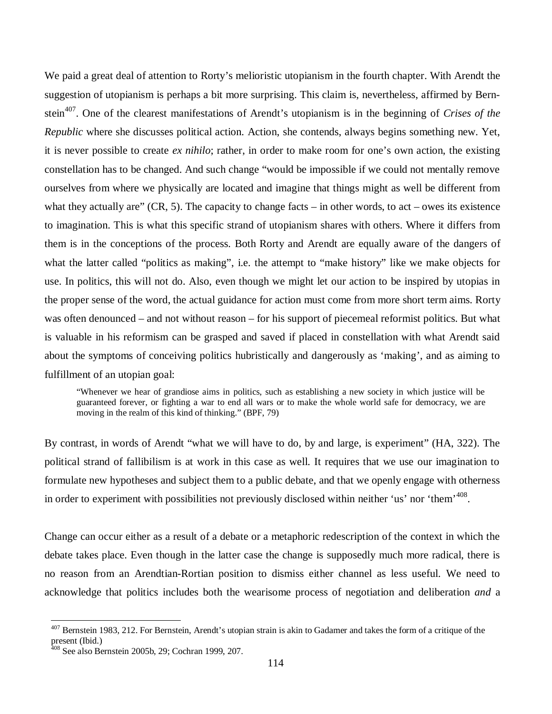We paid a great deal of attention to Rorty's melioristic utopianism in the fourth chapter. With Arendt the suggestion of utopianism is perhaps a bit more surprising. This claim is, nevertheless, affirmed by Bernstein<sup>407</sup>. One of the clearest manifestations of Arendt's utopianism is in the beginning of *Crises of the Republic* where she discusses political action. Action, she contends, always begins something new. Yet, it is never possible to create *ex nihilo*; rather, in order to make room for one's own action, the existing constellation has to be changed. And such change "would be impossible if we could not mentally remove ourselves from where we physically are located and imagine that things might as well be different from what they actually are"  $(CR, 5)$ . The capacity to change facts – in other words, to act – owes its existence to imagination. This is what this specific strand of utopianism shares with others. Where it differs from them is in the conceptions of the process. Both Rorty and Arendt are equally aware of the dangers of what the latter called "politics as making", i.e. the attempt to "make history" like we make objects for use. In politics, this will not do. Also, even though we might let our action to be inspired by utopias in the proper sense of the word, the actual guidance for action must come from more short term aims. Rorty was often denounced – and not without reason – for his support of piecemeal reformist politics. But what is valuable in his reformism can be grasped and saved if placed in constellation with what Arendt said about the symptoms of conceiving politics hubristically and dangerously as 'making', and as aiming to fulfillment of an utopian goal:

"Whenever we hear of grandiose aims in politics, such as establishing a new society in which justice will be guaranteed forever, or fighting a war to end all wars or to make the whole world safe for democracy, we are moving in the realm of this kind of thinking." (BPF, 79)

By contrast, in words of Arendt "what we will have to do, by and large, is experiment" (HA, 322). The political strand of fallibilism is at work in this case as well. It requires that we use our imagination to formulate new hypotheses and subject them to a public debate, and that we openly engage with otherness in order to experiment with possibilities not previously disclosed within neither 'us' nor 'them'<sup>408</sup>.

Change can occur either as a result of a debate or a metaphoric redescription of the context in which the debate takes place. Even though in the latter case the change is supposedly much more radical, there is no reason from an Arendtian-Rortian position to dismiss either channel as less useful. We need to acknowledge that politics includes both the wearisome process of negotiation and deliberation *and* a

<sup>&</sup>lt;sup>407</sup> Bernstein 1983, 212. For Bernstein, Arendt's utopian strain is akin to Gadamer and takes the form of a critique of the present (Ibid.)

<sup>408</sup> See also Bernstein 2005b, 29; Cochran 1999, 207.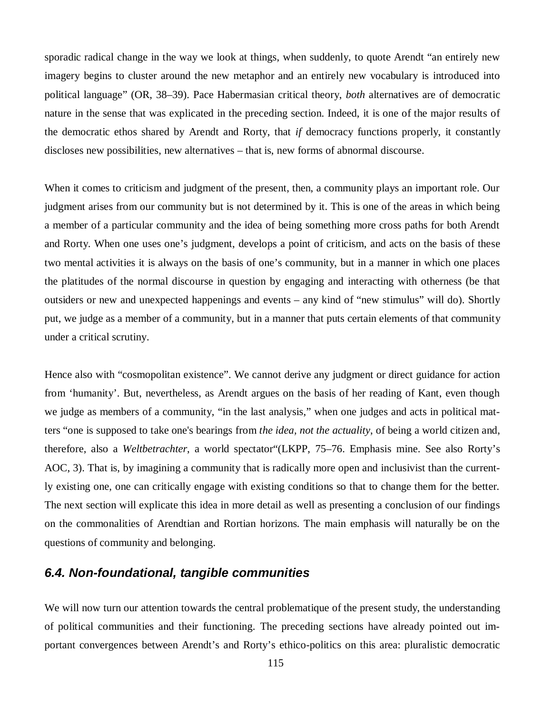sporadic radical change in the way we look at things, when suddenly, to quote Arendt "an entirely new imagery begins to cluster around the new metaphor and an entirely new vocabulary is introduced into political language" (OR, 38–39). Pace Habermasian critical theory, *both* alternatives are of democratic nature in the sense that was explicated in the preceding section. Indeed, it is one of the major results of the democratic ethos shared by Arendt and Rorty, that *if* democracy functions properly, it constantly discloses new possibilities, new alternatives – that is, new forms of abnormal discourse.

When it comes to criticism and judgment of the present, then, a community plays an important role. Our judgment arises from our community but is not determined by it. This is one of the areas in which being a member of a particular community and the idea of being something more cross paths for both Arendt and Rorty. When one uses one's judgment, develops a point of criticism, and acts on the basis of these two mental activities it is always on the basis of one's community, but in a manner in which one places the platitudes of the normal discourse in question by engaging and interacting with otherness (be that outsiders or new and unexpected happenings and events – any kind of "new stimulus" will do). Shortly put, we judge as a member of a community, but in a manner that puts certain elements of that community under a critical scrutiny.

Hence also with "cosmopolitan existence". We cannot derive any judgment or direct guidance for action from 'humanity'. But, nevertheless, as Arendt argues on the basis of her reading of Kant, even though we judge as members of a community, "in the last analysis," when one judges and acts in political matters "one is supposed to take one's bearings from *the idea, not the actuality*, of being a world citizen and, therefore, also a *Weltbetrachter*, a world spectator"(LKPP, 75–76. Emphasis mine. See also Rorty's AOC, 3). That is, by imagining a community that is radically more open and inclusivist than the currently existing one, one can critically engage with existing conditions so that to change them for the better. The next section will explicate this idea in more detail as well as presenting a conclusion of our findings on the commonalities of Arendtian and Rortian horizons. The main emphasis will naturally be on the questions of community and belonging.

## *6.4. Non-foundational, tangible communities*

We will now turn our attention towards the central problematique of the present study, the understanding of political communities and their functioning. The preceding sections have already pointed out important convergences between Arendt's and Rorty's ethico-politics on this area: pluralistic democratic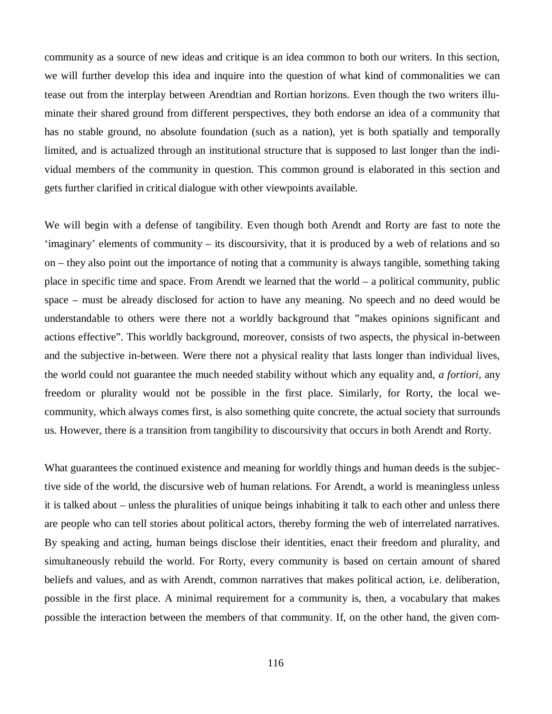community as a source of new ideas and critique is an idea common to both our writers. In this section, we will further develop this idea and inquire into the question of what kind of commonalities we can tease out from the interplay between Arendtian and Rortian horizons. Even though the two writers illuminate their shared ground from different perspectives, they both endorse an idea of a community that has no stable ground, no absolute foundation (such as a nation), yet is both spatially and temporally limited, and is actualized through an institutional structure that is supposed to last longer than the individual members of the community in question. This common ground is elaborated in this section and gets further clarified in critical dialogue with other viewpoints available.

We will begin with a defense of tangibility. Even though both Arendt and Rorty are fast to note the 'imaginary' elements of community – its discoursivity, that it is produced by a web of relations and so on – they also point out the importance of noting that a community is always tangible, something taking place in specific time and space. From Arendt we learned that the world – a political community, public space – must be already disclosed for action to have any meaning. No speech and no deed would be understandable to others were there not a worldly background that "makes opinions significant and actions effective". This worldly background, moreover, consists of two aspects, the physical in-between and the subjective in-between. Were there not a physical reality that lasts longer than individual lives, the world could not guarantee the much needed stability without which any equality and, *a fortiori,* any freedom or plurality would not be possible in the first place. Similarly, for Rorty, the local wecommunity, which always comes first, is also something quite concrete, the actual society that surrounds us. However, there is a transition from tangibility to discoursivity that occurs in both Arendt and Rorty.

What guarantees the continued existence and meaning for worldly things and human deeds is the subjective side of the world, the discursive web of human relations. For Arendt, a world is meaningless unless it is talked about – unless the pluralities of unique beings inhabiting it talk to each other and unless there are people who can tell stories about political actors, thereby forming the web of interrelated narratives. By speaking and acting, human beings disclose their identities, enact their freedom and plurality, and simultaneously rebuild the world. For Rorty, every community is based on certain amount of shared beliefs and values, and as with Arendt, common narratives that makes political action, i.e. deliberation, possible in the first place. A minimal requirement for a community is, then, a vocabulary that makes possible the interaction between the members of that community. If, on the other hand, the given com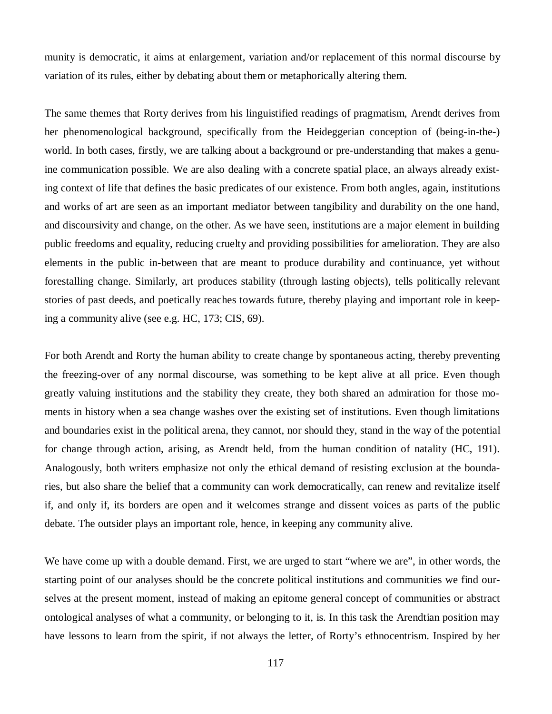munity is democratic, it aims at enlargement, variation and/or replacement of this normal discourse by variation of its rules, either by debating about them or metaphorically altering them.

The same themes that Rorty derives from his linguistified readings of pragmatism, Arendt derives from her phenomenological background, specifically from the Heideggerian conception of (being-in-the-) world. In both cases, firstly, we are talking about a background or pre-understanding that makes a genuine communication possible. We are also dealing with a concrete spatial place, an always already existing context of life that defines the basic predicates of our existence. From both angles, again, institutions and works of art are seen as an important mediator between tangibility and durability on the one hand, and discoursivity and change, on the other. As we have seen, institutions are a major element in building public freedoms and equality, reducing cruelty and providing possibilities for amelioration. They are also elements in the public in-between that are meant to produce durability and continuance, yet without forestalling change. Similarly, art produces stability (through lasting objects), tells politically relevant stories of past deeds, and poetically reaches towards future, thereby playing and important role in keeping a community alive (see e.g. HC, 173; CIS, 69).

For both Arendt and Rorty the human ability to create change by spontaneous acting, thereby preventing the freezing-over of any normal discourse, was something to be kept alive at all price. Even though greatly valuing institutions and the stability they create, they both shared an admiration for those moments in history when a sea change washes over the existing set of institutions. Even though limitations and boundaries exist in the political arena, they cannot, nor should they, stand in the way of the potential for change through action, arising, as Arendt held, from the human condition of natality (HC, 191). Analogously, both writers emphasize not only the ethical demand of resisting exclusion at the boundaries, but also share the belief that a community can work democratically, can renew and revitalize itself if, and only if, its borders are open and it welcomes strange and dissent voices as parts of the public debate. The outsider plays an important role, hence, in keeping any community alive.

We have come up with a double demand. First, we are urged to start "where we are", in other words, the starting point of our analyses should be the concrete political institutions and communities we find ourselves at the present moment, instead of making an epitome general concept of communities or abstract ontological analyses of what a community, or belonging to it, is. In this task the Arendtian position may have lessons to learn from the spirit, if not always the letter, of Rorty's ethnocentrism. Inspired by her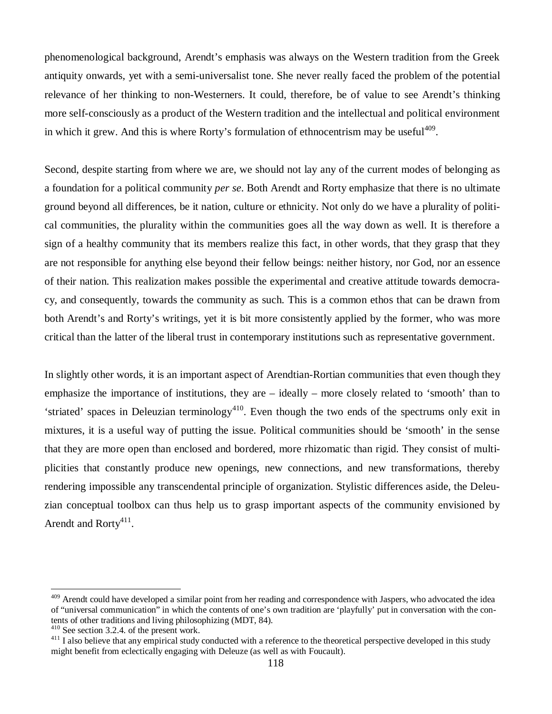phenomenological background, Arendt's emphasis was always on the Western tradition from the Greek antiquity onwards, yet with a semi-universalist tone. She never really faced the problem of the potential relevance of her thinking to non-Westerners. It could, therefore, be of value to see Arendt's thinking more self-consciously as a product of the Western tradition and the intellectual and political environment in which it grew. And this is where Rorty's formulation of ethnocentrism may be useful<sup>409</sup>.

Second, despite starting from where we are, we should not lay any of the current modes of belonging as a foundation for a political community *per se*. Both Arendt and Rorty emphasize that there is no ultimate ground beyond all differences, be it nation, culture or ethnicity. Not only do we have a plurality of political communities, the plurality within the communities goes all the way down as well. It is therefore a sign of a healthy community that its members realize this fact, in other words, that they grasp that they are not responsible for anything else beyond their fellow beings: neither history, nor God, nor an essence of their nation. This realization makes possible the experimental and creative attitude towards democracy, and consequently, towards the community as such. This is a common ethos that can be drawn from both Arendt's and Rorty's writings, yet it is bit more consistently applied by the former, who was more critical than the latter of the liberal trust in contemporary institutions such as representative government.

In slightly other words, it is an important aspect of Arendtian-Rortian communities that even though they emphasize the importance of institutions, they are – ideally – more closely related to 'smooth' than to 'striated' spaces in Deleuzian terminology<sup>410</sup>. Even though the two ends of the spectrums only exit in mixtures, it is a useful way of putting the issue. Political communities should be 'smooth' in the sense that they are more open than enclosed and bordered, more rhizomatic than rigid. They consist of multiplicities that constantly produce new openings, new connections, and new transformations, thereby rendering impossible any transcendental principle of organization. Stylistic differences aside, the Deleuzian conceptual toolbox can thus help us to grasp important aspects of the community envisioned by Arendt and Rorty $411$ .

<sup>&</sup>lt;sup>409</sup> Arendt could have developed a similar point from her reading and correspondence with Jaspers, who advocated the idea of "universal communication" in which the contents of one's own tradition are 'playfully' put in conversation with the contents of other traditions and living philosophizing (MDT, 84).

<sup>410</sup> See section 3.2.4. of the present work.

<sup>&</sup>lt;sup>411</sup> I also believe that any empirical study conducted with a reference to the theoretical perspective developed in this study might benefit from eclectically engaging with Deleuze (as well as with Foucault).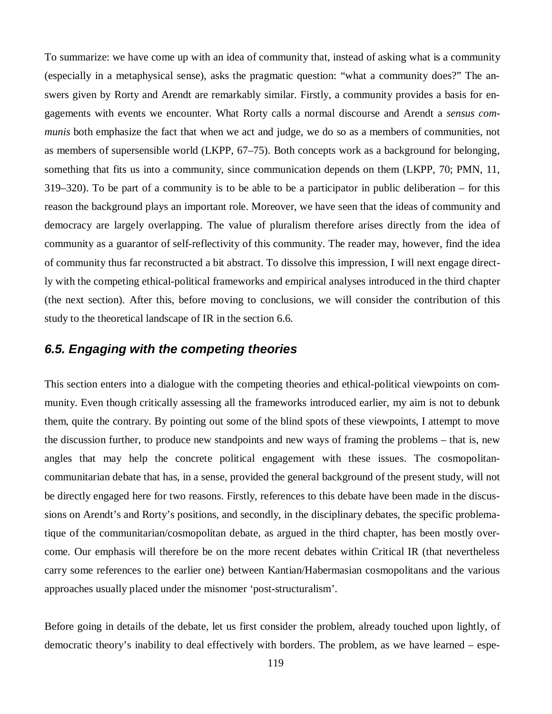To summarize: we have come up with an idea of community that, instead of asking what is a community (especially in a metaphysical sense), asks the pragmatic question: "what a community does?" The answers given by Rorty and Arendt are remarkably similar. Firstly, a community provides a basis for engagements with events we encounter. What Rorty calls a normal discourse and Arendt a *sensus communis* both emphasize the fact that when we act and judge, we do so as a members of communities, not as members of supersensible world (LKPP, 67–75). Both concepts work as a background for belonging, something that fits us into a community, since communication depends on them (LKPP, 70; PMN, 11, 319–320). To be part of a community is to be able to be a participator in public deliberation – for this reason the background plays an important role. Moreover, we have seen that the ideas of community and democracy are largely overlapping. The value of pluralism therefore arises directly from the idea of community as a guarantor of self-reflectivity of this community. The reader may, however, find the idea of community thus far reconstructed a bit abstract. To dissolve this impression, I will next engage directly with the competing ethical-political frameworks and empirical analyses introduced in the third chapter (the next section). After this, before moving to conclusions, we will consider the contribution of this study to the theoretical landscape of IR in the section 6.6.

## *6.5. Engaging with the competing theories*

This section enters into a dialogue with the competing theories and ethical-political viewpoints on community. Even though critically assessing all the frameworks introduced earlier, my aim is not to debunk them, quite the contrary. By pointing out some of the blind spots of these viewpoints, I attempt to move the discussion further, to produce new standpoints and new ways of framing the problems – that is, new angles that may help the concrete political engagement with these issues. The cosmopolitancommunitarian debate that has, in a sense, provided the general background of the present study, will not be directly engaged here for two reasons. Firstly, references to this debate have been made in the discussions on Arendt's and Rorty's positions, and secondly, in the disciplinary debates, the specific problematique of the communitarian/cosmopolitan debate, as argued in the third chapter, has been mostly overcome. Our emphasis will therefore be on the more recent debates within Critical IR (that nevertheless carry some references to the earlier one) between Kantian/Habermasian cosmopolitans and the various approaches usually placed under the misnomer 'post-structuralism'.

Before going in details of the debate, let us first consider the problem, already touched upon lightly, of democratic theory's inability to deal effectively with borders. The problem, as we have learned – espe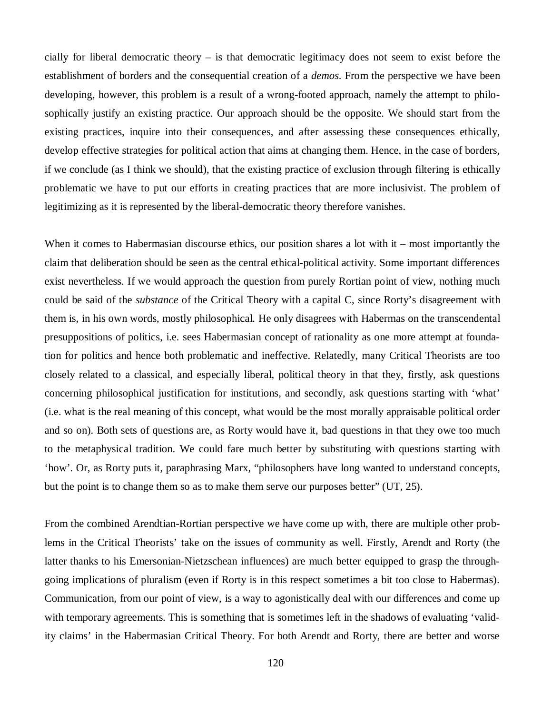cially for liberal democratic theory – is that democratic legitimacy does not seem to exist before the establishment of borders and the consequential creation of a *demos*. From the perspective we have been developing, however, this problem is a result of a wrong-footed approach, namely the attempt to philosophically justify an existing practice. Our approach should be the opposite. We should start from the existing practices, inquire into their consequences, and after assessing these consequences ethically, develop effective strategies for political action that aims at changing them. Hence, in the case of borders, if we conclude (as I think we should), that the existing practice of exclusion through filtering is ethically problematic we have to put our efforts in creating practices that are more inclusivist. The problem of legitimizing as it is represented by the liberal-democratic theory therefore vanishes.

When it comes to Habermasian discourse ethics, our position shares a lot with it – most importantly the claim that deliberation should be seen as the central ethical-political activity. Some important differences exist nevertheless. If we would approach the question from purely Rortian point of view, nothing much could be said of the *substance* of the Critical Theory with a capital C, since Rorty's disagreement with them is, in his own words, mostly philosophical. He only disagrees with Habermas on the transcendental presuppositions of politics, i.e. sees Habermasian concept of rationality as one more attempt at foundation for politics and hence both problematic and ineffective. Relatedly, many Critical Theorists are too closely related to a classical, and especially liberal, political theory in that they, firstly, ask questions concerning philosophical justification for institutions, and secondly, ask questions starting with 'what' (i.e. what is the real meaning of this concept, what would be the most morally appraisable political order and so on). Both sets of questions are, as Rorty would have it, bad questions in that they owe too much to the metaphysical tradition. We could fare much better by substituting with questions starting with 'how'. Or, as Rorty puts it, paraphrasing Marx, "philosophers have long wanted to understand concepts, but the point is to change them so as to make them serve our purposes better" (UT, 25).

From the combined Arendtian-Rortian perspective we have come up with, there are multiple other problems in the Critical Theorists' take on the issues of community as well. Firstly, Arendt and Rorty (the latter thanks to his Emersonian-Nietzschean influences) are much better equipped to grasp the throughgoing implications of pluralism (even if Rorty is in this respect sometimes a bit too close to Habermas). Communication, from our point of view, is a way to agonistically deal with our differences and come up with temporary agreements. This is something that is sometimes left in the shadows of evaluating 'validity claims' in the Habermasian Critical Theory. For both Arendt and Rorty, there are better and worse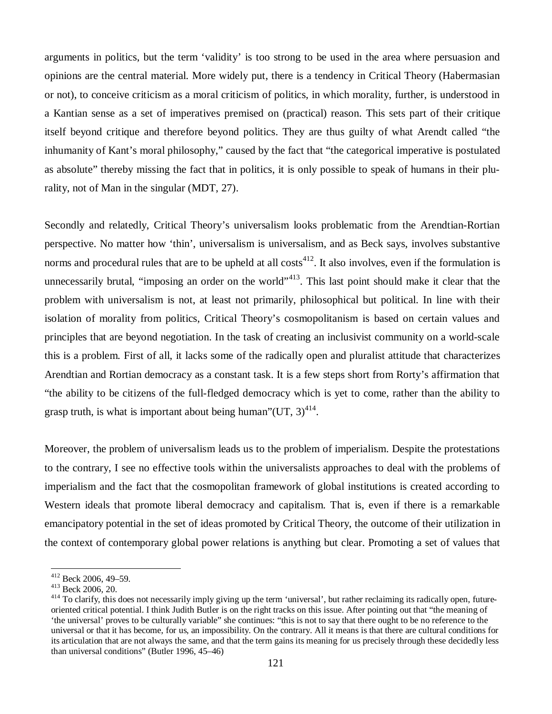arguments in politics, but the term 'validity' is too strong to be used in the area where persuasion and opinions are the central material. More widely put, there is a tendency in Critical Theory (Habermasian or not), to conceive criticism as a moral criticism of politics, in which morality, further, is understood in a Kantian sense as a set of imperatives premised on (practical) reason. This sets part of their critique itself beyond critique and therefore beyond politics. They are thus guilty of what Arendt called "the inhumanity of Kant's moral philosophy," caused by the fact that "the categorical imperative is postulated as absolute" thereby missing the fact that in politics, it is only possible to speak of humans in their plurality, not of Man in the singular (MDT, 27).

Secondly and relatedly, Critical Theory's universalism looks problematic from the Arendtian-Rortian perspective. No matter how 'thin', universalism is universalism, and as Beck says, involves substantive norms and procedural rules that are to be upheld at all  $cost<sup>412</sup>$ . It also involves, even if the formulation is unnecessarily brutal, "imposing an order on the world"<sup>413</sup>. This last point should make it clear that the problem with universalism is not, at least not primarily, philosophical but political. In line with their isolation of morality from politics, Critical Theory's cosmopolitanism is based on certain values and principles that are beyond negotiation. In the task of creating an inclusivist community on a world-scale this is a problem. First of all, it lacks some of the radically open and pluralist attitude that characterizes Arendtian and Rortian democracy as a constant task. It is a few steps short from Rorty's affirmation that "the ability to be citizens of the full-fledged democracy which is yet to come, rather than the ability to grasp truth, is what is important about being human" $(UT, 3)$ <sup>414</sup>.

Moreover, the problem of universalism leads us to the problem of imperialism. Despite the protestations to the contrary, I see no effective tools within the universalists approaches to deal with the problems of imperialism and the fact that the cosmopolitan framework of global institutions is created according to Western ideals that promote liberal democracy and capitalism. That is, even if there is a remarkable emancipatory potential in the set of ideas promoted by Critical Theory, the outcome of their utilization in the context of contemporary global power relations is anything but clear. Promoting a set of values that

<sup>412</sup> Beck 2006, 49–59.

<sup>413</sup> Beck 2006, 20.

<sup>&</sup>lt;sup>414</sup> To clarify, this does not necessarily imply giving up the term 'universal', but rather reclaiming its radically open, futureoriented critical potential. I think Judith Butler is on the right tracks on this issue. After pointing out that "the meaning of 'the universal' proves to be culturally variable" she continues: "this is not to say that there ought to be no reference to the universal or that it has become, for us, an impossibility. On the contrary. All it means is that there are cultural conditions for its articulation that are not always the same, and that the term gains its meaning for us precisely through these decidedly less than universal conditions" (Butler 1996, 45–46)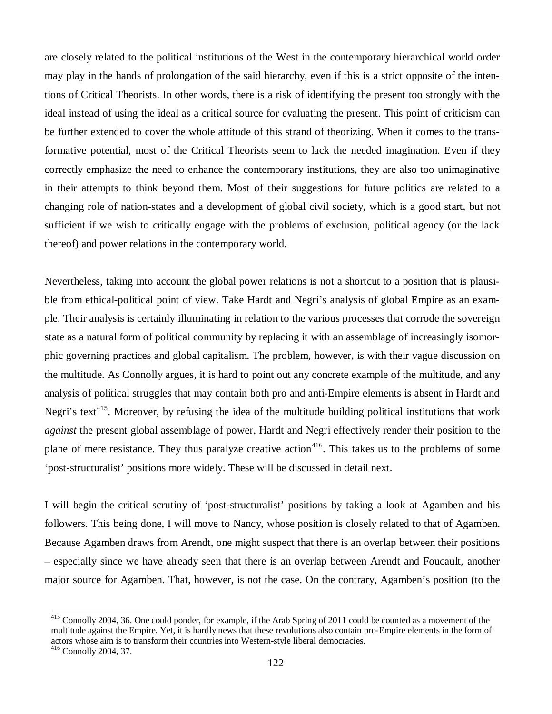are closely related to the political institutions of the West in the contemporary hierarchical world order may play in the hands of prolongation of the said hierarchy, even if this is a strict opposite of the intentions of Critical Theorists. In other words, there is a risk of identifying the present too strongly with the ideal instead of using the ideal as a critical source for evaluating the present. This point of criticism can be further extended to cover the whole attitude of this strand of theorizing. When it comes to the transformative potential, most of the Critical Theorists seem to lack the needed imagination. Even if they correctly emphasize the need to enhance the contemporary institutions, they are also too unimaginative in their attempts to think beyond them. Most of their suggestions for future politics are related to a changing role of nation-states and a development of global civil society, which is a good start, but not sufficient if we wish to critically engage with the problems of exclusion, political agency (or the lack thereof) and power relations in the contemporary world.

Nevertheless, taking into account the global power relations is not a shortcut to a position that is plausible from ethical-political point of view. Take Hardt and Negri's analysis of global Empire as an example. Their analysis is certainly illuminating in relation to the various processes that corrode the sovereign state as a natural form of political community by replacing it with an assemblage of increasingly isomorphic governing practices and global capitalism. The problem, however, is with their vague discussion on the multitude. As Connolly argues, it is hard to point out any concrete example of the multitude, and any analysis of political struggles that may contain both pro and anti-Empire elements is absent in Hardt and Negri's text<sup>415</sup>. Moreover, by refusing the idea of the multitude building political institutions that work *against* the present global assemblage of power, Hardt and Negri effectively render their position to the plane of mere resistance. They thus paralyze creative action<sup>416</sup>. This takes us to the problems of some 'post-structuralist' positions more widely. These will be discussed in detail next.

I will begin the critical scrutiny of 'post-structuralist' positions by taking a look at Agamben and his followers. This being done, I will move to Nancy, whose position is closely related to that of Agamben. Because Agamben draws from Arendt, one might suspect that there is an overlap between their positions – especially since we have already seen that there is an overlap between Arendt and Foucault, another major source for Agamben. That, however, is not the case. On the contrary, Agamben's position (to the

<sup>&</sup>lt;sup>415</sup> Connolly 2004, 36. One could ponder, for example, if the Arab Spring of 2011 could be counted as a movement of the multitude against the Empire. Yet, it is hardly news that these revolutions also contain pro-Empire elements in the form of actors whose aim is to transform their countries into Western-style liberal democracies.

<sup>416</sup> Connolly 2004, 37.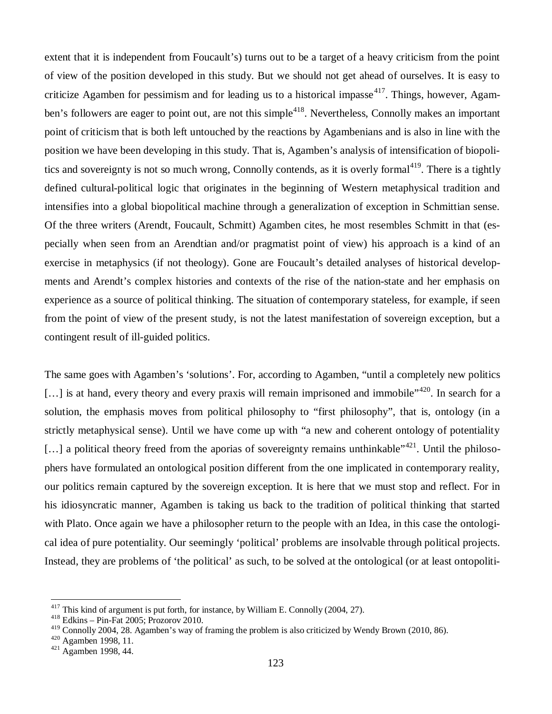extent that it is independent from Foucault's) turns out to be a target of a heavy criticism from the point of view of the position developed in this study. But we should not get ahead of ourselves. It is easy to criticize Agamben for pessimism and for leading us to a historical impasse<sup>417</sup>. Things, however, Agamben's followers are eager to point out, are not this simple<sup>418</sup>. Nevertheless, Connolly makes an important point of criticism that is both left untouched by the reactions by Agambenians and is also in line with the position we have been developing in this study. That is, Agamben's analysis of intensification of biopolitics and sovereignty is not so much wrong, Connolly contends, as it is overly formal<sup>419</sup>. There is a tightly defined cultural-political logic that originates in the beginning of Western metaphysical tradition and intensifies into a global biopolitical machine through a generalization of exception in Schmittian sense. Of the three writers (Arendt, Foucault, Schmitt) Agamben cites, he most resembles Schmitt in that (especially when seen from an Arendtian and/or pragmatist point of view) his approach is a kind of an exercise in metaphysics (if not theology). Gone are Foucault's detailed analyses of historical developments and Arendt's complex histories and contexts of the rise of the nation-state and her emphasis on experience as a source of political thinking. The situation of contemporary stateless, for example, if seen from the point of view of the present study, is not the latest manifestation of sovereign exception, but a contingent result of ill-guided politics.

The same goes with Agamben's 'solutions'. For, according to Agamben, "until a completely new politics  $\left[\ldots\right]$  is at hand, every theory and every praxis will remain imprisoned and immobile"<sup>420</sup>. In search for a solution, the emphasis moves from political philosophy to "first philosophy", that is, ontology (in a strictly metaphysical sense). Until we have come up with "a new and coherent ontology of potentiality [...] a political theory freed from the aporias of sovereignty remains unthinkable"<sup>421</sup>. Until the philosophers have formulated an ontological position different from the one implicated in contemporary reality, our politics remain captured by the sovereign exception. It is here that we must stop and reflect. For in his idiosyncratic manner, Agamben is taking us back to the tradition of political thinking that started with Plato. Once again we have a philosopher return to the people with an Idea, in this case the ontological idea of pure potentiality. Our seemingly 'political' problems are insolvable through political projects. Instead, they are problems of 'the political' as such, to be solved at the ontological (or at least ontopoliti-

 $417$  This kind of argument is put forth, for instance, by William E. Connolly (2004, 27).

<sup>418</sup> Edkins – Pin-Fat 2005; Prozorov 2010.

<sup>&</sup>lt;sup>419</sup> Connolly 2004, 28. Agamben's way of framing the problem is also criticized by Wendy Brown (2010, 86).

<sup>420</sup> Agamben 1998, 11.

<sup>421</sup> Agamben 1998, 44.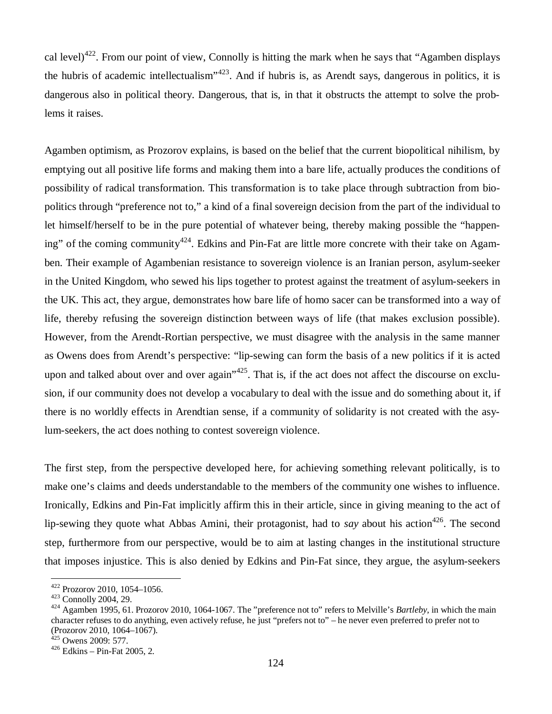cal level)<sup>422</sup>. From our point of view, Connolly is hitting the mark when he says that "Agamben displays" the hubris of academic intellectualism<sup> $1423$ </sup>. And if hubris is, as Arendt says, dangerous in politics, it is dangerous also in political theory. Dangerous, that is, in that it obstructs the attempt to solve the problems it raises.

Agamben optimism, as Prozorov explains, is based on the belief that the current biopolitical nihilism, by emptying out all positive life forms and making them into a bare life, actually produces the conditions of possibility of radical transformation. This transformation is to take place through subtraction from biopolitics through "preference not to," a kind of a final sovereign decision from the part of the individual to let himself/herself to be in the pure potential of whatever being, thereby making possible the "happening" of the coming community<sup>424</sup>. Edkins and Pin-Fat are little more concrete with their take on Agamben. Their example of Agambenian resistance to sovereign violence is an Iranian person, asylum-seeker in the United Kingdom, who sewed his lips together to protest against the treatment of asylum-seekers in the UK. This act, they argue, demonstrates how bare life of homo sacer can be transformed into a way of life, thereby refusing the sovereign distinction between ways of life (that makes exclusion possible). However, from the Arendt-Rortian perspective, we must disagree with the analysis in the same manner as Owens does from Arendt's perspective: "lip-sewing can form the basis of a new politics if it is acted upon and talked about over and over again"<sup>425</sup>. That is, if the act does not affect the discourse on exclusion, if our community does not develop a vocabulary to deal with the issue and do something about it, if there is no worldly effects in Arendtian sense, if a community of solidarity is not created with the asylum-seekers, the act does nothing to contest sovereign violence.

The first step, from the perspective developed here, for achieving something relevant politically, is to make one's claims and deeds understandable to the members of the community one wishes to influence. Ironically, Edkins and Pin-Fat implicitly affirm this in their article, since in giving meaning to the act of lip-sewing they quote what Abbas Amini, their protagonist, had to *say* about his action<sup>426</sup>. The second step, furthermore from our perspective, would be to aim at lasting changes in the institutional structure that imposes injustice. This is also denied by Edkins and Pin-Fat since, they argue, the asylum-seekers

<sup>422</sup> Prozorov 2010, 1054–1056.

 $423$  Connolly 2004, 29.

<sup>424</sup> Agamben 1995, 61. Prozorov 2010, 1064-1067. The "preference not to" refers to Melville's *Bartleby*, in which the main character refuses to do anything, even actively refuse, he just "prefers not to" – he never even preferred to prefer not to (Prozorov 2010, 1064–1067).

 $425$  Owens 2009: 577.

 $426$  Edkins – Pin-Fat 2005, 2.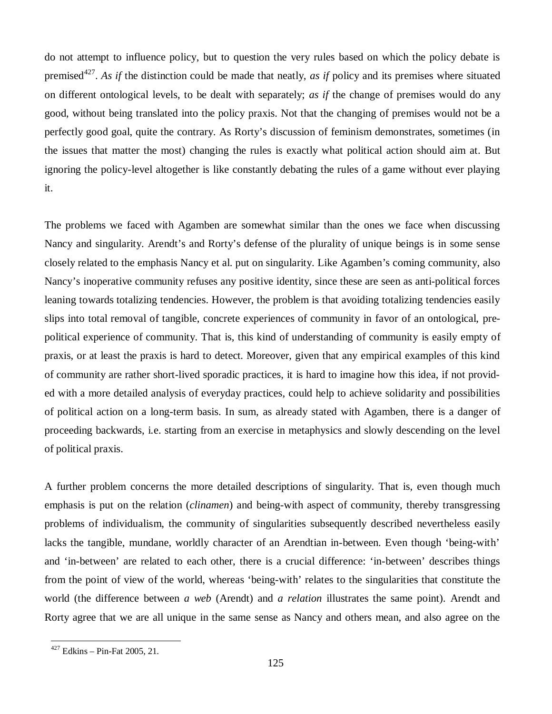do not attempt to influence policy, but to question the very rules based on which the policy debate is premised<sup>427</sup>. As if the distinction could be made that neatly, *as if* policy and its premises where situated on different ontological levels, to be dealt with separately; *as if* the change of premises would do any good, without being translated into the policy praxis. Not that the changing of premises would not be a perfectly good goal, quite the contrary. As Rorty's discussion of feminism demonstrates, sometimes (in the issues that matter the most) changing the rules is exactly what political action should aim at. But ignoring the policy-level altogether is like constantly debating the rules of a game without ever playing it.

The problems we faced with Agamben are somewhat similar than the ones we face when discussing Nancy and singularity. Arendt's and Rorty's defense of the plurality of unique beings is in some sense closely related to the emphasis Nancy et al. put on singularity. Like Agamben's coming community, also Nancy's inoperative community refuses any positive identity, since these are seen as anti-political forces leaning towards totalizing tendencies. However, the problem is that avoiding totalizing tendencies easily slips into total removal of tangible, concrete experiences of community in favor of an ontological, prepolitical experience of community. That is, this kind of understanding of community is easily empty of praxis, or at least the praxis is hard to detect. Moreover, given that any empirical examples of this kind of community are rather short-lived sporadic practices, it is hard to imagine how this idea, if not provided with a more detailed analysis of everyday practices, could help to achieve solidarity and possibilities of political action on a long-term basis. In sum, as already stated with Agamben, there is a danger of proceeding backwards, i.e. starting from an exercise in metaphysics and slowly descending on the level of political praxis.

A further problem concerns the more detailed descriptions of singularity. That is, even though much emphasis is put on the relation (*clinamen*) and being-with aspect of community, thereby transgressing problems of individualism, the community of singularities subsequently described nevertheless easily lacks the tangible, mundane, worldly character of an Arendtian in-between. Even though 'being-with' and 'in-between' are related to each other, there is a crucial difference: 'in-between' describes things from the point of view of the world, whereas 'being-with' relates to the singularities that constitute the world (the difference between *a web* (Arendt) and *a relation* illustrates the same point). Arendt and Rorty agree that we are all unique in the same sense as Nancy and others mean, and also agree on the

 $427$  Edkins – Pin-Fat 2005, 21.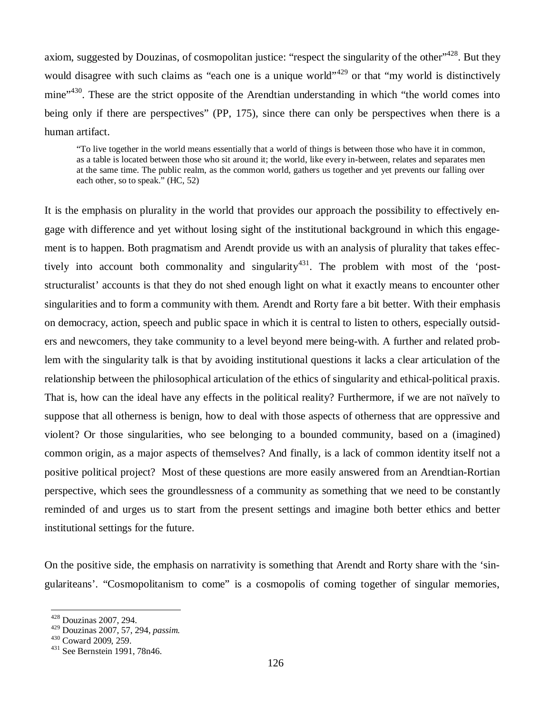axiom, suggested by Douzinas, of cosmopolitan justice: "respect the singularity of the other",  $428$ . But they would disagree with such claims as "each one is a unique world" $429$  or that "my world is distinctively mine<sup>"430</sup>. These are the strict opposite of the Arendtian understanding in which "the world comes into being only if there are perspectives" (PP, 175), since there can only be perspectives when there is a human artifact.

"To live together in the world means essentially that a world of things is between those who have it in common, as a table is located between those who sit around it; the world, like every in-between, relates and separates men at the same time. The public realm, as the common world, gathers us together and yet prevents our falling over each other, so to speak." (HC, 52)

It is the emphasis on plurality in the world that provides our approach the possibility to effectively engage with difference and yet without losing sight of the institutional background in which this engagement is to happen. Both pragmatism and Arendt provide us with an analysis of plurality that takes effectively into account both commonality and singularity<sup>431</sup>. The problem with most of the 'poststructuralist' accounts is that they do not shed enough light on what it exactly means to encounter other singularities and to form a community with them. Arendt and Rorty fare a bit better. With their emphasis on democracy, action, speech and public space in which it is central to listen to others, especially outsiders and newcomers, they take community to a level beyond mere being-with. A further and related problem with the singularity talk is that by avoiding institutional questions it lacks a clear articulation of the relationship between the philosophical articulation of the ethics of singularity and ethical-political praxis. That is, how can the ideal have any effects in the political reality? Furthermore, if we are not naïvely to suppose that all otherness is benign, how to deal with those aspects of otherness that are oppressive and violent? Or those singularities, who see belonging to a bounded community, based on a (imagined) common origin, as a major aspects of themselves? And finally, is a lack of common identity itself not a positive political project? Most of these questions are more easily answered from an Arendtian-Rortian perspective, which sees the groundlessness of a community as something that we need to be constantly reminded of and urges us to start from the present settings and imagine both better ethics and better institutional settings for the future.

On the positive side, the emphasis on narrativity is something that Arendt and Rorty share with the 'singulariteans'. "Cosmopolitanism to come" is a cosmopolis of coming together of singular memories,

<sup>428</sup> Douzinas 2007, 294.

<sup>429</sup> Douzinas 2007, 57, 294, *passim.*

<sup>430</sup> Coward 2009, 259.

<sup>431</sup> See Bernstein 1991, 78n46.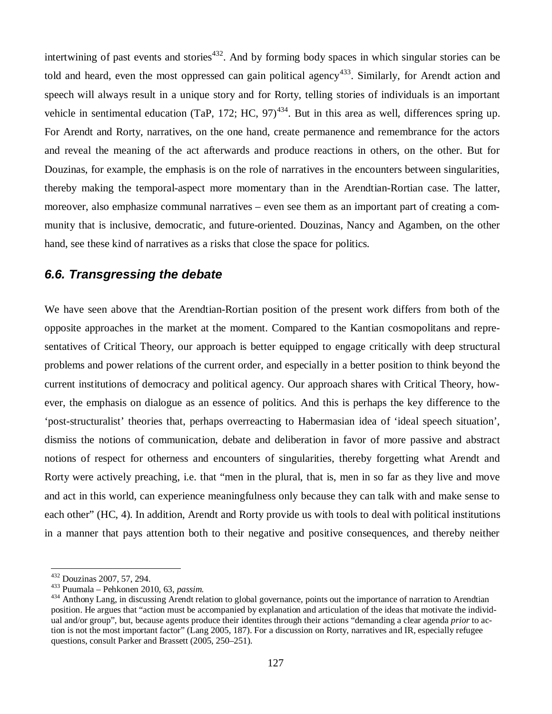intertwining of past events and stories<sup> $432$ </sup>. And by forming body spaces in which singular stories can be told and heard, even the most oppressed can gain political agency<sup>433</sup>. Similarly, for Arendt action and speech will always result in a unique story and for Rorty, telling stories of individuals is an important vehicle in sentimental education (TaP, 172; HC,  $97)^{434}$ . But in this area as well, differences spring up. For Arendt and Rorty, narratives, on the one hand, create permanence and remembrance for the actors and reveal the meaning of the act afterwards and produce reactions in others, on the other. But for Douzinas, for example, the emphasis is on the role of narratives in the encounters between singularities, thereby making the temporal-aspect more momentary than in the Arendtian-Rortian case. The latter, moreover, also emphasize communal narratives – even see them as an important part of creating a community that is inclusive, democratic, and future-oriented. Douzinas, Nancy and Agamben, on the other hand, see these kind of narratives as a risks that close the space for politics.

## *6.6. Transgressing the debate*

We have seen above that the Arendtian-Rortian position of the present work differs from both of the opposite approaches in the market at the moment. Compared to the Kantian cosmopolitans and representatives of Critical Theory, our approach is better equipped to engage critically with deep structural problems and power relations of the current order, and especially in a better position to think beyond the current institutions of democracy and political agency. Our approach shares with Critical Theory, however, the emphasis on dialogue as an essence of politics. And this is perhaps the key difference to the 'post-structuralist' theories that, perhaps overreacting to Habermasian idea of 'ideal speech situation', dismiss the notions of communication, debate and deliberation in favor of more passive and abstract notions of respect for otherness and encounters of singularities, thereby forgetting what Arendt and Rorty were actively preaching, i.e. that "men in the plural, that is, men in so far as they live and move and act in this world, can experience meaningfulness only because they can talk with and make sense to each other" (HC, 4). In addition, Arendt and Rorty provide us with tools to deal with political institutions in a manner that pays attention both to their negative and positive consequences, and thereby neither

<sup>432</sup> Douzinas 2007, 57, 294.

<sup>433</sup> Puumala – Pehkonen 2010, 63, *passim.*

<sup>&</sup>lt;sup>434</sup> Anthony Lang, in discussing Arendt relation to global governance, points out the importance of narration to Arendtian position. He argues that "action must be accompanied by explanation and articulation of the ideas that motivate the individual and/or group", but, because agents produce their identites through their actions "demanding a clear agenda *prior* to action is not the most important factor" (Lang 2005, 187). For a discussion on Rorty, narratives and IR, especially refugee questions, consult Parker and Brassett (2005, 250–251).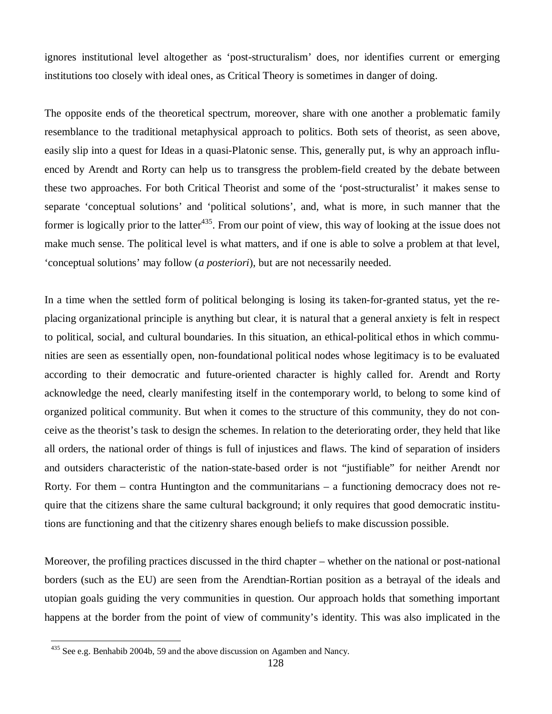ignores institutional level altogether as 'post-structuralism' does, nor identifies current or emerging institutions too closely with ideal ones, as Critical Theory is sometimes in danger of doing.

The opposite ends of the theoretical spectrum, moreover, share with one another a problematic family resemblance to the traditional metaphysical approach to politics. Both sets of theorist, as seen above, easily slip into a quest for Ideas in a quasi-Platonic sense. This, generally put, is why an approach influenced by Arendt and Rorty can help us to transgress the problem-field created by the debate between these two approaches. For both Critical Theorist and some of the 'post-structuralist' it makes sense to separate 'conceptual solutions' and 'political solutions', and, what is more, in such manner that the former is logically prior to the latter<sup>435</sup>. From our point of view, this way of looking at the issue does not make much sense. The political level is what matters, and if one is able to solve a problem at that level, 'conceptual solutions' may follow (*a posteriori*), but are not necessarily needed.

In a time when the settled form of political belonging is losing its taken-for-granted status, yet the replacing organizational principle is anything but clear, it is natural that a general anxiety is felt in respect to political, social, and cultural boundaries. In this situation, an ethical-political ethos in which communities are seen as essentially open, non-foundational political nodes whose legitimacy is to be evaluated according to their democratic and future-oriented character is highly called for. Arendt and Rorty acknowledge the need, clearly manifesting itself in the contemporary world, to belong to some kind of organized political community. But when it comes to the structure of this community, they do not conceive as the theorist's task to design the schemes. In relation to the deteriorating order, they held that like all orders, the national order of things is full of injustices and flaws. The kind of separation of insiders and outsiders characteristic of the nation-state-based order is not "justifiable" for neither Arendt nor Rorty. For them – contra Huntington and the communitarians – a functioning democracy does not require that the citizens share the same cultural background; it only requires that good democratic institutions are functioning and that the citizenry shares enough beliefs to make discussion possible.

Moreover, the profiling practices discussed in the third chapter – whether on the national or post-national borders (such as the EU) are seen from the Arendtian-Rortian position as a betrayal of the ideals and utopian goals guiding the very communities in question. Our approach holds that something important happens at the border from the point of view of community's identity. This was also implicated in the

<sup>&</sup>lt;sup>435</sup> See e.g. Benhabib 2004b, 59 and the above discussion on Agamben and Nancy.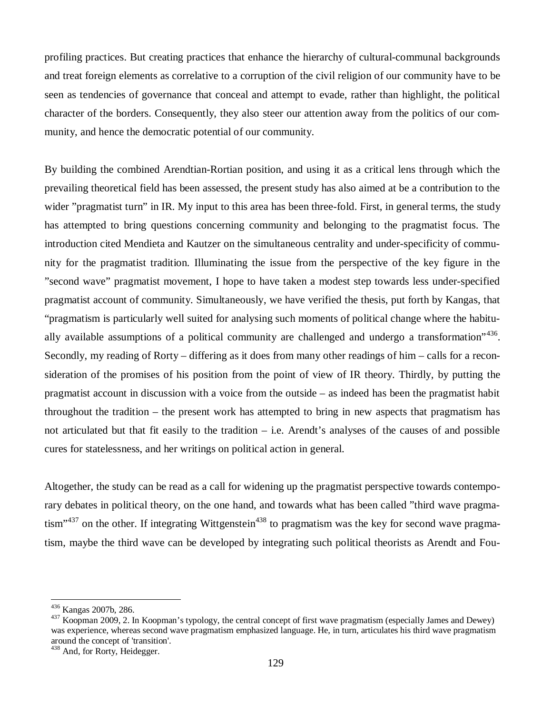profiling practices. But creating practices that enhance the hierarchy of cultural-communal backgrounds and treat foreign elements as correlative to a corruption of the civil religion of our community have to be seen as tendencies of governance that conceal and attempt to evade, rather than highlight, the political character of the borders. Consequently, they also steer our attention away from the politics of our community, and hence the democratic potential of our community.

By building the combined Arendtian-Rortian position, and using it as a critical lens through which the prevailing theoretical field has been assessed, the present study has also aimed at be a contribution to the wider "pragmatist turn" in IR. My input to this area has been three-fold. First, in general terms, the study has attempted to bring questions concerning community and belonging to the pragmatist focus. The introduction cited Mendieta and Kautzer on the simultaneous centrality and under-specificity of community for the pragmatist tradition. Illuminating the issue from the perspective of the key figure in the "second wave" pragmatist movement, I hope to have taken a modest step towards less under-specified pragmatist account of community. Simultaneously, we have verified the thesis, put forth by Kangas, that "pragmatism is particularly well suited for analysing such moments of political change where the habitually available assumptions of a political community are challenged and undergo a transformation"<sup>436</sup>. Secondly, my reading of Rorty – differing as it does from many other readings of him – calls for a reconsideration of the promises of his position from the point of view of IR theory. Thirdly, by putting the pragmatist account in discussion with a voice from the outside – as indeed has been the pragmatist habit throughout the tradition – the present work has attempted to bring in new aspects that pragmatism has not articulated but that fit easily to the tradition – i.e. Arendt's analyses of the causes of and possible cures for statelessness, and her writings on political action in general.

Altogether, the study can be read as a call for widening up the pragmatist perspective towards contemporary debates in political theory, on the one hand, and towards what has been called "third wave pragmatism"<sup>437</sup> on the other. If integrating Wittgenstein<sup>438</sup> to pragmatism was the key for second wave pragmatism, maybe the third wave can be developed by integrating such political theorists as Arendt and Fou-

<sup>436</sup> Kangas 2007b, 286.

<sup>&</sup>lt;sup>437</sup> Koopman 2009, 2. In Koopman's typology, the central concept of first wave pragmatism (especially James and Dewey) was experience, whereas second wave pragmatism emphasized language. He, in turn, articulates his third wave pragmatism around the concept of 'transition'.

<sup>&</sup>lt;sup>438</sup> And, for Rorty, Heidegger.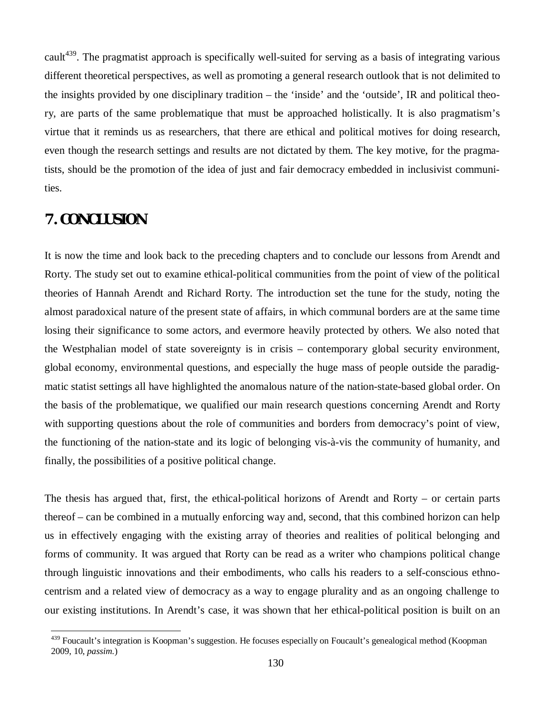cault<sup>439</sup>. The pragmatist approach is specifically well-suited for serving as a basis of integrating various different theoretical perspectives, as well as promoting a general research outlook that is not delimited to the insights provided by one disciplinary tradition – the 'inside' and the 'outside', IR and political theory, are parts of the same problematique that must be approached holistically. It is also pragmatism's virtue that it reminds us as researchers, that there are ethical and political motives for doing research, even though the research settings and results are not dictated by them. The key motive, for the pragmatists, should be the promotion of the idea of just and fair democracy embedded in inclusivist communities.

# **7. CONCLUSION**

It is now the time and look back to the preceding chapters and to conclude our lessons from Arendt and Rorty. The study set out to examine ethical-political communities from the point of view of the political theories of Hannah Arendt and Richard Rorty. The introduction set the tune for the study, noting the almost paradoxical nature of the present state of affairs, in which communal borders are at the same time losing their significance to some actors, and evermore heavily protected by others. We also noted that the Westphalian model of state sovereignty is in crisis – contemporary global security environment, global economy, environmental questions, and especially the huge mass of people outside the paradigmatic statist settings all have highlighted the anomalous nature of the nation-state-based global order. On the basis of the problematique, we qualified our main research questions concerning Arendt and Rorty with supporting questions about the role of communities and borders from democracy's point of view, the functioning of the nation-state and its logic of belonging vis-à-vis the community of humanity, and finally, the possibilities of a positive political change.

The thesis has argued that, first, the ethical-political horizons of Arendt and Rorty – or certain parts thereof – can be combined in a mutually enforcing way and, second, that this combined horizon can help us in effectively engaging with the existing array of theories and realities of political belonging and forms of community. It was argued that Rorty can be read as a writer who champions political change through linguistic innovations and their embodiments, who calls his readers to a self-conscious ethnocentrism and a related view of democracy as a way to engage plurality and as an ongoing challenge to our existing institutions. In Arendt's case, it was shown that her ethical-political position is built on an

<sup>&</sup>lt;sup>439</sup> Foucault's integration is Koopman's suggestion. He focuses especially on Foucault's genealogical method (Koopman 2009, 10, *passim.*)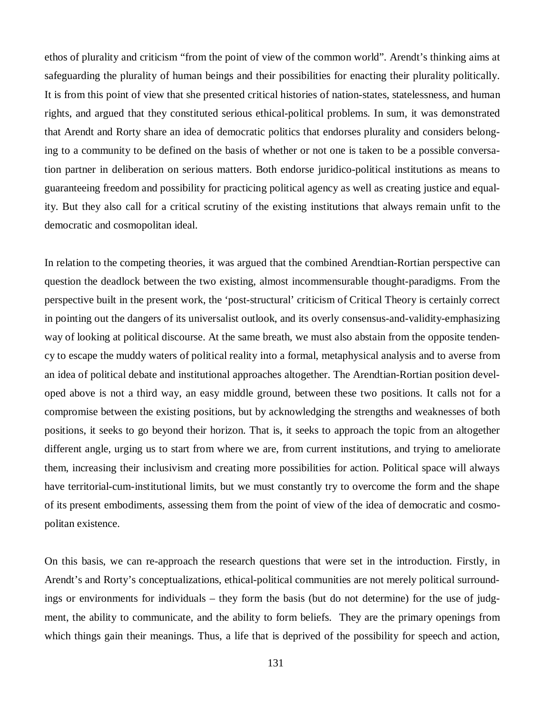ethos of plurality and criticism "from the point of view of the common world". Arendt's thinking aims at safeguarding the plurality of human beings and their possibilities for enacting their plurality politically. It is from this point of view that she presented critical histories of nation-states, statelessness, and human rights, and argued that they constituted serious ethical-political problems. In sum, it was demonstrated that Arendt and Rorty share an idea of democratic politics that endorses plurality and considers belonging to a community to be defined on the basis of whether or not one is taken to be a possible conversation partner in deliberation on serious matters. Both endorse juridico-political institutions as means to guaranteeing freedom and possibility for practicing political agency as well as creating justice and equality. But they also call for a critical scrutiny of the existing institutions that always remain unfit to the democratic and cosmopolitan ideal.

In relation to the competing theories, it was argued that the combined Arendtian-Rortian perspective can question the deadlock between the two existing, almost incommensurable thought-paradigms. From the perspective built in the present work, the 'post-structural' criticism of Critical Theory is certainly correct in pointing out the dangers of its universalist outlook, and its overly consensus-and-validity-emphasizing way of looking at political discourse. At the same breath, we must also abstain from the opposite tendency to escape the muddy waters of political reality into a formal, metaphysical analysis and to averse from an idea of political debate and institutional approaches altogether. The Arendtian-Rortian position developed above is not a third way, an easy middle ground, between these two positions. It calls not for a compromise between the existing positions, but by acknowledging the strengths and weaknesses of both positions, it seeks to go beyond their horizon. That is, it seeks to approach the topic from an altogether different angle, urging us to start from where we are, from current institutions, and trying to ameliorate them, increasing their inclusivism and creating more possibilities for action. Political space will always have territorial-cum-institutional limits, but we must constantly try to overcome the form and the shape of its present embodiments, assessing them from the point of view of the idea of democratic and cosmopolitan existence.

On this basis, we can re-approach the research questions that were set in the introduction. Firstly, in Arendt's and Rorty's conceptualizations, ethical-political communities are not merely political surroundings or environments for individuals – they form the basis (but do not determine) for the use of judgment, the ability to communicate, and the ability to form beliefs. They are the primary openings from which things gain their meanings. Thus, a life that is deprived of the possibility for speech and action,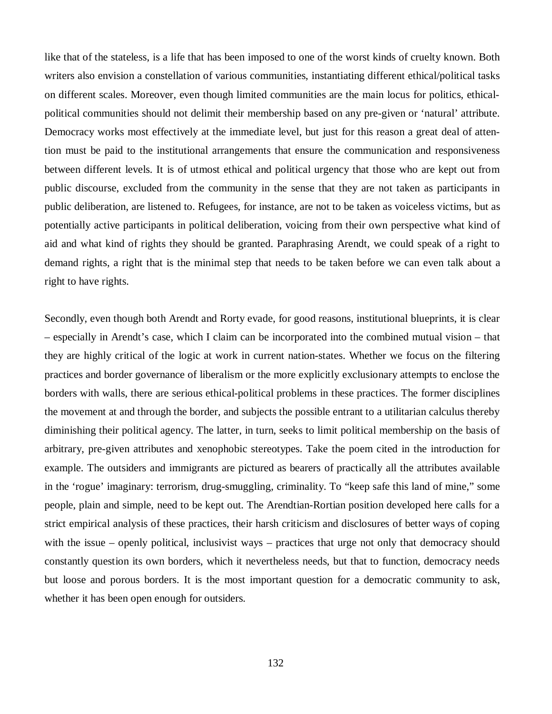like that of the stateless, is a life that has been imposed to one of the worst kinds of cruelty known. Both writers also envision a constellation of various communities, instantiating different ethical/political tasks on different scales. Moreover, even though limited communities are the main locus for politics, ethicalpolitical communities should not delimit their membership based on any pre-given or 'natural' attribute. Democracy works most effectively at the immediate level, but just for this reason a great deal of attention must be paid to the institutional arrangements that ensure the communication and responsiveness between different levels. It is of utmost ethical and political urgency that those who are kept out from public discourse, excluded from the community in the sense that they are not taken as participants in public deliberation, are listened to. Refugees, for instance, are not to be taken as voiceless victims, but as potentially active participants in political deliberation, voicing from their own perspective what kind of aid and what kind of rights they should be granted. Paraphrasing Arendt, we could speak of a right to demand rights, a right that is the minimal step that needs to be taken before we can even talk about a right to have rights.

Secondly, even though both Arendt and Rorty evade, for good reasons, institutional blueprints, it is clear – especially in Arendt's case, which I claim can be incorporated into the combined mutual vision – that they are highly critical of the logic at work in current nation-states. Whether we focus on the filtering practices and border governance of liberalism or the more explicitly exclusionary attempts to enclose the borders with walls, there are serious ethical-political problems in these practices. The former disciplines the movement at and through the border, and subjects the possible entrant to a utilitarian calculus thereby diminishing their political agency. The latter, in turn, seeks to limit political membership on the basis of arbitrary, pre-given attributes and xenophobic stereotypes. Take the poem cited in the introduction for example. The outsiders and immigrants are pictured as bearers of practically all the attributes available in the 'rogue' imaginary: terrorism, drug-smuggling, criminality. To "keep safe this land of mine," some people, plain and simple, need to be kept out. The Arendtian-Rortian position developed here calls for a strict empirical analysis of these practices, their harsh criticism and disclosures of better ways of coping with the issue – openly political, inclusivist ways – practices that urge not only that democracy should constantly question its own borders, which it nevertheless needs, but that to function, democracy needs but loose and porous borders. It is the most important question for a democratic community to ask, whether it has been open enough for outsiders.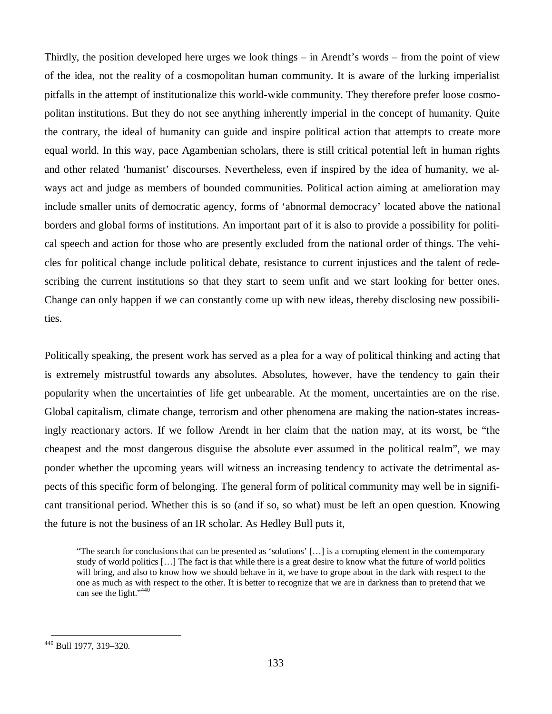Thirdly, the position developed here urges we look things – in Arendt's words – from the point of view of the idea, not the reality of a cosmopolitan human community. It is aware of the lurking imperialist pitfalls in the attempt of institutionalize this world-wide community. They therefore prefer loose cosmopolitan institutions. But they do not see anything inherently imperial in the concept of humanity. Quite the contrary, the ideal of humanity can guide and inspire political action that attempts to create more equal world. In this way, pace Agambenian scholars, there is still critical potential left in human rights and other related 'humanist' discourses. Nevertheless, even if inspired by the idea of humanity, we always act and judge as members of bounded communities. Political action aiming at amelioration may include smaller units of democratic agency, forms of 'abnormal democracy' located above the national borders and global forms of institutions. An important part of it is also to provide a possibility for political speech and action for those who are presently excluded from the national order of things. The vehicles for political change include political debate, resistance to current injustices and the talent of redescribing the current institutions so that they start to seem unfit and we start looking for better ones. Change can only happen if we can constantly come up with new ideas, thereby disclosing new possibilities.

Politically speaking, the present work has served as a plea for a way of political thinking and acting that is extremely mistrustful towards any absolutes. Absolutes, however, have the tendency to gain their popularity when the uncertainties of life get unbearable. At the moment, uncertainties are on the rise. Global capitalism, climate change, terrorism and other phenomena are making the nation-states increasingly reactionary actors. If we follow Arendt in her claim that the nation may, at its worst, be "the cheapest and the most dangerous disguise the absolute ever assumed in the political realm", we may ponder whether the upcoming years will witness an increasing tendency to activate the detrimental aspects of this specific form of belonging. The general form of political community may well be in significant transitional period. Whether this is so (and if so, so what) must be left an open question. Knowing the future is not the business of an IR scholar. As Hedley Bull puts it,

"The search for conclusions that can be presented as 'solutions' [… ] is a corrupting element in the contemporary study of world politics [… ] The fact is that while there is a great desire to know what the future of world politics will bring, and also to know how we should behave in it, we have to grope about in the dark with respect to the one as much as with respect to the other. It is better to recognize that we are in darkness than to pretend that we can see the light."<sup>440</sup>

<sup>440</sup> Bull 1977, 319–320.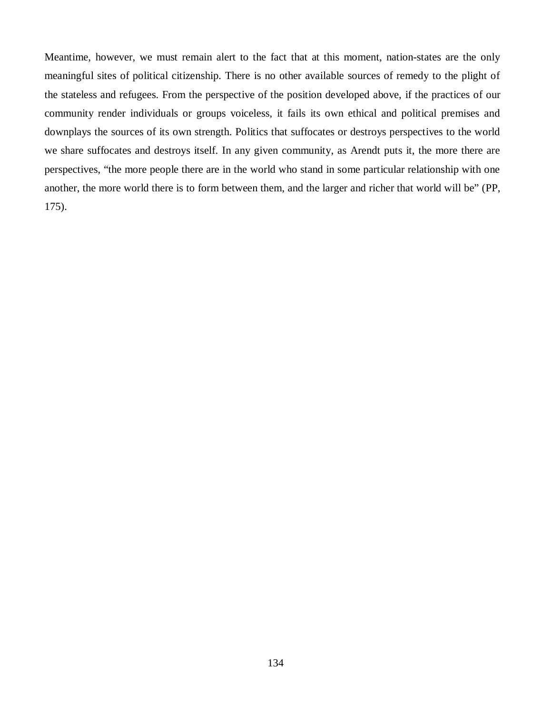Meantime, however, we must remain alert to the fact that at this moment, nation-states are the only meaningful sites of political citizenship. There is no other available sources of remedy to the plight of the stateless and refugees. From the perspective of the position developed above, if the practices of our community render individuals or groups voiceless, it fails its own ethical and political premises and downplays the sources of its own strength. Politics that suffocates or destroys perspectives to the world we share suffocates and destroys itself. In any given community, as Arendt puts it, the more there are perspectives, "the more people there are in the world who stand in some particular relationship with one another, the more world there is to form between them, and the larger and richer that world will be" (PP, 175).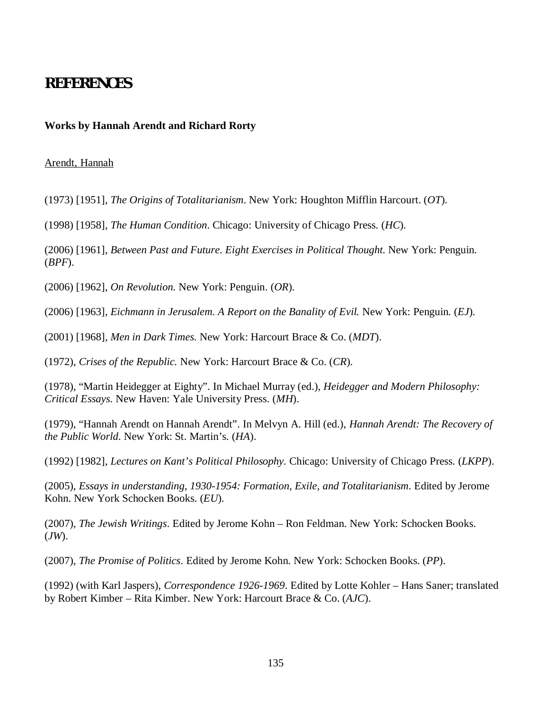# **REFERENCES**

## **Works by Hannah Arendt and Richard Rorty**

### Arendt, Hannah

(1973) [1951], *The Origins of Totalitarianism*. New York: Houghton Mifflin Harcourt. (*OT*).

(1998) [1958], *The Human Condition*. Chicago: University of Chicago Press. (*HC*).

(2006) [1961], *Between Past and Future. Eight Exercises in Political Thought.* New York: Penguin. (*BPF*).

(2006) [1962], *On Revolution.* New York: Penguin. (*OR*).

(2006) [1963], *Eichmann in Jerusalem. A Report on the Banality of Evil.* New York: Penguin*.* (*EJ*).

(2001) [1968], *Men in Dark Times.* New York: Harcourt Brace & Co. (*MDT*).

(1972), *Crises of the Republic.* New York: Harcourt Brace & Co. (*CR*).

(1978), "Martin Heidegger at Eighty". In Michael Murray (ed.), *Heidegger and Modern Philosophy: Critical Essays*. New Haven: Yale University Press. (*MH*).

(1979), "Hannah Arendt on Hannah Arendt". In Melvyn A. Hill (ed.), *Hannah Arendt: The Recovery of the Public World*. New York: St. Martin's. (*HA*).

(1992) [1982], *Lectures on Kant's Political Philosophy.* Chicago: University of Chicago Press. (*LKPP*).

(2005), *Essays in understanding, 1930-1954: Formation, Exile, and Totalitarianism*. Edited by Jerome Kohn. New York Schocken Books. (*EU*).

(2007), *The Jewish Writings*. Edited by Jerome Kohn – Ron Feldman. New York: Schocken Books. (*JW*).

(2007), *The Promise of Politics*. Edited by Jerome Kohn. New York: Schocken Books. (*PP*).

(1992) (with Karl Jaspers), *Correspondence 1926-1969*. Edited by Lotte Kohler – Hans Saner; translated by Robert Kimber – Rita Kimber. New York: Harcourt Brace & Co. (*AJC*).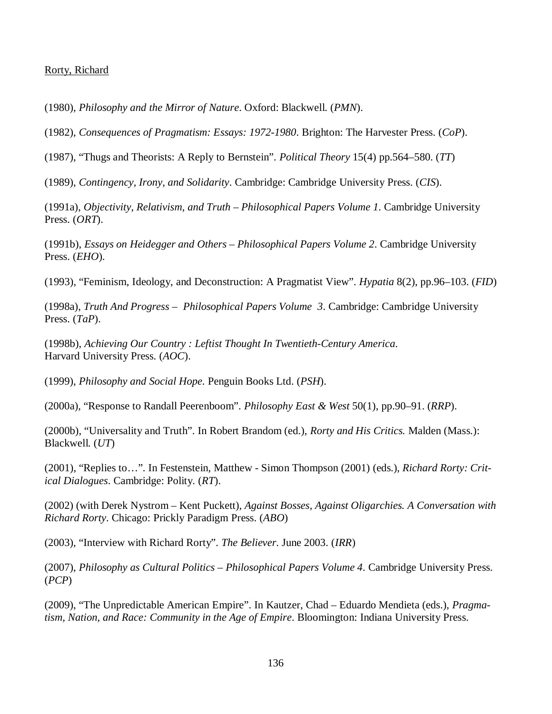#### Rorty, Richard

(1980), *Philosophy and the Mirror of Nature*. Oxford: Blackwell. (*PMN*).

(1982), *Consequences of Pragmatism: Essays: 1972-1980*. Brighton: The Harvester Press. (*CoP*).

(1987), "Thugs and Theorists: A Reply to Bernstein". *Political Theory* 15(4) pp.564–580. (*TT*)

(1989), *Contingency, Irony, and Solidarity*. Cambridge: Cambridge University Press. (*CIS*).

(1991a), *Objectivity, Relativism, and Truth – Philosophical Papers Volume 1*. Cambridge University Press. (*ORT*).

(1991b), *Essays on Heidegger and Others – Philosophical Papers Volume 2*. Cambridge University Press. (*EHO*).

(1993), "Feminism, Ideology, and Deconstruction: A Pragmatist View". *Hypatia* 8(2), pp.96–103. (*FID*)

(1998a), *Truth And Progress – Philosophical Papers Volume 3*. Cambridge: Cambridge University Press. (*TaP*).

(1998b), *Achieving Our Country : Leftist Thought In Twentieth-Century America*. Harvard University Press. (*AOC*).

(1999), *Philosophy and Social Hope*. Penguin Books Ltd. (*PSH*).

(2000a), "Response to Randall Peerenboom". *Philosophy East & West* 50(1), pp.90–91. (*RRP*).

(2000b), "Universality and Truth". In Robert Brandom (ed.), *Rorty and His Critics.* Malden (Mass.): Blackwell. (*UT*)

(2001), "Replies to… ". In Festenstein, Matthew - Simon Thompson (2001) (eds.), *Richard Rorty: Critical Dialogues*. Cambridge: Polity. (*RT*).

(2002) (with Derek Nystrom – Kent Puckett), *Against Bosses, Against Oligarchies. A Conversation with Richard Rorty*. Chicago: Prickly Paradigm Press. (*ABO*)

(2003), "Interview with Richard Rorty". *The Believer*. June 2003. (*IRR*)

(2007), *Philosophy as Cultural Politics – Philosophical Papers Volume 4*. Cambridge University Press. (*PCP*)

(2009), "The Unpredictable American Empire". In Kautzer, Chad – Eduardo Mendieta (eds.), *Pragmatism, Nation, and Race: Community in the Age of Empire*. Bloomington: Indiana University Press.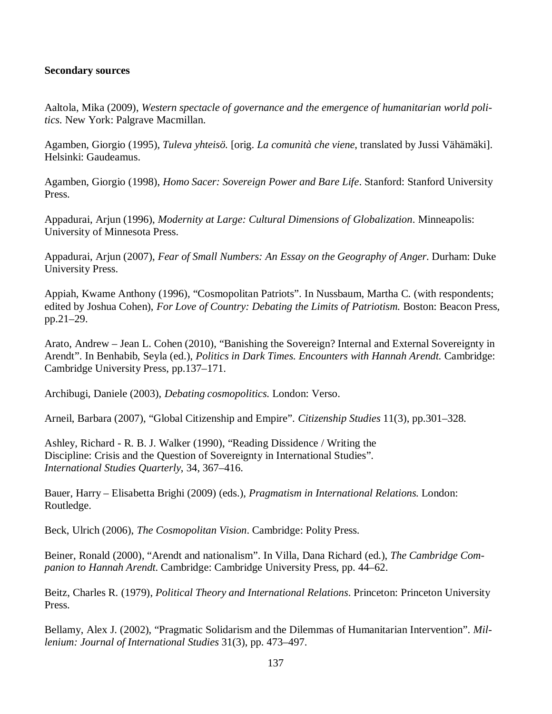#### **Secondary sources**

Aaltola, Mika (2009), *Western spectacle of governance and the emergence of humanitarian world politics*. New York: Palgrave Macmillan.

Agamben, Giorgio (1995), *Tuleva yhteisö.* [orig. *La comunità che viene*, translated by Jussi Vähämäki]. Helsinki: Gaudeamus.

Agamben, Giorgio (1998), *Homo Sacer: Sovereign Power and Bare Life*. Stanford: Stanford University Press.

Appadurai, Arjun (1996), *Modernity at Large: Cultural Dimensions of Globalization*. Minneapolis: University of Minnesota Press.

Appadurai, Arjun (2007), *Fear of Small Numbers: An Essay on the Geography of Anger.* Durham: Duke University Press.

Appiah, Kwame Anthony (1996), "Cosmopolitan Patriots". In Nussbaum, Martha C. (with respondents; edited by Joshua Cohen), *For Love of Country: Debating the Limits of Patriotism.* Boston: Beacon Press*,* pp.21–29.

Arato, Andrew – Jean L. Cohen (2010), "Banishing the Sovereign? Internal and External Sovereignty in Arendt". In Benhabib, Seyla (ed.), *Politics in Dark Times. Encounters with Hannah Arendt.* Cambridge: Cambridge University Press, pp.137–171.

Archibugi, Daniele (2003), *Debating cosmopolitics*. London: Verso.

Arneil, Barbara (2007), "Global Citizenship and Empire". *Citizenship Studies* 11(3), pp.301–328.

Ashley, Richard - R. B. J. Walker (1990), "Reading Dissidence / Writing the Discipline: Crisis and the Question of Sovereignty in International Studies". *International Studies Quarterly*, 34, 367–416.

Bauer, Harry – Elisabetta Brighi (2009) (eds.), *Pragmatism in International Relations.* London: Routledge.

Beck, Ulrich (2006), *The Cosmopolitan Vision*. Cambridge: Polity Press.

Beiner, Ronald (2000), "Arendt and nationalism". In Villa, Dana Richard (ed.), *The Cambridge Companion to Hannah Arendt.* Cambridge: Cambridge University Press, pp. 44–62.

Beitz, Charles R. (1979), *Political Theory and International Relations*. Princeton: Princeton University Press.

Bellamy, Alex J. (2002), "Pragmatic Solidarism and the Dilemmas of Humanitarian Intervention". *Millenium: Journal of International Studies* 31(3), pp. 473–497.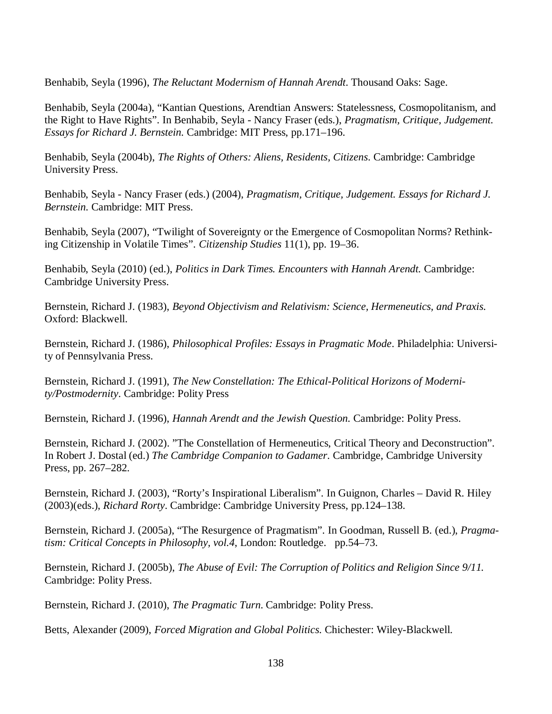Benhabib, Seyla (1996), *The Reluctant Modernism of Hannah Arendt*. Thousand Oaks: Sage.

Benhabib, Seyla (2004a), "Kantian Questions, Arendtian Answers: Statelessness, Cosmopolitanism, and the Right to Have Rights". In Benhabib, Seyla - Nancy Fraser (eds.), *Pragmatism, Critique, Judgement. Essays for Richard J. Bernstein.* Cambridge: MIT Press, pp.171–196.

Benhabib, Seyla (2004b), *The Rights of Others: Aliens, Residents, Citizens*. Cambridge: Cambridge University Press.

Benhabib, Seyla - Nancy Fraser (eds.) (2004), *Pragmatism, Critique, Judgement. Essays for Richard J. Bernstein.* Cambridge: MIT Press.

Benhabib, Seyla (2007), "Twilight of Sovereignty or the Emergence of Cosmopolitan Norms? Rethinking Citizenship in Volatile Times". *Citizenship Studies* 11(1), pp. 19–36.

Benhabib, Seyla (2010) (ed.), *Politics in Dark Times. Encounters with Hannah Arendt.* Cambridge: Cambridge University Press.

Bernstein, Richard J. (1983), *Beyond Objectivism and Relativism: Science, Hermeneutics, and Praxis.* Oxford: Blackwell.

Bernstein, Richard J. (1986), *Philosophical Profiles: Essays in Pragmatic Mode*. Philadelphia: University of Pennsylvania Press.

Bernstein, Richard J. (1991), *The New Constellation: The Ethical-Political Horizons of Modernity/Postmodernity*. Cambridge: Polity Press

Bernstein, Richard J. (1996), *Hannah Arendt and the Jewish Question.* Cambridge: Polity Press.

Bernstein, Richard J. (2002). "The Constellation of Hermeneutics, Critical Theory and Deconstruction". In Robert J. Dostal (ed.) *The Cambridge Companion to Gadamer*. Cambridge, Cambridge University Press, pp. 267–282.

Bernstein, Richard J. (2003), "Rorty's Inspirational Liberalism". In Guignon, Charles – David R. Hiley (2003)(eds.), *Richard Rorty*. Cambridge: Cambridge University Press, pp.124–138.

Bernstein, Richard J. (2005a), "The Resurgence of Pragmatism". In Goodman, Russell B. (ed.), *Pragmatism: Critical Concepts in Philosophy, vol.4*, London: Routledge. pp.54–73.

Bernstein, Richard J. (2005b), *The Abuse of Evil: The Corruption of Politics and Religion Since 9/11.* Cambridge: Polity Press.

Bernstein, Richard J. (2010), *The Pragmatic Turn*. Cambridge: Polity Press.

Betts, Alexander (2009), *Forced Migration and Global Politics.* Chichester: Wiley-Blackwell.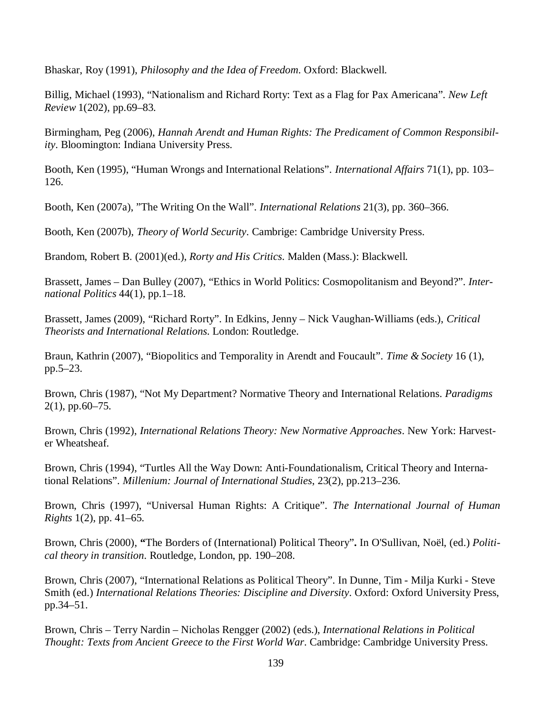Bhaskar, Roy (1991), *Philosophy and the Idea of Freedom*. Oxford: Blackwell.

Billig, Michael (1993), "Nationalism and Richard Rorty: Text as a Flag for Pax Americana". *New Left Review* 1(202), pp.69–83.

Birmingham, Peg (2006), *Hannah Arendt and Human Rights: The Predicament of Common Responsibility*. Bloomington: Indiana University Press.

Booth, Ken (1995), "Human Wrongs and International Relations". *International Affairs* 71(1), pp. 103– 126.

Booth, Ken (2007a), "The Writing On the Wall". *International Relations* 21(3), pp. 360–366.

Booth, Ken (2007b), *Theory of World Security*. Cambrige: Cambridge University Press.

Brandom, Robert B. (2001)(ed.), *Rorty and His Critics*. Malden (Mass.): Blackwell.

Brassett, James – Dan Bulley (2007), "Ethics in World Politics: Cosmopolitanism and Beyond?". *International Politics* 44(1), pp.1–18.

Brassett, James (2009), "Richard Rorty". In Edkins, Jenny – Nick Vaughan-Williams (eds.), *Critical Theorists and International Relations.* London: Routledge.

Braun, Kathrin (2007), "Biopolitics and Temporality in Arendt and Foucault". *Time & Society* 16 (1), pp.5–23.

Brown, Chris (1987), "Not My Department? Normative Theory and International Relations. *Paradigms* 2(1), pp.60–75.

Brown, Chris (1992), *International Relations Theory: New Normative Approaches*. New York: Harvester Wheatsheaf.

Brown, Chris (1994), "Turtles All the Way Down: Anti-Foundationalism, Critical Theory and International Relations". *Millenium: Journal of International Studies*, 23(2), pp.213–236.

Brown, Chris (1997), "Universal Human Rights: A Critique". *The International Journal of Human Rights* 1(2), pp. 41–65.

Brown, Chris (2000), **"**The Borders of (International) Political Theory"**.** In O'Sullivan, Noël, (ed.) *Political theory in transition*. Routledge, London, pp. 190–208.

Brown, Chris (2007), "International Relations as Political Theory". In Dunne, Tim - Milja Kurki - Steve Smith (ed.) *International Relations Theories: Discipline and Diversity*. Oxford: Oxford University Press, pp.34–51.

Brown, Chris – Terry Nardin – Nicholas Rengger (2002) (eds.), *International Relations in Political Thought: Texts from Ancient Greece to the First World War*. Cambridge: Cambridge University Press.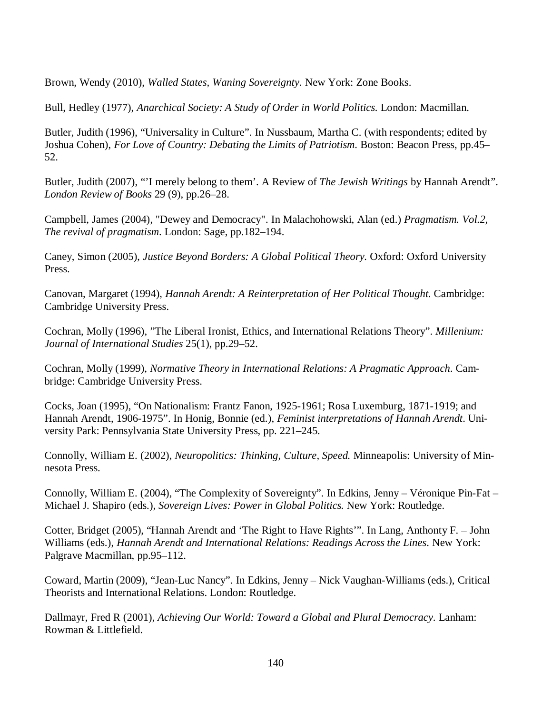Brown, Wendy (2010), *Walled States, Waning Sovereignty.* New York: Zone Books.

Bull, Hedley (1977), *Anarchical Society: A Study of Order in World Politics.* London: Macmillan.

Butler, Judith (1996), "Universality in Culture". In Nussbaum, Martha C. (with respondents; edited by Joshua Cohen), *For Love of Country: Debating the Limits of Patriotism*. Boston: Beacon Press, pp.45– 52.

Butler, Judith (2007), "'I merely belong to them'. A Review of *The Jewish Writings* by Hannah Arendt". *London Review of Books* 29 (9), pp.26–28.

Campbell, James (2004), "Dewey and Democracy". In Malachohowski, Alan (ed.) *Pragmatism. Vol.2, The revival of pragmatism*. London: Sage, pp.182–194.

Caney, Simon (2005), *Justice Beyond Borders: A Global Political Theory.* Oxford: Oxford University Press.

Canovan, Margaret (1994), *Hannah Arendt: A Reinterpretation of Her Political Thought.* Cambridge: Cambridge University Press.

Cochran, Molly (1996), "The Liberal Ironist, Ethics, and International Relations Theory". *Millenium: Journal of International Studies* 25(1), pp.29–52.

Cochran, Molly (1999), *Normative Theory in International Relations: A Pragmatic Approach*. Cambridge: Cambridge University Press.

Cocks, Joan (1995), "On Nationalism: Frantz Fanon, 1925-1961; Rosa Luxemburg, 1871-1919; and Hannah Arendt, 1906-1975". In Honig, Bonnie (ed.), *Feminist interpretations of Hannah Arendt*. University Park: Pennsylvania State University Press, pp. 221–245.

Connolly, William E. (2002), *Neuropolitics: Thinking, Culture, Speed.* Minneapolis: University of Minnesota Press.

Connolly, William E. (2004), "The Complexity of Sovereignty". In Edkins, Jenny – Véronique Pin-Fat – Michael J. Shapiro (eds.), *Sovereign Lives: Power in Global Politics.* New York: Routledge.

Cotter, Bridget (2005), "Hannah Arendt and 'The Right to Have Rights'". In Lang, Anthonty F. – John Williams (eds.), *Hannah Arendt and International Relations: Readings Across the Lines*. New York: Palgrave Macmillan, pp.95–112.

Coward, Martin (2009), "Jean-Luc Nancy". In Edkins, Jenny – Nick Vaughan-Williams (eds.), Critical Theorists and International Relations. London: Routledge.

Dallmayr, Fred R (2001), *Achieving Our World: Toward a Global and Plural Democracy*. Lanham: Rowman & Littlefield.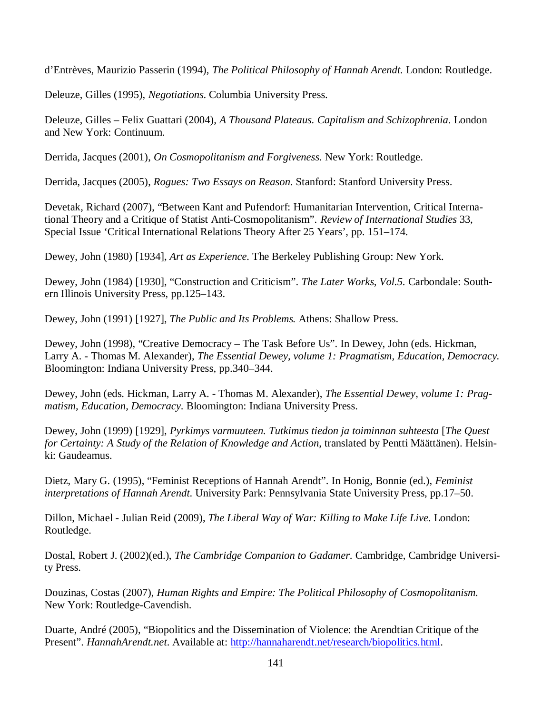d'Entrèves, Maurizio Passerin (1994), *The Political Philosophy of Hannah Arendt.* London: Routledge.

Deleuze, Gilles (1995), *Negotiations*. Columbia University Press.

Deleuze, Gilles – Felix Guattari (2004), *A Thousand Plateaus. Capitalism and Schizophrenia*. London and New York: Continuum.

Derrida, Jacques (2001), *On Cosmopolitanism and Forgiveness.* New York: Routledge.

Derrida, Jacques (2005), *Rogues: Two Essays on Reason.* Stanford: Stanford University Press.

Devetak, Richard (2007), "Between Kant and Pufendorf: Humanitarian Intervention, Critical International Theory and a Critique of Statist Anti-Cosmopolitanism". *Review of International Studies* 33, Special Issue 'Critical International Relations Theory After 25 Years', pp. 151–174.

Dewey, John (1980) [1934], *Art as Experience.* The Berkeley Publishing Group: New York.

Dewey, John (1984) [1930], "Construction and Criticism". *The Later Works, Vol.5.* Carbondale: Southern Illinois University Press, pp.125–143.

Dewey, John (1991) [1927], *The Public and Its Problems.* Athens: Shallow Press.

Dewey, John (1998), "Creative Democracy – The Task Before Us". In Dewey, John (eds. Hickman, Larry A. - Thomas M. Alexander), *The Essential Dewey, volume 1: Pragmatism, Education, Democracy.* Bloomington: Indiana University Press*,* pp.340–344.

Dewey, John (eds. Hickman, Larry A. - Thomas M. Alexander), *The Essential Dewey, volume 1: Pragmatism, Education, Democracy*. Bloomington: Indiana University Press.

Dewey, John (1999) [1929], *Pyrkimys varmuuteen. Tutkimus tiedon ja toiminnan suhteesta* [*The Quest for Certainty: A Study of the Relation of Knowledge and Action*, translated by Pentti Määttänen). Helsinki: Gaudeamus.

Dietz, Mary G. (1995), "Feminist Receptions of Hannah Arendt". In Honig, Bonnie (ed.), *Feminist interpretations of Hannah Arendt*. University Park: Pennsylvania State University Press, pp.17–50.

Dillon, Michael - Julian Reid (2009), *The Liberal Way of War: Killing to Make Life Live*. London: Routledge.

Dostal, Robert J. (2002)(ed.), *The Cambridge Companion to Gadamer*. Cambridge, Cambridge University Press.

Douzinas, Costas (2007), *Human Rights and Empire: The Political Philosophy of Cosmopolitanism.* New York: Routledge-Cavendish.

Duarte, André (2005), "Biopolitics and the Dissemination of Violence: the Arendtian Critique of the Present". *HannahArendt.net*. Available at: http://hannaharendt.net/research/biopolitics.html.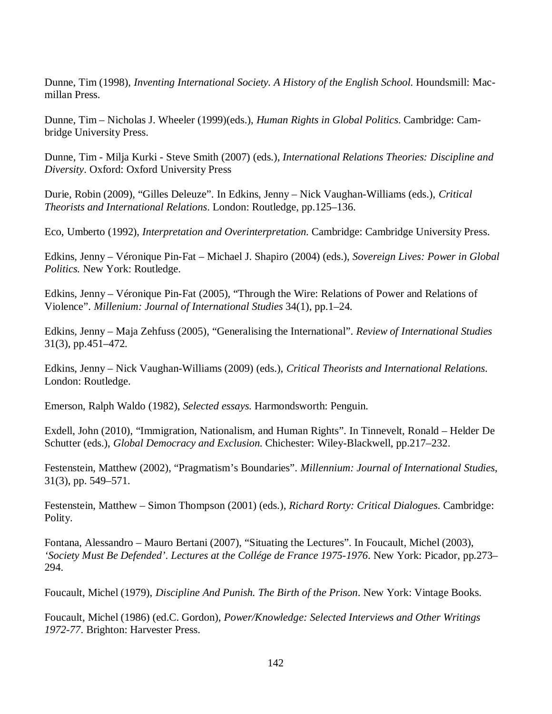Dunne, Tim (1998), *Inventing International Society. A History of the English School*. Houndsmill: Macmillan Press.

Dunne, Tim – Nicholas J. Wheeler (1999)(eds.), *Human Rights in Global Politics*. Cambridge: Cambridge University Press.

Dunne, Tim - Milja Kurki - Steve Smith (2007) (eds.), *International Relations Theories: Discipline and Diversity*. Oxford: Oxford University Press

Durie, Robin (2009), "Gilles Deleuze". In Edkins, Jenny – Nick Vaughan-Williams (eds.), *Critical Theorists and International Relations*. London: Routledge, pp.125–136.

Eco, Umberto (1992), *Interpretation and Overinterpretation*. Cambridge: Cambridge University Press.

Edkins, Jenny – Véronique Pin-Fat – Michael J. Shapiro (2004) (eds.), *Sovereign Lives: Power in Global Politics.* New York: Routledge.

Edkins, Jenny – Véronique Pin-Fat (2005), "Through the Wire: Relations of Power and Relations of Violence". *Millenium: Journal of International Studies* 34(1), pp.1–24.

Edkins, Jenny – Maja Zehfuss (2005), "Generalising the International". *Review of International Studies* 31(3), pp.451–472.

Edkins, Jenny – Nick Vaughan-Williams (2009) (eds.), *Critical Theorists and International Relations*. London: Routledge.

Emerson, Ralph Waldo (1982), *Selected essays*. Harmondsworth: Penguin.

Exdell, John (2010), "Immigration, Nationalism, and Human Rights". In Tinnevelt, Ronald – Helder De Schutter (eds.), *Global Democracy and Exclusion.* Chichester: Wiley-Blackwell, pp.217–232.

Festenstein, Matthew (2002), "Pragmatism's Boundaries". *Millennium: Journal of International Studies*, 31(3), pp. 549–571.

Festenstein, Matthew – Simon Thompson (2001) (eds.), *Richard Rorty: Critical Dialogues*. Cambridge: Polity.

Fontana, Alessandro – Mauro Bertani (2007), "Situating the Lectures". In Foucault, Michel (2003), *'Society Must Be Defended'. Lectures at the Collége de France 1975-1976*. New York: Picador, pp.273– 294.

Foucault, Michel (1979), *Discipline And Punish. The Birth of the Prison*. New York: Vintage Books.

Foucault, Michel (1986) (ed.C. Gordon), *Power/Knowledge: Selected Interviews and Other Writings 1972-77*. Brighton: Harvester Press.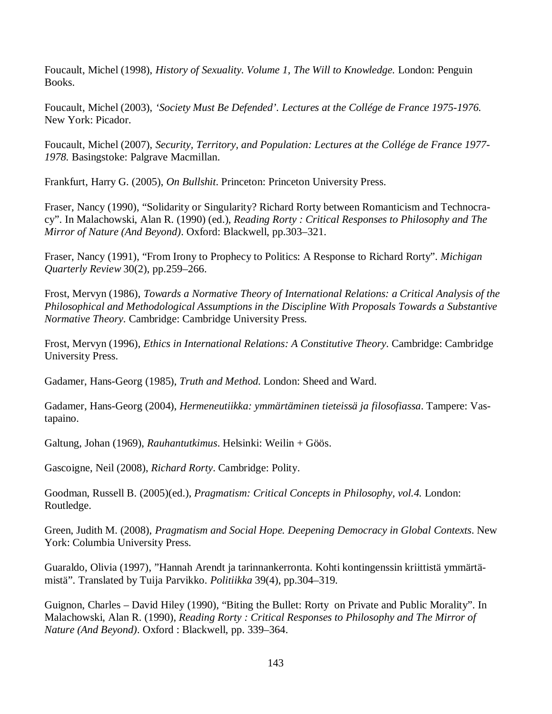Foucault, Michel (1998), *History of Sexuality. Volume 1, The Will to Knowledge.* London: Penguin Books.

Foucault, Michel (2003), *'Society Must Be Defended'. Lectures at the Collége de France 1975-1976.* New York: Picador.

Foucault, Michel (2007), *Security, Territory, and Population: Lectures at the Collége de France 1977- 1978.* Basingstoke: Palgrave Macmillan.

Frankfurt, Harry G. (2005), *On Bullshit*. Princeton: Princeton University Press.

Fraser, Nancy (1990), "Solidarity or Singularity? Richard Rorty between Romanticism and Technocracy". In Malachowski, Alan R. (1990) (ed.), *Reading Rorty : Critical Responses to Philosophy and The Mirror of Nature (And Beyond)*. Oxford: Blackwell, pp.303–321.

Fraser, Nancy (1991), "From Irony to Prophecy to Politics: A Response to Richard Rorty". *Michigan Quarterly Review* 30(2), pp.259–266.

Frost, Mervyn (1986), *Towards a Normative Theory of International Relations: a Critical Analysis of the Philosophical and Methodological Assumptions in the Discipline With Proposals Towards a Substantive Normative Theory.* Cambridge: Cambridge University Press.

Frost, Mervyn (1996), *Ethics in International Relations: A Constitutive Theory*. Cambridge: Cambridge University Press.

Gadamer, Hans-Georg (1985), *Truth and Method.* London: Sheed and Ward.

Gadamer, Hans-Georg (2004), *Hermeneutiikka: ymmärtäminen tieteissä ja filosofiassa*. Tampere: Vastapaino.

Galtung, Johan (1969), *Rauhantutkimus*. Helsinki: Weilin + Göös.

Gascoigne, Neil (2008), *Richard Rorty*. Cambridge: Polity.

Goodman, Russell B. (2005)(ed.), *Pragmatism: Critical Concepts in Philosophy, vol.4.* London: Routledge.

Green, Judith M. (2008), *Pragmatism and Social Hope. Deepening Democracy in Global Contexts*. New York: Columbia University Press.

Guaraldo, Olivia (1997), "Hannah Arendt ja tarinnankerronta. Kohti kontingenssin kriittistä ymmärtämistä". Translated by Tuija Parvikko. *Politiikka* 39(4), pp.304–319.

Guignon, Charles – David Hiley (1990), "Biting the Bullet: Rorty on Private and Public Morality". In Malachowski, Alan R. (1990), *Reading Rorty : Critical Responses to Philosophy and The Mirror of Nature (And Beyond)*. Oxford : Blackwell, pp. 339–364.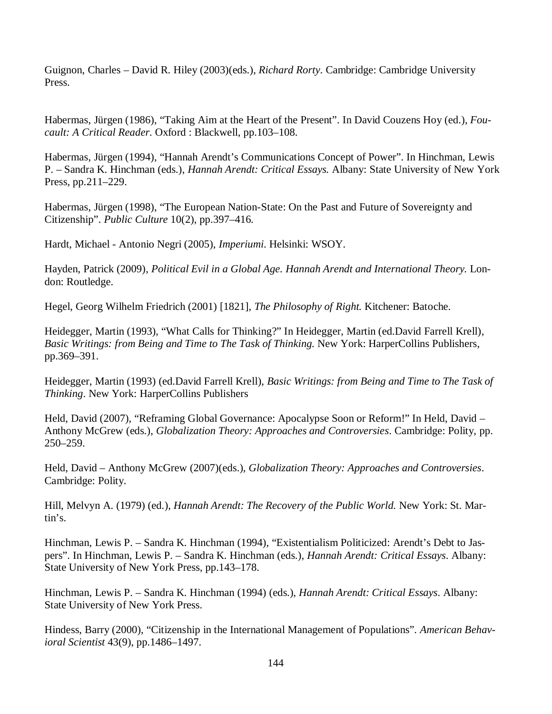Guignon, Charles – David R. Hiley (2003)(eds.), *Richard Rorty*. Cambridge: Cambridge University Press.

Habermas, Jürgen (1986), "Taking Aim at the Heart of the Present". In David Couzens Hoy (ed.), *Foucault: A Critical Reader*. Oxford : Blackwell, pp.103–108.

Habermas, Jürgen (1994), "Hannah Arendt's Communications Concept of Power". In Hinchman, Lewis P. – Sandra K. Hinchman (eds.), *Hannah Arendt: Critical Essays.* Albany: State University of New York Press, pp.211–229.

Habermas, Jürgen (1998), "The European Nation-State: On the Past and Future of Sovereignty and Citizenship". *Public Culture* 10(2), pp.397–416.

Hardt, Michael - Antonio Negri (2005), *Imperiumi*. Helsinki: WSOY.

Hayden, Patrick (2009), *Political Evil in a Global Age. Hannah Arendt and International Theory.* London: Routledge.

Hegel, Georg Wilhelm Friedrich (2001) [1821], *The Philosophy of Right.* Kitchener: Batoche.

Heidegger, Martin (1993), "What Calls for Thinking?" In Heidegger, Martin (ed.David Farrell Krell), *Basic Writings: from Being and Time to The Task of Thinking.* New York: HarperCollins Publishers, pp.369–391.

Heidegger, Martin (1993) (ed.David Farrell Krell), *Basic Writings: from Being and Time to The Task of Thinking*. New York: HarperCollins Publishers

Held, David (2007), "Reframing Global Governance: Apocalypse Soon or Reform!" In Held, David – Anthony McGrew (eds.), *Globalization Theory: Approaches and Controversies*. Cambridge: Polity, pp. 250–259.

Held, David – Anthony McGrew (2007)(eds.), *Globalization Theory: Approaches and Controversies*. Cambridge: Polity.

Hill, Melvyn A. (1979) (ed.), *Hannah Arendt: The Recovery of the Public World.* New York: St. Martin's.

Hinchman, Lewis P. – Sandra K. Hinchman (1994), "Existentialism Politicized: Arendt's Debt to Jaspers". In Hinchman, Lewis P. – Sandra K. Hinchman (eds.), *Hannah Arendt: Critical Essays*. Albany: State University of New York Press, pp.143–178.

Hinchman, Lewis P. – Sandra K. Hinchman (1994) (eds.), *Hannah Arendt: Critical Essays*. Albany: State University of New York Press.

Hindess, Barry (2000), "Citizenship in the International Management of Populations". *American Behavioral Scientist* 43(9), pp.1486–1497.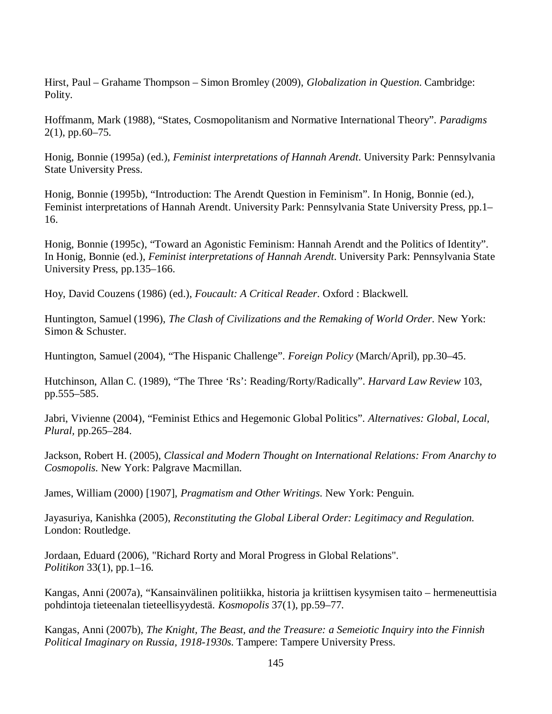Hirst, Paul – Grahame Thompson – Simon Bromley (2009), *Globalization in Question*. Cambridge: Polity.

Hoffmanm, Mark (1988), "States, Cosmopolitanism and Normative International Theory". *Paradigms* 2(1), pp.60–75.

Honig, Bonnie (1995a) (ed.), *Feminist interpretations of Hannah Arendt*. University Park: Pennsylvania State University Press.

Honig, Bonnie (1995b), "Introduction: The Arendt Question in Feminism". In Honig, Bonnie (ed.), Feminist interpretations of Hannah Arendt. University Park: Pennsylvania State University Press, pp.1– 16.

Honig, Bonnie (1995c), "Toward an Agonistic Feminism: Hannah Arendt and the Politics of Identity". In Honig, Bonnie (ed.), *Feminist interpretations of Hannah Arendt*. University Park: Pennsylvania State University Press, pp.135–166.

Hoy, David Couzens (1986) (ed.), *Foucault: A Critical Reader*. Oxford : Blackwell.

Huntington, Samuel (1996), *The Clash of Civilizations and the Remaking of World Order*. New York: Simon & Schuster.

Huntington, Samuel (2004), "The Hispanic Challenge". *Foreign Policy* (March/April), pp.30–45.

Hutchinson, Allan C. (1989), "The Three 'Rs': Reading/Rorty/Radically". *Harvard Law Review* 103, pp.555–585.

Jabri, Vivienne (2004), "Feminist Ethics and Hegemonic Global Politics". *Alternatives: Global, Local, Plural,* pp.265–284.

Jackson, Robert H. (2005), *Classical and Modern Thought on International Relations: From Anarchy to Cosmopolis*. New York: Palgrave Macmillan.

James, William (2000) [1907], *Pragmatism and Other Writings*. New York: Penguin.

Jayasuriya, Kanishka (2005), *Reconstituting the Global Liberal Order: Legitimacy and Regulation*. London: Routledge.

Jordaan, Eduard (2006), "Richard Rorty and Moral Progress in Global Relations". *Politikon* 33(1), pp.1–16.

Kangas, Anni (2007a), "Kansainvälinen politiikka, historia ja kriittisen kysymisen taito – hermeneuttisia pohdintoja tieteenalan tieteellisyydestä. *Kosmopolis* 37(1), pp.59–77.

Kangas, Anni (2007b), *The Knight, The Beast, and the Treasure: a Semeiotic Inquiry into the Finnish Political Imaginary on Russia, 1918-1930s.* Tampere: Tampere University Press.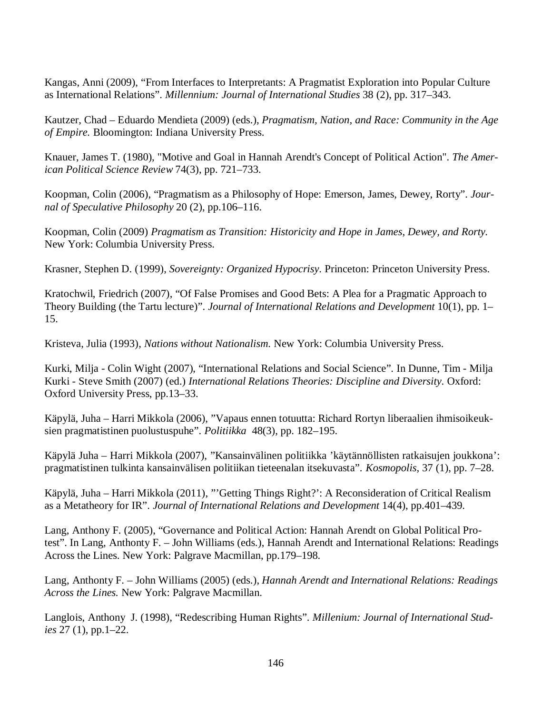Kangas, Anni (2009), "From Interfaces to Interpretants: A Pragmatist Exploration into Popular Culture as International Relations". *Millennium: Journal of International Studies* 38 (2), pp. 317–343.

Kautzer, Chad – Eduardo Mendieta (2009) (eds.), *Pragmatism, Nation, and Race: Community in the Age of Empire.* Bloomington: Indiana University Press.

Knauer, James T. (1980), "Motive and Goal in Hannah Arendt's Concept of Political Action". *The American Political Science Review* 74(3), pp. 721–733.

Koopman, Colin (2006), "Pragmatism as a Philosophy of Hope: Emerson, James, Dewey, Rorty". *Journal of Speculative Philosophy* 20 (2), pp.106–116.

Koopman, Colin (2009) *Pragmatism as Transition: Historicity and Hope in James, Dewey, and Rorty.* New York: Columbia University Press.

Krasner, Stephen D. (1999), *Sovereignty: Organized Hypocrisy*. Princeton: Princeton University Press.

Kratochwil, Friedrich (2007), "Of False Promises and Good Bets: A Plea for a Pragmatic Approach to Theory Building (the Tartu lecture)". *Journal of International Relations and Development* 10(1), pp. 1– 15.

Kristeva, Julia (1993), *Nations without Nationalism.* New York: Columbia University Press.

Kurki, Milja - Colin Wight (2007), "International Relations and Social Science". In Dunne, Tim - Milja Kurki - Steve Smith (2007) (ed.) *International Relations Theories: Discipline and Diversity*. Oxford: Oxford University Press, pp.13–33.

Käpylä, Juha – Harri Mikkola (2006), "Vapaus ennen totuutta: Richard Rortyn liberaalien ihmisoikeuksien pragmatistinen puolustuspuhe". *Politiikka* 48(3), pp. 182–195.

Käpylä Juha – Harri Mikkola (2007), "Kansainvälinen politiikka 'käytännöllisten ratkaisujen joukkona': pragmatistinen tulkinta kansainvälisen politiikan tieteenalan itsekuvasta". *Kosmopolis,* 37 (1), pp. 7–28.

Käpylä, Juha – Harri Mikkola (2011), "'Getting Things Right?': A Reconsideration of Critical Realism as a Metatheory for IR". *Journal of International Relations and Development* 14(4), pp.401–439.

Lang, Anthony F. (2005), "Governance and Political Action: Hannah Arendt on Global Political Protest". In Lang, Anthonty F. – John Williams (eds.), Hannah Arendt and International Relations: Readings Across the Lines. New York: Palgrave Macmillan, pp.179–198.

Lang, Anthonty F. – John Williams (2005) (eds.), *Hannah Arendt and International Relations: Readings Across the Lines.* New York: Palgrave Macmillan.

Langlois, Anthony J. (1998), "Redescribing Human Rights". *Millenium: Journal of International Studies* 27 (1), pp.1–22.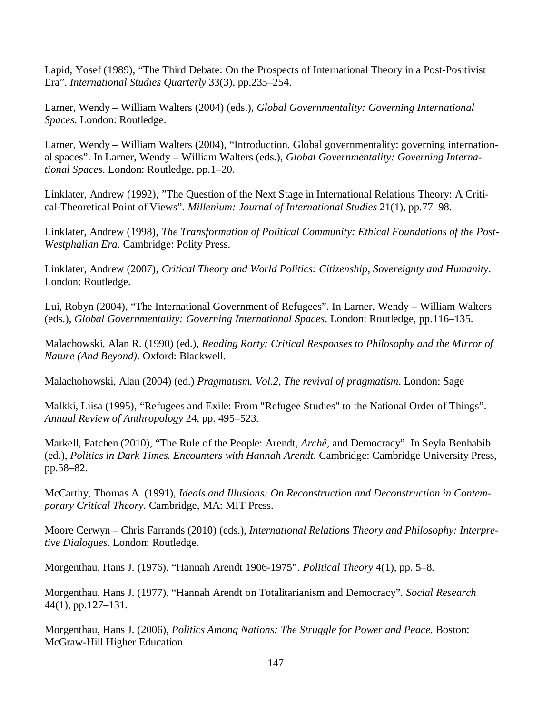Lapid, Yosef (1989), "The Third Debate: On the Prospects of International Theory in a Post-Positivist Era". *International Studies Quarterly* 33(3), pp.235–254.

Larner, Wendy – William Walters (2004) (eds.), *Global Governmentality: Governing International Spaces*. London: Routledge.

Larner, Wendy – William Walters (2004), "Introduction. Global governmentality: governing international spaces". In Larner, Wendy – William Walters (eds.), *Global Governmentality: Governing International Spaces*. London: Routledge, pp.1–20.

Linklater, Andrew (1992), "The Question of the Next Stage in International Relations Theory: A Critical-Theoretical Point of Views". *Millenium: Journal of International Studies* 21(1), pp.77–98.

Linklater, Andrew (1998), *The Transformation of Political Community: Ethical Foundations of the Post-Westphalian Era*. Cambridge: Polity Press.

Linklater, Andrew (2007), *Critical Theory and World Politics: Citizenship, Sovereignty and Humanity*. London: Routledge.

Lui, Robyn (2004), "The International Government of Refugees". In Larner, Wendy – William Walters (eds.), *Global Governmentality: Governing International Spaces*. London: Routledge, pp.116–135.

Malachowski, Alan R. (1990) (ed.), *Reading Rorty: Critical Responses to Philosophy and the Mirror of Nature (And Beyond)*. Oxford: Blackwell.

Malachohowski, Alan (2004) (ed.) *Pragmatism. Vol.2, The revival of pragmatism*. London: Sage

Malkki, Liisa (1995), "Refugees and Exile: From "Refugee Studies" to the National Order of Things". *Annual Review of Anthropology* 24, pp. 495–523.

Markell, Patchen (2010), "The Rule of the People: Arendt, *Archê*, and Democracy". In Seyla Benhabib (ed.), *Politics in Dark Times. Encounters with Hannah Arendt*. Cambridge: Cambridge University Press, pp.58–82.

McCarthy, Thomas A. (1991), *Ideals and Illusions: On Reconstruction and Deconstruction in Contemporary Critical Theory*. Cambridge, MA: MIT Press.

Moore Cerwyn – Chris Farrands (2010) (eds.), *International Relations Theory and Philosophy: Interpretive Dialogues*. London: Routledge.

Morgenthau, Hans J. (1976), "Hannah Arendt 1906-1975". *Political Theory* 4(1), pp. 5–8.

Morgenthau, Hans J. (1977), "Hannah Arendt on Totalitarianism and Democracy". *Social Research* 44(1), pp.127–131.

Morgenthau, Hans J. (2006), *Politics Among Nations: The Struggle for Power and Peace*. Boston: McGraw-Hill Higher Education.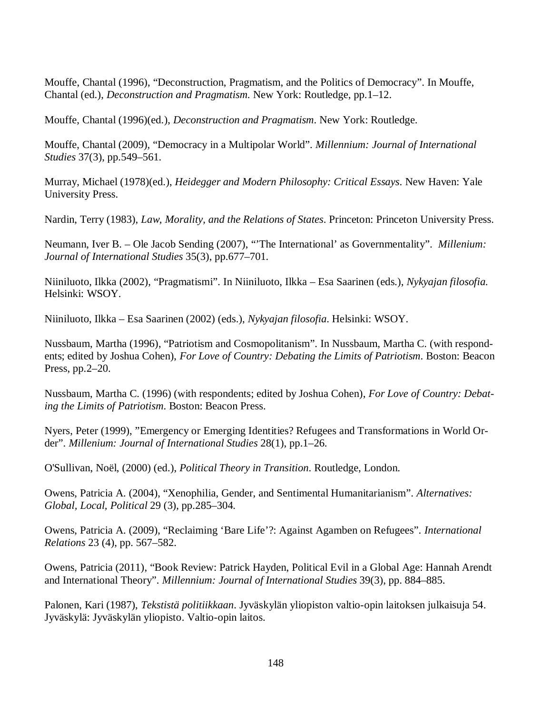Mouffe, Chantal (1996), "Deconstruction, Pragmatism, and the Politics of Democracy". In Mouffe, Chantal (ed.), *Deconstruction and Pragmatism*. New York: Routledge, pp.1–12.

Mouffe, Chantal (1996)(ed.), *Deconstruction and Pragmatism*. New York: Routledge.

Mouffe, Chantal (2009), "Democracy in a Multipolar World". *Millennium: Journal of International Studies* 37(3), pp.549–561.

Murray, Michael (1978)(ed.), *Heidegger and Modern Philosophy: Critical Essays*. New Haven: Yale University Press.

Nardin, Terry (1983), *Law, Morality, and the Relations of States*. Princeton: Princeton University Press.

Neumann, Iver B. – Ole Jacob Sending (2007), "'The International' as Governmentality". *Millenium: Journal of International Studies* 35(3), pp.677–701.

Niiniluoto, Ilkka (2002), "Pragmatismi". In Niiniluoto, Ilkka – Esa Saarinen (eds.), *Nykyajan filosofia*. Helsinki: WSOY.

Niiniluoto, Ilkka – Esa Saarinen (2002) (eds.), *Nykyajan filosofia*. Helsinki: WSOY.

Nussbaum, Martha (1996), "Patriotism and Cosmopolitanism". In Nussbaum, Martha C. (with respondents; edited by Joshua Cohen), *For Love of Country: Debating the Limits of Patriotism*. Boston: Beacon Press, pp.2–20.

Nussbaum, Martha C. (1996) (with respondents; edited by Joshua Cohen), *For Love of Country: Debating the Limits of Patriotism*. Boston: Beacon Press.

Nyers, Peter (1999), "Emergency or Emerging Identities? Refugees and Transformations in World Order". *Millenium: Journal of International Studies* 28(1), pp.1–26.

O'Sullivan, Noël, (2000) (ed.), *Political Theory in Transition*. Routledge, London.

Owens, Patricia A. (2004), "Xenophilia, Gender, and Sentimental Humanitarianism". *Alternatives: Global, Local, Political* 29 (3), pp.285–304.

Owens, Patricia A. (2009), "Reclaiming 'Bare Life'?: Against Agamben on Refugees". *International Relations* 23 (4), pp. 567–582.

Owens, Patricia (2011), "Book Review: Patrick Hayden, Political Evil in a Global Age: Hannah Arendt and International Theory". *Millennium: Journal of International Studies* 39(3), pp. 884–885.

Palonen, Kari (1987), *Tekstistä politiikkaan*. Jyväskylän yliopiston valtio-opin laitoksen julkaisuja 54. Jyväskylä: Jyväskylän yliopisto. Valtio-opin laitos.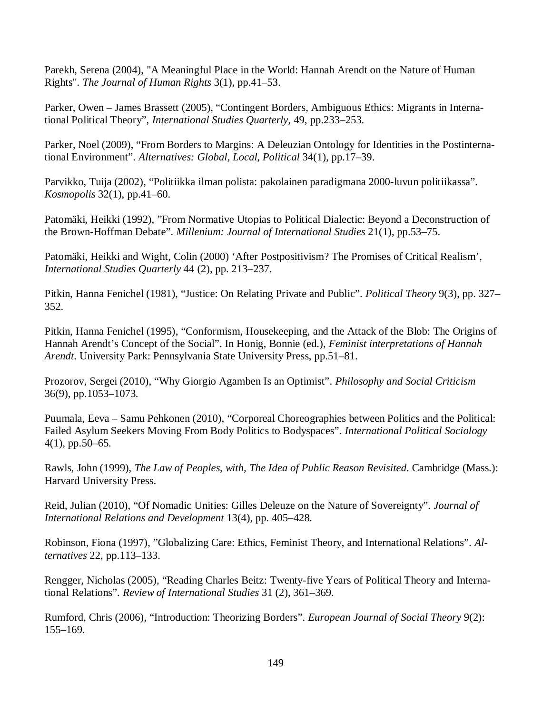Parekh, Serena (2004), "A Meaningful Place in the World: Hannah Arendt on the Nature of Human Rights". *The Journal of Human Rights* 3(1), pp.41–53.

Parker, Owen – James Brassett (2005), "Contingent Borders, Ambiguous Ethics: Migrants in International Political Theory", *International Studies Quarterly*, 49, pp.233–253.

Parker, Noel (2009), "From Borders to Margins: A Deleuzian Ontology for Identities in the Postinternational Environment". *Alternatives: Global, Local, Political* 34(1), pp.17–39.

Parvikko, Tuija (2002), "Politiikka ilman polista: pakolainen paradigmana 2000-luvun politiikassa". *Kosmopolis* 32(1), pp.41–60.

Patomäki, Heikki (1992), "From Normative Utopias to Political Dialectic: Beyond a Deconstruction of the Brown-Hoffman Debate". *Millenium: Journal of International Studies* 21(1), pp.53–75.

Patomäki, Heikki and Wight, Colin (2000) 'After Postpositivism? The Promises of Critical Realism', *International Studies Quarterly* 44 (2), pp. 213–237.

Pitkin, Hanna Fenichel (1981), "Justice: On Relating Private and Public". *Political Theory* 9(3), pp. 327– 352.

Pitkin, Hanna Fenichel (1995), "Conformism, Housekeeping, and the Attack of the Blob: The Origins of Hannah Arendt's Concept of the Social". In Honig, Bonnie (ed.), *Feminist interpretations of Hannah Arendt*. University Park: Pennsylvania State University Press, pp.51–81.

Prozorov, Sergei (2010), "Why Giorgio Agamben Is an Optimist". *Philosophy and Social Criticism* 36(9), pp.1053–1073.

Puumala, Eeva – Samu Pehkonen (2010), "Corporeal Choreographies between Politics and the Political: Failed Asylum Seekers Moving From Body Politics to Bodyspaces". *International Political Sociology* 4(1), pp.50–65.

Rawls, John (1999), *The Law of Peoples, with, The Idea of Public Reason Revisited*. Cambridge (Mass.): Harvard University Press.

Reid, Julian (2010), "Of Nomadic Unities: Gilles Deleuze on the Nature of Sovereignty". *Journal of International Relations and Development* 13(4), pp. 405–428.

Robinson, Fiona (1997), "Globalizing Care: Ethics, Feminist Theory, and International Relations". *Alternatives* 22, pp.113–133.

Rengger, Nicholas (2005), "Reading Charles Beitz: Twenty-five Years of Political Theory and International Relations". *Review of International Studies* 31 (2), 361–369.

Rumford, Chris (2006), "Introduction: Theorizing Borders". *European Journal of Social Theory* 9(2): 155–169.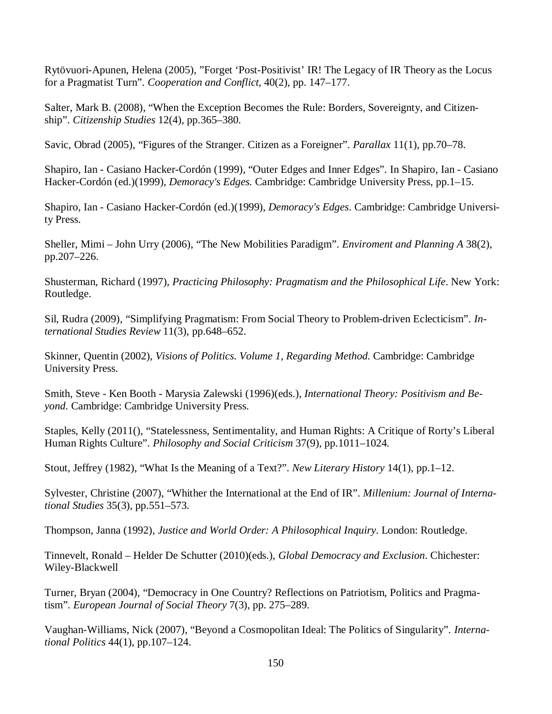Rytövuori-Apunen, Helena (2005), "Forget 'Post-Positivist' IR! The Legacy of IR Theory as the Locus for a Pragmatist Turn". *Cooperation and Conflict*, 40(2), pp. 147–177.

Salter, Mark B. (2008), "When the Exception Becomes the Rule: Borders, Sovereignty, and Citizenship". *Citizenship Studies* 12(4), pp.365–380.

Savic, Obrad (2005), "Figures of the Stranger. Citizen as a Foreigner". *Parallax* 11(1), pp.70–78.

Shapiro, Ian - Casiano Hacker-Cordón (1999), "Outer Edges and Inner Edges". In Shapiro, Ian - Casiano Hacker-Cordón (ed.)(1999), *Demoracy's Edges.* Cambridge: Cambridge University Press, pp.1–15.

Shapiro, Ian - Casiano Hacker-Cordón (ed.)(1999), *Demoracy's Edges*. Cambridge: Cambridge University Press.

Sheller, Mimi – John Urry (2006), "The New Mobilities Paradigm". *Enviroment and Planning A* 38(2), pp.207–226.

Shusterman, Richard (1997), *Practicing Philosophy: Pragmatism and the Philosophical Life*. New York: Routledge.

Sil, Rudra (2009), "Simplifying Pragmatism: From Social Theory to Problem-driven Eclecticism". *International Studies Review* 11(3), pp.648–652.

Skinner, Quentin (2002), *Visions of Politics. Volume 1, Regarding Method.* Cambridge: Cambridge University Press.

Smith, Steve - Ken Booth - Marysia Zalewski (1996)(eds.), *International Theory: Positivism and Beyond*. Cambridge: Cambridge University Press.

Staples, Kelly (2011(), "Statelessness, Sentimentality, and Human Rights: A Critique of Rorty's Liberal Human Rights Culture". *Philosophy and Social Criticism* 37(9), pp.1011–1024.

Stout, Jeffrey (1982), "What Is the Meaning of a Text?". *New Literary History* 14(1), pp.1–12.

Sylvester, Christine (2007), "Whither the International at the End of IR". *Millenium: Journal of International Studies* 35(3), pp.551–573.

Thompson, Janna (1992), *Justice and World Order: A Philosophical Inquiry*. London: Routledge.

Tinnevelt, Ronald – Helder De Schutter (2010)(eds.), *Global Democracy and Exclusion*. Chichester: Wiley-Blackwell

Turner, Bryan (2004), "Democracy in One Country? Reflections on Patriotism, Politics and Pragmatism". *European Journal of Social Theory* 7(3), pp. 275–289.

Vaughan-Williams, Nick (2007), "Beyond a Cosmopolitan Ideal: The Politics of Singularity". *International Politics* 44(1), pp.107–124.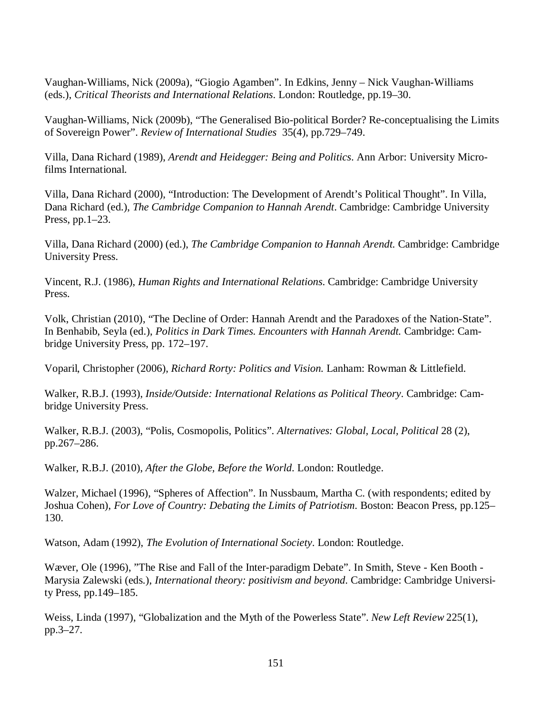Vaughan-Williams, Nick (2009a), "Giogio Agamben". In Edkins, Jenny – Nick Vaughan-Williams (eds.), *Critical Theorists and International Relations*. London: Routledge, pp.19–30.

Vaughan-Williams, Nick (2009b), "The Generalised Bio-political Border? Re-conceptualising the Limits of Sovereign Power". *Review of International Studies* 35(4), pp.729–749.

Villa, Dana Richard (1989), *Arendt and Heidegger: Being and Politics*. Ann Arbor: University Microfilms International.

Villa, Dana Richard (2000), "Introduction: The Development of Arendt's Political Thought". In Villa, Dana Richard (ed.), *The Cambridge Companion to Hannah Arendt*. Cambridge: Cambridge University Press, pp.1–23.

Villa, Dana Richard (2000) (ed.), *The Cambridge Companion to Hannah Arendt.* Cambridge: Cambridge University Press.

Vincent, R.J. (1986), *Human Rights and International Relations*. Cambridge: Cambridge University Press.

Volk, Christian (2010), "The Decline of Order: Hannah Arendt and the Paradoxes of the Nation-State". In Benhabib, Seyla (ed.), *Politics in Dark Times. Encounters with Hannah Arendt.* Cambridge: Cambridge University Press, pp. 172–197.

Voparil, Christopher (2006), *Richard Rorty: Politics and Vision.* Lanham: Rowman & Littlefield.

Walker, R.B.J. (1993), *Inside/Outside: International Relations as Political Theory*. Cambridge: Cambridge University Press.

Walker, R.B.J. (2003), "Polis, Cosmopolis, Politics". *Alternatives: Global, Local, Political* 28 (2), pp.267–286.

Walker, R.B.J. (2010), *After the Globe, Before the World*. London: Routledge.

Walzer, Michael (1996), "Spheres of Affection". In Nussbaum, Martha C. (with respondents; edited by Joshua Cohen), *For Love of Country: Debating the Limits of Patriotism*. Boston: Beacon Press, pp.125– 130.

Watson, Adam (1992), *The Evolution of International Society*. London: Routledge.

Wæver, Ole (1996), "The Rise and Fall of the Inter-paradigm Debate". In Smith, Steve - Ken Booth - Marysia Zalewski (eds.), *International theory: positivism and beyond*. Cambridge: Cambridge University Press, pp.149–185.

Weiss, Linda (1997), "Globalization and the Myth of the Powerless State". *New Left Review* 225(1), pp.3–27.